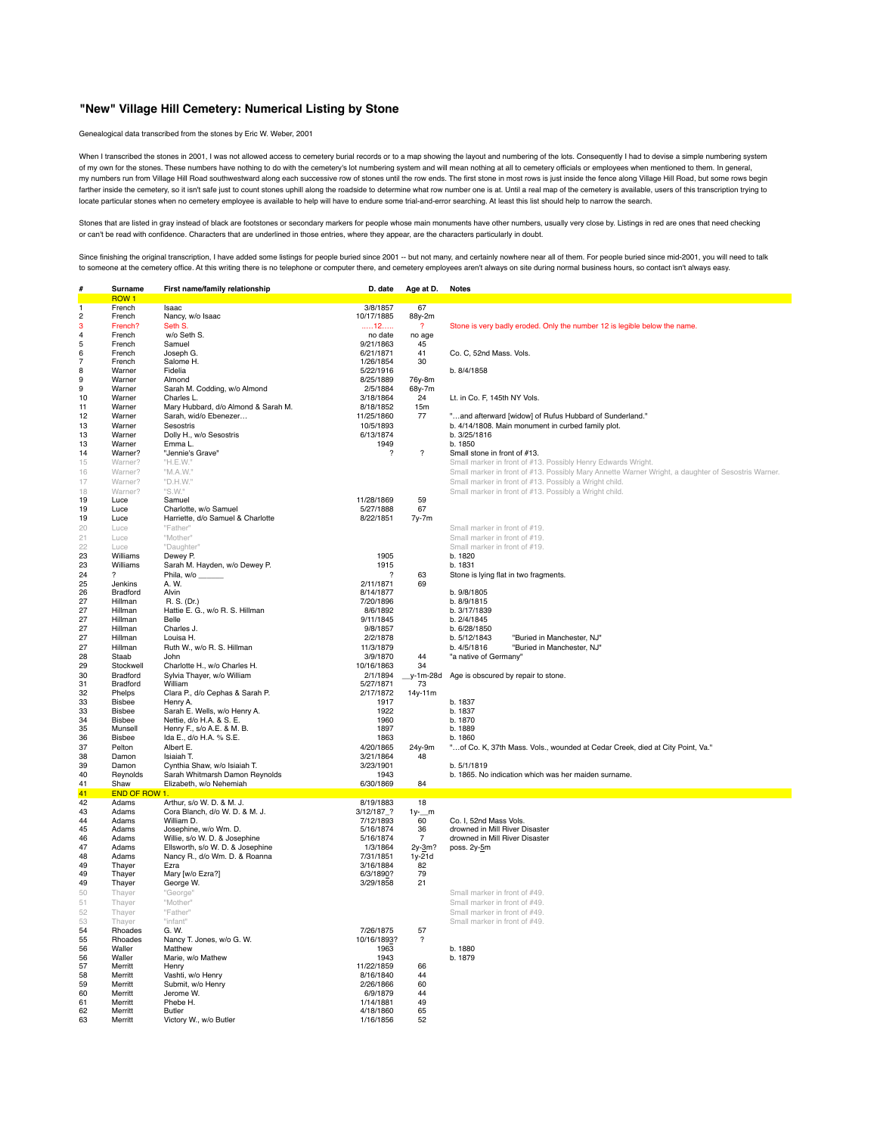## **"New" Village Hill Cemetery: Numerical Listing by Stone**

Genealogical data transcribed from the stones by Eric W. Weber, 2001

When I transcribed the stones in 2001, I was not allowed access to cemetery burial records or to a map showing the layout and numbering of the lots. Consequently I had to devise a simple numbering system of my own for the stones. These numbers have nothing to do with the cemetery's lot numbering system and will mean nothing at all to cemetery officials or employees when mentioned to them. In general, my numbers run from Village Hill Road southwestward along each successive row of stones until the row ends. The first stone in most rows is just inside the fence along Village Hill Road, but some rows begin farther inside the cemetery, so it isn't safe just to count stones uphill along the roadside to determine what row number one is at. Until a real map of the cemetery is available, users of this transcription trying to locate particular stones when no cemetery employee is available to help will have to endure some trial-and-error searching. At least this list should help to narrow the search.

Stones that are listed in gray instead of black are footstones or secondary markers for people whose main monuments have other numbers, usually very close by. Listings in red are ones that need checking or can't be read with confidence. Characters that are underlined in those entries, where they appear, are the characters particularly in doubt.

Since finishing the original transcription, I have added some listings for people buried since 2001 -- but not many, and certainly nowhere near all of them. For people buried since mid-2001, you will need to talk to someone at the cemetery office. At this writing there is no telephone or computer there, and cemetery employees aren't always on site during normal business hours, so contact isn't always easy.

|          | Surname                | First name/family relationship      | D. date                               | Age at D.        | <b>Notes</b>                                                                                       |
|----------|------------------------|-------------------------------------|---------------------------------------|------------------|----------------------------------------------------------------------------------------------------|
|          | ROW <sub>1</sub>       |                                     |                                       |                  |                                                                                                    |
|          | French                 | Isaac                               | 3/8/1857                              | 67               |                                                                                                    |
| 2        | French                 | Nancy, w/o Isaac                    | 10/17/1885                            | 88y-2m           |                                                                                                    |
| 3        | French?                | Seth S.                             | 12                                    | $\overline{?}$   | Stone is very badly eroded. Only the number 12 is legible below the name.                          |
| 4<br>5   | French                 | w/o Seth S.<br>Samuel               | no date                               | no age           |                                                                                                    |
| 6        | French<br>French       | Joseph G.                           | 9/21/1863<br>6/21/1871                | 45<br>41         | Co. C, 52nd Mass. Vols.                                                                            |
|          | French                 | Salome H.                           | 1/26/1854                             | 30               |                                                                                                    |
| 8        | Warner                 | Fidelia                             | 5/22/1916                             |                  | b. 8/4/1858                                                                                        |
| 9        | Warner                 | Almond                              | 8/25/1889                             | 76y-8m           |                                                                                                    |
| 9        | Warner                 | Sarah M. Codding, w/o Almond        | 2/5/1884                              | 68y-7m           |                                                                                                    |
| 10       | Warner                 | Charles L.                          | 3/18/1864                             | 24               | Lt. in Co. F, 145th NY Vols.                                                                       |
| 11       | Warner                 | Mary Hubbard, d/o Almond & Sarah M. | 8/18/1852                             | 15m              |                                                                                                    |
| 12       | Warner                 | Sarah, wid/o Ebenezer               | 11/25/1860                            | 77               | "and afterward [widow] of Rufus Hubbard of Sunderland."                                            |
| 13       | Warner                 | Sesostris                           | 10/5/1893                             |                  | b. 4/14/1808. Main monument in curbed family plot.                                                 |
| 13       | Warner                 | Dolly H., w/o Sesostris             | 6/13/1874                             |                  | b. 3/25/1816                                                                                       |
| 13       | Warner                 | Emma L.                             | 1949                                  |                  | b. 1850                                                                                            |
| 14       | Warner?                | "Jennie's Grave"                    | ?                                     | $\boldsymbol{?}$ | Small stone in front of #13.                                                                       |
| 15       | Warner?                | "H.E.W."                            |                                       |                  | Small marker in front of #13. Possibly Henry Edwards Wright.                                       |
| 16       | Warner?                | "M.A.W."                            |                                       |                  | Small marker in front of #13. Possibly Mary Annette Warner Wright, a daughter of Sesostris Warner. |
| 17       | Warner?                | "D.H.W."                            |                                       |                  | Small marker in front of #13. Possibly a Wright child.                                             |
| 18       | Warner?                | "S.W."                              |                                       |                  | Small marker in front of #13. Possibly a Wright child.                                             |
| 19       | Luce                   | Samuel                              | 11/28/1869                            | 59               |                                                                                                    |
| 19       | Luce                   | Charlotte, w/o Samuel               | 5/27/1888                             | 67               |                                                                                                    |
| 19       | Luce                   | Harriette, d/o Samuel & Charlotte   | 8/22/1851                             | 7y-7m            |                                                                                                    |
| 20       | Luce                   | "Father'                            |                                       |                  | Small marker in front of #19.                                                                      |
| 21       | Luce                   | "Mother"                            |                                       |                  | Small marker in front of #19.                                                                      |
| 22       | Luce                   | "Daughter"                          |                                       |                  | Small marker in front of #19.                                                                      |
| 23       | Williams               | Dewey P.                            | 1905                                  |                  | b. 1820                                                                                            |
| 23       | Williams               | Sarah M. Hayden, w/o Dewey P.       | 1915                                  |                  | b. 1831                                                                                            |
| 24<br>25 | ?<br>Jenkins           | Phila, w/o<br>A. W.                 | $\overline{\phantom{a}}$<br>2/11/1871 | 63<br>69         | Stone is lying flat in two fragments.                                                              |
| 26       | Bradford               | Alvin                               | 8/14/1877                             |                  | b. 9/8/1805                                                                                        |
| 27       | Hillman                | R. S. (Dr.)                         | 7/20/1896                             |                  | b. 8/9/1815                                                                                        |
| 27       | Hillman                | Hattie E. G., w/o R. S. Hillman     | 8/6/1892                              |                  | b. 3/17/1839                                                                                       |
| 27       | Hillman                | Belle                               | 9/11/1845                             |                  | b. 2/4/1845                                                                                        |
| 27       | Hillman                | Charles J.                          | 9/8/1857                              |                  | b. 6/28/1850                                                                                       |
| 27       | Hillman                | Louisa H.                           | 2/2/1878                              |                  | b. 5/12/1843<br>"Buried in Manchester, NJ"                                                         |
| 27       | Hillman                | Ruth W., w/o R. S. Hillman          | 11/3/1879                             |                  | b. 4/5/1816<br>"Buried in Manchester, NJ"                                                          |
| 28       | Staab                  | John                                | 3/9/1870                              | 44               | "a native of Germany"                                                                              |
| 29       | Stockwell              | Charlotte H., w/o Charles H.        | 10/16/1863                            | 34               |                                                                                                    |
| 30       | Bradford               | Sylvia Thayer, w/o William          | 2/1/1894                              | $y-1m-28d$       | Age is obscured by repair to stone.                                                                |
| 31       | Bradford               | William                             | 5/27/1871                             | 73               |                                                                                                    |
| 32       | Phelps                 | Clara P., d/o Cephas & Sarah P.     | 2/17/1872                             | 14y-11m          |                                                                                                    |
| 33       | <b>Bisbee</b>          | Henry A.                            | 1917                                  |                  | b. 1837                                                                                            |
| 33       | Bisbee                 | Sarah E. Wells, w/o Henry A.        | 1922                                  |                  | b. 1837                                                                                            |
| 34       | <b>Bisbee</b>          | Nettie, d/o H.A. & S. E.            | 1960                                  |                  | b. 1870                                                                                            |
| 35       | Munsell                | Henry F., s/o A.E. & M. B.          | 1897                                  |                  | b. 1889                                                                                            |
| 36       | Bisbee                 | Ida E., d/o H.A. % S.E.             | 1863                                  |                  | h.1860                                                                                             |
| 37       | Pelton                 | Albert E.                           | 4/20/1865                             | 24y-9m           | "of Co. K, 37th Mass. Vols., wounded at Cedar Creek, died at City Point, Va."                      |
| 38       | Damon                  | Isiaiah T.                          | 3/21/1864                             | 48               |                                                                                                    |
| 39       | Damon                  | Cynthia Shaw, w/o Isiaiah T.        | 3/23/1901                             |                  | b. 5/1/1819                                                                                        |
| 40       | Reynolds               | Sarah Whitmarsh Damon Reynolds      | 1943                                  |                  | b. 1865. No indication which was her maiden surname.                                               |
| 41       | Shaw                   | Elizabeth, w/o Nehemiah             | 6/30/1869                             | 84               |                                                                                                    |
| 41<br>42 | END OF ROW 1.<br>Adams | Arthur, s/o W. D. & M. J.           | 8/19/1883                             | 18               |                                                                                                    |
| 43       | Adams                  | Cora Blanch, d/o W. D. & M. J.      | 3/12/187_?                            | $1y-$ m          |                                                                                                    |
| 44       | Adams                  | William D.                          | 7/12/1893                             | 60               | Co. I, 52nd Mass Vols.                                                                             |
| 45       | Adams                  | Josephine, w/o Wm. D.               | 5/16/1874                             | 36               | drowned in Mill River Disaster                                                                     |
| 46       | Adams                  | Willie, s/o W. D. & Josephine       | 5/16/1874                             | $\overline{7}$   | drowned in Mill River Disaster                                                                     |
| 47       | Adams                  | Ellsworth, s/o W. D. & Josephine    | 1/3/1864                              | 2y-3m?           | poss. 2y-5m                                                                                        |
| 48       | Adams                  | Nancy R., d/o Wm. D. & Roanna       | 7/31/1851                             | $1y-21d$         |                                                                                                    |
| 49       | Thayer                 | Ezra                                | 3/16/1884                             | 82               |                                                                                                    |
| 49       | Thayer                 | Mary [w/o Ezra?]                    | 6/3/1890?                             | 79               |                                                                                                    |
| 49       | Thayer                 | George W.                           | 3/29/1858                             | 21               |                                                                                                    |
| 50       | Thayer                 | "George"                            |                                       |                  | Small marker in front of #49.                                                                      |
| 51       | Thayer                 | "Mother"                            |                                       |                  | Small marker in front of #49                                                                       |
| 52       | Thayer                 | "Father"                            |                                       |                  | Small marker in front of #49.                                                                      |
| 53       | Thaver                 | "infant"                            |                                       |                  | Small marker in front of #49.                                                                      |
| 54       | Rhoades                | G. W.                               | 7/26/1875                             | 57               |                                                                                                    |
| 55       | Rhoades                | Nancy T. Jones, w/o G. W.           | 10/16/1893?                           | ?                |                                                                                                    |
| 56       | Waller                 | Matthew                             | 1963                                  |                  | b. 1880                                                                                            |
| 56       | Waller                 | Marie, w/o Mathew                   | 1943                                  |                  | b. 1879                                                                                            |
| 57       | Merritt                | Henry                               | 11/22/1859                            | 66               |                                                                                                    |
| 58       | Merritt                | Vashti, w/o Henry                   | 8/16/1840                             | 44<br>60         |                                                                                                    |
| 59<br>60 | Merritt<br>Merritt     | Submit, w/o Henry<br>Jerome W.      | 2/26/1866<br>6/9/1879                 | 44               |                                                                                                    |
| 61       | Merritt                | Phebe H.                            | 1/14/1881                             | 49               |                                                                                                    |
| 62       | Merritt                | Butler                              | 4/18/1860                             | 65               |                                                                                                    |
| 63       | Merritt                | Victory W., w/o Butler              | 1/16/1856                             | 52               |                                                                                                    |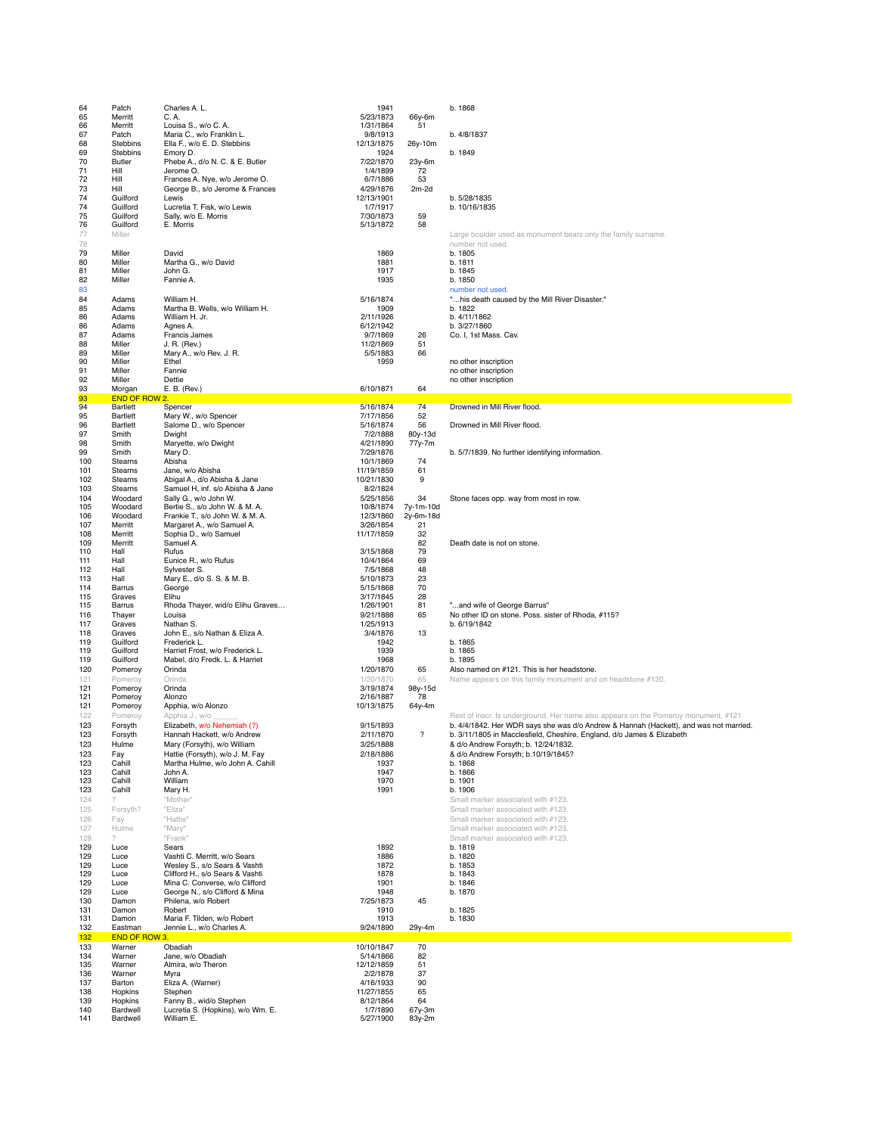| 64         | Patch                   | Charles A. L.                                       | 1941                    |                          | b. 1868                                                                               |
|------------|-------------------------|-----------------------------------------------------|-------------------------|--------------------------|---------------------------------------------------------------------------------------|
| 65         | Merritt                 | C. A.                                               | 5/23/1873               | 66y-6m                   |                                                                                       |
| 66         | Merritt                 | Louisa S., w/o C. A.                                | 1/31/1864               | 51                       |                                                                                       |
| 67         | Patch                   | Maria C., w/o Franklin L.                           | 9/8/1913                |                          | b. 4/8/1837                                                                           |
| 68<br>69   | Stebbins<br>Stebbins    | Ella F., w/o E. D. Stebbins<br>Emory D.             | 12/13/1875<br>1924      | 26y-10m                  | b. 1849                                                                               |
| 70         | Butler                  | Phebe A., d/o N. C. & E. Butler                     | 7/22/1870               | 23y-6m                   |                                                                                       |
| 71         | Hill                    | Jerome O.                                           | 1/4/1899                | 72                       |                                                                                       |
| 72         | Hill                    | Frances A. Nye, w/o Jerome O.                       | 6/7/1886                | 53                       |                                                                                       |
| 73         | Hill                    | George B., s/o Jerome & Frances                     | 4/29/1876               | $2m-2d$                  |                                                                                       |
| 74<br>74   | Guilford<br>Guilford    | Lewis<br>Lucretia T. Fisk, w/o Lewis                | 12/13/1901<br>1/7/1917  |                          | b. 5/28/1835<br>b. 10/16/1835                                                         |
| 75         | Guilford                | Sally, w/o E. Morris                                | 7/30/1873               | 59                       |                                                                                       |
| 76         | Guilford                | E. Morris                                           | 5/13/1872               | 58                       |                                                                                       |
| 77         | Miller                  |                                                     |                         |                          | Large boulder used as monument bears only the family surname.                         |
| 78         |                         |                                                     |                         |                          | number not used.                                                                      |
| 79         | Miller                  | David                                               | 1869                    |                          | b. 1805                                                                               |
| 80         | Miller                  | Martha G., w/o David                                | 1881                    |                          | b. 1811                                                                               |
| 81<br>82   | Miller<br>Miller        | John G.<br>Fannie A.                                | 1917<br>1935            |                          | b. 1845<br>b. 1850                                                                    |
| 83         |                         |                                                     |                         |                          | number not used.                                                                      |
| 84         | Adams                   | William H.                                          | 5/16/1874               |                          | "his death caused by the Mill River Disaster."                                        |
| 85         | Adams                   | Martha B. Wells, w/o William H.                     | 1909                    |                          | b. 1822                                                                               |
| 86         | Adams                   | William H. Jr.                                      | 2/11/1926               |                          | b. 4/11/1862                                                                          |
| 86         | Adams                   | Agnes A.                                            | 6/12/1942               |                          | b. 3/27/1860                                                                          |
| 87<br>88   | Adams<br>Miller         | Francis James<br>J. R. (Rev.)                       | 9/7/1869<br>11/2/1869   | 26<br>51                 | Co. I, 1st Mass. Cav.                                                                 |
| 89         | Miller                  | Mary A., w/o Rev. J. R.                             | 5/5/1883                | 66                       |                                                                                       |
| 90         | Miller                  | Ethel                                               | 1959                    |                          | no other inscription                                                                  |
| 91         | Miller                  | Fannie                                              |                         |                          | no other inscription                                                                  |
| 92         | Miller                  | Dettie                                              |                         |                          | no other inscription                                                                  |
| 93<br>93   | Morgan<br>END OF ROW 2. | E. B. (Rev.)                                        | 6/10/1871               | 64                       |                                                                                       |
| 94         | Bartlett                | Spencer                                             | 5/16/1874               | 74                       | Drowned in Mill River flood.                                                          |
| 95         | Bartlett                | Mary W., w/o Spencer                                | 7/17/1856               | 52                       |                                                                                       |
| 96         | Bartlett                | Salome D., w/o Spencer                              | 5/16/1874               | 56                       | Drowned in Mill River flood.                                                          |
| 97         | Smith                   | Dwight                                              | 7/2/1888                | 80y-13d                  |                                                                                       |
| 98         | Smith                   | Maryette, w/o Dwight                                | 4/21/1890               | 77y-7m                   |                                                                                       |
| 99<br>100  | Smith<br>Stearns        | Mary D.<br>Abisha                                   | 7/29/1876<br>10/1/1869  | 74                       | b. 5/7/1839. No further identifying information.                                      |
| 101        | Stearns                 | Jane, w/o Abisha                                    | 11/19/1859              | 61                       |                                                                                       |
| 102        | Stearns                 | Abigal A., d/o Abisha & Jane                        | 10/21/1830              | 9                        |                                                                                       |
| 103        | Stearns                 | Samuel H, inf. s/o Abisha & Jane                    | 8/2/1824                |                          |                                                                                       |
| 104        | Woodard                 | Sally G., w/o John W.                               | 5/25/1856               | 34                       | Stone faces opp. way from most in row.                                                |
| 105        | Woodard                 | Bertie S., s/o John W. & M. A.                      | 10/8/1874               | 7y-1m-10d                |                                                                                       |
| 106<br>107 | Woodard                 | Frankie T., s/o John W. & M. A.                     | 12/3/1860               | 2y-6m-18d                |                                                                                       |
| 108        | Merritt<br>Merritt      | Margaret A., w/o Samuel A.<br>Sophia D., w/o Samuel | 3/26/1854<br>11/17/1859 | 21<br>32                 |                                                                                       |
| 109        | Merritt                 | Samuel A.                                           |                         | 82                       | Death date is not on stone.                                                           |
| 110        | Hall                    | Rufus                                               | 3/15/1868               | 79                       |                                                                                       |
| 111        | Hall                    | Eunice R., w/o Rufus                                | 10/4/1864               | 69                       |                                                                                       |
| 112        | Hall                    | Sylvester S.                                        | 7/5/1868                | 48                       |                                                                                       |
| 113<br>114 | Hall<br>Barrus          | Mary E., d/o S. S. & M. B.<br>George                | 5/10/1873<br>5/15/1868  | 23<br>70                 |                                                                                       |
| 115        | Graves                  | Elihu                                               | 3/17/1845               | 28                       |                                                                                       |
| 115        | Barrus                  | Rhoda Thayer, wid/o Elihu Graves                    | 1/26/1901               | 81                       | "and wife of George Barrus"                                                           |
| 116        | Thayer                  | Louisa                                              | 9/21/1888               | 65                       | No other ID on stone. Poss. sister of Rhoda, #115?                                    |
| 117        | Graves                  | Nathan S.                                           | 1/25/1913               |                          | b. 6/19/1842                                                                          |
| 118        | Graves                  | John E., s/o Nathan & Eliza A.                      | 3/4/1876                | 13                       |                                                                                       |
| 119<br>119 | Guilford<br>Guilford    | Frederick L.<br>Harriet Frost, w/o Frederick L.     | 1942<br>1939            |                          | b. 1865<br>b. 1865                                                                    |
| 119        | Guilford                | Mabel, d/o Fredk. L. & Harriet                      | 1968                    |                          | b. 1895                                                                               |
| 120        | Pomeroy                 | Orinda                                              | 1/20/1870               | 65                       | Also named on #121. This is her headstone.                                            |
| 121        | Pomeroy                 | Orinda                                              | 1/20/1870               | 65                       | Name appears on this family monument and on headstone #120.                           |
| 121        | Pomeroy                 | Orinda                                              | 3/19/1874               | 98y-15d                  |                                                                                       |
| 121        | Pomeroy                 | Alonzo                                              | 2/16/1887               | 78                       |                                                                                       |
| 121<br>122 | Pomeroy<br>Pomeroy      | Apphia, w/o Alonzo<br>Apphia J., w/o                | 10/13/1875              | 64y-4m                   | Rest of inscr. Is underground. Her name also appears on the Pomeroy monument, #121.   |
| 123        | Forsyth                 | Elizabeth, w/o Nehemiah (?)                         | 9/15/1893               |                          | b. 4/4/1842. Her WDR says she was d/o Andrew & Hannah (Hackett), and was not married. |
| 123        | Forsyth                 | Hannah Hackett, w/o Andrew                          | 2/11/1870               | $\overline{\mathcal{E}}$ | b. 3/11/1805 in Macclesfield, Cheshire, England, d/o James & Elizabeth                |
| 123        | Hulme                   | Mary (Forsyth), w/o William                         | 3/25/1888               |                          | & d/o Andrew Forsyth; b. 12/24/1832.                                                  |
| 123        | Fay                     | Hattie (Forsyth), w/o J. M. Fay                     | 2/18/1886               |                          | & d/o Andrew Forsyth; b.10/19/1845?                                                   |
| 123        | Cahill                  | Martha Hulme, w/o John A. Cahill                    | 1937                    |                          | b. 1868                                                                               |
| 123        | Cahill                  | John A.                                             | 1947                    |                          | b. 1866                                                                               |
| 123<br>123 | Cahill<br>Cahill        | William<br>Mary H.                                  | 1970<br>1991            |                          | b. 1901<br>b. 1906                                                                    |
| 124        | ?                       | "Mother"                                            |                         |                          | Small marker associated with #123.                                                    |
| 125        | Forsyth?                | "Eliza"                                             |                         |                          | Small marker associated with #123.                                                    |
| 126        | Fay                     | "Hattie"                                            |                         |                          | Small marker associated with #123.                                                    |
| 127        | Hulme                   | "Mary"                                              |                         |                          | Small marker associated with #123.                                                    |
| 128        | 2                       | "Frank"                                             |                         |                          | Small marker associated with #123.                                                    |
| 129<br>129 | Luce<br>Luce            | Sears<br>Vashti C. Merritt, w/o Sears               | 1892<br>1886            |                          | b. 1819<br>b. 1820                                                                    |
| 129        | Luce                    | Wesley S., s/o Sears & Vashti                       | 1872                    |                          | b. 1853                                                                               |
| 129        | Luce                    | Clifford H., s/o Sears & Vashti                     | 1878                    |                          | b. 1843                                                                               |
| 129        | Luce                    | Mina C. Converse, w/o Clifford                      | 1901                    |                          | b. 1846                                                                               |
| 129        | Luce                    | George N., s/o Clifford & Mina                      | 1948                    |                          | b. 1870                                                                               |
| 130<br>131 | Damon<br>Damon          | Philena, w/o Robert<br>Robert                       | 7/25/1873<br>1910       | 45                       | b. 1825                                                                               |
| 131        | Damon                   | Maria F. Tilden, w/o Robert                         | 1913                    |                          | b. 1830                                                                               |
| 132        | Eastman                 | Jennie L., w/o Charles A.                           | 9/24/1890               | 29y-4m                   |                                                                                       |
| 132        | END OF ROW 3.           |                                                     |                         |                          |                                                                                       |
| 133        | Warner                  | Obadiah                                             | 10/10/1847              | 70                       |                                                                                       |
| 134        | Warner                  | Jane, w/o Obadiah                                   | 5/14/1866               | 82                       |                                                                                       |
| 135<br>136 | Warner<br>Warner        | Almira, w/o Theron<br>Myra                          | 12/12/1859<br>2/2/1878  | 51<br>37                 |                                                                                       |
| 137        | Barton                  | Eliza A. (Warner)                                   | 4/16/1933               | 90                       |                                                                                       |
| 138        | Hopkins                 | Stephen                                             | 11/27/1855              | 65                       |                                                                                       |
| 139        | Hopkins                 | Fanny B., wid/o Stephen                             | 8/12/1864               | 64                       |                                                                                       |
| 140        | Bardwell                | Lucretia S. (Hopkins), w/o Wm. E.                   | 1/7/1890                | 67y-3m                   |                                                                                       |
| 141        | Bardwell                | William E.                                          | 5/27/1900               | 83y-2m                   |                                                                                       |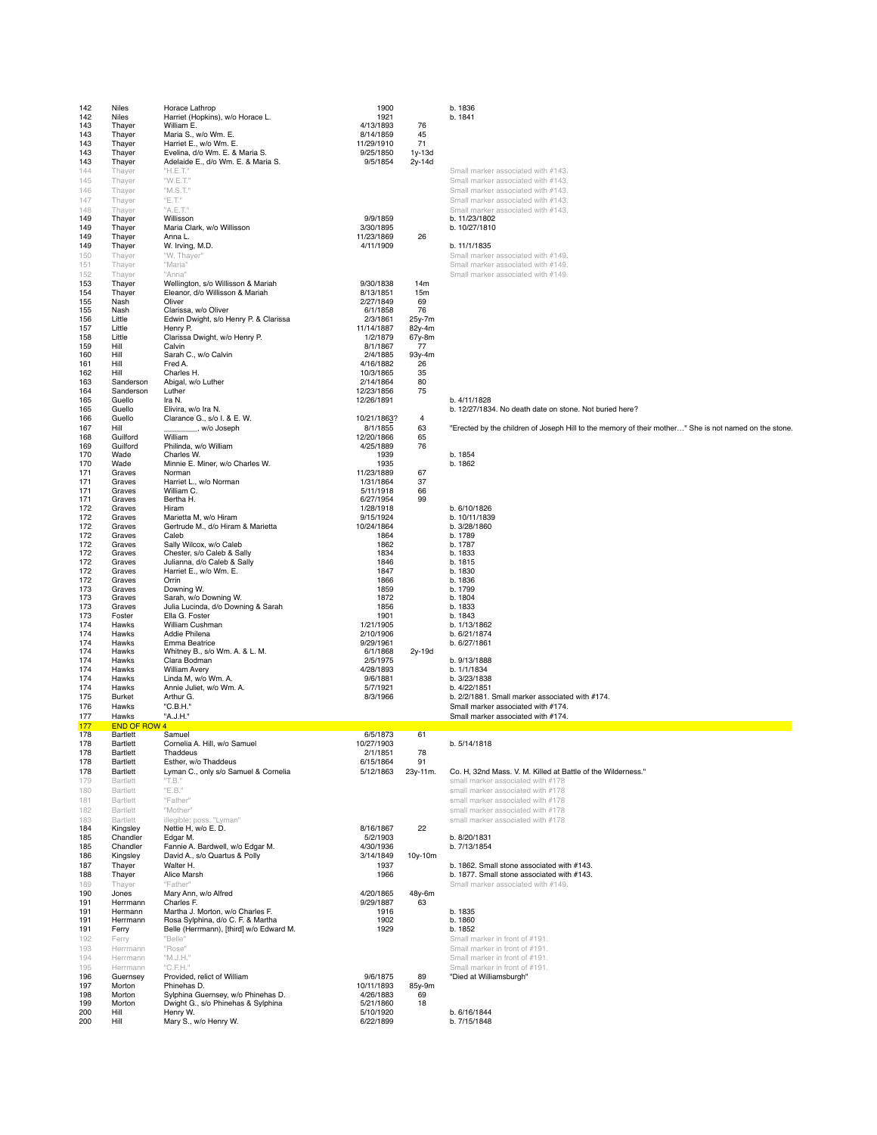| 142<br>142 | Niles<br>Niles               | Horace Lathrop<br>Harriet (Hopkins), w/o Horace L.                    | 1900<br>1921            |                  | b. 1836<br>b. 1841                                                                                    |
|------------|------------------------------|-----------------------------------------------------------------------|-------------------------|------------------|-------------------------------------------------------------------------------------------------------|
| 143<br>143 | Thayer<br>Thayer             | William E.<br>Maria S., w/o Wm. E.                                    | 4/13/1893<br>8/14/1859  | 76<br>45         |                                                                                                       |
| 143<br>143 | Thayer<br>Thayer             | Harriet E., w/o Wm. E.<br>Evelina, d/o Wm. E. & Maria S.              | 11/29/1910<br>9/25/1850 | 71<br>1y-13d     |                                                                                                       |
| 143        | Thayer                       | Adelaide E., d/o Wm. E. & Maria S.                                    | 9/5/1854                | 2y-14d           |                                                                                                       |
| 144<br>145 | Thayer<br>Thayer             | "H.E.T."<br>"W.E.T."                                                  |                         |                  | Small marker associated with #143.<br>Small marker associated with #143.                              |
| 146        | Thayer                       | "M.S.T."                                                              |                         |                  | Small marker associated with #143.                                                                    |
| 147<br>148 | Thayer<br>Thayer             | "E.T."<br>"A.E.T."                                                    |                         |                  | Small marker associated with #143.<br>Small marker associated with #143.                              |
| 149<br>149 | Thayer<br>Thayer             | Willisson<br>Maria Clark, w/o Willisson                               | 9/9/1859<br>3/30/1895   |                  | b. 11/23/1802<br>b. 10/27/1810                                                                        |
| 149        | Thayer                       | Anna L.                                                               | 11/23/1869              | 26               |                                                                                                       |
| 149<br>150 | Thayer<br>Thayer             | W. Irving, M.D.<br>"W. Thayer"                                        | 4/11/1909               |                  | b. 11/1/1835<br>Small marker associated with #149.                                                    |
| 151        | Thayer                       | "Maria"                                                               |                         |                  | Small marker associated with #149.                                                                    |
| 152<br>153 | Thayer<br>Thayer             | "Anna"<br>Wellington, s/o Willisson & Mariah                          | 9/30/1838               | 14m              | Small marker associated with #149.                                                                    |
| 154<br>155 | Thayer<br>Nash               | Eleanor, d/o Willisson & Mariah<br>Oliver                             | 8/13/1851<br>2/27/1849  | 15m<br>69        |                                                                                                       |
| 155        | Nash                         | Clarissa, w/o Oliver                                                  | 6/1/1858                | 76               |                                                                                                       |
| 156<br>157 | Little<br>Little             | Edwin Dwight, s/o Henry P. & Clarissa<br>Henry P.                     | 2/3/1861<br>11/14/1887  | 25y-7m<br>82y-4m |                                                                                                       |
| 158<br>159 | Little<br>Hill               | Clarissa Dwight, w/o Henry P.<br>Calvin                               | 1/2/1879<br>8/1/1867    | 67y-8m<br>77     |                                                                                                       |
| 160        | Hill                         | Sarah C., w/o Calvin                                                  | 2/4/1885                | 93y-4m           |                                                                                                       |
| 161<br>162 | Hill<br>Hill                 | Fred A.<br>Charles H.                                                 | 4/16/1882<br>10/3/1865  | 26<br>35         |                                                                                                       |
| 163<br>164 | Sanderson<br>Sanderson       | Abigal, w/o Luther<br>Luther                                          | 2/14/1864<br>12/23/1856 | 80<br>75         |                                                                                                       |
| 165        | Guello                       | Ira N.                                                                | 12/26/1891              |                  | b. 4/11/1828                                                                                          |
| 165<br>166 | Guello<br>Guello             | Elivira, w/o Ira N.<br>Clarance G., s/o I. & E. W.                    | 10/21/1863?             | 4                | b. 12/27/1834. No death date on stone. Not buried here?                                               |
| 167        | Hill                         | ., w/o Joseph                                                         | 8/1/1855                | 63               | "Erected by the children of Joseph Hill to the memory of their mother" She is not named on the stone. |
| 168<br>169 | Guilford<br>Guilford         | William<br>Philinda, w/o William                                      | 12/20/1866<br>4/25/1889 | 65<br>76         |                                                                                                       |
| 170<br>170 | Wade<br>Wade                 | Charles W.<br>Minnie E. Miner, w/o Charles W.                         | 1939<br>1935            |                  | b. 1854<br>b. 1862                                                                                    |
| 171        | Graves                       | Norman                                                                | 11/23/1889              | 67               |                                                                                                       |
| 171<br>171 | Graves<br>Graves             | Harriet L., w/o Norman<br>William C.                                  | 1/31/1864<br>5/11/1918  | 37<br>66         |                                                                                                       |
| 171<br>172 | Graves<br>Graves             | Bertha H.<br>Hiram                                                    | 6/27/1954<br>1/28/1918  | 99               | b. 6/10/1826                                                                                          |
| 172        | Graves                       | Marietta M, w/o Hiram                                                 | 9/15/1924               |                  | b. 10/11/1839                                                                                         |
| 172<br>172 | Graves<br>Graves             | Gertrude M., d/o Hiram & Marietta<br>Caleb                            | 10/24/1864<br>1864      |                  | b. 3/28/1860<br>b. 1789                                                                               |
| 172        | Graves                       | Sally Wilcox, w/o Caleb                                               | 1862                    |                  | b. 1787                                                                                               |
| 172<br>172 | Graves<br>Graves             | Chester, s/o Caleb & Sally<br>Julianna, d/o Caleb & Sally             | 1834<br>1846            |                  | b. 1833<br>b. 1815                                                                                    |
| 172<br>172 | Graves<br>Graves             | Harriet E., w/o Wm. E.<br>Orrin                                       | 1847<br>1866            |                  | b. 1830<br>b. 1836                                                                                    |
| 173        | Graves                       | Downing W.                                                            | 1859                    |                  | b. 1799                                                                                               |
| 173<br>173 | Graves<br>Graves             | Sarah, w/o Downing W.<br>Julia Lucinda, d/o Downing & Sarah           | 1872<br>1856            |                  | b. 1804<br>b. 1833                                                                                    |
| 173<br>174 | Foster<br>Hawks              | Ella G. Foster<br>William Cushman                                     | 1901<br>1/21/1905       |                  | b. 1843<br>b. 1/13/1862                                                                               |
| 174        | Hawks                        | Addie Philena                                                         | 2/10/1906               |                  | b. 6/21/1874                                                                                          |
| 174<br>174 | Hawks<br>Hawks               | Emma Beatrice<br>Whitney B., s/o Wm. A. & L. M.                       | 9/29/1961<br>6/1/1868   | 2y-19d           | b. 6/27/1861                                                                                          |
| 174        | Hawks<br>Hawks               | Clara Bodman<br>William Avery                                         | 2/5/1975<br>4/28/1893   |                  | b. 9/13/1888<br>b. 1/1/1834                                                                           |
| 174<br>174 | Hawks                        | Linda M, w/o Wm. A.                                                   | 9/6/1881                |                  | b. 3/23/1838                                                                                          |
| 174<br>175 | Hawks<br>Burket              | Annie Juliet, w/o Wm. A.<br>Arthur G.                                 | 5/7/1921<br>8/3/1966    |                  | b. 4/22/1851<br>b. 2/2/1881. Small marker associated with #174.                                       |
| 176        | Hawks                        | "C.B.H."                                                              |                         |                  | Small marker associated with #174.                                                                    |
| 177<br>177 | Hawks<br><b>END OF ROW 4</b> | "A.J.H."                                                              |                         |                  | Small marker associated with #174.                                                                    |
| 178        | Bartlett                     | Samuel                                                                | 6/5/1873                | 61               |                                                                                                       |
| 178<br>178 | Bartlett<br>Bartlett         | Cornelia A. Hill, w/o Samuel<br>Thaddeus                              | 10/27/1903<br>2/1/1851  | 78               | b. 5/14/1818                                                                                          |
| 178<br>178 | Bartlett<br>Bartlett         | Esther, w/o Thaddeus<br>Lyman C., only s/o Samuel & Cornelia          | 6/15/1864<br>5/12/1863  | 91<br>23y-11m.   | Co. H, 32nd Mass. V. M. Killed at Battle of the Wilderness."                                          |
| 179        | Bartlett                     | "T.B."                                                                |                         |                  | small marker associated with #178                                                                     |
| 180<br>181 | Bartlett<br>Bartlett         | "E.B."<br>"Father"                                                    |                         |                  | small marker associated with #178<br>small marker associated with #178                                |
| 182        | Bartlett                     | "Mother"                                                              |                         |                  | small marker associated with #178                                                                     |
| 183<br>184 | Bartlett<br>Kingsley         | illegible; poss. "Lyman"<br>Nettie H, w/o E. D.                       | 8/16/1867               | 22               | small marker associated with #178                                                                     |
| 185<br>185 | Chandler<br>Chandler         | Edgar M.<br>Fannie A. Bardwell, w/o Edgar M.                          | 5/2/1903<br>4/30/1936   |                  | b. 8/20/1831<br>b. 7/13/1854                                                                          |
| 186        | Kingsley                     | David A., s/o Quartus & Polly                                         | 3/14/1849               | 10y-10m          |                                                                                                       |
| 187<br>188 | Thayer<br>Thayer             | Walter H.<br>Alice Marsh                                              | 1937<br>1966            |                  | b. 1862. Small stone associated with #143.<br>b. 1877. Small stone associated with #143.              |
| 189        | Thayer                       | "Father"                                                              |                         |                  | Small marker associated with #149.                                                                    |
| 190<br>191 | Jones<br>Herrmann            | Mary Ann, w/o Alfred<br>Charles F.                                    | 4/20/1865<br>9/29/1887  | 48y-6m<br>63     |                                                                                                       |
| 191<br>191 | Hermann<br>Herrmann          | Martha J. Morton, w/o Charles F.<br>Rosa Sylphina, d/o C. F. & Martha | 1916<br>1902            |                  | b. 1835<br>b. 1860                                                                                    |
| 191        | Ferry                        | Belle (Herrmann), [third] w/o Edward M.                               | 1929                    |                  | b. 1852                                                                                               |
| 192<br>193 | Ferry<br>Herrmann            | "Belle"<br>"Rose"                                                     |                         |                  | Small marker in front of #191.<br>Small marker in front of #191.                                      |
| 194        | Herrmann                     | "M.J.H."                                                              |                         |                  | Small marker in front of #191.                                                                        |
| 195<br>196 | Herrmann<br>Guernsey         | "C.F.H."<br>Provided, relict of William                               | 9/6/1875                | 89               | Small marker in front of #191.<br>"Died at Williamsburgh"                                             |
| 197<br>198 | Morton<br>Morton             | Phinehas D.<br>Sylphina Guernsey, w/o Phinehas D.                     | 10/11/1893<br>4/26/1883 | 85y-9m<br>69     |                                                                                                       |
| 199        | Morton                       | Dwight G., s/o Phinehas & Sylphina                                    | 5/21/1860               | 18               |                                                                                                       |
| 200<br>200 | Hill<br>Hill                 | Henry W.<br>Mary S., w/o Henry W.                                     | 5/10/1920<br>6/22/1899  |                  | b. 6/16/1844<br>b. 7/15/1848                                                                          |
|            |                              |                                                                       |                         |                  |                                                                                                       |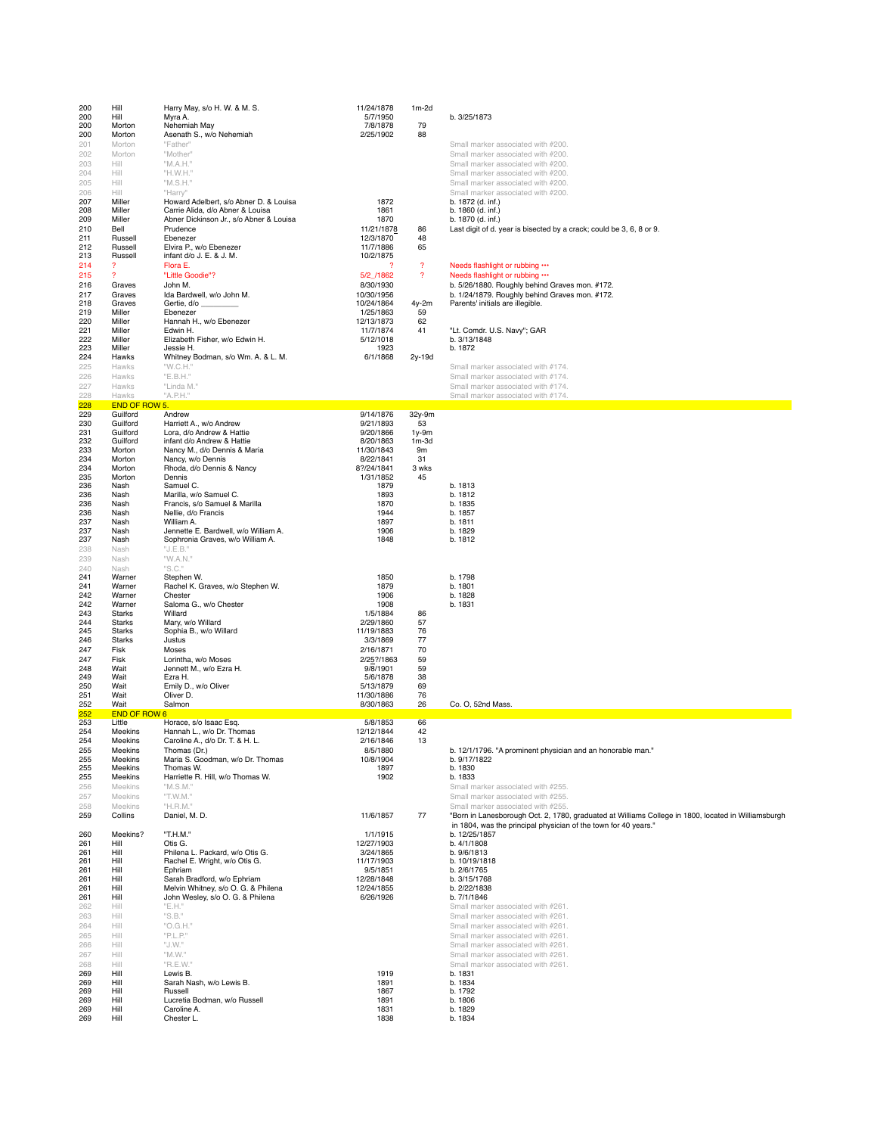| 200        | Hill                        | Harry May, s/o H. W. & M. S.                            | 11/24/1878              | $1m-2d$                    |                                                                                                                                 |
|------------|-----------------------------|---------------------------------------------------------|-------------------------|----------------------------|---------------------------------------------------------------------------------------------------------------------------------|
| 200        | Hill                        | Myra A.                                                 | 5/7/1950                |                            | b. 3/25/1873                                                                                                                    |
| 200<br>200 | Morton<br>Morton            | Nehemiah May<br>Asenath S., w/o Nehemiah                | 7/8/1878<br>2/25/1902   | 79<br>88                   |                                                                                                                                 |
| 201        | Morton                      | "Father"                                                |                         |                            | Small marker associated with #200.                                                                                              |
| 202        | Morton                      | "Mother"                                                |                         |                            | Small marker associated with #200.                                                                                              |
| 203        | Hill                        | "M.A.H."                                                |                         |                            | Small marker associated with #200.                                                                                              |
| 204        | Hill<br>Hill                | "H.W.H."<br>"M.S.H."                                    |                         |                            | Small marker associated with #200.<br>Small marker associated with #200.                                                        |
| 205<br>206 | Hill                        | "Harry"                                                 |                         |                            | Small marker associated with #200.                                                                                              |
| 207        | Miller                      | Howard Adelbert, s/o Abner D. & Louisa                  | 1872                    |                            | b. 1872 (d. inf.)                                                                                                               |
| 208        | Miller                      | Carrie Alida, d/o Abner & Louisa                        | 1861                    |                            | b. 1860 (d. inf.)                                                                                                               |
| 209<br>210 | Miller<br>Bell              | Abner Dickinson Jr., s/o Abner & Louisa<br>Prudence     | 1870<br>11/21/1878      | 86                         | b. 1870 (d. inf.)<br>Last digit of d. year is bisected by a crack; could be 3, 6, 8 or 9.                                       |
| 211        | Russell                     | Ebenezer                                                | 12/3/1870               | 48                         |                                                                                                                                 |
| 212        | Russell                     | Elvira P., w/o Ebenezer                                 | 11/7/1886               | 65                         |                                                                                                                                 |
| 213<br>214 | Russell<br>-2               | infant d/o J. E. & J. M.<br>Flora E.                    | 10/2/1875<br>2          | $\boldsymbol{\mathcal{P}}$ | Needs flashlight or rubbing                                                                                                     |
| 215        | $\overline{?}$              | "Little Goodie"?                                        | 5/2 /1862               | $\boldsymbol{\mathcal{P}}$ | Needs flashlight or rubbing                                                                                                     |
| 216        | Graves                      | John M.                                                 | 8/30/1930               |                            | b. 5/26/1880. Roughly behind Graves mon. #172.                                                                                  |
| 217        | Graves                      | Ida Bardwell, w/o John M.                               | 10/30/1956              |                            | b. 1/24/1879. Roughly behind Graves mon. #172.                                                                                  |
| 218<br>219 | Graves<br>Miller            | Gertie, d/o _<br>Ebenezer                               | 10/24/1864<br>1/25/1863 | 4y-2m<br>59                | Parents' initials are illegible.                                                                                                |
| 220        | Miller                      | Hannah H., w/o Ebenezer                                 | 12/13/1873              | 62                         |                                                                                                                                 |
| 221        | Miller                      | Edwin H.                                                | 11/7/1874               | 41                         | "Lt. Comdr. U.S. Navy"; GAR                                                                                                     |
| 222<br>223 | Miller<br>Miller            | Elizabeth Fisher, w/o Edwin H.<br>Jessie H.             | 5/12/1018<br>1923       |                            | b. 3/13/1848<br>b. 1872                                                                                                         |
| 224        | Hawks                       | Whitney Bodman, s/o Wm. A. & L. M.                      | 6/1/1868                | 2y-19d                     |                                                                                                                                 |
| 225        | Hawks                       | "W.C.H."                                                |                         |                            | Small marker associated with #174.                                                                                              |
| 226        | Hawks                       | "E.B.H."                                                |                         |                            | Small marker associated with #174.                                                                                              |
| 227<br>228 | Hawks<br>Hawks              | "Linda M."<br>"A.P.H."                                  |                         |                            | Small marker associated with #174.<br>Small marker associated with #174.                                                        |
| 228        | <b>END OF ROW 5.</b>        |                                                         |                         |                            | $\mathcal{L}^{\text{max}}_{\text{max}}$ and $\mathcal{L}^{\text{max}}_{\text{max}}$ and $\mathcal{L}^{\text{max}}_{\text{max}}$ |
| 229        | Guilford                    | Andrew                                                  | 9/14/1876               | 32y-9m                     |                                                                                                                                 |
| 230        | Guilford<br>Guilford        | Harriett A., w/o Andrew                                 | 9/21/1893<br>9/20/1866  | 53                         |                                                                                                                                 |
| 231<br>232 | Guilford                    | Lora, d/o Andrew & Hattie<br>infant d/o Andrew & Hattie | 8/20/1863               | $1y-9m$<br>$1m-3d$         |                                                                                                                                 |
| 233        | Morton                      | Nancy M., d/o Dennis & Maria                            | 11/30/1843              | 9m                         |                                                                                                                                 |
| 234<br>234 | Morton<br>Morton            | Nancy, w/o Dennis<br>Rhoda, d/o Dennis & Nancy          | 8/22/1841<br>8?/24/1841 | 31<br>3 wks                |                                                                                                                                 |
| 235        | Morton                      | Dennis                                                  | 1/31/1852               | 45                         |                                                                                                                                 |
| 236        | Nash                        | Samuel C.                                               | 1879                    |                            | b. 1813                                                                                                                         |
| 236<br>236 | Nash                        | Marilla, w/o Samuel C.                                  | 1893<br>1870            |                            | b. 1812                                                                                                                         |
| 236        | Nash<br>Nash                | Francis, s/o Samuel & Marilla<br>Nellie, d/o Francis    | 1944                    |                            | b. 1835<br>b. 1857                                                                                                              |
| 237        | Nash                        | William A.                                              | 1897                    |                            | b. 1811                                                                                                                         |
| 237        | Nash                        | Jennette E. Bardwell, w/o William A.                    | 1906                    |                            | b. 1829                                                                                                                         |
| 237<br>238 | Nash<br>Nash                | Sophronia Graves, w/o William A.<br>"J.E.B."            | 1848                    |                            | b. 1812                                                                                                                         |
| 239        | Nash                        | "W.A.N."                                                |                         |                            |                                                                                                                                 |
| 240        | Nash                        | "S.C."                                                  |                         |                            |                                                                                                                                 |
| 241        | Warner                      | Stephen W.                                              | 1850                    |                            | b. 1798                                                                                                                         |
| 241<br>242 | Warner<br>Warner            | Rachel K. Graves, w/o Stephen W.<br>Chester             | 1879<br>1906            |                            | b. 1801<br>b. 1828                                                                                                              |
| 242        | Warner                      | Saloma G., w/o Chester                                  | 1908                    |                            | b. 1831                                                                                                                         |
| 243        | Starks                      | Willard                                                 | 1/5/1884                | 86                         |                                                                                                                                 |
| 244<br>245 | Starks<br><b>Starks</b>     | Mary, w/o Willard<br>Sophia B., w/o Willard             | 2/29/1860<br>11/19/1883 | 57<br>76                   |                                                                                                                                 |
| 246        | <b>Starks</b>               | Justus                                                  | 3/3/1869                | 77                         |                                                                                                                                 |
| 247        | Fisk                        | Moses                                                   | 2/16/1871               | 70                         |                                                                                                                                 |
| 247        | Fisk<br>Wait                | Lorintha, w/o Moses                                     | 2/25?/1863              | 59                         |                                                                                                                                 |
| 248<br>249 | Wait                        | Jennett M., w/o Ezra H.<br>Ezra H.                      | 9/8/1901<br>5/6/1878    | 59<br>38                   |                                                                                                                                 |
| 250        | Wait                        | Emily D., w/o Oliver                                    | 5/13/1879               | 69                         |                                                                                                                                 |
| 251        | Wait                        | Oliver D.                                               | 11/30/1886              | 76                         |                                                                                                                                 |
| 252<br>252 | Wait<br><b>END OF ROW 6</b> | Salmon                                                  | 8/30/1863               | 26                         | Co. O, 52nd Mass.                                                                                                               |
| 253        | Little                      | Horace, s/o Isaac Esq.                                  | 5/8/1853                | 66                         |                                                                                                                                 |
| 254        | Meekins                     | Hannah L., w/o Dr. Thomas                               | 12/12/1844              | 42                         |                                                                                                                                 |
| 254<br>255 | Meekins<br>Meekins          | Caroline A., d/o Dr. T. & H. L<br>Thomas (Dr.)          | 2/16/1846<br>8/5/1880   | 13                         | b. 12/1/1796. "A prominent physician and an honorable man."                                                                     |
| 255        | Meekins                     | Maria S. Goodman, w/o Dr. Thomas                        | 10/8/1904               |                            | b. 9/17/1822                                                                                                                    |
| 255        | Meekins                     | Thomas W.                                               | 1897                    |                            | b. 1830                                                                                                                         |
| 255        | Meekins                     | Harriette R. Hill, w/o Thomas W.                        | 1902                    |                            | b. 1833                                                                                                                         |
| 256<br>257 | Meekins<br>Meekins          | "M.S.M."<br>"T.W.M."                                    |                         |                            | Small marker associated with #255.<br>Small marker associated with #255.                                                        |
| 258        | Meekins                     | "H.R.M."                                                |                         |                            | Small marker associated with #255.                                                                                              |
| 259        | Collins                     | Daniel, M. D.                                           | 11/6/1857               | 77                         | "Born in Lanesborough Oct. 2, 1780, graduated at Williams College in 1800, located in Williamsburgh                             |
|            |                             |                                                         |                         |                            | in 1804, was the principal physician of the town for 40 years."                                                                 |
| 260<br>261 | Meekins?<br>Hill            | "T.H.M."<br>Otis G.                                     | 1/1/1915<br>12/27/1903  |                            | b. 12/25/1857<br>b. 4/1/1808                                                                                                    |
| 261        | Hill                        | Philena L. Packard, w/o Otis G.                         | 3/24/1865               |                            | b. 9/6/1813                                                                                                                     |
| 261        | Hill                        | Rachel E. Wright, w/o Otis G.                           | 11/17/1903              |                            | b. 10/19/1818                                                                                                                   |
| 261<br>261 | Hill<br>Hill                | Ephriam<br>Sarah Bradford, w/o Ephriam                  | 9/5/1851<br>12/28/1848  |                            | b. 2/6/1765<br>b. 3/15/1768                                                                                                     |
| 261        | Hill                        | Melvin Whitney, s/o O. G. & Philena                     | 12/24/1855              |                            | b. 2/22/1838                                                                                                                    |
| 261        | Hill                        | John Wesley, s/o O. G. & Philena                        | 6/26/1926               |                            | b. 7/1/1846                                                                                                                     |
| 262        | Hill                        | "E.H."                                                  |                         |                            | Small marker associated with #261.                                                                                              |
| 263<br>264 | Hill<br>Hill                | "S.B."<br>"O.G.H."                                      |                         |                            | Small marker associated with #261.<br>Small marker associated with #261.                                                        |
| 265        | Hill                        | "P.L.P."                                                |                         |                            | Small marker associated with #261.                                                                                              |
| 266        | Hill                        | "J.W."                                                  |                         |                            | Small marker associated with #261.                                                                                              |
| 267        | Hill                        | "M.W."                                                  |                         |                            | Small marker associated with #261.                                                                                              |
| 268<br>269 | Hill<br>Hill                | "R.E.W."<br>Lewis B.                                    | 1919                    |                            | Small marker associated with #261.<br>b. 1831                                                                                   |
| 269        | Hill                        | Sarah Nash, w/o Lewis B.                                | 1891                    |                            | b. 1834                                                                                                                         |
| 269        | Hill                        | Russell                                                 | 1867                    |                            | b. 1792                                                                                                                         |
| 269<br>269 | Hill<br>Hill                | Lucretia Bodman, w/o Russell<br>Caroline A.             | 1891<br>1831            |                            | b. 1806<br>b. 1829                                                                                                              |
| 269        | Hill                        | Chester L.                                              | 1838                    |                            | b. 1834                                                                                                                         |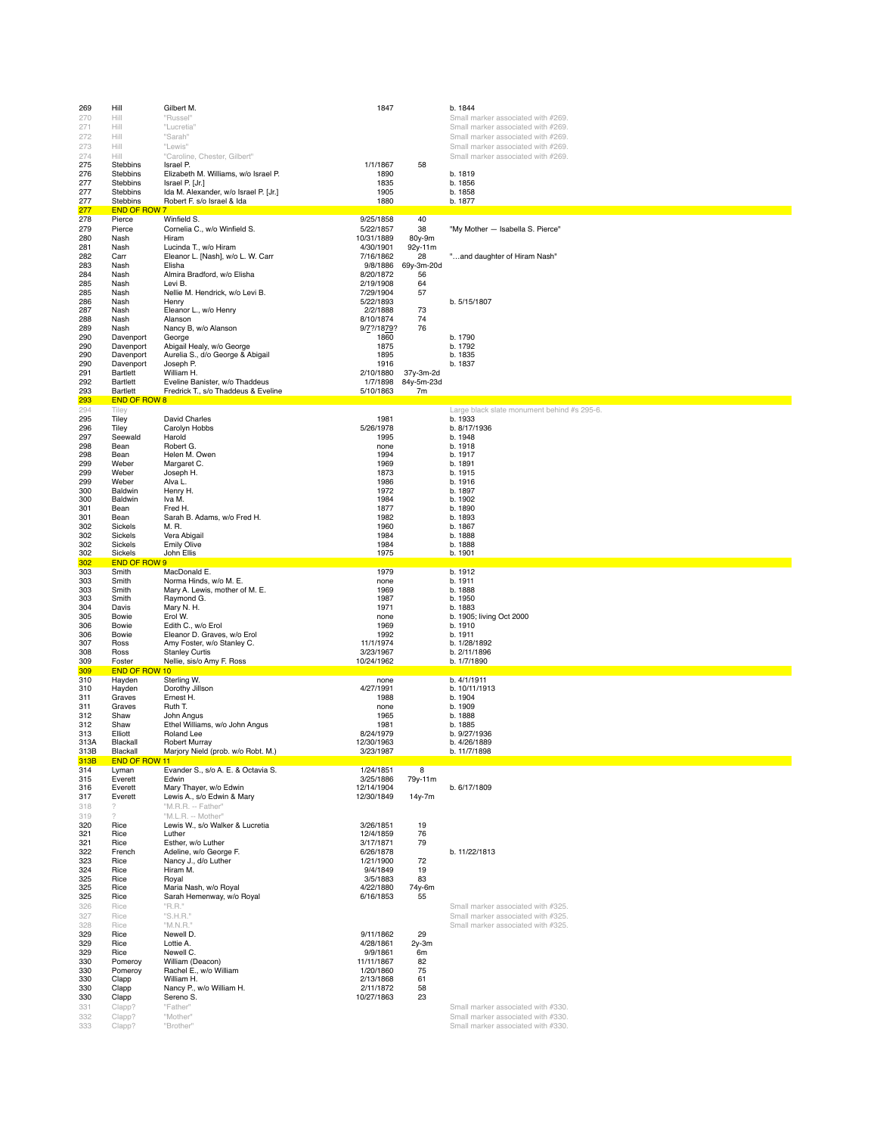| 269          | Hill                        | Gilbert M.                                                          | 1847                     |                  | b. 1844                                                                |
|--------------|-----------------------------|---------------------------------------------------------------------|--------------------------|------------------|------------------------------------------------------------------------|
| 270          | Hill                        | "Russel"                                                            |                          |                  | Small marker associated with #269                                      |
| 271          | Hill                        | "Lucretia"                                                          |                          |                  | Small marker associated with #269                                      |
| 272          | Hill<br>Hill                | "Sarah"<br>"Lewis"                                                  |                          |                  | Small marker associated with #269<br>Small marker associated with #269 |
| 273<br>274   | Hill                        | "Caroline, Chester, Gilbert"                                        |                          |                  | Small marker associated with #269                                      |
| 275          | Stebbins                    | Israel P.                                                           | 1/1/1867                 | 58               |                                                                        |
| 276          | Stebbins                    | Elizabeth M. Williams, w/o Israel P.                                | 1890                     |                  | b. 1819                                                                |
| 277          | Stebbins                    | Israel P. [Jr.]                                                     | 1835                     |                  | b. 1856                                                                |
| 277<br>277   | <b>Stebbins</b><br>Stebbins | Ida M. Alexander, w/o Israel P. [Jr.]<br>Robert F. s/o Israel & Ida | 1905<br>1880             |                  | b. 1858<br>b. 1877                                                     |
| 277          | <b>END OF ROW 7</b>         |                                                                     |                          |                  |                                                                        |
| 278          | Pierce                      | Winfield S.                                                         | 9/25/1858                | 40               |                                                                        |
| 279          | Pierce                      | Cornelia C., w/o Winfield S.                                        | 5/22/1857                | 38               | "My Mother - Isabella S. Pierce"                                       |
| 280          | Nash                        | Hiram                                                               | 10/31/1889               | 80y-9m           |                                                                        |
| 281          | Nash                        | Lucinda T., w/o Hiram                                               | 4/30/1901                | 92y-11m          |                                                                        |
| 282<br>283   | Carr<br>Nash                | Eleanor L. [Nash], w/o L. W. Carr<br>Elisha                         | 7/16/1862<br>9/8/1886    | 28<br>69y-3m-20d | "and daughter of Hiram Nash"                                           |
| 284          | Nash                        | Almira Bradford, w/o Elisha                                         | 8/20/1872                | 56               |                                                                        |
| 285          | Nash                        | Levi B.                                                             | 2/19/1908                | 64               |                                                                        |
| 285          | Nash                        | Nellie M. Hendrick, w/o Levi B.                                     | 7/29/1904                | 57               |                                                                        |
| 286          | Nash                        | Henry                                                               | 5/22/1893                |                  | b. 5/15/1807                                                           |
| 287<br>288   | Nash<br>Nash                | Eleanor L., w/o Henry<br>Alanson                                    | 2/2/1888<br>8/10/1874    | 73<br>74         |                                                                        |
| 289          | Nash                        | Nancy B, w/o Alanson                                                | 9/7?/1879?               | 76               |                                                                        |
| 290          | Davenport                   | George                                                              | 1860                     |                  | b. 1790                                                                |
| 290          | Davenport                   | Abigail Healy, w/o George                                           | 1875                     |                  | b. 1792                                                                |
| 290          | Davenport                   | Aurelia S., d/o George & Abigail                                    | 1895                     |                  | b. 1835                                                                |
| 290<br>291   | Davenport<br>Bartlett       | Joseph P.<br>William H.                                             | 1916<br>2/10/1880        | 37y-3m-2d        | b. 1837                                                                |
| 292          | Bartlett                    | Eveline Banister, w/o Thaddeus                                      | 1/7/1898                 | 84y-5m-23d       |                                                                        |
| 293          | Bartlett                    | Fredrick T., s/o Thaddeus & Eveline                                 | 5/10/1863                | 7m               |                                                                        |
| 293          | <b>END OF ROW 8</b>         |                                                                     |                          |                  |                                                                        |
| 294          | Tiley                       |                                                                     |                          |                  | Large black slate monument behind #s 295-6.                            |
| 295<br>296   | Tiley<br>Tiley              | <b>David Charles</b><br>Carolyn Hobbs                               | 1981<br>5/26/1978        |                  | b. 1933<br>b. 8/17/1936                                                |
| 297          | Seewald                     | Harold                                                              | 1995                     |                  | b. 1948                                                                |
| 298          | Bean                        | Robert G.                                                           | none                     |                  | b. 1918                                                                |
| 298          | Bean                        | Helen M. Owen                                                       | 1994                     |                  | b. 1917                                                                |
| 299          | Weber                       | Margaret C.                                                         | 1969                     |                  | b. 1891                                                                |
| 299<br>299   | Weber<br>Weber              | Joseph H.<br>Alva L.                                                | 1873<br>1986             |                  | b. 1915<br>b. 1916                                                     |
| 300          | Baldwin                     | Henry H.                                                            | 1972                     |                  | b. 1897                                                                |
| 300          | Baldwin                     | Iva M.                                                              | 1984                     |                  | b. 1902                                                                |
| 301          | Bean                        | Fred H.                                                             | 1877                     |                  | b. 1890                                                                |
| 301          | Bean<br>Sickels             | Sarah B. Adams, w/o Fred H.                                         | 1982                     |                  | b. 1893                                                                |
| 302<br>302   | Sickels                     | M. R.<br>Vera Abigail                                               | 1960<br>1984             |                  | b. 1867<br>b. 1888                                                     |
| 302          | Sickels                     | <b>Emily Olive</b>                                                  | 1984                     |                  | b. 1888                                                                |
| 302          | Sickels                     | John Ellis                                                          | 1975                     |                  | b. 1901                                                                |
| 302          | <b>END OF ROW 9</b>         |                                                                     |                          |                  |                                                                        |
| 303<br>303   | Smith<br>Smith              | MacDonald E.<br>Norma Hinds, w/o M. E.                              | 1979<br>none             |                  | b. 1912<br>b. 1911                                                     |
| 303          | Smith                       | Mary A. Lewis, mother of M. E.                                      | 1969                     |                  | b. 1888                                                                |
|              |                             |                                                                     |                          |                  |                                                                        |
| 303          | Smith                       | Raymond G.                                                          | 1987                     |                  | b. 1950                                                                |
| 304          | Davis                       | Mary N. H.                                                          | 1971                     |                  | b. 1883                                                                |
| 305          | Bowie                       | Erol W.                                                             | none                     |                  | b. 1905; living Oct 2000                                               |
| 306          | Bowie                       | Edith C., w/o Erol                                                  | 1969                     |                  | b. 1910                                                                |
| 306          | Bowie                       | Eleanor D. Graves, w/o Erol                                         | 1992                     |                  | b. 1911                                                                |
| 307<br>308   | Ross<br>Ross                | Amy Foster, w/o Stanley C.                                          | 11/1/1974<br>3/23/1967   |                  | b. 1/28/1892<br>b. 2/11/1896                                           |
| 309          | Foster                      | <b>Stanley Curtis</b><br>Nellie, sis/o Amy F. Ross                  | 10/24/1962               |                  | b. 1/7/1890                                                            |
| 309          | END OF ROW 10               |                                                                     |                          |                  |                                                                        |
| 310          | Hayden                      | Sterling W.                                                         | none                     |                  | b. 4/1/1911                                                            |
| 310          | Hayden                      | Dorothy Jillson                                                     | 4/27/1991                |                  | b. 10/11/1913                                                          |
| 311<br>311   | Graves<br>Graves            | Ernest H.<br>Ruth T.                                                | 1988<br>none             |                  | b. 1904<br>b. 1909                                                     |
| 312          | Shaw                        | John Angus                                                          | 1965                     |                  | b. 1888                                                                |
| 312          | Shaw                        | Ethel Williams, w/o John Angus                                      | 1981                     |                  | b. 1885                                                                |
| 313          | Elliott<br>Blackall         | Roland Lee                                                          | 8/24/1979                |                  | b. 9/27/1936                                                           |
| 313A<br>313B | Blackall                    | Robert Murray<br>Marjory Nield (prob. w/o Robt. M.)                 | 12/30/1963<br>3/23/1987  |                  | b. 4/26/1889<br>b. 11/7/1898                                           |
| 313B         | END OF ROW 11               |                                                                     |                          |                  |                                                                        |
| 314          | Lyman                       | Evander S., s/o A. E. & Octavia S.                                  | 1/24/1851                | 8                |                                                                        |
| 315<br>316   | Everett<br>Everett          | Edwin                                                               | 3/25/1886                | 79y-11m          | b. 6/17/1809                                                           |
| 317          | Everett                     | Mary Thayer, w/o Edwin<br>Lewis A., s/o Edwin & Mary                | 12/14/1904<br>12/30/1849 | 14y-7m           |                                                                        |
| 318          | 2                           | "M.R.R. -- Father"                                                  |                          |                  |                                                                        |
| 319          | 2                           | "M.L.R. -- Mother"                                                  |                          |                  |                                                                        |
| 320          | Rice                        | Lewis W., s/o Walker & Lucretia                                     | 3/26/1851                | 19               |                                                                        |
| 321          | Rice                        | Luther                                                              | 12/4/1859                | 76               |                                                                        |
| 321<br>322   | Rice<br>French              | Esther, w/o Luther<br>Adeline, w/o George F.                        | 3/17/1871<br>6/26/1878   | 79               | b. 11/22/1813                                                          |
| 323          | Rice                        | Nancy J., d/o Luther                                                | 1/21/1900                | 72               |                                                                        |
| 324          | Rice                        | Hiram M.                                                            | 9/4/1849                 | 19               |                                                                        |
| 325          | Rice                        | Royal                                                               | 3/5/1883                 | 83               |                                                                        |
| 325          | Rice<br>Rice                | Maria Nash, w/o Royal                                               | 4/22/1880                | 74y-6m           |                                                                        |
| 325<br>326   | Rice                        | Sarah Hemenway, w/o Royal<br>"R.R."                                 | 6/16/1853                | 55               | Small marker associated with #325.                                     |
| 327          | Rice                        | "S.H.R."                                                            |                          |                  | Small marker associated with #325                                      |
| 328          | Rice                        | "M.N.R."                                                            |                          |                  | Small marker associated with #325.                                     |
| 329          | Rice                        | Newell D.                                                           | 9/11/1862                | 29               |                                                                        |
| 329          | Rice<br>Rice                | Lottie A.                                                           | 4/28/1861                | $2y-3m$<br>6m    |                                                                        |
| 329<br>330   | Pomeroy                     | Newell C.<br>William (Deacon)                                       | 9/9/1861<br>11/11/1867   | 82               |                                                                        |
| 330          | Pomeroy                     | Rachel E., w/o William                                              | 1/20/1860                | 75               |                                                                        |
| 330          | Clapp                       | William H.                                                          | 2/13/1868                | 61               |                                                                        |
| 330          | Clapp                       | Nancy P., w/o William H.                                            | 2/11/1872                | 58               |                                                                        |
| 330          | Clapp                       | Sereno S.                                                           | 10/27/1863               | 23               |                                                                        |
| 331<br>332   | Clapp?<br>Clapp?            | "Father"<br>"Mother"                                                |                          |                  | Small marker associated with #330<br>Small marker associated with #330 |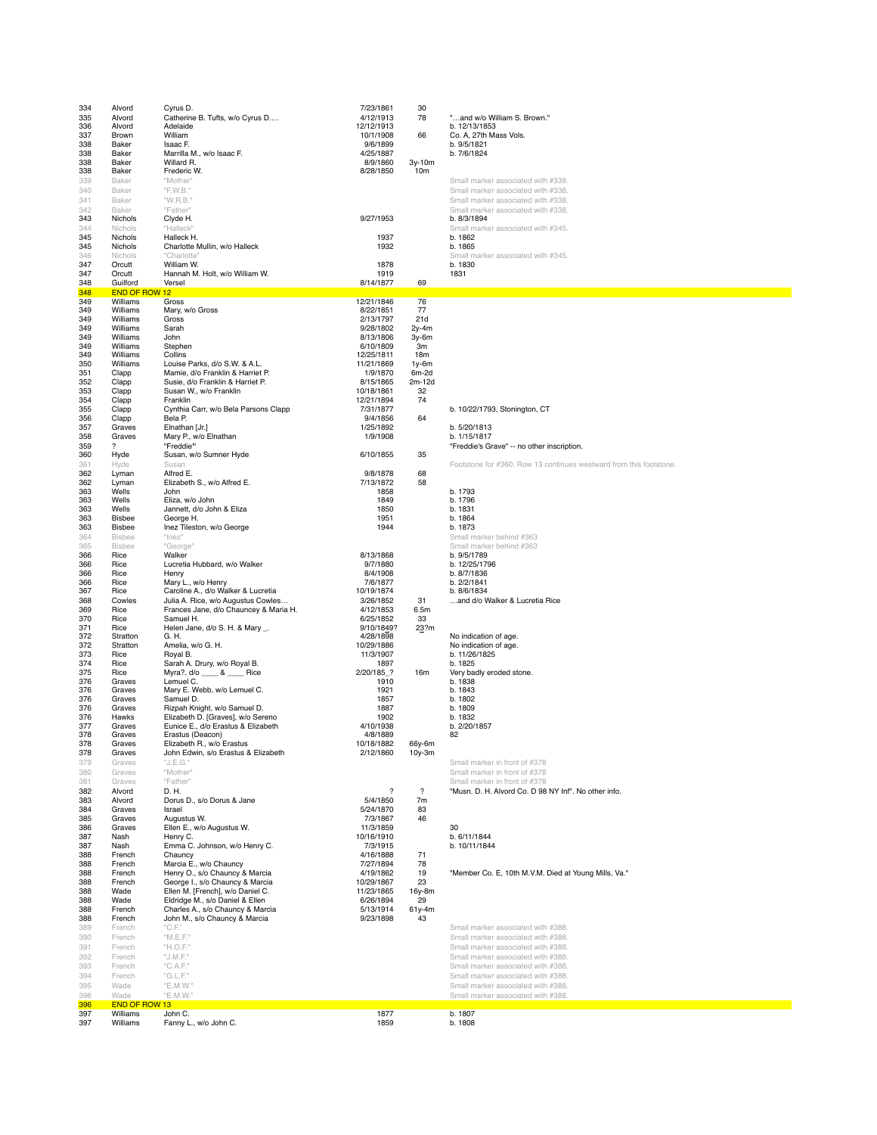| 334<br>335<br>336<br>337<br>338<br>338<br>338<br>338<br>339<br>340<br>341<br>342<br>343 | Alvord<br>Alvord<br>Alvord<br>Brown<br>Baker<br>Baker<br>Baker<br>Baker<br>Baker<br>Baker<br>Baker<br>Baker<br>Nichols | Cyrus D.<br>Catherine B. Tufts, w/o Cyrus D<br>Adelaide<br>William<br>Isaac F.<br>Marrilla M., w/o Isaac F.<br>Willard R.<br>Frederic W.<br>"Mother"<br>"F.W.B."<br>"W.R.B."<br>"Father"<br>Clyde H. | 7/23/1861<br>4/12/1913<br>12/12/1913<br>10/1/1908<br>9/6/1899<br>4/25/1887<br>8/9/1860<br>8/28/1850<br>9/27/1953 | 30<br>78<br>66<br>3y-10m<br>10 <sub>m</sub> | "and w/o William S. Brown."<br>b. 12/13/1853<br>Co. A, 27th Mass Vols.<br>b. 9/5/1821<br>b. 7/6/1824<br>Small marker associated with #338.<br>Small marker associated with #338.<br>Small marker associated with #338.<br>Small marker associated with #338.<br>b. 8/3/1894 |
|-----------------------------------------------------------------------------------------|------------------------------------------------------------------------------------------------------------------------|------------------------------------------------------------------------------------------------------------------------------------------------------------------------------------------------------|------------------------------------------------------------------------------------------------------------------|---------------------------------------------|-----------------------------------------------------------------------------------------------------------------------------------------------------------------------------------------------------------------------------------------------------------------------------|
| 344<br>345                                                                              | Nichols<br>Nichols                                                                                                     | "Halleck"<br>Halleck H.                                                                                                                                                                              | 1937                                                                                                             |                                             | Small marker associated with #345.<br>b. 1862                                                                                                                                                                                                                               |
| 345                                                                                     | Nichols                                                                                                                | Charlotte Mullin, w/o Halleck                                                                                                                                                                        | 1932                                                                                                             |                                             | b. 1865                                                                                                                                                                                                                                                                     |
| 346<br>347                                                                              | Nichols<br>Orcutt                                                                                                      | "Charlotte"<br>William W.                                                                                                                                                                            | 1878                                                                                                             |                                             | Small marker associated with #345.<br>b. 1830                                                                                                                                                                                                                               |
| 347<br>348                                                                              | Orcutt<br>Guilford                                                                                                     | Hannah M. Holt, w/o William W.<br>Versel                                                                                                                                                             | 1919<br>8/14/1877                                                                                                | 69                                          | 1831                                                                                                                                                                                                                                                                        |
| 348<br>349                                                                              | END OF ROW 12<br>Williams                                                                                              | Gross                                                                                                                                                                                                | 12/21/1846                                                                                                       | 76                                          |                                                                                                                                                                                                                                                                             |
| 349                                                                                     | Williams                                                                                                               | Mary, w/o Gross                                                                                                                                                                                      | 8/22/1851                                                                                                        | 77                                          |                                                                                                                                                                                                                                                                             |
| 349<br>349                                                                              | Williams<br>Williams                                                                                                   | Gross<br>Sarah                                                                                                                                                                                       | 2/13/1797<br>9/28/1802                                                                                           | 21d<br>$2v-4m$                              |                                                                                                                                                                                                                                                                             |
| 349                                                                                     | Williams                                                                                                               | John                                                                                                                                                                                                 | 8/13/1806                                                                                                        | 3y-6m                                       |                                                                                                                                                                                                                                                                             |
| 349<br>349                                                                              | Williams<br>Williams                                                                                                   | Stephen<br>Collins                                                                                                                                                                                   | 6/10/1809<br>12/25/1811                                                                                          | 3m<br>18m                                   |                                                                                                                                                                                                                                                                             |
| 350                                                                                     | Williams                                                                                                               | Louise Parks, d/o S.W. & A.L.                                                                                                                                                                        | 11/21/1869                                                                                                       | 1y-6m                                       |                                                                                                                                                                                                                                                                             |
| 351                                                                                     | Clapp                                                                                                                  | Mamie, d/o Franklin & Harriet P.                                                                                                                                                                     | 1/9/1870                                                                                                         | 6m-2d                                       |                                                                                                                                                                                                                                                                             |
| 352<br>353                                                                              | Clapp<br>Clapp                                                                                                         | Susie, d/o Franklin & Harriet P.<br>Susan W., w/o Franklin                                                                                                                                           | 8/15/1865<br>10/18/1861                                                                                          | 2m-12d<br>32                                |                                                                                                                                                                                                                                                                             |
| 354                                                                                     | Clapp                                                                                                                  | Franklin                                                                                                                                                                                             | 12/21/1894                                                                                                       | 74                                          |                                                                                                                                                                                                                                                                             |
| 355<br>356                                                                              | Clapp<br>Clapp                                                                                                         | Cynthia Carr, w/o Bela Parsons Clapp<br>Bela P.                                                                                                                                                      | 7/31/1877<br>9/4/1856                                                                                            | 64                                          | b. 10/22/1793, Stonington, CT                                                                                                                                                                                                                                               |
| 357                                                                                     | Graves                                                                                                                 | Elnathan [Jr.]                                                                                                                                                                                       | 1/25/1892                                                                                                        |                                             | b. 5/20/1813                                                                                                                                                                                                                                                                |
| 358                                                                                     | Graves<br>?                                                                                                            | Mary P., w/o Elnathan<br>"Freddie"                                                                                                                                                                   | 1/9/1908                                                                                                         |                                             | b. 1/15/1817                                                                                                                                                                                                                                                                |
| 359<br>360                                                                              | Hyde                                                                                                                   | Susan, w/o Sumner Hyde                                                                                                                                                                               | 6/10/1855                                                                                                        | 35                                          | "Freddie's Grave" -- no other inscription.                                                                                                                                                                                                                                  |
| 361                                                                                     | Hyde                                                                                                                   | Susan                                                                                                                                                                                                |                                                                                                                  |                                             | Footstone for #360. Row 13 continues westward from this footstone.                                                                                                                                                                                                          |
| 362<br>362                                                                              | Lyman<br>Lyman                                                                                                         | Alfred E.<br>Elizabeth S., w/o Alfred E.                                                                                                                                                             | 9/8/1878<br>7/13/1872                                                                                            | 68<br>58                                    |                                                                                                                                                                                                                                                                             |
| 363                                                                                     | Wells                                                                                                                  | John                                                                                                                                                                                                 | 1858                                                                                                             |                                             | b. 1793                                                                                                                                                                                                                                                                     |
| 363<br>363                                                                              | Wells<br>Wells                                                                                                         | Eliza, w/o John<br>Jannett, d/o John & Eliza                                                                                                                                                         | 1849<br>1850                                                                                                     |                                             | b. 1796<br>b. 1831                                                                                                                                                                                                                                                          |
| 363                                                                                     | <b>Bisbee</b>                                                                                                          | George H.                                                                                                                                                                                            | 1951                                                                                                             |                                             | b. 1864                                                                                                                                                                                                                                                                     |
| 363<br>364                                                                              | Bisbee<br>Bisbee                                                                                                       | Inez Tileston, w/o George                                                                                                                                                                            | 1944                                                                                                             |                                             | b. 1873                                                                                                                                                                                                                                                                     |
| 365                                                                                     | <b>Bisbee</b>                                                                                                          | "Inez"<br>"George"                                                                                                                                                                                   |                                                                                                                  |                                             | Small marker behind #363<br>Small marker behind #363                                                                                                                                                                                                                        |
| 366                                                                                     | Rice                                                                                                                   | Walker                                                                                                                                                                                               | 8/13/1868                                                                                                        |                                             | b. 9/5/1789                                                                                                                                                                                                                                                                 |
| 366<br>366                                                                              | Rice<br>Rice                                                                                                           | Lucretia Hubbard, w/o Walker<br>Henry                                                                                                                                                                | 9/7/1880<br>8/4/1908                                                                                             |                                             | b. 12/25/1796<br>b. 8/7/1836                                                                                                                                                                                                                                                |
| 366                                                                                     | Rice                                                                                                                   | Mary L., w/o Henry                                                                                                                                                                                   | 7/6/1877                                                                                                         |                                             | b. 2/2/1841                                                                                                                                                                                                                                                                 |
| 367<br>368                                                                              | Rice<br>Cowles                                                                                                         | Caroline A., d/o Walker & Lucretia<br>Julia A. Rice, w/o Augustus Cowles                                                                                                                             | 10/19/1874<br>3/26/1852                                                                                          | 31                                          | b. 8/6/1834<br>and d/o Walker & Lucretia Rice                                                                                                                                                                                                                               |
| 369                                                                                     | Rice                                                                                                                   | Frances Jane, d/o Chauncey & Maria H.                                                                                                                                                                | 4/12/1853                                                                                                        | 6.5m                                        |                                                                                                                                                                                                                                                                             |
| 370<br>371                                                                              | Rice<br>Rice                                                                                                           | Samuel H.<br>Helen Jane, d/o S. H. & Mary _.                                                                                                                                                         | 6/25/1852<br>9/10/1849?                                                                                          | 33<br>23?m                                  |                                                                                                                                                                                                                                                                             |
| 372                                                                                     | Stratton                                                                                                               | G. H.                                                                                                                                                                                                | 4/28/1898                                                                                                        |                                             | No indication of age.                                                                                                                                                                                                                                                       |
| 372<br>373                                                                              | Stratton<br>Rice                                                                                                       | Amelia, w/o G. H.<br>Royal B.                                                                                                                                                                        | 10/29/1886<br>11/3/1907                                                                                          |                                             | No indication of age.<br>b. 11/26/1825                                                                                                                                                                                                                                      |
| 374                                                                                     | Rice                                                                                                                   | Sarah A. Drury, w/o Royal B.                                                                                                                                                                         | 1897                                                                                                             |                                             | b. 1825                                                                                                                                                                                                                                                                     |
| 375<br>376                                                                              | Rice<br>Graves                                                                                                         | Myra?, d/o ____ & ____ Rice<br>Lemuel C.                                                                                                                                                             | 2/20/185_?<br>1910                                                                                               | 16m                                         | Very badly eroded stone.<br>b. 1838                                                                                                                                                                                                                                         |
| 376                                                                                     | Graves                                                                                                                 | Mary E. Webb, w/o Lemuel C.                                                                                                                                                                          | 1921                                                                                                             |                                             | b. 1843                                                                                                                                                                                                                                                                     |
| 376                                                                                     | Graves                                                                                                                 | Samuel D.                                                                                                                                                                                            | 1857                                                                                                             |                                             | b. 1802                                                                                                                                                                                                                                                                     |
| 376<br>376                                                                              | Graves<br>Hawks                                                                                                        | Rizpah Knight, w/o Samuel D.<br>Elizabeth D. [Graves], w/o Sereno                                                                                                                                    | 1887<br>1902                                                                                                     |                                             | b. 1809<br>b. 1832                                                                                                                                                                                                                                                          |
| 377                                                                                     | Graves                                                                                                                 | Eunice E., d/o Erastus & Elizabeth                                                                                                                                                                   | 4/10/1938                                                                                                        |                                             | b. 2/20/1857                                                                                                                                                                                                                                                                |
| 378<br>378                                                                              | Graves<br>Graves                                                                                                       | Erastus (Deacon)<br>Elizabeth H., w/o Erastus                                                                                                                                                        | 4/8/1889<br>10/18/1882                                                                                           | 66y-6m                                      | 82                                                                                                                                                                                                                                                                          |
| 378                                                                                     | Graves                                                                                                                 | John Edwin, s/o Erastus & Elizabeth                                                                                                                                                                  | 2/12/1860                                                                                                        | 10y-3m                                      | Small marker in front of #378                                                                                                                                                                                                                                               |
| 379<br>380                                                                              | Graves<br>Graves                                                                                                       | "J.E.G."<br>"Mother"                                                                                                                                                                                 |                                                                                                                  |                                             | Small marker in front of #378                                                                                                                                                                                                                                               |
| 381                                                                                     | Graves                                                                                                                 | "Father"                                                                                                                                                                                             |                                                                                                                  |                                             | Small marker in front of #378                                                                                                                                                                                                                                               |
| 382<br>383                                                                              | Alvord<br>Alvord                                                                                                       | D. H.<br>Dorus D., s/o Dorus & Jane                                                                                                                                                                  | $\boldsymbol{\mathcal{P}}$<br>5/4/1850                                                                           | $\boldsymbol{\mathcal{P}}$<br>7m            | "Musn. D. H. Alvord Co. D 98 NY Inf". No other info.                                                                                                                                                                                                                        |
| 384                                                                                     | Graves                                                                                                                 | Israel                                                                                                                                                                                               | 5/24/1870                                                                                                        | 83                                          |                                                                                                                                                                                                                                                                             |
| 385                                                                                     | Graves                                                                                                                 | Augustus W.                                                                                                                                                                                          | 7/3/1867                                                                                                         | 46                                          |                                                                                                                                                                                                                                                                             |
| 386<br>387                                                                              | Graves<br>Nash                                                                                                         | Ellen E., w/o Augustus W.<br>Henry C.                                                                                                                                                                | 11/3/1859<br>10/16/1910                                                                                          |                                             | 30<br>b. 6/11/1844                                                                                                                                                                                                                                                          |
| 387                                                                                     | Nash                                                                                                                   | Emma C. Johnson, w/o Henry C.<br>Chauncy                                                                                                                                                             | 7/3/1915                                                                                                         |                                             | b. 10/11/1844                                                                                                                                                                                                                                                               |
| 388<br>388                                                                              | French<br>French                                                                                                       | Marcia E., w/o Chauncy                                                                                                                                                                               | 4/16/1888<br>7/27/1894                                                                                           | 71<br>78                                    |                                                                                                                                                                                                                                                                             |
| 388                                                                                     | French                                                                                                                 | Henry O., s/o Chauncy & Marcia                                                                                                                                                                       | 4/19/1862                                                                                                        | 19                                          | "Member Co. E, 10th M.V.M. Died at Young Mills, Va."                                                                                                                                                                                                                        |
| 388<br>388                                                                              | French<br>Wade                                                                                                         | George I., s/o Chauncy & Marcia<br>Ellen M. [French], w/o Daniel C.                                                                                                                                  | 10/29/1867<br>11/23/1865                                                                                         | 23<br>16v-8m                                |                                                                                                                                                                                                                                                                             |
| 388                                                                                     | Wade                                                                                                                   | Eldridge M., s/o Daniel & Ellen                                                                                                                                                                      | 6/26/1894                                                                                                        | 29                                          |                                                                                                                                                                                                                                                                             |
| 388<br>388                                                                              | French<br>French                                                                                                       | Charles A., s/o Chauncy & Marcia<br>John M., s/o Chauncy & Marcia                                                                                                                                    | 5/13/1914<br>9/23/1898                                                                                           | 61y-4m<br>43                                |                                                                                                                                                                                                                                                                             |
| 389                                                                                     | French                                                                                                                 | "C.F."                                                                                                                                                                                               |                                                                                                                  |                                             | Small marker associated with #388.                                                                                                                                                                                                                                          |
| 390                                                                                     | French                                                                                                                 | "M.E.F."                                                                                                                                                                                             |                                                                                                                  |                                             | Small marker associated with #388.                                                                                                                                                                                                                                          |
| 391<br>392                                                                              | French<br>French                                                                                                       | "H.O.F."<br>"J.M.F."                                                                                                                                                                                 |                                                                                                                  |                                             | Small marker associated with #388.<br>Small marker associated with #388.                                                                                                                                                                                                    |
| 393                                                                                     | French                                                                                                                 | "C.A.F."                                                                                                                                                                                             |                                                                                                                  |                                             | Small marker associated with #388.                                                                                                                                                                                                                                          |
| 394                                                                                     | French                                                                                                                 | "G.L.F."                                                                                                                                                                                             |                                                                                                                  |                                             | Small marker associated with #388.                                                                                                                                                                                                                                          |
| 395<br>396                                                                              | Wade<br>Wade                                                                                                           | "E.M.W."<br>"E.M.W."                                                                                                                                                                                 |                                                                                                                  |                                             | Small marker associated with #388.<br>Small marker associated with #388.                                                                                                                                                                                                    |
| 396                                                                                     | END OF ROW 13                                                                                                          |                                                                                                                                                                                                      |                                                                                                                  |                                             |                                                                                                                                                                                                                                                                             |
| 397<br>397                                                                              | Williams<br>Williams                                                                                                   | John C.<br>Fanny L., w/o John C.                                                                                                                                                                     | 1877<br>1859                                                                                                     |                                             | b. 1807<br>b. 1808                                                                                                                                                                                                                                                          |
|                                                                                         |                                                                                                                        |                                                                                                                                                                                                      |                                                                                                                  |                                             |                                                                                                                                                                                                                                                                             |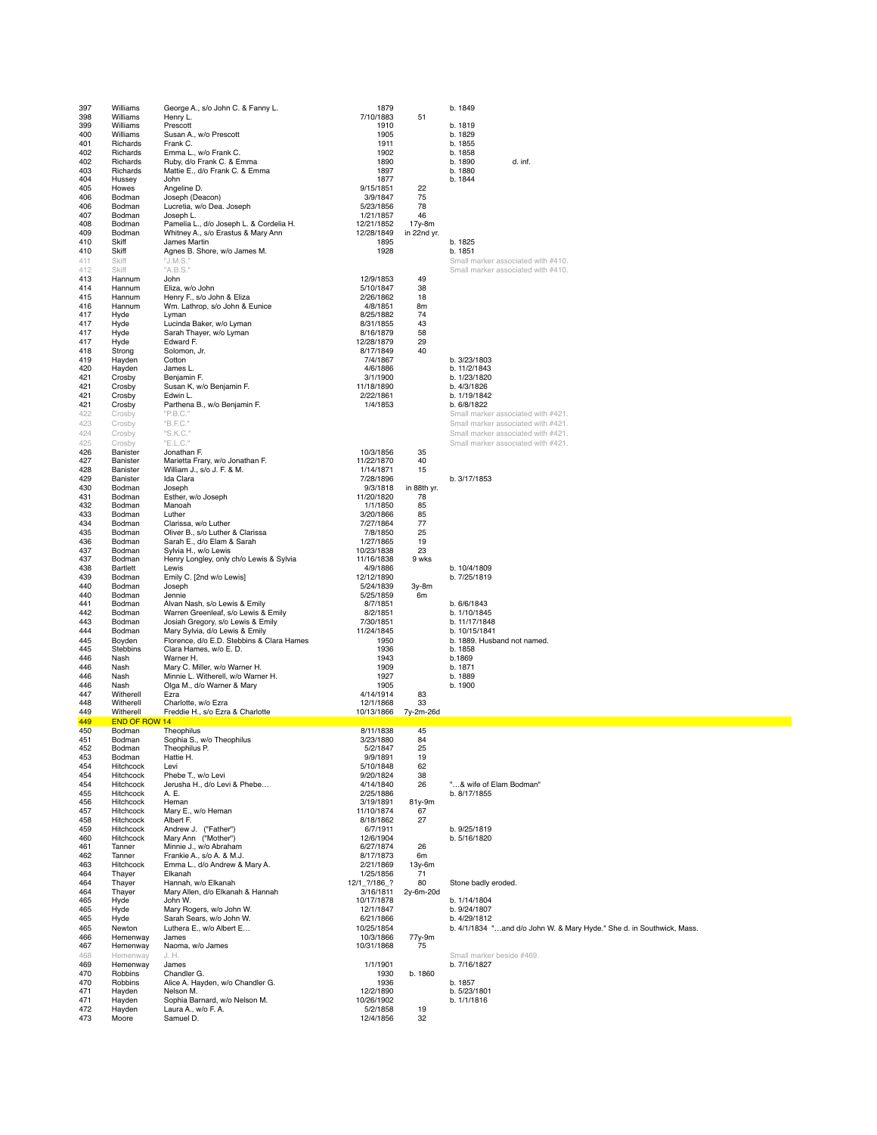| 397        | Williams               | George A., s/o John C. & Fanny L.                                           | 1879                    |                 | b. 1849                                                               |
|------------|------------------------|-----------------------------------------------------------------------------|-------------------------|-----------------|-----------------------------------------------------------------------|
| 398        | Williams               | Henry L.                                                                    | 7/10/1883               | 51              |                                                                       |
| 399        | Williams               | Prescott                                                                    | 1910                    |                 | b. 1819                                                               |
| 400        | Williams               | Susan A., w/o Prescott                                                      | 1905                    |                 | b. 1829                                                               |
| 401        | Richards               | Frank C.                                                                    | 1911                    |                 | b. 1855                                                               |
| 402        | Richards               | Emma L., w/o Frank C.                                                       | 1902                    |                 | b. 1858                                                               |
| 402        | Richards               | Ruby, d/o Frank C. & Emma                                                   | 1890                    |                 | b. 1890<br>d. inf.                                                    |
| 403        | Richards               | Mattie E., d/o Frank C. & Emma                                              | 1897                    |                 | b. 1880                                                               |
| 404        | Hussey                 | John                                                                        | 1877                    |                 | b. 1844                                                               |
| 405<br>406 | Howes<br>Bodman        | Angeline D.<br>Joseph (Deacon)                                              | 9/15/1851<br>3/9/1847   | 22<br>75        |                                                                       |
| 406        | Bodman                 | Lucretia, w/o Dea. Joseph                                                   | 5/23/1856               | 78              |                                                                       |
| 407        | Bodman                 | Joseph L.                                                                   | 1/21/1857               | 46              |                                                                       |
| 408        | Bodman                 | Pamelia L., d/o Joseph L. & Cordelia H.                                     | 12/21/1852              | 17y-8m          |                                                                       |
| 409        | Bodman                 | Whitney A., s/o Erastus & Mary Ann                                          | 12/28/1849              | in 22nd yr.     |                                                                       |
| 410        | Skiff                  | James Martin                                                                | 1895                    |                 | b. 1825                                                               |
| 410        | Skiff                  | Agnes B. Shore, w/o James M.                                                | 1928                    |                 | b. 1851                                                               |
| 411        | Skiff                  | "J.M.S."                                                                    |                         |                 | Small marker associated with #410.                                    |
| 412        | Skiff                  | "A.B.S."                                                                    |                         |                 | Small marker associated with #410.                                    |
| 413<br>414 | Hannum<br>Hannum       | John<br>Eliza, w/o John                                                     | 12/9/1853<br>5/10/1847  | 49<br>38        |                                                                       |
| 415        | Hannum                 | Henry F., s/o John & Eliza                                                  | 2/26/1862               | 18              |                                                                       |
| 416        | Hannum                 | Wm. Lathrop, s/o John & Eunice                                              | 4/8/1851                | 8m              |                                                                       |
| 417        | Hyde                   | Lyman                                                                       | 8/25/1882               | 74              |                                                                       |
| 417        | Hyde                   | Lucinda Baker, w/o Lyman                                                    | 8/31/1855               | 43              |                                                                       |
| 417        | Hyde                   | Sarah Thayer, w/o Lyman                                                     | 8/16/1879               | 58              |                                                                       |
| 417        | Hyde                   | Edward F.                                                                   | 12/28/1879              | 29              |                                                                       |
| 418        | Strong                 | Solomon, Jr.                                                                | 8/17/1849               | 40              |                                                                       |
| 419<br>420 | Hayden<br>Hayden       | Cotton<br>James L.                                                          | 7/4/1867<br>4/6/1886    |                 | b. 3/23/1803<br>b. 11/2/1843                                          |
| 421        | Crosby                 | Benjamin F.                                                                 | 3/1/1900                |                 | b. 1/23/1820                                                          |
| 421        | Crosby                 | Susan K, w/o Benjamin F.                                                    | 11/18/1890              |                 | b. 4/3/1826                                                           |
| 421        | Crosby                 | Edwin L.                                                                    | 2/22/1861               |                 | b. 1/19/1842                                                          |
| 421        | Crosby                 | Parthena B., w/o Benjamin F.                                                | 1/4/1853                |                 | b. 6/8/1822                                                           |
| 422        | Crosby                 | "P.B.C."                                                                    |                         |                 | Small marker associated with #421.                                    |
| 423        | Crosby                 | "B.F.C."                                                                    |                         |                 | Small marker associated with #421.                                    |
| 424        | Crosby                 | "S.K.C."                                                                    |                         |                 | Small marker associated with #421.                                    |
| 425        | Crosby                 | "E.L.C."                                                                    |                         |                 | Small marker associated with #421.                                    |
| 426        | Banister               | Jonathan F.                                                                 | 10/3/1856               | 35              |                                                                       |
| 427<br>428 | Banister<br>Banister   | Marietta Frary, w/o Jonathan F.<br>William J., s/o J. F. & M.               | 11/22/1870<br>1/14/1871 | 40<br>15        |                                                                       |
| 429        | Banister               | Ida Clara                                                                   | 7/28/1896               |                 | b. 3/17/1853                                                          |
| 430        | Bodman                 | Joseph                                                                      | 9/3/1818                | in 88th yr.     |                                                                       |
| 431        | Bodman                 | Esther, w/o Joseph                                                          | 11/20/1820              | 78              |                                                                       |
| 432        | Bodman                 | Manoah                                                                      | 1/1/1850                | 85              |                                                                       |
| 433        | Bodman                 | Luther                                                                      | 3/20/1866               | 85              |                                                                       |
| 434        | Bodman                 | Clarissa, w/o Luther                                                        | 7/27/1864               | 77              |                                                                       |
| 435<br>436 | Bodman<br>Bodman       | Oliver B., s/o Luther & Clarissa                                            | 7/8/1850<br>1/27/1865   | 25<br>19        |                                                                       |
| 437        | Bodman                 | Sarah E., d/o Elam & Sarah<br>Sylvia H., w/o Lewis                          | 10/23/1838              | 23              |                                                                       |
| 437        | Bodman                 | Henry Longley, only ch/o Lewis & Sylvia                                     | 11/16/1838              | 9 wks           |                                                                       |
| 438        | Bartlett               | Lewis                                                                       | 4/9/1886                |                 | b. 10/4/1809                                                          |
| 439        | Bodman                 | Emily C. [2nd w/o Lewis]                                                    | 12/12/1890              |                 | b. 7/25/1819                                                          |
|            |                        |                                                                             |                         |                 |                                                                       |
| 440        | Bodman                 | Joseph                                                                      | 5/24/1839               | 3y-8m           |                                                                       |
| 440        | Bodman                 | Jennie                                                                      | 5/25/1859               | 6m              |                                                                       |
| 441        | Bodman                 | Alvan Nash, s/o Lewis & Emily                                               | 8/7/1851                |                 | b. 6/6/1843                                                           |
| 442        | Bodman                 | Warren Greenleaf, s/o Lewis & Emily                                         | 8/2/1851                |                 | b. 1/10/1845                                                          |
| 443<br>444 | Bodman                 | Josiah Gregory, s/o Lewis & Emily                                           | 7/30/1851               |                 | b. 11/17/1848<br>b. 10/15/1841                                        |
| 445        | Bodman<br>Boyden       | Mary Sylvia, d/o Lewis & Emily<br>Florence, d/o E.D. Stebbins & Clara Hames | 11/24/1845<br>1950      |                 | b. 1889. Husband not named.                                           |
| 445        | Stebbins               | Clara Hames, w/o E. D.                                                      | 1936                    |                 | b. 1858                                                               |
| 446        | Nash                   | Warner H.                                                                   | 1943                    |                 | b.1869                                                                |
| 446        | Nash                   | Mary C. Miller, w/o Warner H.                                               | 1909                    |                 | b. 1871                                                               |
| 446        | Nash                   | Minnie L. Witherell, w/o Warner H.                                          | 1927                    |                 | b. 1889                                                               |
| 446        | Nash                   | Olga M., d/o Warner & Mary                                                  | 1905                    |                 | b. 1900                                                               |
| 447        | Witherell              | Ezra                                                                        | 4/14/1914               | 83              |                                                                       |
| 448<br>449 | Witherell<br>Witherell | Charlotte, w/o Ezra<br>Freddie H., s/o Ezra & Charlotte                     | 12/1/1868<br>10/13/1866 | 33<br>7y-2m-26d |                                                                       |
| 449        | <b>END OF ROW 14</b>   |                                                                             |                         |                 |                                                                       |
| 450        | Bodman                 | Theophilus                                                                  | 8/11/1838               | 45              |                                                                       |
| 451        | Bodman                 | Sophia S., w/o Theophilus                                                   | 3/23/1880               | 84              |                                                                       |
| 452        | Bodman                 | Theophilus P.                                                               | 5/2/1847                | 25              |                                                                       |
| 453        | Bodman                 | Hattie H.                                                                   | 9/9/1891                | 19              |                                                                       |
| 454<br>454 | Hitchcock<br>Hitchcock | Levi<br>Phebe T., w/o Levi                                                  | 5/10/1848               | 62<br>38        |                                                                       |
| 454        | Hitchcock              | Jerusha H., d/o Levi & Phebe                                                | 9/20/1824<br>4/14/1840  | 26              | "& wife of Elam Bodman"                                               |
| 455        | Hitchcock              | A. E.                                                                       | 2/25/1886               |                 | b. 8/17/1855                                                          |
| 456        | Hitchcock              | Heman                                                                       | 3/19/1891               | 81y-9m          |                                                                       |
| 457        | <b>Hitchcock</b>       | Mary E., w/o Heman                                                          | 11/10/1874              | 67              |                                                                       |
| 458        | Hitchcock              | Albert F.                                                                   | 8/18/1862               | 27              |                                                                       |
| 459<br>460 | Hitchcock              | Andrew J. ("Father")                                                        | 6/7/1911                |                 | b. 9/25/1819                                                          |
| 461        | Hitchcock<br>Tanner    | Mary Ann ("Mother")<br>Minnie J., w/o Abraham                               | 12/6/1904<br>6/27/1874  | 26              | b. 5/16/1820                                                          |
| 462        | Tanner                 | Frankie A., s/o A. & M.J.                                                   | 8/17/1873               | 6m              |                                                                       |
| 463        | Hitchcock              | Emma L., d/o Andrew & Mary A.                                               | 2/21/1869               | 13y-6m          |                                                                       |
| 464        | Thayer                 | Elkanah                                                                     | 1/25/1856               | 71              |                                                                       |
| 464        | Thayer                 | Hannah, w/o Elkanah                                                         | 12/1 ?/186 ?            | 80              | Stone badly eroded.                                                   |
| 464<br>465 | Thayer                 | Mary Allen, d/o Elkanah & Hannah<br>John W.                                 | 3/16/1811               | 2y-6m-20d       |                                                                       |
| 465        | Hyde<br>Hyde           | Mary Rogers, w/o John W.                                                    | 10/17/1878<br>12/1/1847 |                 | b. 1/14/1804<br>b. 9/24/1807                                          |
| 465        | Hyde                   | Sarah Sears, w/o John W.                                                    | 6/21/1866               |                 | b. 4/29/1812                                                          |
| 465        | Newton                 | Luthera E., w/o Albert E                                                    | 10/25/1854              |                 | b. 4/1/1834 "and d/o John W. & Mary Hyde." She d. in Southwick, Mass. |
| 466        | Hemenway               | James                                                                       | 10/3/1866               | 77y-9m          |                                                                       |
| 467        | Hemenway               | Naoma, w/o James                                                            | 10/31/1868              | 75              |                                                                       |
| 468        | Hemenway               | J. H.                                                                       |                         |                 | Small marker beside #469.                                             |
| 469<br>470 | Hemenway<br>Robbins    | James<br>Chandler G.                                                        | 1/1/1901<br>1930        | b. 1860         | b. 7/16/1827                                                          |
| 470        | Robbins                | Alice A. Hayden, w/o Chandler G.                                            | 1936                    |                 | b. 1857                                                               |
| 471        | Hayden                 | Nelson M.                                                                   | 12/2/1890               |                 | b. 5/23/1801                                                          |
| 471        | Hayden                 | Sophia Barnard, w/o Nelson M.                                               | 10/26/1902              |                 | b. 1/1/1816                                                           |
| 472<br>473 | Hayden<br>Moore        | Laura A., w/o F. A.<br>Samuel D.                                            | 5/2/1858<br>12/4/1856   | 19<br>32        |                                                                       |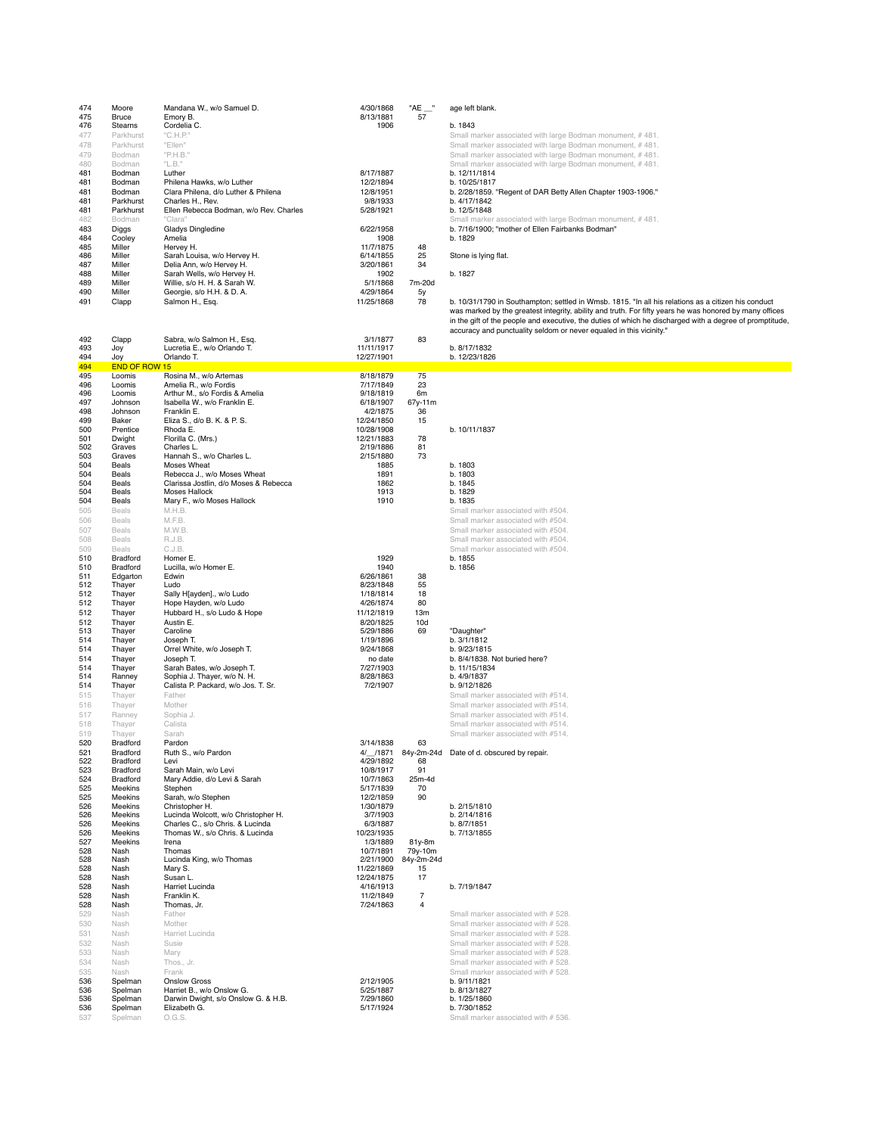| 474        | Moore                              | Mandana W., w/o Samuel D.                                            | 4/30/1868               | $"AE \_\$        | age left blank.                                                                                                                                                                                                |
|------------|------------------------------------|----------------------------------------------------------------------|-------------------------|------------------|----------------------------------------------------------------------------------------------------------------------------------------------------------------------------------------------------------------|
| 475<br>476 | Bruce<br>Stearns                   | Emory B.<br>Cordelia C.                                              | 8/13/1881<br>1906       | 57               | b. 1843                                                                                                                                                                                                        |
| 477        | Parkhurst                          | "C.H.P."                                                             |                         |                  | Small marker associated with large Bodman monument, #481.                                                                                                                                                      |
| 478        | Parkhurst                          | "Ellen"                                                              |                         |                  | Small marker associated with large Bodman monument, #481.                                                                                                                                                      |
| 479<br>480 | Bodman<br>Bodman                   | "P.H.B."<br>"L.B."                                                   |                         |                  | Small marker associated with large Bodman monument, #481.<br>Small marker associated with large Bodman monument, #481.                                                                                         |
| 481        | Bodman                             | Luther                                                               | 8/17/1887               |                  | b. 12/11/1814                                                                                                                                                                                                  |
| 481        | Bodman                             | Philena Hawks, w/o Luther                                            | 12/2/1894               |                  | b. 10/25/1817                                                                                                                                                                                                  |
| 481<br>481 | Bodman<br>Parkhurst                | Clara Philena, d/o Luther & Philena<br>Charles H., Rev.              | 12/8/1951<br>9/8/1933   |                  | b. 2/28/1859. "Regent of DAR Betty Allen Chapter 1903-1906."<br>b. 4/17/1842                                                                                                                                   |
| 481        | Parkhurst                          | Ellen Rebecca Bodman, w/o Rev. Charles                               | 5/28/1921               |                  | b. 12/5/1848                                                                                                                                                                                                   |
| 482        | Bodman                             | "Clara"                                                              |                         |                  | Small marker associated with large Bodman monument, #481.                                                                                                                                                      |
| 483<br>484 | Diggs<br>Cooley                    | Gladys Dingledine<br>Amelia                                          | 6/22/1958<br>1908       |                  | b. 7/16/1900; "mother of Ellen Fairbanks Bodman"<br>b. 1829                                                                                                                                                    |
| 485        | Miller                             | Hervey H.                                                            | 11/7/1875               | 48               |                                                                                                                                                                                                                |
| 486        | Miller                             | Sarah Louisa, w/o Hervey H.                                          | 6/14/1855               | 25               | Stone is lying flat.                                                                                                                                                                                           |
| 487<br>488 | Miller<br>Miller                   | Delia Ann, w/o Hervey H.<br>Sarah Wells, w/o Hervey H.               | 3/20/1861<br>1902       | 34               | b. 1827                                                                                                                                                                                                        |
| 489        | Miller                             | Willie, s/o H. H. & Sarah W.                                         | 5/1/1868                | 7m-20d           |                                                                                                                                                                                                                |
| 490        | Miller                             | Georgie, s/o H.H. & D.A.                                             | 4/29/1864               | 5y               |                                                                                                                                                                                                                |
| 491        | Clapp                              | Salmon H., Esq.                                                      | 11/25/1868              | 78               | b. 10/31/1790 in Southampton; settled in Wmsb. 1815. "In all his relations as a citizen his conduct<br>was marked by the greatest integrity, ability and truth. For fifty years he was honored by many offices |
|            |                                    |                                                                      |                         |                  | in the gift of the people and executive, the duties of which he discharged with a degree of promptitude,                                                                                                       |
|            |                                    |                                                                      |                         |                  | accuracy and punctuality seldom or never equaled in this vicinity."                                                                                                                                            |
| 492<br>493 | Clapp<br>Joy                       | Sabra, w/o Salmon H., Esq.<br>Lucretia E., w/o Orlando T.            | 3/1/1877<br>11/11/1917  | 83               | b. 8/17/1832                                                                                                                                                                                                   |
| 494        | Joy                                | Orlando T.                                                           | 12/27/1901              |                  | b. 12/23/1826                                                                                                                                                                                                  |
| 494        | END OF ROW 15                      |                                                                      |                         |                  |                                                                                                                                                                                                                |
| 495<br>496 | Loomis<br>Loomis                   | Rosina M., w/o Artemas<br>Amelia R., w/o Fordis                      | 8/18/1879<br>7/17/1849  | 75<br>23         |                                                                                                                                                                                                                |
| 496        | Loomis                             | Arthur M., s/o Fordis & Amelia                                       | 9/18/1819               | 6m               |                                                                                                                                                                                                                |
| 497<br>498 | Johnson<br>Johnson                 | Isabella W., w/o Franklin E.<br>Franklin E.                          | 6/18/1907<br>4/2/1875   | 67y-11m<br>36    |                                                                                                                                                                                                                |
| 499        | Baker                              | Eliza S., d/o B. K. & P. S.                                          | 12/24/1850              | 15               |                                                                                                                                                                                                                |
| 500        | Prentice                           | Rhoda E.                                                             | 10/28/1908              |                  | b. 10/11/1837                                                                                                                                                                                                  |
| 501<br>502 | Dwight<br>Graves                   | Florilla C. (Mrs.)<br>Charles L.                                     | 12/21/1883<br>2/19/1886 | 78<br>81         |                                                                                                                                                                                                                |
| 503        | Graves                             | Hannah S., w/o Charles L.                                            | 2/15/1880               | 73               |                                                                                                                                                                                                                |
| 504        | Beals                              | Moses Wheat                                                          | 1885                    |                  | b. 1803                                                                                                                                                                                                        |
| 504<br>504 | Beals<br>Beals                     | Rebecca J., w/o Moses Wheat<br>Clarissa Jostlin, d/o Moses & Rebecca | 1891<br>1862            |                  | b. 1803<br>b. 1845                                                                                                                                                                                             |
| 504        | Beals                              | <b>Moses Hallock</b>                                                 | 1913                    |                  | b. 1829                                                                                                                                                                                                        |
| 504<br>505 | Beals<br>Beals                     | Mary F., w/o Moses Hallock<br>M.H.B.                                 | 1910                    |                  | b. 1835<br>Small marker associated with #504.                                                                                                                                                                  |
| 506        | <b>Beals</b>                       | M.F.B.                                                               |                         |                  | Small marker associated with #504.                                                                                                                                                                             |
| 507        | <b>Beals</b>                       | M.W.B.                                                               |                         |                  | Small marker associated with #504.                                                                                                                                                                             |
| 508        | Beals                              | R.J.B.                                                               |                         |                  | Small marker associated with #504.                                                                                                                                                                             |
| 509<br>510 | <b>Beals</b><br><b>Bradford</b>    | C.J.B.<br>Homer E.                                                   | 1929                    |                  | Small marker associated with #504.<br>b. 1855                                                                                                                                                                  |
| 510        | <b>Bradford</b>                    | Lucilla, w/o Homer E.                                                | 1940                    |                  | b. 1856                                                                                                                                                                                                        |
| 511<br>512 | Edgarton<br>Thayer                 | Edwin<br>Ludo                                                        | 6/26/1861<br>8/23/1848  | 38<br>55         |                                                                                                                                                                                                                |
| 512        | Thayer                             | Sally H[ayden]., w/o Ludo                                            | 1/18/1814               | 18               |                                                                                                                                                                                                                |
| 512        | Thayer                             | Hope Hayden, w/o Ludo                                                | 4/26/1874               | 80               |                                                                                                                                                                                                                |
| 512<br>512 | Thayer                             | Hubbard H., s/o Ludo & Hope<br>Austin E.                             | 11/12/1819<br>8/20/1825 | 13m              |                                                                                                                                                                                                                |
| 513        | Thayer<br>Thayer                   | Caroline                                                             | 5/29/1886               | 10d<br>69        | "Daughter"                                                                                                                                                                                                     |
| 514        | Thayer                             | Joseph T.                                                            | 1/19/1896               |                  | b. 3/1/1812                                                                                                                                                                                                    |
| 514<br>514 | Thayer<br>Thayer                   | Orrel White, w/o Joseph T.<br>Joseph T.                              | 9/24/1868<br>no date    |                  | b. 9/23/1815<br>b. 8/4/1838. Not buried here?                                                                                                                                                                  |
| 514        | Thayer                             | Sarah Bates, w/o Joseph T.                                           | 7/27/1903               |                  | b. 11/15/1834                                                                                                                                                                                                  |
| 514        | Ranney                             | Sophia J. Thayer, w/o N. H.                                          | 8/28/1863               |                  | b. 4/9/1837                                                                                                                                                                                                    |
| 514<br>515 | Thayer<br>Thayer                   | Calista P. Packard, w/o Jos. T. Sr.<br>Father                        | 7/2/1907                |                  | b. 9/12/1826<br>Small marker associated with #514.                                                                                                                                                             |
| 516        | Thayer                             | Mother                                                               |                         |                  | Small marker associated with #514.                                                                                                                                                                             |
| 517        | Ranney                             | Sophia J.                                                            |                         |                  | Small marker associated with #514.                                                                                                                                                                             |
| 518        | Thayer                             | Calista                                                              |                         |                  | Small marker associated with #514.                                                                                                                                                                             |
| 519<br>520 | Thayer<br>Bradford                 | Sarah<br>Pardon                                                      | 3/14/1838               | 63               | Small marker associated with #514.                                                                                                                                                                             |
| 521        | <b>Bradford</b>                    | Ruth S., w/o Pardon                                                  | 4/_/1871                |                  | 84y-2m-24d Date of d. obscured by repair.                                                                                                                                                                      |
| 522<br>523 | <b>Bradford</b><br><b>Bradford</b> | Levi<br>Sarah Main, w/o Levi                                         | 4/29/1892<br>10/8/1917  | 68<br>91         |                                                                                                                                                                                                                |
| 524        | Bradford                           | Mary Addie, d/o Levi & Sarah                                         | 10/7/1863               | 25m-4d           |                                                                                                                                                                                                                |
| 525        | Meekins                            | Stephen<br>Sarah, w/o Stephen                                        | 5/17/1839               | 70               |                                                                                                                                                                                                                |
| 525<br>526 | Meekins<br>Meekins                 | Christopher H.                                                       | 12/2/1859<br>1/30/1879  | 90               | b. 2/15/1810                                                                                                                                                                                                   |
| 526        | Meekins                            | Lucinda Wolcott, w/o Christopher H.                                  | 3/7/1903                |                  | b. 2/14/1816                                                                                                                                                                                                   |
| 526<br>526 | Meekins<br>Meekins                 | Charles C., s/o Chris. & Lucinda<br>Thomas W., s/o Chris. & Lucinda  | 6/3/1887<br>10/23/1935  |                  | b. 8/7/1851<br>b. 7/13/1855                                                                                                                                                                                    |
| 527        | Meekins                            | Irena                                                                | 1/3/1889                | 81y-8m           |                                                                                                                                                                                                                |
| 528        | Nash                               | Thomas                                                               | 10/7/1891               | 79y-10m          |                                                                                                                                                                                                                |
| 528<br>528 | Nash<br>Nash                       | Lucinda King, w/o Thomas<br>Mary S.                                  | 2/21/1900<br>11/22/1869 | 84y-2m-24d<br>15 |                                                                                                                                                                                                                |
| 528        | Nash                               | Susan L.                                                             | 12/24/1875              | 17               |                                                                                                                                                                                                                |
| 528<br>528 | Nash<br>Nash                       | Harriet Lucinda<br>Franklin K.                                       | 4/16/1913<br>11/2/1849  | $\overline{7}$   | b. 7/19/1847                                                                                                                                                                                                   |
| 528        | Nash                               | Thomas, Jr.                                                          | 7/24/1863               | 4                |                                                                                                                                                                                                                |
| 529        | Nash                               | Father                                                               |                         |                  | Small marker associated with # 528.                                                                                                                                                                            |
| 530<br>531 | Nash<br>Nash                       | Mother<br>Harriet Lucinda                                            |                         |                  | Small marker associated with # 528.<br>Small marker associated with # 528.                                                                                                                                     |
| 532        | Nash                               | Susie                                                                |                         |                  | Small marker associated with # 528.                                                                                                                                                                            |
| 533        | Nash                               | Mary                                                                 |                         |                  | Small marker associated with # 528.                                                                                                                                                                            |
| 534<br>535 | Nash<br>Nash                       | Thos., Jr.<br>Frank                                                  |                         |                  | Small marker associated with # 528.<br>Small marker associated with # 528.                                                                                                                                     |
| 536        | Spelman                            | <b>Onslow Gross</b>                                                  | 2/12/1905               |                  | b. 9/11/1821                                                                                                                                                                                                   |
| 536        | Spelman                            | Harriet B., w/o Onslow G.                                            | 5/25/1887               |                  | b. 8/13/1827                                                                                                                                                                                                   |
| 536<br>536 | Spelman<br>Spelman                 | Darwin Dwight, s/o Onslow G. & H.B.<br>Elizabeth G.                  | 7/29/1860<br>5/17/1924  |                  | b. 1/25/1860<br>b. 7/30/1852                                                                                                                                                                                   |
| 537        | Spelman                            | O.G.S.                                                               |                         |                  | Small marker associated with # 536.                                                                                                                                                                            |
|            |                                    |                                                                      |                         |                  |                                                                                                                                                                                                                |

| $\sim$ |  | . |  |
|--------|--|---|--|
|        |  |   |  |
|        |  |   |  |

## 1859. "Regent of DAR Betty Allen Chapter 1903-1906."<br>1842 1848 Bod<br>arker associated with large Bodman monument, # 481.

### d. obscured by repair.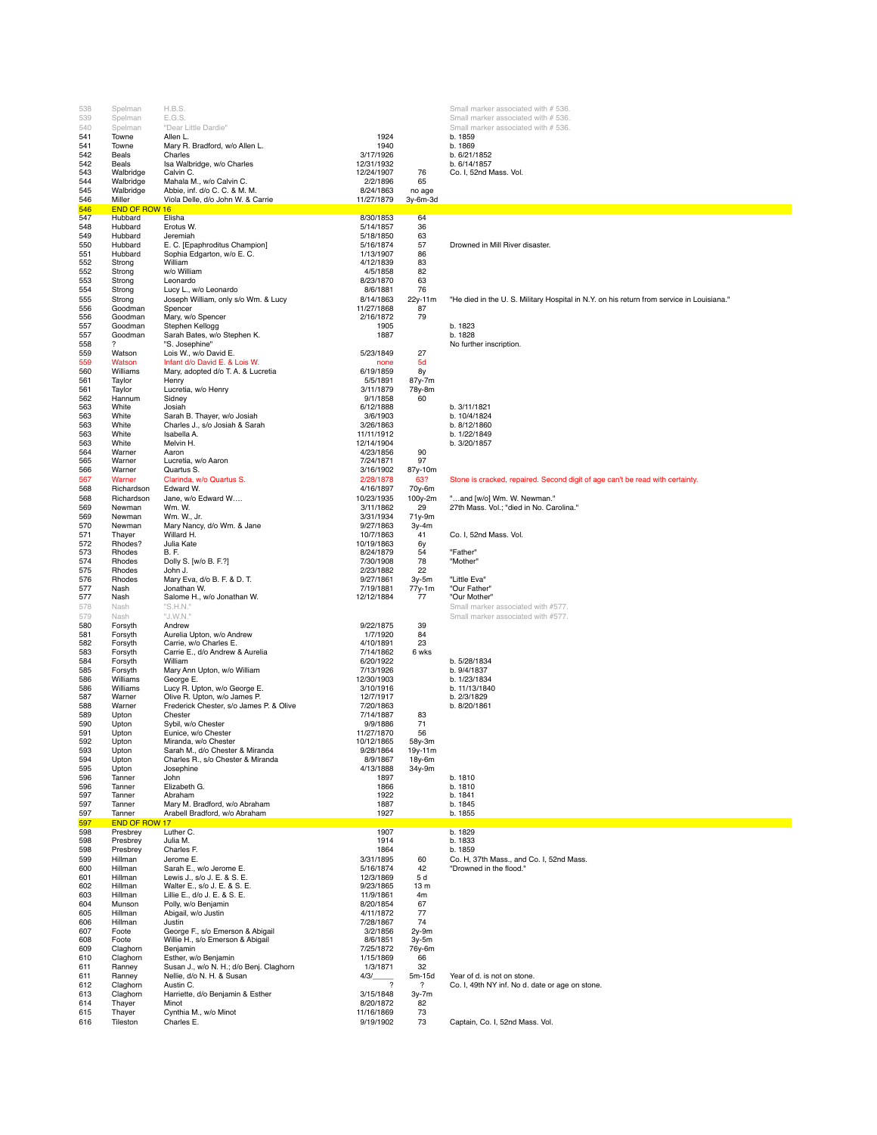| 538        | Spelman              | H.B.S.                                                                                                         |                          |                        | Small marker associated with # 536                                                        |
|------------|----------------------|----------------------------------------------------------------------------------------------------------------|--------------------------|------------------------|-------------------------------------------------------------------------------------------|
| 539        | Spelman              | E.G.S.                                                                                                         |                          |                        | Small marker associated with # 536                                                        |
| 540        | Spelman              | "Dear Little Dardie"                                                                                           |                          |                        | Small marker associated with # 536.                                                       |
| 541<br>541 | Towne<br>Towne       | Allen L.<br>Mary R. Bradford, w/o Allen L.                                                                     | 1924<br>1940             |                        | b. 1859<br>b. 1869                                                                        |
| 542        | Beals                | Charles                                                                                                        | 3/17/1926                |                        | b. 6/21/1852                                                                              |
| 542        | Beals                | Isa Walbridge, w/o Charles                                                                                     | 12/31/1932               |                        | b. 6/14/1857                                                                              |
| 543        | Walbridge            | Calvin C.                                                                                                      | 12/24/1907               | 76                     | Co. I, 52nd Mass. Vol.                                                                    |
| 544        | Walbridge            | Mahala M., w/o Calvin C.                                                                                       | 2/2/1896                 | 65                     |                                                                                           |
| 545<br>546 | Walbridge<br>Miller  | Abbie, inf. d/o C. C. & M. M.<br>Viola Delle, d/o John W. & Carrie                                             | 8/24/1863<br>11/27/1879  | no age<br>3y-6m-3d     |                                                                                           |
| 546        | <b>END OF ROW 16</b> | and the state of the state of the state of the state of the state of the state of the state of the state of th |                          |                        |                                                                                           |
| 547        | Hubbard              | Elisha                                                                                                         | 8/30/1853                | 64                     |                                                                                           |
| 548        | Hubbard              | Erotus W.                                                                                                      | 5/14/1857                | 36                     |                                                                                           |
| 549        | Hubbard              | Jeremiah                                                                                                       | 5/18/1850                | 63                     |                                                                                           |
| 550        | Hubbard              | E. C. [Epaphroditus Champion]                                                                                  | 5/16/1874                | 57                     | Drowned in Mill River disaster.                                                           |
| 551<br>552 | Hubbard<br>Strong    | Sophia Edgarton, w/o E. C.<br>William                                                                          | 1/13/1907<br>4/12/1839   | 86<br>83               |                                                                                           |
| 552        | Strong               | w/o William                                                                                                    | 4/5/1858                 | 82                     |                                                                                           |
| 553        | Strong               | Leonardo                                                                                                       | 8/23/1870                | 63                     |                                                                                           |
| 554        | Strong               | Lucy L., w/o Leonardo                                                                                          | 8/6/1881                 | 76                     |                                                                                           |
| 555        | Strong               | Joseph William, only s/o Wm. & Lucy                                                                            | 8/14/1863                | 22y-11m                | "He died in the U. S. Military Hospital in N.Y. on his return from service in Louisiana." |
| 556<br>556 | Goodman<br>Goodman   | Spencer<br>Mary, w/o Spencer                                                                                   | 11/27/1868<br>2/16/1872  | 87<br>79               |                                                                                           |
| 557        | Goodman              | Stephen Kellogg                                                                                                | 1905                     |                        | b. 1823                                                                                   |
| 557        | Goodman              | Sarah Bates, w/o Stephen K.                                                                                    | 1887                     |                        | b. 1828                                                                                   |
| 558        | ?                    | "S. Josephine"                                                                                                 |                          |                        | No further inscription.                                                                   |
| 559        | Watson               | Lois W., w/o David E.                                                                                          | 5/23/1849                | 27                     |                                                                                           |
| 559<br>560 | Watson<br>Williams   | Infant d/o David E. & Lois W.<br>Mary, adopted d/o T. A. & Lucretia                                            | none<br>6/19/1859        | 5d<br>8y               |                                                                                           |
| 561        | Taylor               | Henry                                                                                                          | 5/5/1891                 | 87y-7m                 |                                                                                           |
| 561        | Taylor               | Lucretia, w/o Henry                                                                                            | 3/11/1879                | 78y-8m                 |                                                                                           |
| 562        | Hannum               | Sidney                                                                                                         | 9/1/1858                 | 60                     |                                                                                           |
| 563        | White                | Josiah                                                                                                         | 6/12/1888                |                        | b. 3/11/1821                                                                              |
| 563<br>563 | White<br>White       | Sarah B. Thayer, w/o Josiah<br>Charles J., s/o Josiah & Sarah                                                  | 3/6/1903<br>3/26/1863    |                        | b. 10/4/1824<br>b. 8/12/1860                                                              |
| 563        | White                | Isabella A.                                                                                                    | 11/11/1912               |                        | b. 1/22/1849                                                                              |
| 563        | White                | Melvin H.                                                                                                      | 12/14/1904               |                        | b. 3/20/1857                                                                              |
| 564        | Warner               | Aaron                                                                                                          | 4/23/1856                | 90                     |                                                                                           |
| 565        | Warner               | Lucretia, w/o Aaron<br>Quartus S.                                                                              | 7/24/1871<br>3/16/1902   | 97                     |                                                                                           |
| 566<br>567 | Warner<br>Warner     | Clarinda, w/o Quartus S.                                                                                       | 2/28/1878                | 87y-10m<br>63?         | Stone is cracked, repaired. Second digit of age can't be read with certainty.             |
| 568        | Richardson           | Edward W.                                                                                                      | 4/16/1897                | 70y-6m                 |                                                                                           |
| 568        | Richardson           | Jane, w/o Edward W                                                                                             | 10/23/1935               | 100y-2m                | "and [w/o] Wm. W. Newman."                                                                |
| 569        | Newman               | Wm. W.                                                                                                         | 3/11/1862                | 29                     | 27th Mass. Vol.; "died in No. Carolina."                                                  |
| 569        | Newman               | Wm. W., Jr.                                                                                                    | 3/31/1934                | 71y-9m                 |                                                                                           |
| 570<br>571 | Newman<br>Thayer     | Mary Nancy, d/o Wm. & Jane<br>Willard H.                                                                       | 9/27/1863<br>10/7/1863   | $3y-4m$<br>41          | Co. I, 52nd Mass. Vol.                                                                    |
| 572        | Rhodes?              | Julia Kate                                                                                                     | 10/19/1863               | 6y                     |                                                                                           |
| 573        | Rhodes               | <b>B.F.</b>                                                                                                    | 8/24/1879                | 54                     | "Father"                                                                                  |
| 574        | Rhodes               | Dolly S. [w/o B. F.?]                                                                                          | 7/30/1908                | 78                     | "Mother"                                                                                  |
| 575        | Rhodes               | John J.                                                                                                        | 2/23/1882                | 22                     |                                                                                           |
| 576<br>577 | Rhodes<br>Nash       | Mary Eva, d/o B. F. & D. T.<br>Jonathan W.                                                                     | 9/27/1861<br>7/19/1881   | 3y-5m<br>77y-1m        | "Little Eva"<br>"Our Father"                                                              |
| 577        | Nash                 | Salome H., w/o Jonathan W.                                                                                     | 12/12/1884               | 77                     | "Our Mother"                                                                              |
| 578        | Nash                 | "S.H.N."                                                                                                       |                          |                        | Small marker associated with #577.                                                        |
| 579        | Nash                 | "J.W.N."                                                                                                       |                          |                        | Small marker associated with #577.                                                        |
| 580        | Forsyth              | Andrew                                                                                                         | 9/22/1875                | 39                     |                                                                                           |
| 581<br>582 | Forsyth<br>Forsyth   | Aurelia Upton, w/o Andrew<br>Carrie, w/o Charles E.                                                            | 1/7/1920<br>4/10/1891    | 84<br>23               |                                                                                           |
| 583        | Forsyth              | Carrie E., d/o Andrew & Aurelia                                                                                | 7/14/1862                | 6 wks                  |                                                                                           |
| 584        | Forsyth              | William                                                                                                        | 6/20/1922                |                        | b. 5/28/1834                                                                              |
| 585        | Forsyth              | Mary Ann Upton, w/o William                                                                                    | 7/13/1926                |                        | b. 9/4/1837                                                                               |
| 586<br>586 | Williams<br>Williams | George E.<br>Lucy R. Upton, w/o George E.                                                                      | 12/30/1903               |                        | b. 1/23/1834                                                                              |
| 587        | Warner               | Olive R. Upton, w/o James P.                                                                                   | 3/10/1916<br>12/7/1917   |                        | b. 11/13/1840<br>b. 2/3/1829                                                              |
| 588        | Warner               | Frederick Chester, s/o James P. & Olive                                                                        | 7/20/1863                |                        | b. 8/20/1861                                                                              |
| 589        | Upton                | Chester                                                                                                        | 7/14/1887                | 83                     |                                                                                           |
| 590        | Upton                | Sybil, w/o Chester                                                                                             | 9/9/1886                 | 71                     |                                                                                           |
| 591<br>592 | Upton<br>Upton       | Eunice, w/o Chester<br>Miranda, w/o Chester                                                                    | 11/27/1870<br>10/12/1865 | 56                     |                                                                                           |
| 593        | Upton                | Sarah M., d/o Chester & Miranda                                                                                | 9/28/1864                | 58y-3m<br>19y-11m      |                                                                                           |
| 594        | Upton                | Charles R., s/o Chester & Miranda                                                                              | 8/9/1867                 | 18y-6m                 |                                                                                           |
| 595        | Upton                | Josephine                                                                                                      | 4/13/1888                | 34y-9m                 |                                                                                           |
| 596<br>596 | Tanner<br>Tanner     | John<br>Elizabeth G.                                                                                           | 1897<br>1866             |                        | b. 1810<br>b. 1810                                                                        |
| 597        | Tanner               | Abraham                                                                                                        | 1922                     |                        | b. 1841                                                                                   |
| 597        | Tanner               | Mary M. Bradford, w/o Abraham                                                                                  | 1887                     |                        | b. 1845                                                                                   |
| 597        | Tanner               | Arabell Bradford, w/o Abraham                                                                                  | 1927                     |                        | b. 1855                                                                                   |
| 597        | <b>END OF ROW 17</b> |                                                                                                                |                          |                        |                                                                                           |
| 598<br>598 | Presbrey<br>Presbrey | Luther C.<br>Julia M.                                                                                          | 1907<br>1914             |                        | b. 1829<br>b. 1833                                                                        |
| 598        | Presbrey             | Charles F.                                                                                                     | 1864                     |                        | b. 1859                                                                                   |
| 599        | Hillman              | Jerome E.                                                                                                      | 3/31/1895                | 60                     | Co. H, 37th Mass., and Co. I, 52nd Mass.                                                  |
| 600        | Hillman              | Sarah E., w/o Jerome E.                                                                                        | 5/16/1874                | 42                     | "Drowned in the flood."                                                                   |
| 601<br>602 | Hillman<br>Hillman   | Lewis J., s/o J. E. & S. E.<br>Walter E., s/o J. E. & S. E.                                                    | 12/3/1869<br>9/23/1865   | 5 d<br>13 <sub>m</sub> |                                                                                           |
| 603        | Hillman              | Lillie E., d/o J. E. & S. E.                                                                                   | 11/9/1861                | 4m                     |                                                                                           |
| 604        | Munson               | Polly, w/o Benjamin                                                                                            | 8/20/1854                | 67                     |                                                                                           |
| 605        | Hillman              | Abigail, w/o Justin                                                                                            | 4/11/1872                | 77                     |                                                                                           |
| 606        | Hillman              | Justin                                                                                                         | 7/28/1867                | 74                     |                                                                                           |
| 607<br>608 | Foote<br>Foote       | George F., s/o Emerson & Abigail<br>Willie H., s/o Emerson & Abigail                                           | 3/2/1856<br>8/6/1851     | $2v-9m$<br>$3y-5m$     |                                                                                           |
| 609        | Claghorn             | Benjamin                                                                                                       | 7/25/1872                | 76y-6m                 |                                                                                           |
| 610        | Claghorn             | Esther, w/o Benjamin                                                                                           | 1/15/1869                | 66                     |                                                                                           |
| 611        | Ranney               | Susan J., w/o N. H.; d/o Benj. Claghorn                                                                        | 1/3/1871                 | 32                     |                                                                                           |
| 611        | Ranney               | Nellie, d/o N. H. & Susan                                                                                      | 4/3/<br>?                | 5m-15d                 | Year of d. is not on stone.                                                               |
| 612<br>613 | Claghorn<br>Claghorn | Austin C.<br>Harriette, d/o Benjamin & Esther                                                                  | 3/15/1848                | ?<br>3y-7m             | Co. I, 49th NY inf. No d. date or age on stone.                                           |
| 614        | Thayer               | Minot                                                                                                          | 8/20/1872                | 82                     |                                                                                           |
| 615        | Thayer               | Cynthia M., w/o Minot                                                                                          | 11/16/1869               | 73                     |                                                                                           |
| 616        | Tileston             | Charles E.                                                                                                     | 9/19/1902                | 73                     | Captain, Co. I, 52nd Mass. Vol.                                                           |

# s., and Co. I, 52nd Mass.<br>flood."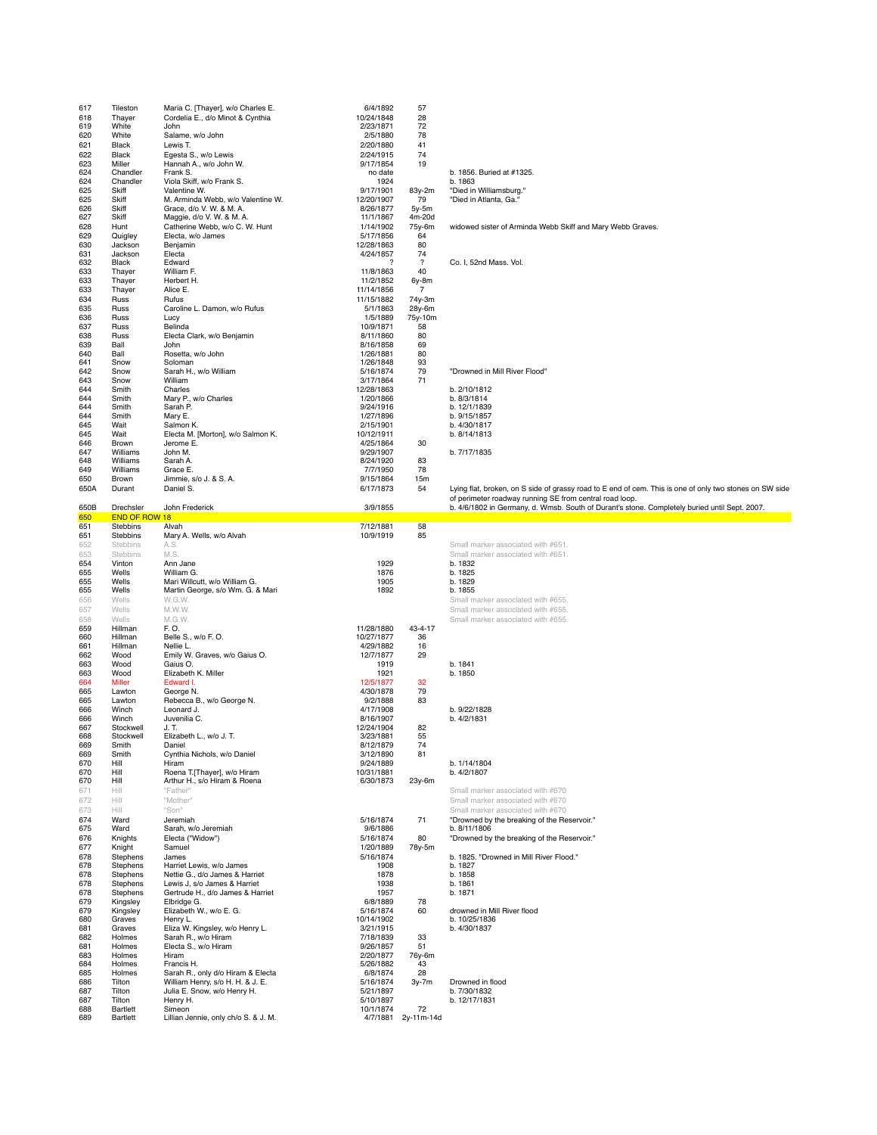| 617        | Tileston               | Maria C. [Thayer], w/o Charles E.                                     | 6/4/1892                | 57                       |                                                                                                         |
|------------|------------------------|-----------------------------------------------------------------------|-------------------------|--------------------------|---------------------------------------------------------------------------------------------------------|
| 618        | Thayer                 | Cordelia E., d/o Minot & Cynthia                                      | 10/24/1848              | 28                       |                                                                                                         |
| 619        | White<br>White         | John<br>Salame, w/o John                                              | 2/23/1871<br>2/5/1880   | 72<br>78                 |                                                                                                         |
| 620<br>621 | Black                  | Lewis T.                                                              | 2/20/1880               | 41                       |                                                                                                         |
| 622        | Black                  | Egesta S., w/o Lewis                                                  | 2/24/1915               | 74                       |                                                                                                         |
| 623        | Miller                 | Hannah A., w/o John W.                                                | 9/17/1854               | 19                       |                                                                                                         |
| 624        | Chandler               | Frank S.                                                              | no date                 |                          | b. 1856. Buried at #1325.                                                                               |
| 624        | Chandler               | Viola Skiff, w/o Frank S.                                             | 1924                    |                          | b. 1863                                                                                                 |
| 625        | Skiff                  | Valentine W.                                                          | 9/17/1901               | 83y-2m                   | "Died in Williamsburg."                                                                                 |
| 625        | Skiff                  | M. Arminda Webb, w/o Valentine W.                                     | 12/20/1907              | 79                       | "Died in Atlanta, Ga."                                                                                  |
| 626        | Skiff                  | Grace, d/o V. W. & M. A.                                              | 8/26/1877               | $5y-5m$                  |                                                                                                         |
| 627        | Skiff                  | Maggie, d/o V. W. & M. A.                                             | 11/1/1867               | 4m-20d                   |                                                                                                         |
| 628        | Hunt                   | Catherine Webb, w/o C. W. Hunt                                        | 1/14/1902               | 75y-6m                   | widowed sister of Arminda Webb Skiff and Mary Webb Graves.                                              |
| 629        | Quigley                | Electa, w/o James                                                     | 5/17/1856               | 64                       |                                                                                                         |
| 630        | Jackson                | Benjamin                                                              | 12/28/1863              | 80                       |                                                                                                         |
| 631        | Jackson                | Electa                                                                | 4/24/1857               | 74                       |                                                                                                         |
| 632        | Black                  | Edward                                                                |                         | $\overline{\phantom{a}}$ | Co. I, 52nd Mass. Vol.                                                                                  |
| 633        | Thayer                 | William F.                                                            | 11/8/1863               | 40                       |                                                                                                         |
| 633        | Thayer                 | Herbert H.                                                            | 11/2/1852               | 6y-8m                    |                                                                                                         |
| 633        | Thayer                 | Alice E.                                                              | 11/14/1856              | $\overline{7}$           |                                                                                                         |
| 634        | Russ                   | Rufus                                                                 | 11/15/1882              | 74y-3m                   |                                                                                                         |
| 635        | Russ                   | Caroline L. Damon, w/o Rufus                                          | 5/1/1863                | 28y-6m                   |                                                                                                         |
| 636        | Russ                   | Lucy                                                                  | 1/5/1889                | 75y-10m                  |                                                                                                         |
| 637<br>638 | Russ<br>Russ           | Belinda                                                               | 10/9/1871               | 58<br>80                 |                                                                                                         |
| 639        | Ball                   | Electa Clark, w/o Benjamin<br>John                                    | 8/11/1860<br>8/16/1858  | 69                       |                                                                                                         |
| 640        | Ball                   | Rosetta, w/o John                                                     | 1/26/1881               | 80                       |                                                                                                         |
| 641        | Snow                   | Soloman                                                               | 1/26/1848               | 93                       |                                                                                                         |
| 642        | Snow                   | Sarah H., w/o William                                                 | 5/16/1874               | 79                       | "Drowned in Mill River Flood"                                                                           |
| 643        | Snow                   | William                                                               | 3/17/1864               | 71                       |                                                                                                         |
| 644        | Smith                  | Charles                                                               | 12/28/1863              |                          | b. 2/10/1812                                                                                            |
| 644        | Smith                  | Mary P., w/o Charles                                                  | 1/20/1866               |                          | b. 8/3/1814                                                                                             |
| 644        | Smith                  | Sarah P.                                                              | 9/24/1916               |                          | b. 12/1/1839                                                                                            |
| 644        | Smith                  | Mary E.                                                               | 1/27/1896               |                          | b. 9/15/1857                                                                                            |
| 645        | Wait                   | Salmon K.                                                             | 2/15/1901               |                          | b. 4/30/1817                                                                                            |
| 645        | Wait                   | Electa M. [Morton], w/o Salmon K.                                     | 10/12/1911              |                          | b. 8/14/1813                                                                                            |
| 646        | Brown                  | Jerome E.                                                             | 4/25/1864               | 30                       |                                                                                                         |
| 647        | Williams               | John M.                                                               | 9/29/1907               |                          | b. 7/17/1835                                                                                            |
| 648        | Williams               | Sarah A.                                                              | 8/24/1920               | 83                       |                                                                                                         |
| 649        | Williams               | Grace E.                                                              | 7/7/1950                | 78                       |                                                                                                         |
| 650        | Brown                  | Jimmie, s/o J. & S. A.                                                | 9/15/1864               | 15m                      |                                                                                                         |
| 650A       | Durant                 | Daniel S.                                                             | 6/17/1873               | 54                       | Lying flat, broken, on S side of grassy road to E end of cem. This is one of only two stones on SW side |
|            |                        |                                                                       |                         |                          | of perimeter roadway running SE from central road loop.                                                 |
| 650B       | Drechsler              | John Frederick                                                        | 3/9/1855                |                          | b. 4/6/1802 in Germany, d. Wmsb. South of Durant's stone. Completely buried until Sept. 2007.           |
| 650        | <b>END OF ROW 18</b>   |                                                                       |                         |                          |                                                                                                         |
| 651        | Stebbins               | Alvah                                                                 | 7/12/1881               | 58                       |                                                                                                         |
| 651        | Stebbins               | Mary A. Wells, w/o Alvah                                              | 10/9/1919               | 85                       |                                                                                                         |
| 652        | Stebbins               | A.S.                                                                  |                         |                          | Small marker associated with #651.                                                                      |
| 653        | Stebbins               | M.S.                                                                  |                         |                          | Small marker associated with #651.                                                                      |
| 654        | Vinton                 | Ann Jane                                                              | 1929                    |                          | b. 1832                                                                                                 |
| 655        | Wells                  | William G.                                                            | 1876                    |                          | b. 1825                                                                                                 |
| 655        | Wells                  | Mari Willcutt, w/o William G.                                         |                         |                          |                                                                                                         |
|            |                        |                                                                       | 1905                    |                          | b. 1829                                                                                                 |
| 655        | Wells                  | Martin George, s/o Wm. G. & Mari                                      | 1892                    |                          | b. 1855                                                                                                 |
| 656        | Wells                  | W.G.W.                                                                |                         |                          | Small marker associated with #655.                                                                      |
| 657        | Wells                  | M.W.W.                                                                |                         |                          | Small marker associated with #655.                                                                      |
| 658        | Wells                  | M.G.W.                                                                |                         |                          | Small marker associated with #655.                                                                      |
| 659        | Hillman                | F.O.                                                                  | 11/28/1880              | $43 - 4 - 17$            |                                                                                                         |
| 660        | Hillman                | Belle S., w/o F. O.                                                   | 10/27/1877              | 36                       |                                                                                                         |
| 661        | Hillman                | Nellie L.                                                             | 4/29/1882               | 16                       |                                                                                                         |
| 662        | Wood                   | Emily W. Graves, w/o Gaius O.                                         | 12/7/1877               | 29                       |                                                                                                         |
| 663        | Wood                   | Gaius O.                                                              | 1919                    |                          | b. 1841                                                                                                 |
| 663        | Wood                   | Elizabeth K. Miller                                                   | 1921                    |                          | b. 1850                                                                                                 |
| 664        | <b>Miller</b>          | Edward I.                                                             | 12/5/1877               | 32                       |                                                                                                         |
| 665        | Lawton                 | George N.                                                             | 4/30/1878               | 79                       |                                                                                                         |
| 665        | Lawton                 | Rebecca B., w/o George N.                                             | 9/2/1888                | 83                       |                                                                                                         |
| 666        | Winch                  | Leonard J.                                                            | 4/17/1908               |                          | b. 9/22/1828                                                                                            |
| 666        | Winch                  | Juvenilia C.                                                          | 8/16/1907               |                          | b. 4/2/1831                                                                                             |
| 667<br>668 | Stockwell<br>Stockwell | J. T.<br>Elizabeth L., w/o J. T.                                      | 12/24/1904<br>3/23/1881 | 82<br>55                 |                                                                                                         |
| 669        | Smith                  | Daniel                                                                | 8/12/1879               | 74                       |                                                                                                         |
| 669        | Smith                  | Cynthia Nichols, w/o Daniel                                           | 3/12/1890               | 81                       |                                                                                                         |
| 670        | Hill                   | Hiram                                                                 | 9/24/1889               |                          | b. 1/14/1804                                                                                            |
| 670        | Hill                   | Roena T.[Thayer], w/o Hiram                                           | 10/31/1881              |                          | b. 4/2/1807                                                                                             |
| 670        | Hill                   | Arthur H., s/o Hiram & Roena                                          | 6/30/1873               | 23y-6m                   |                                                                                                         |
| 671        | Hill                   | "Father"                                                              |                         |                          | Small marker associated with #670                                                                       |
| 672        | Hill                   | "Mother"                                                              |                         |                          | Small marker associated with #670                                                                       |
| 673        | Hill                   | "Son"                                                                 |                         |                          | Small marker associated with #670                                                                       |
| 674        | Ward                   | Jeremiah                                                              | 5/16/1874               | 71                       | "Drowned by the breaking of the Reservoir."                                                             |
| 675        | Ward                   | Sarah, w/o Jeremiah                                                   | 9/6/1886                |                          | b. 8/11/1806                                                                                            |
| 676        | Knights                | Electa ("Widow")                                                      | 5/16/1874               | 80                       | "Drowned by the breaking of the Reservoir."                                                             |
| 677        | Knight                 | Samuel                                                                | 1/20/1889               | 78y-5m                   |                                                                                                         |
| 678        | Stephens               | James                                                                 | 5/16/1874               |                          | b. 1825. "Drowned in Mill River Flood."                                                                 |
| 678        | Stephens               | Harriet Lewis, w/o James                                              | 1908                    |                          | b. 1827                                                                                                 |
| 678        | Stephens               | Nettie G., d/o James & Harriet                                        | 1878                    |                          | b. 1858                                                                                                 |
| 678        | Stephens               | Lewis J. s/o James & Harriet                                          | 1938                    |                          | b. 1861                                                                                                 |
| 678        | Stephens               | Gertrude H., d/o James & Harriet                                      | 1957                    |                          | b. 1871                                                                                                 |
| 679        | Kingsley               | Elbridge G.                                                           | 6/8/1889                | 78                       |                                                                                                         |
| 679        | Kingsley               | Elizabeth W., w/o E. G.                                               | 5/16/1874               | 60                       | drowned in Mill River flood                                                                             |
| 680        | Graves                 | Henry L.                                                              | 10/14/1902              |                          | b. 10/25/1836                                                                                           |
| 681        | Graves                 | Eliza W. Kingsley, w/o Henry L.                                       | 3/21/1915               |                          | b. 4/30/1837                                                                                            |
| 682        | Holmes                 | Sarah R., w/o Hiram                                                   | 7/18/1839               | 33                       |                                                                                                         |
| 681        | Holmes                 | Electa S., w/o Hiram                                                  | 9/26/1857               | 51                       |                                                                                                         |
| 683        | Holmes                 | Hiram                                                                 | 2/20/1877               | 76y-6m                   |                                                                                                         |
| 684        | Holmes                 | Francis H.                                                            | 5/26/1882               | 43                       |                                                                                                         |
| 685<br>686 | Holmes<br>Tilton       | Sarah R., only d/o Hiram & Electa<br>William Henry, s/o H. H. & J. E. | 6/8/1874<br>5/16/1874   | 28                       | Drowned in flood                                                                                        |
| 687        | Tilton                 | Julia E. Snow, w/o Henry H.                                           | 5/21/1897               | $3y-7m$                  | b. 7/30/1832                                                                                            |
| 687        | Tilton                 | Henry H.                                                              | 5/10/1897               |                          | b. 12/17/1831                                                                                           |
| 688        | Bartlett               | Simeon                                                                | 10/1/1874               | 72                       |                                                                                                         |
| 689        | Bartlett               | Lillian Jennie, only ch/o S. & J. M.                                  | 4/7/1881                | 2y-11m-14d               |                                                                                                         |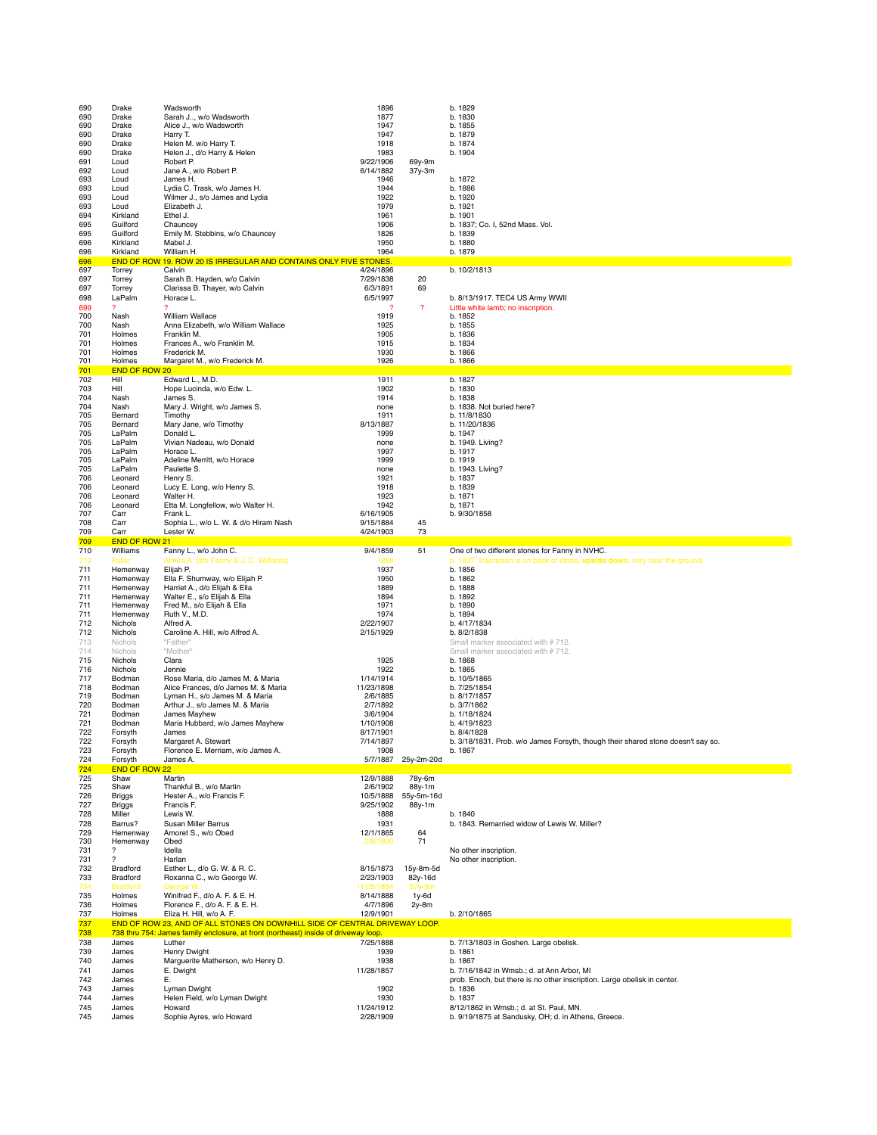| 690<br>690        | Drake<br>Drake                 | Wadsworth<br>Sarah J, w/o Wadsworth                                                                     | 1896<br>1877                    |                          | b. 1829<br>b. 1830                                                                                                     |
|-------------------|--------------------------------|---------------------------------------------------------------------------------------------------------|---------------------------------|--------------------------|------------------------------------------------------------------------------------------------------------------------|
| 690               | Drake                          | Alice J., w/o Wadsworth                                                                                 | 1947                            |                          | b. 1855                                                                                                                |
| 690<br>690        | Drake<br>Drake                 | Harry T.<br>Helen M. w/o Harry T.                                                                       | 1947<br>1918                    |                          | b. 1879<br>b. 1874                                                                                                     |
| 690               | Drake                          | Helen J., d/o Harry & Helen                                                                             | 1983                            |                          | b. 1904                                                                                                                |
| 691<br>692        | Loud<br>Loud                   | Robert P.<br>Jane A., w/o Robert P.                                                                     | 9/22/1906<br>6/14/1882          | 69y-9m<br>37y-3m         |                                                                                                                        |
| 693<br>693        | Loud<br>Loud                   | James H.                                                                                                | 1946<br>1944                    |                          | b. 1872<br>b. 1886                                                                                                     |
| 693               | Loud                           | Lydia C. Trask, w/o James H.<br>Wilmer J., s/o James and Lydia                                          | 1922                            |                          | b. 1920                                                                                                                |
| 693<br>694        | Loud<br>Kirkland               | Elizabeth J.<br>Ethel J.                                                                                | 1979<br>1961                    |                          | b. 1921<br>b. 1901                                                                                                     |
| 695               | Guilford                       | Chauncey                                                                                                | 1906                            |                          | b. 1837; Co. I, 52nd Mass. Vol.                                                                                        |
| 695<br>696        | Guilford<br>Kirkland           | Emily M. Stebbins, w/o Chauncey<br>Mabel J.                                                             | 1826<br>1950                    |                          | b. 1839<br>b. 1880                                                                                                     |
| 696               | Kirkland                       | William H.                                                                                              | 1964                            |                          | b. 1879                                                                                                                |
| 696<br>697        | Torrey                         | END OF ROW 19. ROW 20 IS IRREGULAR AND CONTAINS ONLY FIVE STONES.<br>Calvin                             | 4/24/1896                       |                          | b. 10/2/1813                                                                                                           |
| 697               | Torrey                         | Sarah B. Hayden, w/o Calvin                                                                             | 7/29/1838                       | 20<br>69                 |                                                                                                                        |
| 697<br>698        | Torrey<br>LaPalm               | Clarissa B. Thayer, w/o Calvin<br>Horace L.                                                             | 6/3/1891<br>6/5/1997            |                          | b. 8/13/1917. TEC4 US Army WWII                                                                                        |
| 699               | 2                              | 2                                                                                                       | 2                               | $\overline{\mathcal{E}}$ | Little white lamb; no inscription.                                                                                     |
| 700<br>700        | Nash<br>Nash                   | William Wallace<br>Anna Elizabeth, w/o William Wallace                                                  | 1919<br>1925                    |                          | b. 1852<br>b. 1855                                                                                                     |
| 701<br>701        | Holmes<br>Holmes               | Franklin M.<br>Frances A., w/o Franklin M.                                                              | 1905<br>1915                    |                          | b. 1836<br>b. 1834                                                                                                     |
| 701               | Holmes                         | Frederick M.                                                                                            | 1930                            |                          | b. 1866                                                                                                                |
| 701<br>701        | Holmes<br><b>END OF ROW 20</b> | Margaret M., w/o Frederick M.                                                                           | 1926                            |                          | b. 1866                                                                                                                |
| 702               | Hill                           | Edward L., M.D.                                                                                         | 1911                            |                          | b. 1827                                                                                                                |
| 703<br>704        | Hill<br>Nash                   | Hope Lucinda, w/o Edw. L.<br>James S.                                                                   | 1902<br>1914                    |                          | b. 1830<br>b. 1838                                                                                                     |
| 704               | Nash<br>Bernard                | Mary J. Wright, w/o James S.                                                                            | none                            |                          | b. 1838. Not buried here?                                                                                              |
| 705<br>705        | Bernard                        | Timothy<br>Mary Jane, w/o Timothy                                                                       | 1911<br>8/13/1887               |                          | b. 11/8/1830<br>b. 11/20/1836                                                                                          |
| 705<br>705        | LaPalm<br>LaPalm               | Donald L.<br>Vivian Nadeau, w/o Donald                                                                  | 1999<br>none                    |                          | b. 1947<br>b. 1949. Living?                                                                                            |
| 705               | LaPalm                         | Horace L.                                                                                               | 1997                            |                          | b. 1917                                                                                                                |
| 705<br>705        | LaPalm<br>LaPalm               | Adeline Merritt, w/o Horace<br>Paulette S.                                                              | 1999<br>none                    |                          | b. 1919<br>b. 1943. Living?                                                                                            |
| 706               | Leonard                        | Henry S.                                                                                                | 1921                            |                          | b. 1837                                                                                                                |
| 706<br>706        | Leonard<br>Leonard             | Lucy E. Long, w/o Henry S.<br>Walter H.                                                                 | 1918<br>1923                    |                          | b. 1839<br>b. 1871                                                                                                     |
| 706               | Leonard                        | Etta M. Longfellow, w/o Walter H.<br>Frank L.                                                           | 1942                            |                          | b, 1871                                                                                                                |
| 707<br>708        | Carr<br>Carr                   | Sophia L., w/o L. W. & d/o Hiram Nash                                                                   | 6/16/1905<br>9/15/1884          | 45                       | b. 9/30/1858                                                                                                           |
| 709<br>709        | Carr<br>END OF ROW 21          | Lester W.                                                                                               | 4/24/1903                       | 73                       |                                                                                                                        |
| 710               | Williams                       | Fanny L., w/o John C.                                                                                   | 9/4/1859                        | 51                       | One of two different stones for Fanny in NVHC.                                                                         |
| 710<br>711        | Fuller<br>Hemenway             | Almira A. [d/o Fanny & J. C. Williams]<br>Elijah P.                                                     | 1888<br>1937                    |                          | b. 1837. Inscription is on back of stone, upside down, very near the ground.<br>b. 1856                                |
| 711               | Hemenway                       | Ella F. Shumway, w/o Elijah P.                                                                          | 1950                            |                          | b. 1862                                                                                                                |
| 711<br>711        | Hemenway<br>Hemenway           | Harriet A., d/o Elijah & Ella<br>Walter E., s/o Elijah & Ella                                           | 1889<br>1894                    |                          | b. 1888<br>b. 1892                                                                                                     |
| 711<br>711        | Hemenway<br>Hemenway           | Fred M., s/o Elijah & Ella<br>Ruth V., M.D.                                                             | 1971<br>1974                    |                          | b. 1890<br>b. 1894                                                                                                     |
| 712               | Nichols                        | Alfred A.                                                                                               | 2/22/1907                       |                          | b. 4/17/1834                                                                                                           |
| 712<br>713        | Nichols<br>Nichols             | Caroline A. Hill, w/o Alfred A.<br>"Father"                                                             | 2/15/1929                       |                          | b. 8/2/1838<br>Small marker associated with #712.                                                                      |
| 714               | Nichols                        | "Mother"                                                                                                |                                 |                          | Small marker associated with #712.                                                                                     |
| 715<br>716        | Nichols<br>Nichols             | Clara<br>Jennie                                                                                         | 1925<br>1922                    |                          | b. 1868<br>b. 1865                                                                                                     |
| 717               | Bodman                         | Rose Maria, d/o James M. & Maria                                                                        |                                 |                          |                                                                                                                        |
| 718<br>719        | Bodman                         |                                                                                                         | 1/14/1914                       |                          | b. 10/5/1865                                                                                                           |
| 720               |                                | Alice Frances, d/o James M. & Maria                                                                     | 11/23/1898                      |                          | b. 7/25/1854                                                                                                           |
| 721<br>721        | Bodman<br>Bodman               | Lyman H., s/o James M. & Maria<br>Arthur J., s/o James M. & Maria                                       | 2/6/1885<br>2/7/1892            |                          | b. 8/17/1857<br>b. 3/7/1862                                                                                            |
|                   | Bodman<br>Bodman               | James Mayhew<br>Maria Hubbard, w/o James Mayhew                                                         | 3/6/1904<br>1/10/1908           |                          | b. 1/18/1824<br>b. 4/19/1823                                                                                           |
| 722               | Forsyth                        | James                                                                                                   | 8/17/1901                       |                          | b. 8/4/1828                                                                                                            |
| 722<br>723        | Forsyth<br>Forsyth             | Margaret A. Stewart<br>Florence E. Merriam, w/o James A.                                                | 7/14/1897<br>1908               |                          | b. 3/18/1831. Prob. w/o James Forsyth, though their shared stone doesn't say so.<br>b. 1867                            |
| 724               | Forsyth                        | James A.                                                                                                | 5/7/1887                        | 25y-2m-20d               |                                                                                                                        |
| 724<br>725        | <b>END OF ROW 22</b><br>Shaw   | Martin                                                                                                  | 12/9/1888                       | 78y-6m                   |                                                                                                                        |
| 725               | Shaw                           | Thankful B., w/o Martin                                                                                 | 2/6/1902                        | 88y-1m                   |                                                                                                                        |
| 726<br>727        | <b>Briggs</b><br>Briggs        | Hester A., w/o Francis F.<br>Francis F.                                                                 | 10/5/1888<br>9/25/1902          | 55y-5m-16d<br>88y-1m     |                                                                                                                        |
| 728               | Miller<br>Barrus?              | Lewis W.                                                                                                | 1888<br>1931                    |                          | b. 1840<br>b. 1843. Remarried widow of Lewis W. Miller?                                                                |
| 728<br>729        | Hemenway                       | Susan Miller Barrus<br>Amoret S., w/o Obed                                                              | 12/1/1865                       | 64                       |                                                                                                                        |
| 730<br>731        | Hemenway<br>?                  | Obed<br>Idella                                                                                          | 2/8/1890                        | 71                       | No other inscription.                                                                                                  |
| 731               | ?                              | Harlan                                                                                                  |                                 |                          | No other inscription.                                                                                                  |
| 732<br>733        | Bradford<br>Bradford           | Esther L., d/o G. W. & R. C.<br>Roxanna C., w/o George W.                                               | 8/15/1873<br>2/23/1903          | 15y-8m-5d<br>82y-16d     |                                                                                                                        |
|                   | <b>Bradford</b>                | <b>George V</b>                                                                                         | 11/28/1884                      | 67y-9m                   |                                                                                                                        |
| 735<br>736        | Holmes<br>Holmes               | Winifred F., d/o A. F. & E. H.<br>Florence F., d/o A. F. & E. H.                                        | 8/14/1888<br>4/7/1896           | $1y-6d$<br>2y-8m         |                                                                                                                        |
| 737<br>737        | Holmes                         | Eliza H. Hill, w/o A. F.<br>END OF ROW 23, AND OF ALL STONES ON DOWNHILL SIDE OF CENTRAL DRIVEWAY LOOP. | 12/9/1901                       |                          | b. 2/10/1865                                                                                                           |
| 738               |                                | 738 thru 754: James family enclosure, at front (northeast) inside of driveway loop.                     |                                 |                          |                                                                                                                        |
| 738<br>739        | James<br>James                 | Luther<br>Henry Dwight                                                                                  | 7/25/1888<br>1939               |                          | b. 7/13/1803 in Goshen. Large obelisk.<br>b. 1861                                                                      |
| 740               | James                          | Marguerite Matherson, w/o Henry D.                                                                      | 1938                            |                          | b. 1867                                                                                                                |
| 741<br>742        | James<br>James                 | E. Dwight<br>Е.                                                                                         | 11/28/1857                      |                          | b. 7/16/1842 in Wmsb.; d. at Ann Arbor, MI<br>prob. Enoch, but there is no other inscription. Large obelisk in center. |
| 743               | James                          | Lyman Dwight                                                                                            | 1902                            |                          | b. 1836                                                                                                                |
| 744<br>745<br>745 | James<br>James                 | Helen Field, w/o Lyman Dwight<br>Howard<br>Sophie Ayres, w/o Howard                                     | 1930<br>11/24/1912<br>2/28/1909 |                          | b. 1837<br>8/12/1862 in Wmsb.; d. at St. Paul, MN.                                                                     |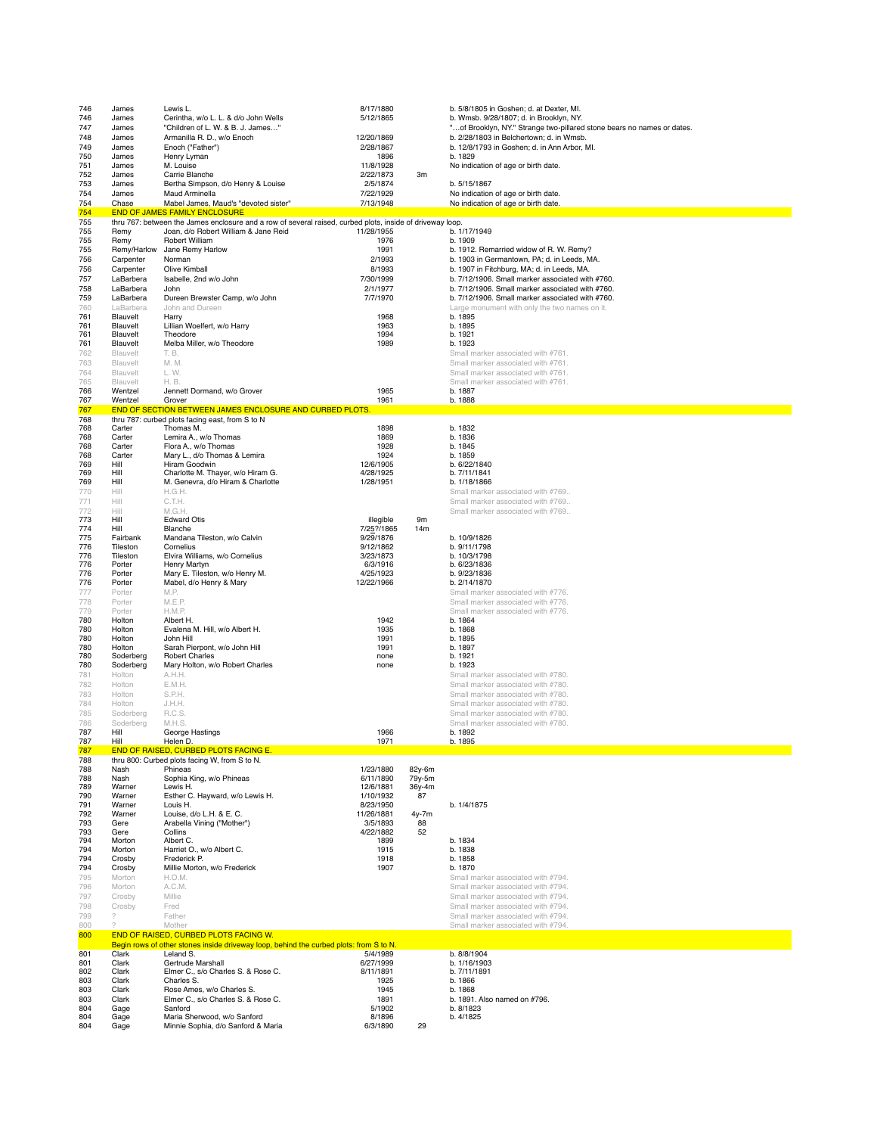| 746        | James              | Lewis L.                                                                                                                                          | 8/17/1880             |        | b. 5/8/1805 in Goshen; d. at Dexter, MI.                               |
|------------|--------------------|---------------------------------------------------------------------------------------------------------------------------------------------------|-----------------------|--------|------------------------------------------------------------------------|
| 746        | James              | Cerintha, w/o L. L. & d/o John Wells                                                                                                              | 5/12/1865             |        | b. Wmsb. 9/28/1807; d. in Brooklyn, NY.                                |
| 747        | James              | "Children of L. W. & B. J. James"                                                                                                                 |                       |        | "of Brooklyn, NY." Strange two-pillared stone bears no names or dates. |
| 748        | James              | Armanilla R. D., w/o Enoch                                                                                                                        | 12/20/1869            |        | b. 2/28/1803 in Belchertown; d. in Wmsb.                               |
| 749        | James              | Enoch ("Father")                                                                                                                                  | 2/28/1867             |        | b. 12/8/1793 in Goshen: d. in Ann Arbor. MI.                           |
| 750        | James              | Henry Lyman                                                                                                                                       | 1896                  |        | b. 1829                                                                |
| 751        | James              | M. Louise                                                                                                                                         | 11/8/1928             |        | No indication of age or birth date.                                    |
| 752        | James              | Carrie Blanche                                                                                                                                    | 2/22/1873             | 3m     |                                                                        |
| 753        | James              | Bertha Simpson, d/o Henry & Louise                                                                                                                | 2/5/1874              |        | b. 5/15/1867                                                           |
| 754        | James              | Maud Arminella                                                                                                                                    | 7/22/1929             |        | No indication of age or birth date.                                    |
| 754        | Chase              | Mabel James, Maud's "devoted sister"                                                                                                              | 7/13/1948             |        | No indication of age or birth date.                                    |
| 754        |                    | <b>END OF JAMES FAMILY ENCLOSURE</b>                                                                                                              |                       |        |                                                                        |
| 755        | Remy               | thru 767: between the James enclosure and a row of several raised, curbed plots, inside of driveway loop.<br>Joan, d/o Robert William & Jane Reid | 11/28/1955            |        | b. 1/17/1949                                                           |
| 755<br>755 | Remy               | <b>Robert William</b>                                                                                                                             | 1976                  |        | b. 1909                                                                |
| 755        | Remy/Harlow        | Jane Remy Harlow                                                                                                                                  | 1991                  |        | b. 1912. Remarried widow of R. W. Remy?                                |
| 756        | Carpenter          | Norman                                                                                                                                            | 2/1993                |        | b. 1903 in Germantown, PA; d. in Leeds, MA.                            |
| 756        | Carpenter          | Olive Kimball                                                                                                                                     | 8/1993                |        | b. 1907 in Fitchburg, MA; d. in Leeds, MA.                             |
| 757        | LaBarbera          | Isabelle, 2nd w/o John                                                                                                                            | 7/30/1999             |        | b. 7/12/1906. Small marker associated with #760.                       |
| 758        | LaBarbera          | John                                                                                                                                              | 2/1/1977              |        | b. 7/12/1906. Small marker associated with #760.                       |
| 759        | LaBarbera          | Dureen Brewster Camp, w/o John                                                                                                                    | 7/7/1970              |        | b. 7/12/1906. Small marker associated with #760.                       |
| 760        | LaBarbera          | John and Dureen                                                                                                                                   |                       |        | Large monument with only the two names on it.                          |
| 761        | Blauvelt           | Harry                                                                                                                                             | 1968                  |        | b. 1895                                                                |
| 761        | Blauvelt           | Lillian Woelfert, w/o Harry                                                                                                                       | 1963                  |        | b. 1895                                                                |
| 761        | Blauvelt           | Theodore                                                                                                                                          | 1994                  |        | b. 1921                                                                |
| 761        | Blauvelt           | Melba Miller, w/o Theodore                                                                                                                        | 1989                  |        | b. 1923                                                                |
| 762        | Blauvelt           | T. B.                                                                                                                                             |                       |        | Small marker associated with #761.                                     |
| 763        | Blauvelt           | M. M.                                                                                                                                             |                       |        | Small marker associated with #761.                                     |
| 764        | Blauvelt           | L.W.                                                                                                                                              |                       |        | Small marker associated with #761                                      |
| 765        | Blauvelt           | H. B.                                                                                                                                             |                       |        | Small marker associated with #761.                                     |
| 766        | Wentzel            | Jennett Dormand, w/o Grover                                                                                                                       | 1965                  |        | b. 1887                                                                |
| 767        | Wentzel            | Grover                                                                                                                                            | 1961                  |        | b. 1888                                                                |
| 767        |                    | END OF SECTION BETWEEN JAMES ENCLOSURE AND CURBED PLOTS.                                                                                          |                       |        |                                                                        |
| 768        |                    | thru 787: curbed plots facing east, from S to N                                                                                                   |                       |        | b. 1832                                                                |
| 768<br>768 | Carter<br>Carter   | Thomas M.<br>Lemira A., w/o Thomas                                                                                                                | 1898<br>1869          |        | b. 1836                                                                |
| 768        | Carter             | Flora A., w/o Thomas                                                                                                                              | 1928                  |        | b. 1845                                                                |
| 768        | Carter             | Mary L., d/o Thomas & Lemira                                                                                                                      | 1924                  |        | b. 1859                                                                |
| 769        | Hill               | Hiram Goodwin                                                                                                                                     | 12/6/1905             |        | b. 6/22/1840                                                           |
| 769        | Hill               | Charlotte M. Thayer, w/o Hiram G.                                                                                                                 | 4/28/1925             |        | b. 7/11/1841                                                           |
| 769        | Hill               | M. Genevra, d/o Hiram & Charlotte                                                                                                                 | 1/28/1951             |        | b. 1/18/1866                                                           |
| 770        | Hill               | H.G.H.                                                                                                                                            |                       |        | Small marker associated with #769.                                     |
| 771        | Hill               | C.T.H.                                                                                                                                            |                       |        | Small marker associated with #769.                                     |
| 772        | Hill               | M.G.H.                                                                                                                                            |                       |        | Small marker associated with #769.                                     |
| 773        | Hill               | <b>Edward Otis</b>                                                                                                                                | illegible             | 9m     |                                                                        |
| 774        | Hill               | Blanche                                                                                                                                           | 7/25?/1865            | 14m    |                                                                        |
| 775        | Fairbank           | Mandana Tileston, w/o Calvin                                                                                                                      | 9/29/1876             |        | b. 10/9/1826                                                           |
| 776        | Tileston           | Cornelius                                                                                                                                         | 9/12/1862             |        | b. 9/11/1798                                                           |
| 776<br>776 | Tileston<br>Porter | Elvira Williams, w/o Cornelius                                                                                                                    | 3/23/1873             |        | b. 10/3/1798                                                           |
| 776        | Porter             | Henry Martyn                                                                                                                                      | 6/3/1916<br>4/25/1923 |        | b. 6/23/1836<br>b. 9/23/1836                                           |
| 776        | Porter             | Mary E. Tileston, w/o Henry M.<br>Mabel, d/o Henry & Mary                                                                                         | 12/22/1966            |        | b. 2/14/1870                                                           |
| 777        | Porter             | M.P.                                                                                                                                              |                       |        | Small marker associated with #776.                                     |
| 778        | Porter             | M.E.P.                                                                                                                                            |                       |        | Small marker associated with #776.                                     |
| 779        | Porter             | H.M.P.                                                                                                                                            |                       |        | Small marker associated with #776.                                     |
| 780        | Holton             | Albert H.                                                                                                                                         | 1942                  |        | b. 1864                                                                |
| 780        | Holton             | Evalena M. Hill, w/o Albert H.                                                                                                                    | 1935                  |        | b. 1868                                                                |
| 780        | Holton             | John Hill                                                                                                                                         | 1991                  |        | b. 1895                                                                |
| 780        | Holton             | Sarah Pierpont, w/o John Hill                                                                                                                     | 1991                  |        | b. 1897                                                                |
| 780        | Soderberg          | <b>Robert Charles</b>                                                                                                                             | none                  |        | b. 1921                                                                |
| 780        | Soderberg          | Mary Holton, w/o Robert Charles                                                                                                                   | none                  |        | b. 1923                                                                |
| 781        | Holton             | A.H.H.                                                                                                                                            |                       |        | Small marker associated with #780.                                     |
| 782        | Holton             | E.M.H.                                                                                                                                            |                       |        | Small marker associated with #780.                                     |
| 783        | Holton             | S.P.H.                                                                                                                                            |                       |        | Small marker associated with #780.                                     |
| 784        | Holton             | J.H.H.                                                                                                                                            |                       |        | Small marker associated with #780.                                     |
| 785        | Soderberg          | R.C.S.                                                                                                                                            |                       |        | Small marker associated with #780.                                     |
| 786        | Soderberg          | M.H.S.                                                                                                                                            |                       |        | Small marker associated with #780.                                     |
| 787        | Hill               | George Hastings                                                                                                                                   | 1966                  |        | b. 1892                                                                |
| 787        | Hill               | Helen D.                                                                                                                                          | 1971                  |        | b. 1895                                                                |
| 787<br>788 |                    | END OF RAISED, CURBED PLOTS FACING E.<br>thru 800: Curbed plots facing W, from S to N.                                                            |                       |        |                                                                        |
| 788        | Nash               | Phineas                                                                                                                                           | 1/23/1880             | 82y-6m |                                                                        |
| 788        | Nash               | Sophia King, w/o Phineas                                                                                                                          | 6/11/1890             | 79y-5m |                                                                        |
| 789        | Warner             | Lewis H.                                                                                                                                          | 12/6/1881             | 36y-4m |                                                                        |
| 790        | Warner             | Esther C. Hayward, w/o Lewis H.                                                                                                                   | 1/10/1932             | 87     |                                                                        |
| 791        | Warner             | Louis H.                                                                                                                                          | 8/23/1950             |        | b. 1/4/1875                                                            |
| 792        | Warner             | Louise, d/o L.H. & E. C.                                                                                                                          | 11/26/1881            | 4y-7m  |                                                                        |
| 793        | Gere               | Arabella Vining ("Mother")                                                                                                                        | 3/5/1893              | 88     |                                                                        |
| 793<br>794 | Gere               | Collins<br>Albert C.                                                                                                                              | 4/22/1882             | 52     |                                                                        |
| 794        | Morton<br>Morton   | Harriet O., w/o Albert C.                                                                                                                         | 1899<br>1915          |        | b. 1834<br>b. 1838                                                     |
| 794        | Crosby             | Frederick P.                                                                                                                                      | 1918                  |        | b. 1858                                                                |
| 794        | Crosby             | Millie Morton, w/o Frederick                                                                                                                      | 1907                  |        | b. 1870                                                                |
| 795        | Morton             | H.O.M.                                                                                                                                            |                       |        | Small marker associated with #794.                                     |
| 796        | Morton             | A.C.M.                                                                                                                                            |                       |        | Small marker associated with #794.                                     |
| 797        | Crosby             | Millie                                                                                                                                            |                       |        | Small marker associated with #794.                                     |
| 798        | Crosby             | Fred                                                                                                                                              |                       |        | Small marker associated with #794.                                     |
| 799        | $\gamma$           | Father                                                                                                                                            |                       |        | Small marker associated with #794.                                     |
| 800        |                    | Mother                                                                                                                                            |                       |        | Small marker associated with #794.                                     |
| 800        |                    | END OF RAISED, CURBED PLOTS FACING W.                                                                                                             |                       |        |                                                                        |
|            |                    | Begin rows of other stones inside driveway loop, behind the curbed plots: from S to N.                                                            |                       |        |                                                                        |
| 801        | Clark              | Leland S.                                                                                                                                         | 5/4/1989              |        | b. 8/8/1904                                                            |
| 801        | Clark              | Gertrude Marshall                                                                                                                                 | 6/27/1999             |        | b. 1/16/1903                                                           |
| 802        | Clark              | Elmer C., s/o Charles S. & Rose C.                                                                                                                | 8/11/1891             |        | b. 7/11/1891                                                           |
| 803        | Clark              | Charles S.                                                                                                                                        | 1925                  |        | b. 1866                                                                |
| 803        | Clark              | Rose Ames, w/o Charles S.                                                                                                                         | 1945                  |        | b. 1868                                                                |
| 803<br>804 | Clark<br>Gage      | Elmer C., s/o Charles S. & Rose C.<br>Sanford                                                                                                     | 1891<br>5/1902        |        | b. 1891. Also named on #796.<br>b. 8/1823                              |
| 804        | Gage               | Maria Sherwood, w/o Sanford                                                                                                                       | 8/1896                |        | b. 4/1825                                                              |
|            | Gage               | Minnie Sophia, d/o Sanford & Maria                                                                                                                | 6/3/1890              | 29     |                                                                        |
| 804        |                    |                                                                                                                                                   |                       |        |                                                                        |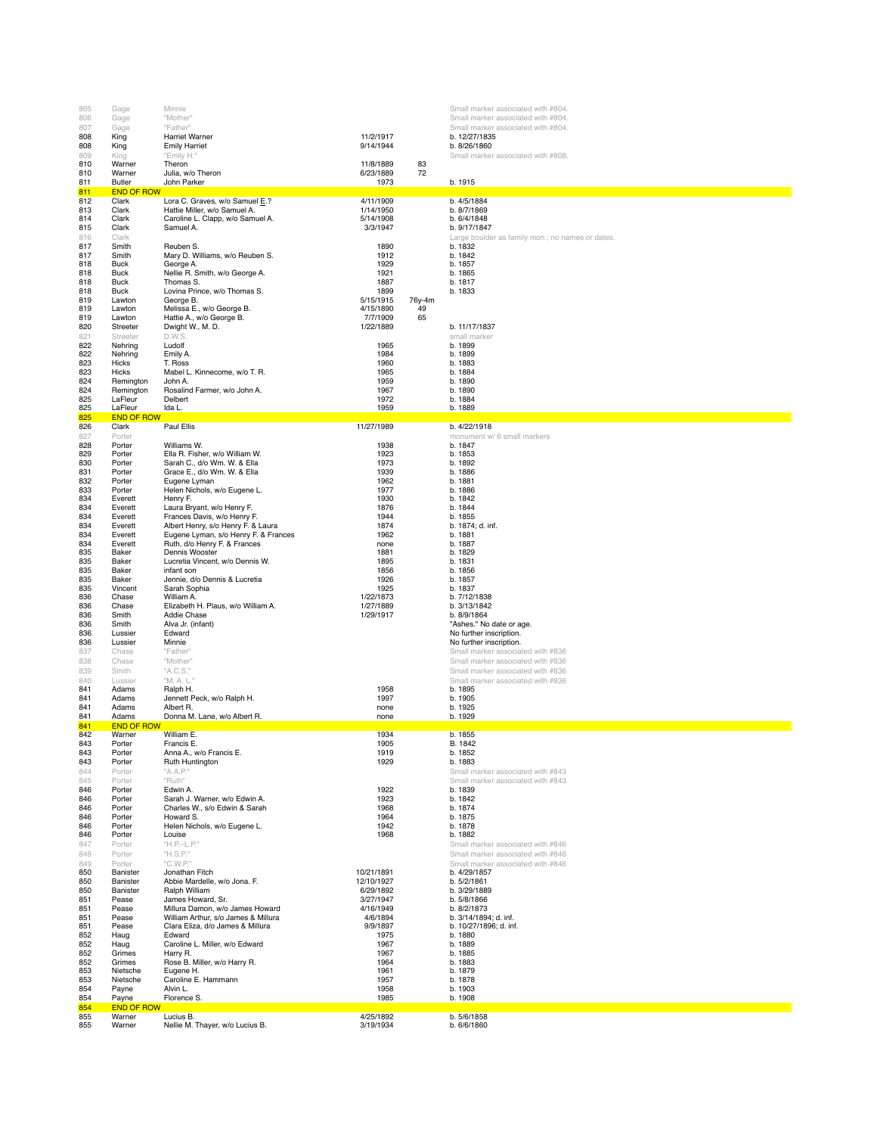| 805        | Gage                        | Minnie                                                                     |                        |        | Small marker associated with #804.                                       |
|------------|-----------------------------|----------------------------------------------------------------------------|------------------------|--------|--------------------------------------------------------------------------|
| 806        | Gage                        | "Mother"<br>"Father"                                                       |                        |        | Small marker associated with #804.<br>Small marker associated with #804. |
| 807<br>808 | Gage<br>King                | <b>Harriet Warner</b>                                                      | 11/2/1917              |        | b. 12/27/1835                                                            |
| 808        | King                        | <b>Emily Harriet</b>                                                       | 9/14/1944              |        | b. 8/26/1860                                                             |
| 809<br>810 | King<br>Warner              | "Emily H."<br>Theron                                                       | 11/8/1889              | 83     | Small marker associated with #808.                                       |
| 810        | Warner                      | Julia, w/o Theron                                                          | 6/23/1889              | 72     |                                                                          |
| 811        | Butler                      | John Parker                                                                | 1973                   |        | b. 1915                                                                  |
| 811<br>812 | <b>END OF ROW</b><br>Clark  | Lora C. Graves, w/o Samuel E.?                                             | 4/11/1909              |        | b. 4/5/1884                                                              |
| 813        | Clark                       | Hattie Miller, w/o Samuel A.                                               | 1/14/1950              |        | b. 8/7/1869                                                              |
| 814<br>815 | Clark<br>Clark              | Caroline L. Clapp, w/o Samuel A.<br>Samuel A.                              | 5/14/1908<br>3/3/1947  |        | b. 6/4/1848<br>b. 9/17/1847                                              |
| 816        | Clark                       |                                                                            |                        |        | Large boulder as family mon.; no names or dates.                         |
| 817        | Smith                       | Reuben S.                                                                  | 1890                   |        | b. 1832                                                                  |
| 817<br>818 | Smith<br><b>Buck</b>        | Mary D. Williams, w/o Reuben S.<br>George A.                               | 1912<br>1929           |        | b. 1842<br>b. 1857                                                       |
| 818        | <b>Buck</b>                 | Nellie R. Smith, w/o George A.                                             | 1921                   |        | b. 1865                                                                  |
| 818        | Buck                        | Thomas S.                                                                  | 1887                   |        | b. 1817                                                                  |
| 818<br>819 | Buck<br>Lawton              | Lovina Prince, w/o Thomas S.<br>George B.                                  | 1899<br>5/15/1915      | 76y-4m | b. 1833                                                                  |
| 819        | Lawton                      | Melissa E., w/o George B.                                                  | 4/15/1890              | 49     |                                                                          |
| 819        | Lawton                      | Hattie A., w/o George B.                                                   | 7/7/1909               | 65     |                                                                          |
| 820<br>821 | Streeter<br>Streeter        | Dwight W., M. D.<br>D.W.S.                                                 | 1/22/1889              |        | b. 11/17/1837<br>small marker                                            |
| 822        | Nehring                     | Ludolf                                                                     | 1965                   |        | b. 1899                                                                  |
| 822<br>823 | Nehring<br>Hicks            | Emily A.<br>T. Ross                                                        | 1984<br>1960           |        | b. 1899<br>b. 1883                                                       |
| 823        | <b>Hicks</b>                | Mabel L. Kinnecome, w/o T. R.                                              | 1965                   |        | b. 1884                                                                  |
| 824        | Remington                   | John A.                                                                    | 1959                   |        | b. 1890                                                                  |
| 824<br>825 | Remington<br>LaFleur        | Rosalind Farmer, w/o John A.<br>Delbert                                    | 1967<br>1972           |        | b. 1890<br>b. 1884                                                       |
| 825        | LaFleur                     | Ida L.                                                                     | 1959                   |        | b. 1889                                                                  |
| 825        | <b>END OF ROW</b>           |                                                                            |                        |        |                                                                          |
| 826<br>827 | Clark<br>Porter             | Paul Ellis                                                                 | 11/27/1989             |        | b. 4/22/1918<br>monument w/ 6 small markers                              |
| 828        | Porter                      | Williams W.                                                                | 1938                   |        | b. 1847                                                                  |
| 829<br>830 | Porter<br>Porter            | Ella R. Fisher, w/o William W.<br>Sarah C., d/o Wm. W. & Ella              | 1923<br>1973           |        | b. 1853<br>b. 1892                                                       |
| 831        | Porter                      | Grace E., d/o Wm. W. & Ella                                                | 1939                   |        | b. 1886                                                                  |
| 832        | Porter                      | Eugene Lyman                                                               | 1962                   |        | b. 1881                                                                  |
| 833<br>834 | Porter<br>Everett           | Helen Nichols, w/o Eugene L.<br>Henry F.                                   | 1977<br>1930           |        | b. 1886<br>b. 1842                                                       |
| 834        | Everett                     | Laura Bryant, w/o Henry F.                                                 | 1876                   |        | b. 1844                                                                  |
| 834        | Everett                     | Frances Davis, w/o Henry F.                                                | 1944                   |        | b. 1855                                                                  |
| 834<br>834 | Everett<br>Everett          | Albert Henry, s/o Henry F. & Laura<br>Eugene Lyman, s/o Henry F. & Frances | 1874<br>1962           |        | b. 1874; d. inf.<br>b. 1881                                              |
| 834        | Everett                     | Ruth, d/o Henry F. & Frances                                               | none                   |        | b. 1887                                                                  |
| 835<br>835 | Baker<br>Baker              | Dennis Wooster<br>Lucretia Vincent, w/o Dennis W.                          | 1881<br>1895           |        | b. 1829<br>b. 1831                                                       |
| 835        | Baker                       | infant son                                                                 | 1856                   |        | b. 1856                                                                  |
| 835        | Baker                       | Jennie, d/o Dennis & Lucretia                                              | 1926                   |        | b. 1857                                                                  |
| 835<br>836 | Vincent<br>Chase            | Sarah Sophia<br>William A.                                                 | 1925<br>1/22/1873      |        | b. 1837<br>b. 7/12/1838                                                  |
| 836        | Chase                       | Elizabeth H. Plaus, w/o William A.                                         | 1/27/1889              |        | b. 3/13/1842                                                             |
| 836        | Smith                       | Addie Chase                                                                | 1/29/1917              |        | b. 8/9/1864                                                              |
| 836<br>836 | Smith<br>Lussier            | Alva Jr. (infant)<br>Edward                                                |                        |        | "Ashes." No date or age.<br>No further inscription.                      |
| 836        | Lussier                     | Minnie                                                                     |                        |        | No further inscription.                                                  |
| 837        | Chase                       | "Father"                                                                   |                        |        | Small marker associated with #836                                        |
| 838<br>839 | Chase<br>Smith              | "Mother"<br>"A.C.S."                                                       |                        |        | Small marker associated with #836<br>Small marker associated with #836   |
| 840        | Lussier                     | "M. A. L."                                                                 |                        |        | Small marker associated with #836                                        |
| 841        | Adams                       | Ralph H.                                                                   | 1958                   |        | b. 1895                                                                  |
| 841<br>841 | Adams<br>Adams              | Jennett Peck, w/o Ralph H.<br>Albert R.                                    | 1997<br>none           |        | b. 1905<br>b. 1925                                                       |
| 841        | Adams                       | Donna M. Lane, w/o Albert R.                                               | none                   |        | b. 1929                                                                  |
| 841<br>842 | <b>END OF ROW</b><br>Warner | William E.                                                                 | 1934                   |        | b. 1855                                                                  |
| 843        | Porter                      | Francis F                                                                  | 1905                   |        | B. 1842                                                                  |
| 843        | Porter                      | Anna A., w/o Francis E.                                                    | 1919                   |        | b. 1852                                                                  |
| 843<br>844 | Porter<br>Porter            | Ruth Huntington<br>"A.A.P."                                                | 1929                   |        | b. 1883<br>Small marker associated with #843                             |
| 845        | Porter                      | "Ruth"                                                                     |                        |        | Small marker associated with #843                                        |
| 846        | Porter                      | Edwin A.                                                                   | 1922                   |        | b. 1839                                                                  |
| 846<br>846 | Porter<br>Porter            | Sarah J. Warner, w/o Edwin A.<br>Charles W., s/o Edwin & Sarah             | 1923<br>1968           |        | b. 1842<br>b. 1874                                                       |
| 846        | Porter                      | Howard S.                                                                  | 1964                   |        | b. 1875                                                                  |
| 846<br>846 | Porter<br>Porter            | Helen Nichols, w/o Eugene L.<br>Louise                                     | 1942<br>1968           |        | b. 1878<br>b. 1882                                                       |
| 847        | Porter                      | "H.P.-L.P."                                                                |                        |        | Small marker associated with #846                                        |
| 848        | Porter                      | "H.S.P."                                                                   |                        |        | Small marker associated with #846                                        |
| 849<br>850 | Porter<br>Banister          | "C.W.P."<br>Jonathan Fitch                                                 | 10/21/1891             |        | Small marker associated with #846<br>b. 4/29/1857                        |
| 850        | Banister                    | Abbie Mardelle, w/o Jona. F.                                               | 12/10/1927             |        | b. 5/2/1861                                                              |
| 850        | Banister                    | Ralph William                                                              | 6/29/1892              |        | b. 3/29/1889                                                             |
| 851<br>851 | Pease<br>Pease              | James Howard, Sr.<br>Millura Damon, w/o James Howard                       | 3/27/1947<br>4/16/1949 |        | b. 5/8/1866<br>b. 8/2/1873                                               |
| 851        | Pease                       | William Arthur, s/o James & Millura                                        | 4/6/1894               |        | b. 3/14/1894; d. inf.                                                    |
| 851<br>852 | Pease<br>Haug               | Clara Eliza, d/o James & Millura<br>Edward                                 | 9/9/1897<br>1975       |        | b. 10/27/1896; d. inf.<br>b. 1880                                        |
| 852        | Haug                        | Caroline L. Miller, w/o Edward                                             | 1967                   |        | b. 1889                                                                  |
| 852<br>852 | Grimes                      | Harry R.<br>Rose B. Miller, w/o Harry R.                                   | 1967<br>1964           |        | b. 1885<br>b. 1883                                                       |
| 853        | Grimes<br>Nietsche          | Eugene H.                                                                  | 1961                   |        | b. 1879                                                                  |
| 853        | Nietsche                    | Caroline E. Hammann                                                        | 1957                   |        | b. 1878                                                                  |
| 854<br>854 | Payne<br>Payne              | Alvin L.<br>Florence S.                                                    | 1958<br>1985           |        | b. 1903<br>b. 1908                                                       |
| 854        | <b>END OF ROW</b>           |                                                                            |                        |        |                                                                          |
| 855<br>855 | Warner<br>Warner            | Lucius B.<br>Nellie M. Thayer, w/o Lucius B.                               | 4/25/1892<br>3/19/1934 |        | b. 5/6/1858<br>b. 6/6/1860                                               |
|            |                             |                                                                            |                        |        |                                                                          |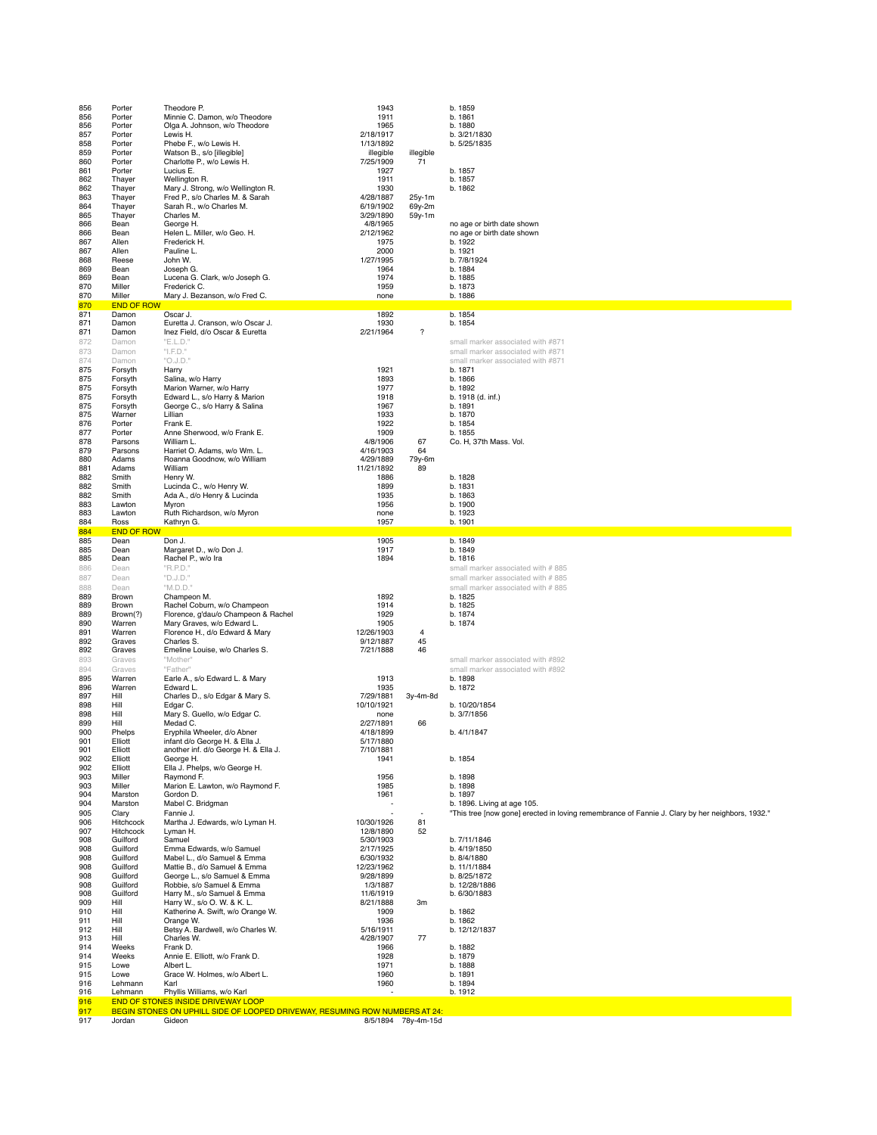| 856<br>856<br>856<br>857<br>858<br>859<br>860<br>861<br>862<br>862<br>863<br>864<br>865<br>866<br>866<br>867<br>867<br>868<br>869<br>869<br>870<br>870<br>870 | Porter<br>Porter<br>Porter<br>Porter<br>Porter<br>Porter<br>Porter<br>Porter<br>Thayer<br>Thayer<br>Thayer<br>Thayer<br>Thayer<br>Bean<br>Bean<br>Allen<br>Allen<br>Reese<br>Bean<br>Bean<br>Miller<br>Miller<br><b>END OF ROW</b> | Theodore P.<br>Minnie C. Damon, w/o Theodore<br>Olga A. Johnson, w/o Theodore<br>Lewis H.<br>Phebe F., w/o Lewis H.<br>Watson B., s/o [illegible]<br>Charlotte P., w/o Lewis H.<br>Lucius E.<br>Wellington R.<br>Mary J. Strong, w/o Wellington R.<br>Fred P., s/o Charles M. & Sarah<br>Sarah R., w/o Charles M.<br>Charles M.<br>George H.<br>Helen L. Miller, w/o Geo. H.<br>Frederick H.<br>Pauline L.<br>John W.<br>Joseph G.<br>Lucena G. Clark, w/o Joseph G.<br>Frederick C.<br>Mary J. Bezanson, w/o Fred C. | 1943<br>1911<br>1965<br>2/18/1917<br>1/13/1892<br>illegible<br>7/25/1909<br>1927<br>1911<br>1930<br>4/28/1887<br>6/19/1902<br>3/29/1890<br>4/8/1965<br>2/12/1962<br>1975<br>2000<br>1/27/1995<br>1964<br>1974<br>1959<br>none | illegible<br>71<br>25y-1m<br>69y-2m<br>59y-1m | b. 1859<br>b. 1861<br>b. 1880<br>b. 3/21/1830<br>b. 5/25/1835<br>b. 1857<br>b. 1857<br>b. 1862<br>no age or birth date shown<br>no age or birth date shown<br>b. 1922<br>b. 1921<br>b. 7/8/1924<br>b. 1884<br>b. 1885<br>b. 1873<br>b. 1886 |
|---------------------------------------------------------------------------------------------------------------------------------------------------------------|------------------------------------------------------------------------------------------------------------------------------------------------------------------------------------------------------------------------------------|-----------------------------------------------------------------------------------------------------------------------------------------------------------------------------------------------------------------------------------------------------------------------------------------------------------------------------------------------------------------------------------------------------------------------------------------------------------------------------------------------------------------------|-------------------------------------------------------------------------------------------------------------------------------------------------------------------------------------------------------------------------------|-----------------------------------------------|---------------------------------------------------------------------------------------------------------------------------------------------------------------------------------------------------------------------------------------------|
| 871<br>871                                                                                                                                                    | Damon<br>Damon                                                                                                                                                                                                                     | Oscar J.<br>Euretta J. Cranson, w/o Oscar J.                                                                                                                                                                                                                                                                                                                                                                                                                                                                          | 1892<br>1930                                                                                                                                                                                                                  |                                               | b. 1854<br>b. 1854                                                                                                                                                                                                                          |
| 871<br>872                                                                                                                                                    | Damon<br>Damon                                                                                                                                                                                                                     | Inez Field, d/o Oscar & Euretta<br>"E.L.D."                                                                                                                                                                                                                                                                                                                                                                                                                                                                           | 2/21/1964                                                                                                                                                                                                                     | $\boldsymbol{\mathcal{P}}$                    | small marker associated with #871                                                                                                                                                                                                           |
| 873                                                                                                                                                           | Damon                                                                                                                                                                                                                              | "I.F.D."                                                                                                                                                                                                                                                                                                                                                                                                                                                                                                              |                                                                                                                                                                                                                               |                                               | small marker associated with #871                                                                                                                                                                                                           |
| 874<br>875                                                                                                                                                    | Damon<br>Forsyth                                                                                                                                                                                                                   | "O.J.D."<br>Harry                                                                                                                                                                                                                                                                                                                                                                                                                                                                                                     | 1921                                                                                                                                                                                                                          |                                               | small marker associated with #871<br>b. 1871                                                                                                                                                                                                |
| 875<br>875                                                                                                                                                    | Forsyth<br>Forsyth                                                                                                                                                                                                                 | Salina, w/o Harry<br>Marion Warner, w/o Harry                                                                                                                                                                                                                                                                                                                                                                                                                                                                         | 1893<br>1977                                                                                                                                                                                                                  |                                               | b. 1866<br>b. 1892                                                                                                                                                                                                                          |
| 875                                                                                                                                                           | Forsyth                                                                                                                                                                                                                            | Edward L., s/o Harry & Marion                                                                                                                                                                                                                                                                                                                                                                                                                                                                                         | 1918                                                                                                                                                                                                                          |                                               | b. 1918 (d. inf.)                                                                                                                                                                                                                           |
| 875<br>875                                                                                                                                                    | Forsyth<br>Warner                                                                                                                                                                                                                  | George C., s/o Harry & Salina<br>Lillian                                                                                                                                                                                                                                                                                                                                                                                                                                                                              | 1967<br>1933                                                                                                                                                                                                                  |                                               | b. 1891<br>b. 1870                                                                                                                                                                                                                          |
| 876<br>877                                                                                                                                                    | Porter<br>Porter                                                                                                                                                                                                                   | Frank E.<br>Anne Sherwood, w/o Frank E.                                                                                                                                                                                                                                                                                                                                                                                                                                                                               | 1922<br>1909                                                                                                                                                                                                                  |                                               | b. 1854<br>b. 1855                                                                                                                                                                                                                          |
| 878                                                                                                                                                           | Parsons                                                                                                                                                                                                                            | William L.                                                                                                                                                                                                                                                                                                                                                                                                                                                                                                            | 4/8/1906                                                                                                                                                                                                                      | 67                                            | Co. H, 37th Mass. Vol.                                                                                                                                                                                                                      |
| 879<br>880                                                                                                                                                    | Parsons<br>Adams                                                                                                                                                                                                                   | Harriet O. Adams, w/o Wm. L.<br>Roanna Goodnow, w/o William                                                                                                                                                                                                                                                                                                                                                                                                                                                           | 4/16/1903<br>4/29/1889                                                                                                                                                                                                        | 64<br>79y-6m                                  |                                                                                                                                                                                                                                             |
| 881<br>882                                                                                                                                                    | Adams<br>Smith                                                                                                                                                                                                                     | William<br>Henry W.                                                                                                                                                                                                                                                                                                                                                                                                                                                                                                   | 11/21/1892<br>1886                                                                                                                                                                                                            | 89                                            | b. 1828                                                                                                                                                                                                                                     |
| 882                                                                                                                                                           | Smith                                                                                                                                                                                                                              | Lucinda C., w/o Henry W.                                                                                                                                                                                                                                                                                                                                                                                                                                                                                              | 1899                                                                                                                                                                                                                          |                                               | b. 1831                                                                                                                                                                                                                                     |
| 882<br>883                                                                                                                                                    | Smith<br>Lawton                                                                                                                                                                                                                    | Ada A., d/o Henry & Lucinda<br>Myron                                                                                                                                                                                                                                                                                                                                                                                                                                                                                  | 1935<br>1956                                                                                                                                                                                                                  |                                               | b. 1863<br>b. 1900                                                                                                                                                                                                                          |
| 883<br>884                                                                                                                                                    | Lawton<br>Ross                                                                                                                                                                                                                     | Ruth Richardson, w/o Myron<br>Kathryn G.                                                                                                                                                                                                                                                                                                                                                                                                                                                                              | none<br>1957                                                                                                                                                                                                                  |                                               | b. 1923<br>b. 1901                                                                                                                                                                                                                          |
| 884                                                                                                                                                           | <b>END OF ROW</b>                                                                                                                                                                                                                  |                                                                                                                                                                                                                                                                                                                                                                                                                                                                                                                       |                                                                                                                                                                                                                               |                                               |                                                                                                                                                                                                                                             |
| 885<br>885                                                                                                                                                    | Dean<br>Dean                                                                                                                                                                                                                       | Don J.<br>Margaret D., w/o Don J.                                                                                                                                                                                                                                                                                                                                                                                                                                                                                     | 1905<br>1917                                                                                                                                                                                                                  |                                               | b. 1849<br>b. 1849                                                                                                                                                                                                                          |
| 885                                                                                                                                                           | Dean                                                                                                                                                                                                                               | Rachel P., w/o Ira                                                                                                                                                                                                                                                                                                                                                                                                                                                                                                    | 1894                                                                                                                                                                                                                          |                                               | b. 1816                                                                                                                                                                                                                                     |
| 886<br>887                                                                                                                                                    | Dean<br>Dean                                                                                                                                                                                                                       | "R.P.D."<br>"D.J.D."                                                                                                                                                                                                                                                                                                                                                                                                                                                                                                  |                                                                                                                                                                                                                               |                                               | small marker associated with #885<br>small marker associated with #885                                                                                                                                                                      |
| 888<br>889                                                                                                                                                    | Dean<br>Brown                                                                                                                                                                                                                      | "M.D.D."<br>Champeon M.                                                                                                                                                                                                                                                                                                                                                                                                                                                                                               | 1892                                                                                                                                                                                                                          |                                               | small marker associated with #885<br>b. 1825                                                                                                                                                                                                |
| 889                                                                                                                                                           | Brown                                                                                                                                                                                                                              | Rachel Coburn, w/o Champeon                                                                                                                                                                                                                                                                                                                                                                                                                                                                                           | 1914                                                                                                                                                                                                                          |                                               | b. 1825                                                                                                                                                                                                                                     |
| 889<br>890                                                                                                                                                    | Brown(?)<br>Warren                                                                                                                                                                                                                 | Florence, g'dau/o Champeon & Rachel<br>Mary Graves, w/o Edward L.                                                                                                                                                                                                                                                                                                                                                                                                                                                     | 1929<br>1905                                                                                                                                                                                                                  |                                               | b. 1874<br>b. 1874                                                                                                                                                                                                                          |
| 891<br>892                                                                                                                                                    | Warren<br>Graves                                                                                                                                                                                                                   | Florence H., d/o Edward & Mary<br>Charles S.                                                                                                                                                                                                                                                                                                                                                                                                                                                                          | 12/26/1903<br>9/12/1887                                                                                                                                                                                                       | 4<br>45                                       |                                                                                                                                                                                                                                             |
| 892                                                                                                                                                           | Graves                                                                                                                                                                                                                             | Emeline Louise, w/o Charles S.                                                                                                                                                                                                                                                                                                                                                                                                                                                                                        | 7/21/1888                                                                                                                                                                                                                     | 46                                            |                                                                                                                                                                                                                                             |
| 893<br>894                                                                                                                                                    | Graves<br>Graves                                                                                                                                                                                                                   | "Mother"<br>"Father"                                                                                                                                                                                                                                                                                                                                                                                                                                                                                                  |                                                                                                                                                                                                                               |                                               | small marker associated with #892<br>small marker associated with #892                                                                                                                                                                      |
| 895                                                                                                                                                           | Warren                                                                                                                                                                                                                             | Earle A., s/o Edward L. & Mary                                                                                                                                                                                                                                                                                                                                                                                                                                                                                        | 1913                                                                                                                                                                                                                          |                                               | b. 1898                                                                                                                                                                                                                                     |
| 896<br>897                                                                                                                                                    | Warren<br>Hill                                                                                                                                                                                                                     | Edward L.<br>Charles D., s/o Edgar & Mary S.                                                                                                                                                                                                                                                                                                                                                                                                                                                                          | 1935<br>7/29/1881                                                                                                                                                                                                             | 3y-4m-8d                                      | b. 1872                                                                                                                                                                                                                                     |
| 898                                                                                                                                                           | Hill                                                                                                                                                                                                                               | Edgar C.                                                                                                                                                                                                                                                                                                                                                                                                                                                                                                              | 10/10/1921                                                                                                                                                                                                                    |                                               | b. 10/20/1854                                                                                                                                                                                                                               |
| 898<br>899                                                                                                                                                    | Hill<br>Hill                                                                                                                                                                                                                       | Mary S. Guello, w/o Edgar C.<br>Medad C.                                                                                                                                                                                                                                                                                                                                                                                                                                                                              | none<br>2/27/1891                                                                                                                                                                                                             | 66                                            | b. 3/7/1856                                                                                                                                                                                                                                 |
| 900<br>901                                                                                                                                                    | Phelps<br>Elliott                                                                                                                                                                                                                  | Eryphila Wheeler, d/o Abner<br>infant d/o George H. & Ella J.                                                                                                                                                                                                                                                                                                                                                                                                                                                         | 4/18/1899<br>5/17/1880                                                                                                                                                                                                        |                                               | b. 4/1/1847                                                                                                                                                                                                                                 |
| 901                                                                                                                                                           | Elliott                                                                                                                                                                                                                            | another inf. d/o George H. & Ella J.                                                                                                                                                                                                                                                                                                                                                                                                                                                                                  | 7/10/1881                                                                                                                                                                                                                     |                                               |                                                                                                                                                                                                                                             |
| 902<br>902                                                                                                                                                    | Elliott<br>Elliott                                                                                                                                                                                                                 | George H.<br>Ella J. Phelps, w/o George H.                                                                                                                                                                                                                                                                                                                                                                                                                                                                            | 1941                                                                                                                                                                                                                          |                                               | b. 1854                                                                                                                                                                                                                                     |
| 903<br>903                                                                                                                                                    | Miller<br>Miller                                                                                                                                                                                                                   | Raymond F.<br>Marion E. Lawton, w/o Raymond F.                                                                                                                                                                                                                                                                                                                                                                                                                                                                        | 1956<br>1985                                                                                                                                                                                                                  |                                               | b. 1898<br>b. 1898                                                                                                                                                                                                                          |
| 904                                                                                                                                                           | Marston                                                                                                                                                                                                                            | Gordon D.                                                                                                                                                                                                                                                                                                                                                                                                                                                                                                             | 1961                                                                                                                                                                                                                          |                                               | b. 1897                                                                                                                                                                                                                                     |
| 904<br>905                                                                                                                                                    | Marston<br>Clary                                                                                                                                                                                                                   | Mabel C. Bridgman<br>Fannie J.                                                                                                                                                                                                                                                                                                                                                                                                                                                                                        | ٠.                                                                                                                                                                                                                            |                                               | b. 1896. Living at age 105.<br>"This tree [now gone] erected in loving remembrance of Fannie J. Clary by her neighbors, 1932."                                                                                                              |
| 906<br>907                                                                                                                                                    | Hitchcock<br>Hitchcock                                                                                                                                                                                                             | Martha J. Edwards, w/o Lyman H.<br>Lyman H.                                                                                                                                                                                                                                                                                                                                                                                                                                                                           | 10/30/1926<br>12/8/1890                                                                                                                                                                                                       | 81<br>52                                      |                                                                                                                                                                                                                                             |
| 908                                                                                                                                                           | Guilford                                                                                                                                                                                                                           | Samuel                                                                                                                                                                                                                                                                                                                                                                                                                                                                                                                | 5/30/1903                                                                                                                                                                                                                     |                                               | b. 7/11/1846                                                                                                                                                                                                                                |
| 908<br>908                                                                                                                                                    | Guilford<br>Guilford                                                                                                                                                                                                               | Emma Edwards, w/o Samuel<br>Mabel L., d/o Samuel & Emma                                                                                                                                                                                                                                                                                                                                                                                                                                                               | 2/17/1925<br>6/30/1932                                                                                                                                                                                                        |                                               | b. 4/19/1850<br>b. 8/4/1880                                                                                                                                                                                                                 |
| 908                                                                                                                                                           | Guilford                                                                                                                                                                                                                           | Mattie B., d/o Samuel & Emma                                                                                                                                                                                                                                                                                                                                                                                                                                                                                          | 12/23/1962                                                                                                                                                                                                                    |                                               | b. 11/1/1884                                                                                                                                                                                                                                |
| 908<br>908                                                                                                                                                    | Guilford<br>Guilford                                                                                                                                                                                                               | George L., s/o Samuel & Emma<br>Robbie, s/o Samuel & Emma                                                                                                                                                                                                                                                                                                                                                                                                                                                             | 9/28/1899<br>1/3/1887                                                                                                                                                                                                         |                                               | b. 8/25/1872<br>b. 12/28/1886                                                                                                                                                                                                               |
| 908<br>909                                                                                                                                                    | Guilford<br>Hill                                                                                                                                                                                                                   | Harry M., s/o Samuel & Emma<br>Harry W., s/o O. W. & K. L.                                                                                                                                                                                                                                                                                                                                                                                                                                                            | 11/6/1919<br>8/21/1888                                                                                                                                                                                                        | 3m                                            | b. 6/30/1883                                                                                                                                                                                                                                |
| 910                                                                                                                                                           | Hill                                                                                                                                                                                                                               | Katherine A. Swift, w/o Orange W.                                                                                                                                                                                                                                                                                                                                                                                                                                                                                     | 1909                                                                                                                                                                                                                          |                                               | b. 1862                                                                                                                                                                                                                                     |
| 911<br>912                                                                                                                                                    | Hill<br>Hill                                                                                                                                                                                                                       | Orange W.<br>Betsy A. Bardwell, w/o Charles W.                                                                                                                                                                                                                                                                                                                                                                                                                                                                        | 1936<br>5/16/1911                                                                                                                                                                                                             |                                               | b. 1862<br>b. 12/12/1837                                                                                                                                                                                                                    |
| 913                                                                                                                                                           | Hill                                                                                                                                                                                                                               | Charles W.                                                                                                                                                                                                                                                                                                                                                                                                                                                                                                            | 4/28/1907                                                                                                                                                                                                                     | 77                                            |                                                                                                                                                                                                                                             |
| 914<br>914                                                                                                                                                    | Weeks<br>Weeks                                                                                                                                                                                                                     | Frank D.<br>Annie E. Elliott, w/o Frank D.                                                                                                                                                                                                                                                                                                                                                                                                                                                                            | 1966<br>1928                                                                                                                                                                                                                  |                                               | b. 1882<br>b. 1879                                                                                                                                                                                                                          |
| 915<br>915                                                                                                                                                    | Lowe<br>Lowe                                                                                                                                                                                                                       | Albert L.<br>Grace W. Holmes, w/o Albert L.                                                                                                                                                                                                                                                                                                                                                                                                                                                                           | 1971<br>1960                                                                                                                                                                                                                  |                                               | b. 1888<br>b. 1891                                                                                                                                                                                                                          |
| 916                                                                                                                                                           | Lehmann                                                                                                                                                                                                                            | Karl                                                                                                                                                                                                                                                                                                                                                                                                                                                                                                                  | 1960                                                                                                                                                                                                                          |                                               | b. 1894                                                                                                                                                                                                                                     |
| 916<br>916                                                                                                                                                    | Lehmann                                                                                                                                                                                                                            | Phyllis Williams, w/o Karl<br><b>END OF STONES INSIDE DRIVEWAY LOOP</b>                                                                                                                                                                                                                                                                                                                                                                                                                                               |                                                                                                                                                                                                                               |                                               | b. 1912                                                                                                                                                                                                                                     |
| 917<br>917                                                                                                                                                    | Jordan                                                                                                                                                                                                                             | BEGIN STONES ON UPHILL SIDE OF LOOPED DRIVEWAY, RESUMING ROW NUMBERS AT 24:<br>Gideon                                                                                                                                                                                                                                                                                                                                                                                                                                 |                                                                                                                                                                                                                               | 8/5/1894 78y-4m-15d                           |                                                                                                                                                                                                                                             |
|                                                                                                                                                               |                                                                                                                                                                                                                                    |                                                                                                                                                                                                                                                                                                                                                                                                                                                                                                                       |                                                                                                                                                                                                                               |                                               |                                                                                                                                                                                                                                             |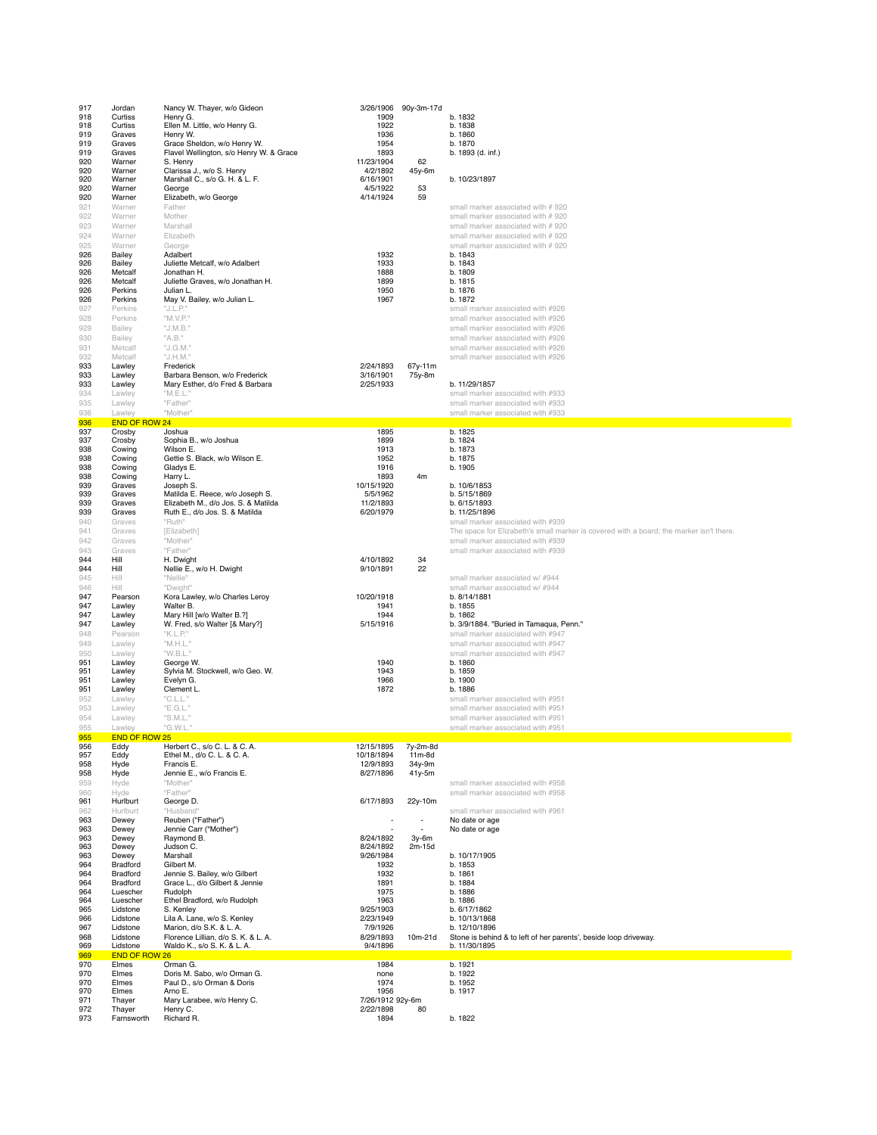| 917<br>918<br>918<br>919<br>919<br>919<br>920<br>920<br>920<br>920<br>920<br>921<br>922<br>923<br>924<br>925<br>926<br>926<br>926 | Jordan<br>Curtiss<br>Curtiss<br>Graves<br>Graves<br>Graves<br>Warner<br>Warner<br>Warner<br>Warner<br>Warner<br>Warner<br>Warner<br>Warner<br>Warner<br>Warner<br>Bailey<br>Bailey<br>Metcalf | Nancy W. Thayer, w/o Gideon<br>Henry G.<br>Ellen M. Little, w/o Henry G.<br>Henry W.<br>Grace Sheldon, w/o Henry W.<br>Flavel Wellington, s/o Henry W. & Grace<br>S. Henry<br>Clarissa J., w/o S. Henry<br>Marshall C., s/o G. H. & L. F.<br>George<br>Elizabeth, w/o George<br>Father<br>Mother<br>Marshall<br>Elizabeth<br>George<br>Adalbert<br>Juliette Metcalf, w/o Adalbert<br>Jonathan H. | 3/26/1906<br>1909<br>1922<br>1936<br>1954<br>1893<br>11/23/1904<br>4/2/1892<br>6/16/1901<br>4/5/1922<br>4/14/1924<br>1932<br>1933<br>1888 | 90y-3m-17d<br>62<br>45y-6m<br>53<br>59 | b. 1832<br>b. 1838<br>b. 1860<br>b. 1870<br>b. 1893 (d. inf.)<br>b. 10/23/1897<br>small marker associated with # 920<br>small marker associated with #920<br>small marker associated with #920<br>small marker associated with #920<br>small marker associated with # 920<br>b. 1843<br>b. 1843<br>b. 1809 |
|-----------------------------------------------------------------------------------------------------------------------------------|-----------------------------------------------------------------------------------------------------------------------------------------------------------------------------------------------|--------------------------------------------------------------------------------------------------------------------------------------------------------------------------------------------------------------------------------------------------------------------------------------------------------------------------------------------------------------------------------------------------|-------------------------------------------------------------------------------------------------------------------------------------------|----------------------------------------|------------------------------------------------------------------------------------------------------------------------------------------------------------------------------------------------------------------------------------------------------------------------------------------------------------|
| 926<br>926<br>926<br>927<br>928<br>929<br>930<br>931                                                                              | Metcalf<br>Perkins<br>Perkins<br>Perkins<br>Perkins<br>Bailey<br>Bailey<br>Metcalf                                                                                                            | Juliette Graves, w/o Jonathan H.<br>Julian L.<br>May V. Bailey, w/o Julian L.<br>"J.L.P."<br>"M.V.P."<br>"J.M.B."<br>"A.B."<br>"J.G.M."                                                                                                                                                                                                                                                          | 1899<br>1950<br>1967                                                                                                                      |                                        | b. 1815<br>b. 1876<br>b. 1872<br>small marker associated with #926<br>small marker associated with #926<br>small marker associated with #926<br>small marker associated with #926<br>small marker associated with #926                                                                                     |
| 932<br>933<br>933<br>933<br>934<br>935<br>936<br>936                                                                              | Metcalf<br>Lawley<br>Lawley<br>Lawley<br>Lawley<br>Lawley<br>Lawley<br><b>END OF ROW 24</b>                                                                                                   | "J.H.M."<br>Frederick<br>Barbara Benson, w/o Frederick<br>Mary Esther, d/o Fred & Barbara<br>"M.E.L."<br>"Father"<br>"Mother"                                                                                                                                                                                                                                                                    | 2/24/1893<br>3/16/1901<br>2/25/1933                                                                                                       | 67y-11m<br>75y-8m                      | small marker associated with #926<br>b. 11/29/1857<br>small marker associated with #933<br>small marker associated with #933<br>small marker associated with #933                                                                                                                                          |
| 937<br>937<br>938<br>938<br>938<br>938<br>939<br>939<br>939<br>939<br>940<br>941<br>942                                           | Crosby<br>Crosby<br>Cowing<br>Cowing<br>Cowing<br>Cowing<br>Graves<br>Graves<br>Graves<br>Graves<br>Graves<br>Graves<br>Graves                                                                | Joshua<br>Sophia B., w/o Joshua<br>Wilson E.<br>Gettie S. Black, w/o Wilson E.<br>Gladys E.<br>Harry L.<br>Joseph S.<br>Matilda E. Reece, w/o Joseph S.<br>Elizabeth M., d/o Jos. S. & Matilda<br>Ruth E., d/o Jos. S. & Matilda<br>"Ruth"<br>[Elizabeth]<br>"Mother"                                                                                                                            | 1895<br>1899<br>1913<br>1952<br>1916<br>1893<br>10/15/1920<br>5/5/1962<br>11/2/1893<br>6/20/1979                                          | 4m                                     | b. 1825<br>b. 1824<br>b. 1873<br>b. 1875<br>b. 1905<br>b. 10/6/1853<br>b. 5/15/1869<br>b. 6/15/1893<br>b. 11/25/1896<br>small marker associated with #939<br>The space for Elizabeth's small marker is covered with a board; the marker isn't there.<br>small marker associated with #939                  |
| 943<br>944<br>944<br>945<br>946<br>947<br>947<br>947<br>947<br>948                                                                | Graves<br>Hill<br>Hill<br>Hill<br>Hill<br>Pearson<br>Lawley<br>Lawley<br>Lawley<br>Pearson                                                                                                    | "Father"<br>H. Dwight<br>Nellie E., w/o H. Dwight<br>"Nellie"<br>"Dwight"<br>Kora Lawley, w/o Charles Leroy<br>Walter B.<br>Mary Hill [w/o Walter B.?]<br>W. Fred, s/o Walter [& Mary?]<br>"K.L.P."                                                                                                                                                                                              | 4/10/1892<br>9/10/1891<br>10/20/1918<br>1941<br>1944<br>5/15/1916                                                                         | 34<br>22                               | small marker associated with #939<br>small marker associated w/ #944<br>small marker associated w/ #944<br>b. 8/14/1881<br>b. 1855<br>b. 1862<br>b. 3/9/1884. "Buried in Tamaqua, Penn."<br>small marker associated with #947                                                                              |
| 949<br>950<br>951<br>951<br>951<br>951<br>952<br>953<br>954<br>955                                                                | Lawley<br>Lawley<br>Lawley<br>Lawley<br>Lawley<br>Lawley<br>Lawley<br>Lawley<br>Lawley<br>Lawley                                                                                              | "M.H.L."<br>"W.B.L."<br>George W.<br>Sylvia M. Stockwell, w/o Geo. W.<br>Evelyn G.<br>Clement L.<br>"C.L.L."<br>"E.G.L."<br>"S.M.L."<br>"G.W.L."                                                                                                                                                                                                                                                 | 1940<br>1943<br>1966<br>1872                                                                                                              |                                        | small marker associated with #947<br>small marker associated with #947<br>b. 1860<br>b. 1859<br>b. 1900<br>b. 1886<br>small marker associated with #951<br>small marker associated with #951<br>small marker associated with #951<br>small marker associated with #951                                     |
| 955<br>956<br>957<br>958<br>958<br>959<br>960                                                                                     | END OF ROW 25<br>Eddy<br>Eddy<br>Hyde<br>Hyde<br>Hyde<br>Hyde                                                                                                                                 | Herbert C., s/o C. L. & C. A.<br>Ethel M., d/o C. L. & C. A.<br>Francis E.<br>Jennie E., w/o Francis E.<br>"Mother"<br>"Father"                                                                                                                                                                                                                                                                  | 12/15/1895<br>10/18/1894<br>12/9/1893<br>8/27/1896                                                                                        | 7y-2m-8d<br>11m-8d<br>34y-9m<br>41y-5m | small marker associated with #958<br>small marker associated with #958                                                                                                                                                                                                                                     |
| 961<br>962<br>963<br>963<br>963<br>963<br>963<br>964<br>964<br>964<br>964<br>964<br>965                                           | Hurlburt<br>Hurlburt<br>Dewey<br>Dewey<br>Dewey<br>Dewey<br>Dewey<br>Bradford<br>Bradford<br>Bradford<br>Luescher<br>Luescher<br>Lidstone                                                     | George D.<br>"Husband"<br>Reuben ("Father")<br>Jennie Carr ("Mother")<br>Raymond B.<br>Judson C.<br>Marshall<br>Gilbert M.<br>Jennie S. Bailey, w/o Gilbert<br>Grace L., d/o Gilbert & Jennie<br>Rudolph<br>Ethel Bradford, w/o Rudolph<br>S. Kenley                                                                                                                                             | 6/17/1893<br>$\overline{\phantom{a}}$<br>8/24/1892<br>8/24/1892<br>9/26/1984<br>1932<br>1932<br>1891<br>1975<br>1963<br>9/25/1903         | 22y-10m<br>٠<br>$3y-6m$<br>2m-15d      | small marker associated with #961<br>No date or age<br>No date or age<br>b. 10/17/1905<br>b. 1853<br>b. 1861<br>b. 1884<br>b. 1886<br>b. 1886<br>b. 6/17/1862                                                                                                                                              |
| 966<br>967<br>968<br>969<br>969<br>970<br>970                                                                                     | Lidstone<br>Lidstone<br>Lidstone<br>Lidstone<br><b>END OF ROW 26</b><br>Elmes<br>Elmes                                                                                                        | Lila A. Lane, w/o S. Kenley<br>Marion, d/o S.K. & L. A.<br>Florence Lillian, d/o S. K. & L. A.<br>Waldo K., s/o S. K. & L. A.<br>Orman G.<br>Doris M. Sabo, w/o Orman G.                                                                                                                                                                                                                         | 2/23/1949<br>7/9/1926<br>8/29/1893<br>9/4/1896<br>1984<br>none                                                                            | 10m-21d                                | b. 10/13/1868<br>b. 12/10/1896<br>Stone is behind & to left of her parents', beside loop driveway.<br>b. 11/30/1895<br>b. 1921<br>b. 1922                                                                                                                                                                  |
| 970<br>970<br>971<br>972<br>973                                                                                                   | Elmes<br>Elmes<br>Thayer<br>Thayer<br>Farnsworth                                                                                                                                              | Paul D., s/o Orman & Doris<br>Arno E.<br>Mary Larabee, w/o Henry C.<br>Henry C.<br>Richard R.                                                                                                                                                                                                                                                                                                    | 1974<br>1956<br>7/26/1912 92y-6m<br>2/22/1898<br>1894                                                                                     | 80                                     | b. 1952<br>b. 1917<br>b. 1822                                                                                                                                                                                                                                                                              |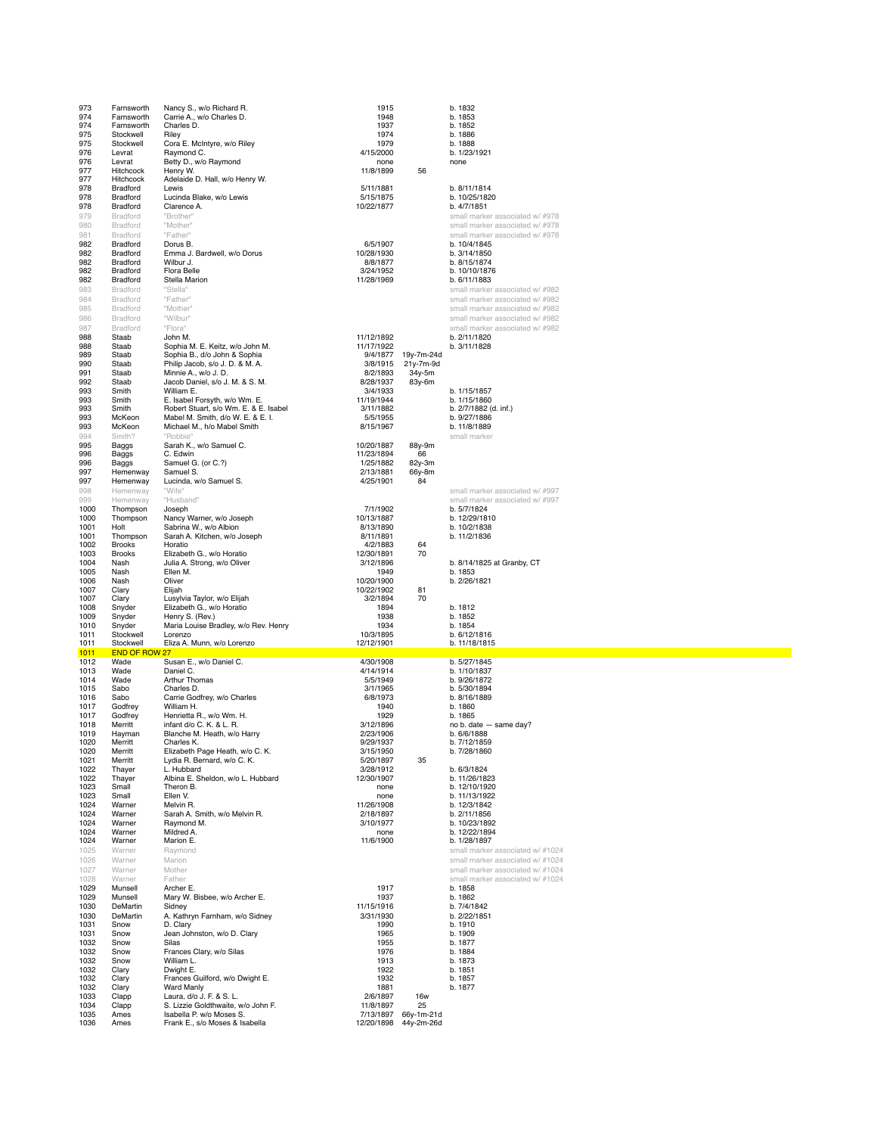| 973<br>974<br>974<br>975<br>975<br>976<br>976<br>977<br>977<br>978                   | Farnsworth<br>Farnsworth<br>Farnsworth<br>Stockwell<br>Stockwell<br>Levrat<br>Levrat<br>Hitchcock<br>Hitchcock<br>Bradford  | Nancy S., w/o Richard R.<br>Carrie A., w/o Charles D.<br>Charles D.<br>Riley<br>Cora E. McIntyre, w/o Riley<br>Raymond C.<br>Betty D., w/o Raymond<br>Henry W.<br>Adelaide D. Hall, w/o Henry W.<br>Lewis                                                                              | 1915<br>1948<br>1937<br>1974<br>1979<br>4/15/2000<br>none<br>11/8/1899<br>5/11/1881                                            | 56                                           | b. 1832<br>b. 1853<br>b. 1852<br>b. 1886<br>b. 1888<br>b. 1/23/1921<br>none<br>b. 8/11/1814                                                                                                                            |
|--------------------------------------------------------------------------------------|-----------------------------------------------------------------------------------------------------------------------------|----------------------------------------------------------------------------------------------------------------------------------------------------------------------------------------------------------------------------------------------------------------------------------------|--------------------------------------------------------------------------------------------------------------------------------|----------------------------------------------|------------------------------------------------------------------------------------------------------------------------------------------------------------------------------------------------------------------------|
| 978<br>978<br>979<br>980<br>981<br>982<br>982<br>982<br>982<br>982                   | Bradford<br>Bradford<br>Bradford<br>Bradford<br>Bradford<br>Bradford<br>Bradford<br><b>Bradford</b><br>Bradford<br>Bradford | Lucinda Blake, w/o Lewis<br>Clarence A.<br>"Brother"<br>"Mother"<br>"Father"<br>Dorus B.<br>Emma J. Bardwell, w/o Dorus<br>Wilbur J.<br><b>Flora Belle</b><br>Stella Marion                                                                                                            | 5/15/1875<br>10/22/1877<br>6/5/1907<br>10/28/1930<br>8/8/1877<br>3/24/1952<br>11/28/1969                                       |                                              | b. 10/25/1820<br>b. 4/7/1851<br>small marker associated w/ #978<br>small marker associated w/ #978<br>small marker associated w/ #978<br>b. 10/4/1845<br>b. 3/14/1850<br>b. 8/15/1874<br>b. 10/10/1876<br>b. 6/11/1883 |
| 983<br>984<br>985<br>986<br>987<br>988<br>988                                        | Bradford<br>Bradford<br><b>Bradford</b><br>Bradford<br>Bradford<br>Staab<br>Staab                                           | "Stella"<br>"Father"<br>"Mother"<br>"Wilbur"<br>"Flora"<br>John M.<br>Sophia M. E. Keitz, w/o John M.                                                                                                                                                                                  | 11/12/1892<br>11/17/1922                                                                                                       |                                              | small marker associated w/#982<br>small marker associated w/ #982<br>small marker associated w/ #982<br>small marker associated w/ #982<br>small marker associated w/ #982<br>b. 2/11/1820<br>b. 3/11/1828             |
| 989<br>990<br>991<br>992<br>993<br>993<br>993<br>993<br>993                          | Staab<br>Staab<br>Staab<br>Staab<br>Smith<br>Smith<br>Smith<br>McKeon<br>McKeon                                             | Sophia B., d/o John & Sophia<br>Philip Jacob, s/o J. D. & M. A.<br>Minnie A., w/o J. D.<br>Jacob Daniel, s/o J. M. & S. M.<br>William E.<br>E. Isabel Forsyth, w/o Wm. E.<br>Robert Stuart, s/o Wm. E. & E. Isabel<br>Mabel M. Smith, d/o W. E. & E. I.<br>Michael M., h/o Mabel Smith | 9/4/1877<br>3/8/1915<br>8/2/1893<br>8/28/1937<br>3/4/1933<br>11/19/1944<br>3/11/1882<br>5/5/1955<br>8/15/1967                  | 19y-7m-24d<br>21y-7m-9d<br>34y-5m<br>83y-6m  | b. 1/15/1857<br>b. 1/15/1860<br>b. 2/7/1882 (d. inf.)<br>b. 9/27/1886<br>b. 11/8/1889                                                                                                                                  |
| 994<br>995<br>996<br>996<br>997<br>997<br>998                                        | Smith?<br>Baggs<br>Baggs<br><b>Baggs</b><br>Hemenway<br>Hemenway<br>Hemenway                                                | "Robbie"<br>Sarah K., w/o Samuel C.<br>C. Edwin<br>Samuel G. (or C.?)<br>Samuel S.<br>Lucinda, w/o Samuel S.<br>"Wife"                                                                                                                                                                 | 10/20/1887<br>11/23/1894<br>1/25/1882<br>2/13/1881<br>4/25/1901                                                                | 88y-9m<br>66<br>82y-3m<br>66y-8m<br>84       | small marker<br>small marker associated w/ #997                                                                                                                                                                        |
| 999<br>1000<br>1000<br>1001<br>1001<br>1002<br>1003<br>1004<br>1005                  | Hemenway<br>Thompson<br>Thompson<br>Holt<br>Thompson<br>Brooks<br><b>Brooks</b><br>Nash<br>Nash                             | "Husband"<br>Joseph<br>Nancy Warner, w/o Joseph<br>Sabrina W., w/o Albion<br>Sarah A. Kitchen, w/o Joseph<br>Horatio<br>Elizabeth G., w/o Horatio<br>Julia A. Strong, w/o Oliver<br>Ellen M.                                                                                           | 7/1/1902<br>10/13/1887<br>8/13/1890<br>8/11/1891<br>4/2/1883<br>12/30/1891<br>3/12/1896<br>1949                                | 64<br>70                                     | small marker associated w/ #997<br>b. 5/7/1824<br>b. 12/29/1810<br>b. 10/2/1838<br>b. 11/2/1836<br>b. 8/14/1825 at Granby, CT<br>b. 1853                                                                               |
| 1006<br>1007<br>1007<br>1008<br>1009<br>1010<br>1011<br>1011<br>1011                 | Nash<br>Clary<br>Clary<br>Snyder<br>Snyder<br>Snyder<br>Stockwell<br>Stockwell<br>END OF ROW 27                             | Oliver<br>Elijah<br>Lusylvia Taylor, w/o Elijah<br>Elizabeth G., w/o Horatio<br>Henry S. (Rev.)<br>Maria Louise Bradley, w/o Rev. Henry<br>Lorenzo<br>Eliza A. Munn, w/o Lorenzo                                                                                                       | 10/20/1900<br>10/22/1902<br>3/2/1894<br>1894<br>1938<br>1934<br>10/3/1895<br>12/12/1901                                        | 81<br>70                                     | b. 2/26/1821<br>b. 1812<br>b. 1852<br>b. 1854<br>b. 6/12/1816<br>b. 11/18/1815                                                                                                                                         |
| 1012<br>1013<br>1014<br>1015<br>1016<br>1017<br>1017<br>1018<br>1019<br>1020<br>1020 | Wade<br>Wade<br>Wade<br>Sabo<br>Sabo<br>Godfrey<br>Godfrey<br>Merritt<br>Hayman<br>Merritt<br>Merritt                       | Susan E., w/o Daniel C.<br>Daniel C.<br>Arthur Thomas<br>Charles D.<br>Carrie Godfrey, w/o Charles<br>William H.<br>Henrietta R., w/o Wm. H.<br>infant d/o C. K. & L. R.<br>Blanche M. Heath, w/o Harry<br>Charles K.<br>Elizabeth Page Heath, w/o C. K.                               | 4/30/1908<br>4/14/1914<br>5/5/1949<br>3/1/1965<br>6/8/1973<br>1940<br>1929<br>3/12/1896<br>2/23/1906<br>9/29/1937<br>3/15/1950 |                                              | b. 5/27/1845<br>b. 1/10/1837<br>b. 9/26/1872<br>b. 5/30/1894<br>b. 8/16/1889<br>b. 1860<br>b. 1865<br>no b. date - same day?<br>b. 6/6/1888<br>p. //12/1859<br>b. 7/28/1860                                            |
| 1021<br>1022<br>1022<br>1023<br>1023<br>1024<br>1024<br>1024<br>1024<br>1024<br>1025 | Merritt<br>Thayer<br>Thayer<br>Small<br>Small<br>Warner<br>Warner<br>Warner<br>Warner<br>Warner<br>Warner                   | Lydia R. Bernard, w/o C. K.<br>L. Hubbard<br>Albina E. Sheldon, w/o L. Hubbard<br>Theron B.<br>Ellen V.<br>Melvin R.<br>Sarah A. Smith, w/o Melvin R.<br>Raymond M.<br>Mildred A.<br>Marion E.<br>Raymond                                                                              | 5/20/1897<br>3/28/1912<br>12/30/1907<br>none<br>none<br>11/26/1908<br>2/18/1897<br>3/10/1977<br>none<br>11/6/1900              | 35                                           | b. 6/3/1824<br>b. 11/26/1823<br>b. 12/10/1920<br>b. 11/13/1922<br>b. 12/3/1842<br>b. 2/11/1856<br>b. 10/23/1892<br>b. 12/22/1894<br>b. 1/28/1897<br>small marker associated w/ #1024                                   |
| 1026<br>1027<br>1028<br>1029<br>1029<br>1030<br>1030<br>1031<br>1031<br>1032<br>1032 | Warner<br>Warner<br>Warner<br>Munsell<br>Munsell<br>DeMartin<br>DeMartin<br>Snow<br>Snow<br>Snow<br>Snow                    | Marion<br>Mother<br>Father<br>Archer E.<br>Mary W. Bisbee, w/o Archer E.<br>Sidney<br>A. Kathryn Farnham, w/o Sidney<br>D. Clary<br>Jean Johnston, w/o D. Clary<br>Silas<br>Frances Clary, w/o Silas                                                                                   | 1917<br>1937<br>11/15/1916<br>3/31/1930<br>1990<br>1965<br>1955<br>1976                                                        |                                              | small marker associated w/ #1024<br>small marker associated w/ #1024<br>small marker associated w/ #1024<br>b. 1858<br>b. 1862<br>b. 7/4/1842<br>b. 2/22/1851<br>b. 1910<br>b. 1909<br>b. 1877<br>b. 1884              |
| 1032<br>1032<br>1032<br>1032<br>1033<br>1034<br>1035<br>1036                         | Snow<br>Clary<br>Clary<br>Clary<br>Clapp<br>Clapp<br>Ames<br>Ames                                                           | William L.<br>Dwight E.<br>Frances Guilford, w/o Dwight E.<br>Ward Manly<br>Laura, d/o J. F. & S. L.<br>S. Lizzie Goldthwaite, w/o John F.<br>Isabella P. w/o Moses S.<br>Frank E., s/o Moses & Isabella                                                                               | 1913<br>1922<br>1932<br>1881<br>2/6/1897<br>11/8/1897<br>7/13/1897<br>12/20/1898                                               | <b>16w</b><br>25<br>66y-1m-21d<br>44y-2m-26d | b. 1873<br>b. 1851<br>b. 1857<br>b. 1877                                                                                                                                                                               |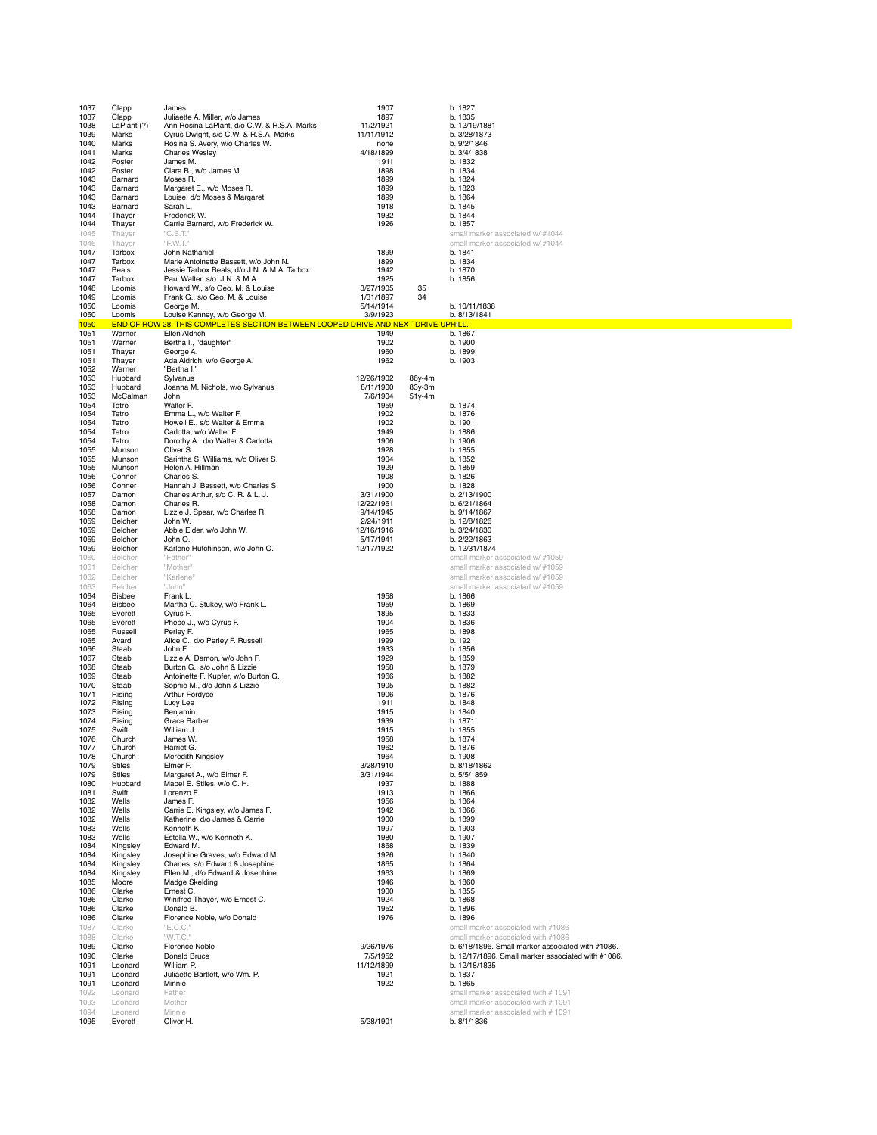| 1037         | Clapp                       | James                                                                                   | 1907                    |                  | b. 1827                                                             |
|--------------|-----------------------------|-----------------------------------------------------------------------------------------|-------------------------|------------------|---------------------------------------------------------------------|
| 1037<br>1038 | Clapp<br>LaPlant (?)        | Juliaette A. Miller, w/o James<br>Ann Rosina LaPlant, d/o C.W. & R.S.A. Marks           | 1897<br>11/2/1921       |                  | b. 1835<br>b. 12/19/1881                                            |
| 1039         | Marks                       | Cyrus Dwight, s/o C.W. & R.S.A. Marks                                                   | 11/11/1912              |                  | b. 3/28/1873                                                        |
| 1040         | Marks                       | Rosina S. Avery, w/o Charles W.                                                         | none                    |                  | b. 9/2/1846                                                         |
| 1041<br>1042 | Marks<br>Foster             | <b>Charles Wesley</b><br>James M.                                                       | 4/18/1899<br>1911       |                  | b. 3/4/1838<br>b. 1832                                              |
| 1042         | Foster                      | Clara B., w/o James M.                                                                  | 1898                    |                  | b. 1834                                                             |
| 1043         | Barnard                     | Moses R.                                                                                | 1899                    |                  | b. 1824                                                             |
| 1043<br>1043 | Barnard<br>Barnard          | Margaret E., w/o Moses R.<br>Louise, d/o Moses & Margaret                               | 1899<br>1899            |                  | b. 1823<br>b. 1864                                                  |
| 1043         | Barnard                     | Sarah L.                                                                                | 1918                    |                  | b. 1845                                                             |
| 1044<br>1044 | Thayer<br>Thayer            | Frederick W.<br>Carrie Barnard, w/o Frederick W.                                        | 1932<br>1926            |                  | b. 1844<br>b. 1857                                                  |
| 1045         | Thayer                      | "C.B.T."                                                                                |                         |                  | small marker associated w/ #1044                                    |
| 1046         | Thayer                      | "F.W.T."                                                                                |                         |                  | small marker associated w/ #1044                                    |
| 1047<br>1047 | Tarbox<br>Tarbox            | John Nathaniel<br>Marie Antoinette Bassett, w/o John N.                                 | 1899<br>1899            |                  | b. 1841<br>b. 1834                                                  |
| 1047         | Beals                       | Jessie Tarbox Beals, d/o J.N. & M.A. Tarbox                                             | 1942                    |                  | b. 1870                                                             |
| 1047         | Tarbox                      | Paul Walter, s/o J.N. & M.A.                                                            | 1925                    |                  | b. 1856                                                             |
| 1048<br>1049 | Loomis<br>Loomis            | Howard W., s/o Geo. M. & Louise<br>Frank G., s/o Geo. M. & Louise                       | 3/27/1905<br>1/31/1897  | 35<br>34         |                                                                     |
| 1050         | Loomis                      | George M.                                                                               | 5/14/1914               |                  | b. 10/11/1838                                                       |
| 1050         | Loomis                      | Louise Kenney, w/o George M.                                                            | 3/9/1923                |                  | b. 8/13/1841                                                        |
| 1050<br>1051 | <b>END OF ROW</b><br>Warner | 28. THIS COMPLETES SECTION BETWEEN LOOPED DRIVE AND NEXT DRIVE UPHILL.<br>Ellen Aldrich | 1949                    |                  | b. 1867                                                             |
| 1051         | Warner                      | Bertha I., "daughter"                                                                   | 1902                    |                  | b. 1900                                                             |
| 1051<br>1051 | Thayer<br>Thayer            | George A.<br>Ada Aldrich, w/o George A.                                                 | 1960<br>1962            |                  | b. 1899<br>b. 1903                                                  |
| 1052         | Warner                      | "Bertha I."                                                                             |                         |                  |                                                                     |
| 1053         | Hubbard                     | Sylvanus                                                                                | 12/26/1902              | 86y-4m           |                                                                     |
| 1053<br>1053 | Hubbard<br>McCalman         | Joanna M. Nichols, w/o Sylvanus<br>John                                                 | 8/11/1900<br>7/6/1904   | 83y-3m<br>51y-4m |                                                                     |
| 1054         | Tetro                       | Walter F.                                                                               | 1959                    |                  | b. 1874                                                             |
| 1054         | Tetro<br>Tetro              | Emma L., w/o Walter F.<br>Howell E., s/o Walter & Emma                                  | 1902<br>1902            |                  | b. 1876                                                             |
| 1054<br>1054 | Tetro                       | Carlotta, w/o Walter F.                                                                 | 1949                    |                  | b. 1901<br>b. 1886                                                  |
| 1054         | Tetro                       | Dorothy A., d/o Walter & Carlotta                                                       | 1906                    |                  | b. 1906                                                             |
| 1055<br>1055 | Munson<br>Munson            | Oliver S.<br>Sarintha S. Williams, w/o Oliver S.                                        | 1928<br>1904            |                  | b. 1855<br>b. 1852                                                  |
| 1055         | Munson                      | Helen A. Hillman                                                                        | 1929                    |                  | b. 1859                                                             |
| 1056         | Conner                      | Charles S.                                                                              | 1908                    |                  | b. 1826                                                             |
| 1056<br>1057 | Conner<br>Damon             | Hannah J. Bassett. w/o Charles S.<br>Charles Arthur, s/o C. R. & L. J.                  | 1900<br>3/31/1900       |                  | b. 1828<br>b. 2/13/1900                                             |
| 1058         | Damon                       | Charles R.                                                                              | 12/22/1961              |                  | b. 6/21/1864                                                        |
| 1058         | Damon                       | Lizzie J. Spear, w/o Charles R.                                                         | 9/14/1945               |                  | b. 9/14/1867                                                        |
| 1059<br>1059 | Belcher<br>Belcher          | John W.<br>Abbie Elder, w/o John W.                                                     | 2/24/1911<br>12/16/1916 |                  | b. 12/8/1826<br>b. 3/24/1830                                        |
| 1059         | Belcher                     | John O.                                                                                 | 5/17/1941               |                  | b. 2/22/1863                                                        |
| 1059<br>1060 | Belcher<br>Belcher          | Karlene Hutchinson, w/o John O.<br>"Father"                                             | 12/17/1922              |                  | b. 12/31/1874<br>small marker associated w/ #1059                   |
| 1061         | Belcher                     | "Mother"                                                                                |                         |                  | small marker associated w/ #1059                                    |
| 1062         | Belcher                     | "Karlene"                                                                               |                         |                  | small marker associated w/ #1059                                    |
| 1063         | Belcher<br><b>Bisbee</b>    | "John"                                                                                  |                         |                  | small marker associated w/ #1059                                    |
| 1064<br>1064 | Bisbee                      | Frank L.<br>Martha C. Stukey, w/o Frank L.                                              | 1958<br>1959            |                  | b. 1866<br>b. 1869                                                  |
| 1065         | Everett                     | Cyrus F.                                                                                | 1895                    |                  | b. 1833                                                             |
| 1065<br>1065 | Everett<br>Russell          | Phebe J., w/o Cyrus F.<br>Perley F.                                                     | 1904<br>1965            |                  | b. 1836<br>b. 1898                                                  |
| 1065         | Avard                       | Alice C., d/o Perley F. Russell                                                         | 1999                    |                  | b. 1921                                                             |
| 1066         | Staab                       | John F.                                                                                 | 1933                    |                  | b. 1856                                                             |
| 1067<br>1068 | Staab<br>Staab              | Lizzie A. Damon, w/o John F.<br>Burton G., s/o John & Lizzie                            | 1929<br>1958            |                  | b. 1859<br>b. 1879                                                  |
| 1069         | Staab                       | Antoinette F. Kupfer, w/o Burton G.                                                     | 1966                    |                  | b. 1882                                                             |
| 1070<br>1071 | Staab<br>Rising             | Sophie M., d/o John & Lizzie<br>Arthur Fordyce                                          | 1905<br>1906            |                  | b. 1882<br>b. 1876                                                  |
| 1072         | Rising                      | Lucy Lee                                                                                | 1911                    |                  | b. 1848                                                             |
| 1073         | Rising                      | Benjamin                                                                                | 1915                    |                  | b. 1840                                                             |
| 1074<br>1075 | Rising<br>Swift             | Grace Barber<br>William J.                                                              | 1939<br>1915            |                  | b. 1871<br>b. 1855                                                  |
| 1076         | Church                      | James W.                                                                                | 1958                    |                  | b. 1874                                                             |
| 1077         | Church                      | Harriet G.                                                                              | 1962                    |                  | b. 1876                                                             |
| 1078<br>1079 | Church<br><b>Stiles</b>     | Meredith Kingsley<br>Elmer F.                                                           | 1964<br>3/28/1910       |                  | b. 1908<br>b. 8/18/1862                                             |
| 1079         | <b>Stiles</b>               | Margaret A., w/o Elmer F.                                                               | 3/31/1944               |                  | b. 5/5/1859                                                         |
| 1080<br>1081 | Hubbard<br>Swift            | Mabel E. Stiles, w/o C. H.<br>Lorenzo F.                                                | 1937<br>1913            |                  | b. 1888<br>b. 1866                                                  |
| 1082         | Wells                       | James F.                                                                                | 1956                    |                  | b. 1864                                                             |
| 1082         | Wells                       | Carrie E. Kingsley, w/o James F.<br>Katherine, d/o James & Carrie                       | 1942<br>1900            |                  | b. 1866                                                             |
| 1082<br>1083 | Wells<br>Wells              | Kenneth K.                                                                              | 1997                    |                  | b. 1899<br>b. 1903                                                  |
| 1083         | Wells                       | Estella W., w/o Kenneth K.                                                              | 1980                    |                  | b. 1907                                                             |
| 1084<br>1084 | Kingsley<br>Kingsley        | Edward M.<br>Josephine Graves, w/o Edward M.                                            | 1868<br>1926            |                  | b. 1839<br>b. 1840                                                  |
| 1084         | Kingsley                    | Charles, s/o Edward & Josephine                                                         | 1865                    |                  | b. 1864                                                             |
| 1084         | Kingsley                    | Ellen M., d/o Edward & Josephine                                                        | 1963                    |                  | b. 1869                                                             |
| 1085<br>1086 | Moore<br>Clarke             | Madge Skelding<br>Ernest C.                                                             | 1946<br>1900            |                  | b. 1860<br>b. 1855                                                  |
| 1086         | Clarke                      | Winifred Thayer, w/o Ernest C.                                                          | 1924                    |                  | b. 1868                                                             |
| 1086<br>1086 | Clarke<br>Clarke            | Donald B.<br>Florence Noble, w/o Donald                                                 | 1952<br>1976            |                  | b. 1896<br>b. 1896                                                  |
| 1087         | Clarke                      | "E.C.C."                                                                                |                         |                  | small marker associated with #1086                                  |
| 1088         | Clarke                      | "W.T.C."                                                                                |                         |                  | small marker associated with #1086                                  |
| 1089         | Clarke                      | Florence Noble                                                                          | 9/26/1976               |                  | b. 6/18/1896. Small marker associated with #1086.                   |
| 1090<br>1091 | Clarke<br>Leonard           | Donald Bruce<br>William P.                                                              | 7/5/1952<br>11/12/1899  |                  | b. 12/17/1896. Small marker associated with #1086.<br>b. 12/18/1835 |
| 1091         | Leonard                     | Juliaette Bartlett, w/o Wm. P.                                                          | 1921                    |                  | b. 1837                                                             |
| 1091<br>1092 | Leonard<br>Leonard          | Minnie<br>Father                                                                        | 1922                    |                  | b. 1865<br>small marker associated with #1091                       |
| 1093         | Leonard                     | Mother                                                                                  |                         |                  | small marker associated with #1091                                  |
| 1094         | Leonard                     | Minnie                                                                                  |                         |                  | small marker associated with # 1091                                 |
| 1095         | Everett                     | Oliver H.                                                                               | 5/28/1901               |                  | b. 8/1/1836                                                         |
|              |                             |                                                                                         |                         |                  |                                                                     |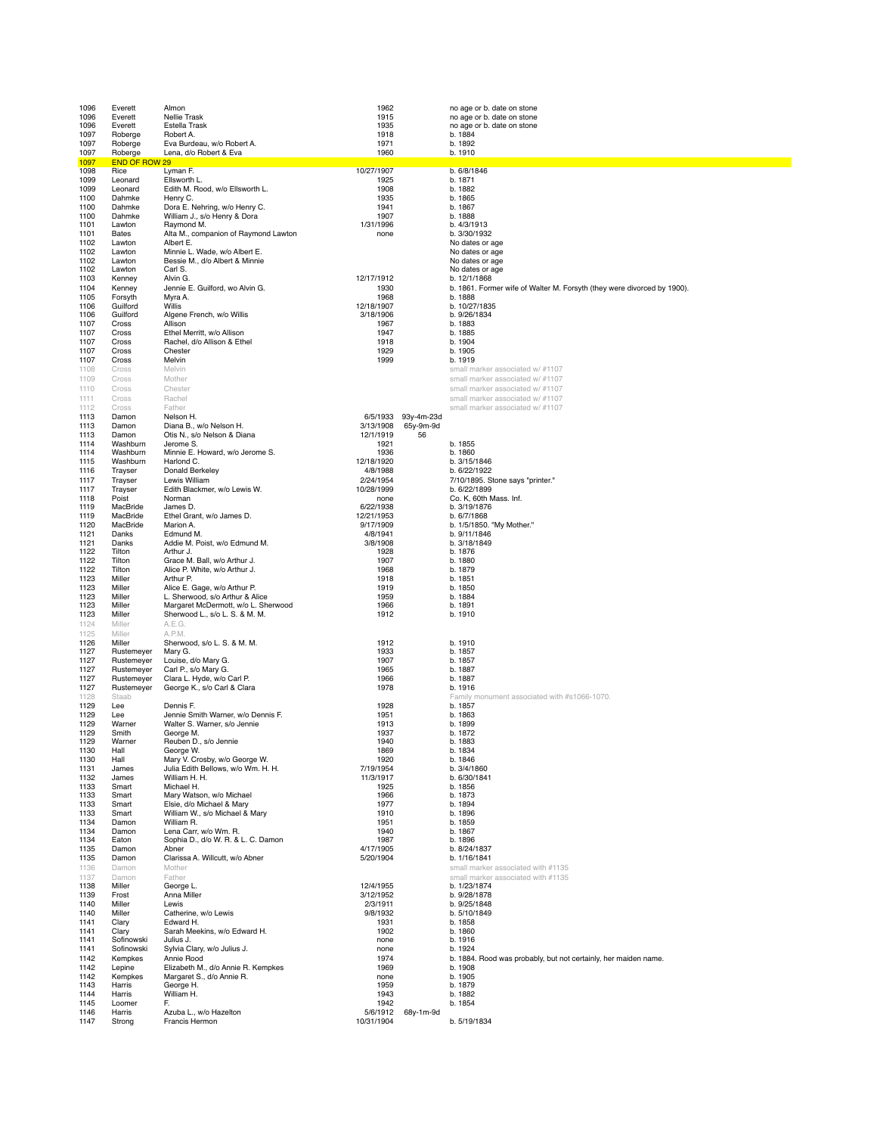| 1096         | Everett                  | Almon                                                         | 1962                   |                 | no age or b. date on stone                                              |
|--------------|--------------------------|---------------------------------------------------------------|------------------------|-----------------|-------------------------------------------------------------------------|
| 1096         | Everett                  | Nellie Trask                                                  | 1915                   |                 | no age or b. date on stone                                              |
| 1096         | Everett                  | Estella Trask                                                 | 1935                   |                 | no age or b. date on stone                                              |
| 1097         | Roberge                  | Robert A.                                                     | 1918                   |                 | b. 1884<br>b. 1892                                                      |
| 1097<br>1097 | Roberge<br>Roberge       | Eva Burdeau, w/o Robert A.<br>Lena, d/o Robert & Eva          | 1971<br>1960           |                 | b. 1910                                                                 |
| 1097         | <b>END OF ROW 29</b>     |                                                               |                        |                 |                                                                         |
| 1098         | Rice                     | Lyman F.                                                      | 10/27/1907             |                 | b. 6/8/1846                                                             |
| 1099         | Leonard                  | Ellsworth L.                                                  | 1925                   |                 | b. 1871                                                                 |
| 1099         | Leonard                  | Edith M. Rood, w/o Ellsworth L.                               | 1908                   |                 | b. 1882                                                                 |
| 1100         | Dahmke                   | Henry C.                                                      | 1935                   |                 | b. 1865                                                                 |
| 1100<br>1100 | Dahmke<br>Dahmke         | Dora E. Nehring, w/o Henry C.<br>William J., s/o Henry & Dora | 1941<br>1907           |                 | b. 1867<br>b. 1888                                                      |
| 1101         | Lawton                   | Raymond M.                                                    | 1/31/1996              |                 | b. 4/3/1913                                                             |
| 1101         | Bates                    | Alta M., companion of Raymond Lawton                          | none                   |                 | b. 3/30/1932                                                            |
| 1102         | Lawton                   | Albert E.                                                     |                        |                 | No dates or age                                                         |
| 1102         | Lawton                   | Minnie L. Wade, w/o Albert E.                                 |                        |                 | No dates or age                                                         |
| 1102         | Lawton                   | Bessie M., d/o Albert & Minnie                                |                        |                 | No dates or age                                                         |
| 1102<br>1103 | Lawton<br>Kenney         | Carl S.<br>Alvin G.                                           | 12/17/1912             |                 | No dates or age<br>b. 12/1/1868                                         |
| 1104         | Kenney                   | Jennie E. Guilford, wo Alvin G.                               | 1930                   |                 | b. 1861. Former wife of Walter M. Forsyth (they were divorced by 1900). |
| 1105         | Forsyth                  | Myra A.                                                       | 1968                   |                 | b. 1888                                                                 |
| 1106         | Guilford                 | Willis                                                        | 12/18/1907             |                 | b. 10/27/1835                                                           |
| 1106         | Guilford                 | Algene French, w/o Willis                                     | 3/18/1906              |                 | b. 9/26/1834                                                            |
| 1107         | Cross                    | Allison                                                       | 1967                   |                 | b. 1883                                                                 |
| 1107         | Cross                    | Ethel Merritt, w/o Allison                                    | 1947                   |                 | b. 1885                                                                 |
| 1107<br>1107 | Cross<br>Cross           | Rachel, d/o Allison & Ethel<br>Chester                        | 1918<br>1929           |                 | b. 1904<br>b. 1905                                                      |
| 1107         | Cross                    | Melvin                                                        | 1999                   |                 | b. 1919                                                                 |
| 1108         | Cross                    | Melvin                                                        |                        |                 | small marker associated w/ #1107                                        |
| 1109         | Cross                    | Mother                                                        |                        |                 | small marker associated w/ #1107                                        |
| 1110         | Cross                    | Chester                                                       |                        |                 | small marker associated w/ #1107                                        |
| 1111         | Cross                    | Rachel                                                        |                        |                 | small marker associated w/ #1107                                        |
| 1112         | Cross                    | Father                                                        |                        |                 | small marker associated w/ #1107                                        |
| 1113         | Damon                    | Nelson H.                                                     | 6/5/1933               | 93y-4m-23d      |                                                                         |
| 1113<br>1113 | Damon<br>Damon           | Diana B., w/o Nelson H.<br>Otis N., s/o Nelson & Diana        | 3/13/1908<br>12/1/1919 | 65y-9m-9d<br>56 |                                                                         |
| 1114         | Washburn                 | Jerome S.                                                     | 1921                   |                 | b. 1855                                                                 |
| 1114         | Washburn                 | Minnie E. Howard, w/o Jerome S.                               | 1936                   |                 | b. 1860                                                                 |
| 1115         | Washburn                 | Harlond C.                                                    | 12/18/1920             |                 | b. 3/15/1846                                                            |
| 1116         | Trayser                  | Donald Berkeley                                               | 4/8/1988               |                 | b. 6/22/1922                                                            |
| 1117         | Trayser                  | Lewis William                                                 | 2/24/1954              |                 | 7/10/1895. Stone says "printer."                                        |
| 1117         | Trayser                  | Edith Blackmer, w/o Lewis W.                                  | 10/28/1999             |                 | b. 6/22/1899                                                            |
| 1118<br>1119 | Poist<br>MacBride        | Norman<br>James D.                                            | none<br>6/22/1938      |                 | Co. K, 60th Mass. Inf.<br>b. 3/19/1876                                  |
| 1119         | MacBride                 | Ethel Grant, w/o James D.                                     | 12/21/1953             |                 | b. 6/7/1868                                                             |
| 1120         | MacBride                 | Marion A.                                                     | 9/17/1909              |                 | b. 1/5/1850. "My Mother."                                               |
| 1121         | Danks                    | Edmund M.                                                     | 4/8/1941               |                 | b. 9/11/1846                                                            |
| 1121         | Danks                    | Addie M. Poist, w/o Edmund M.                                 | 3/8/1908               |                 | b. 3/18/1849                                                            |
| 1122         | Tilton                   | Arthur J.                                                     | 1928                   |                 | b. 1876                                                                 |
| 1122<br>1122 | Tilton<br>Tilton         | Grace M. Ball, w/o Arthur J.<br>Alice P. White, w/o Arthur J. | 1907<br>1968           |                 | b. 1880<br>b. 1879                                                      |
| 1123         | Miller                   | Arthur P.                                                     | 1918                   |                 | b. 1851                                                                 |
| 1123         | Miller                   | Alice E. Gage, w/o Arthur P.                                  | 1919                   |                 | b. 1850                                                                 |
| 1123         | Miller                   | L. Sherwood, s/o Arthur & Alice                               | 1959                   |                 | b. 1884                                                                 |
| 1123         | Miller                   | Margaret McDermott, w/o L. Sherwood                           | 1966                   |                 | b. 1891                                                                 |
| 1123         | Miller                   | Sherwood L., s/o L. S. & M. M.                                | 1912                   |                 | b. 1910                                                                 |
| 1124         | Miller                   | A.E.G.                                                        |                        |                 |                                                                         |
| 1125<br>1126 | Miller<br>Miller         | A.P.M.<br>Sherwood, s/o L. S. & M. M.                         | 1912                   |                 | b. 1910                                                                 |
| 1127         | Rustemeyer               | Mary G.                                                       | 1933                   |                 | b. 1857                                                                 |
| 1127         | Rustemeyer               | Louise, d/o Mary G.                                           | 1907                   |                 | b. 1857                                                                 |
| 1127         | Rustemeyer               | Carl P., s/o Mary G.                                          | 1965                   |                 | b. 1887                                                                 |
| 1127         | Rustemeyer               | Clara L. Hyde, w/o Carl P.                                    | 1966                   |                 | b. 1887                                                                 |
| 1127         | Rustemeyer               | George K., s/o Carl & Clara                                   | 1978                   |                 | b. 1916                                                                 |
| 1128         | Staab<br>Lee             |                                                               |                        |                 | Family monument associated with #s1066-1070.<br>b. 1857                 |
| 1129<br>1129 | Lee                      | Dennis F.<br>Jennie Smith Warner, w/o Dennis F.               | 1928<br>1951           |                 | b. 1863                                                                 |
| 1129         | Warner                   | Walter S. Warner, s/o Jennie                                  | 1913                   |                 | b. 1899                                                                 |
| 1129         | Smith                    | George M.                                                     | 1937                   |                 | b. 1872                                                                 |
| 1129         | Warner                   | Reuben D., s/o Jennie                                         | 1940                   |                 | b. 1883                                                                 |
| 1130<br>1130 | Hall<br>Hall             | George W.<br>Mary V. Crosby, w/o George W.                    | 1869<br>1920           |                 | b. 1834<br>b. 1846                                                      |
| 1131         | James                    | Julia Edith Bellows, w/o Wm. H. H.                            | 7/19/1954              |                 | b. 3/4/1860                                                             |
| 1132         | James                    | William H. H.                                                 | 11/3/1917              |                 | b. 6/30/1841                                                            |
| 1133         | Smart                    | Michael H.                                                    | 1925                   |                 | b. 1856                                                                 |
| 1133         | Smart                    | Mary Watson, w/o Michael                                      | 1966                   |                 | b. 1873                                                                 |
| 1133         | Smart                    | Elsie, d/o Michael & Mary                                     | 1977                   |                 | b. 1894                                                                 |
| 1133<br>1134 | Smart<br>Damon           | William W., s/o Michael & Mary<br>William R.                  | 1910<br>1951           |                 | b. 1896<br>b. 1859                                                      |
| 1134         | Damon                    | Lena Carr, w/o Wm. R.                                         | 1940                   |                 | b. 1867                                                                 |
| 1134         | Eaton                    | Sophia D., d/o W. R. & L. C. Damon                            | 1987                   |                 | b. 1896                                                                 |
| 1135         | Damon                    | Abner                                                         | 4/17/1905              |                 | b. 8/24/1837                                                            |
| 1135         | Damon                    | Clarissa A. Willcutt, w/o Abner                               | 5/20/1904              |                 | b. 1/16/1841                                                            |
| 1136         | Damon                    | Mother                                                        |                        |                 | small marker associated with #1135                                      |
| 1137<br>1138 | Damon<br>Miller          | Father<br>George L.                                           | 12/4/1955              |                 | small marker associated with #1135<br>b. 1/23/1874                      |
| 1139         | Frost                    | Anna Miller                                                   | 3/12/1952              |                 | b. 9/28/1878                                                            |
| 1140         | Miller                   | Lewis                                                         | 2/3/1911               |                 | b. 9/25/1848                                                            |
| 1140         | Miller                   | Catherine, w/o Lewis                                          | 9/8/1932               |                 | b. 5/10/1849                                                            |
| 1141         | Clary                    | Edward H.                                                     | 1931                   |                 | b. 1858                                                                 |
| 1141         | Clary                    | Sarah Meekins, w/o Edward H.                                  | 1902                   |                 | b. 1860                                                                 |
| 1141<br>1141 | Sofinowski<br>Sofinowski | Julius J.<br>Sylvia Clary, w/o Julius J.                      | none<br>none           |                 | b. 1916<br>b. 1924                                                      |
| 1142         | Kempkes                  | Annie Rood                                                    | 1974                   |                 | b. 1884. Rood was probably, but not certainly, her maiden name.         |
| 1142         | Lepine                   | Elizabeth M., d/o Annie R. Kempkes                            | 1969                   |                 | b. 1908                                                                 |
| 1142         | Kempkes                  | Margaret S., d/o Annie R.                                     | none                   |                 | b. 1905                                                                 |
| 1143         | Harris                   | George H.                                                     | 1959                   |                 | b. 1879                                                                 |
| 1144         | Harris                   | William H.                                                    | 1943                   |                 | b. 1882                                                                 |
| 1145<br>1146 | Loomer<br>Harris         | F.<br>Azuba L., w/o Hazelton                                  | 1942<br>5/6/1912       | 68y-1m-9d       | b. 1854                                                                 |
| 1147         | Strong                   | Francis Hermon                                                | 10/31/1904             |                 | b. 5/19/1834                                                            |
|              |                          |                                                               |                        |                 |                                                                         |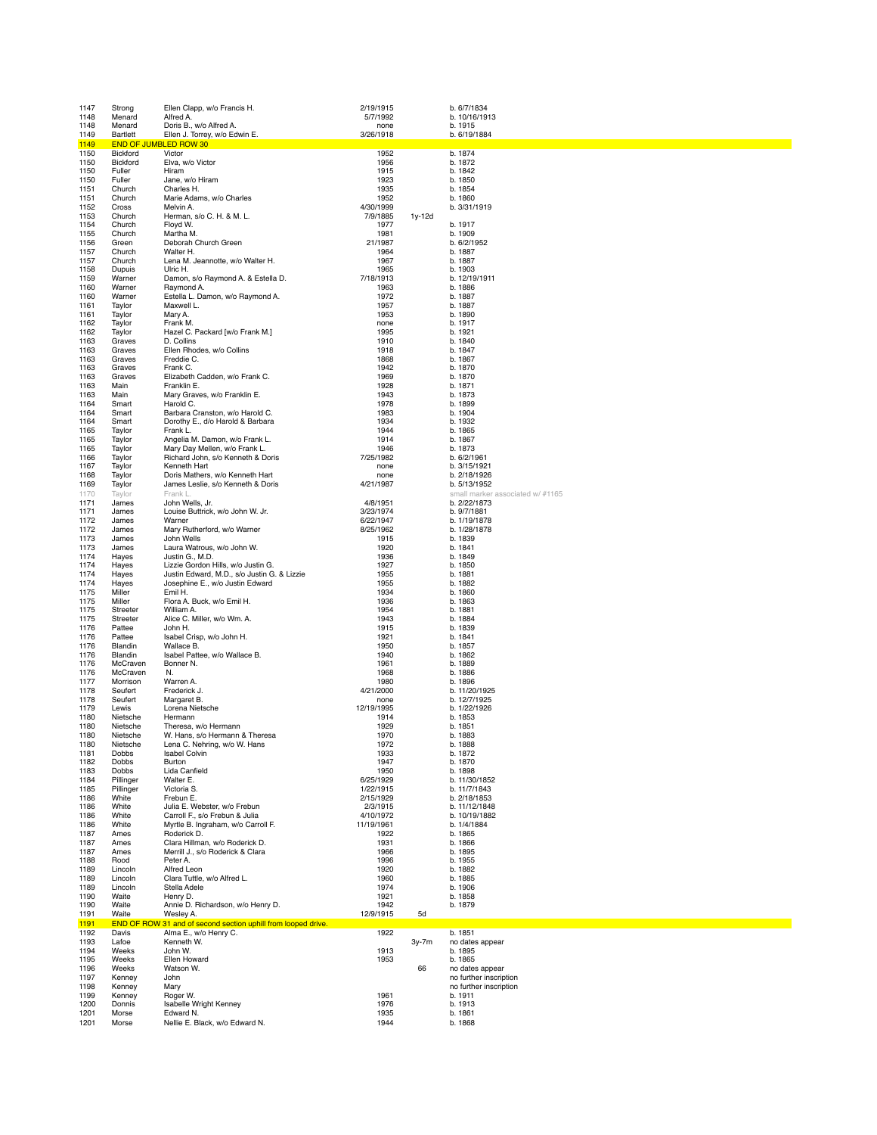| 1147         | Strong               | Ellen Clapp, w/o Francis H.                                                    | 2/19/1915             |         | b. 6/7/1834                                      |
|--------------|----------------------|--------------------------------------------------------------------------------|-----------------------|---------|--------------------------------------------------|
| 1148<br>1148 | Menard<br>Menard     | Alfred A.<br>Doris B., w/o Alfred A.                                           | 5/7/1992<br>none      |         | b. 10/16/1913<br>b. 1915                         |
| 1149         | Bartlett             | Ellen J. Torrey, w/o Edwin E.                                                  | 3/26/1918             |         | b. 6/19/1884                                     |
| 1149         | <b>END OF JUME</b>   | <b>BLED ROW 30</b>                                                             |                       |         |                                                  |
| 1150<br>1150 | Bickford<br>Bickford | Victor<br>Elva, w/o Victor                                                     | 1952<br>1956          |         | b. 1874<br>b. 1872                               |
| 1150         | Fuller               | Hiram                                                                          | 1915                  |         | b. 1842                                          |
| 1150         | Fuller               | Jane, w/o Hiram                                                                | 1923                  |         | b. 1850                                          |
| 1151<br>1151 | Church<br>Church     | Charles H.<br>Marie Adams, w/o Charles                                         | 1935<br>1952          |         | b. 1854<br>b. 1860                               |
| 1152         | Cross                | Melvin A.                                                                      | 4/30/1999             |         | b. 3/31/1919                                     |
| 1153         | Church               | Herman, s/o C. H. & M. L.                                                      | 7/9/1885              | 1y-12d  |                                                  |
| 1154<br>1155 | Church<br>Church     | Floyd W.<br>Martha M.                                                          | 1977<br>1981          |         | b. 1917<br>b. 1909                               |
| 1156         | Green                | Deborah Church Green                                                           | 21/1987               |         | b. 6/2/1952                                      |
| 1157         | Church               | Walter H.                                                                      | 1964                  |         | b. 1887                                          |
| 1157<br>1158 | Church<br>Dupuis     | Lena M. Jeannotte, w/o Walter H.<br>Ulric H.                                   | 1967<br>1965          |         | b. 1887<br>b. 1903                               |
| 1159         | Warner               | Damon, s/o Raymond A. & Estella D.                                             | 7/18/1913             |         | b. 12/19/1911                                    |
| 1160         | Warner               | Raymond A.                                                                     | 1963                  |         | b. 1886                                          |
| 1160<br>1161 | Warner<br>Taylor     | Estella L. Damon, w/o Raymond A.<br>Maxwell L.                                 | 1972<br>1957          |         | b. 1887<br>b. 1887                               |
| 1161         | Taylor               | Mary A.                                                                        | 1953                  |         | b. 1890                                          |
| 1162         | Taylor               | Frank M.                                                                       | none                  |         | b. 1917                                          |
| 1162<br>1163 | Taylor               | Hazel C. Packard [w/o Frank M.]                                                | 1995                  |         | b. 1921                                          |
| 1163         | Graves<br>Graves     | D. Collins<br>Ellen Rhodes, w/o Collins                                        | 1910<br>1918          |         | b. 1840<br>b. 1847                               |
| 1163         | Graves               | Freddie C.                                                                     | 1868                  |         | b. 1867                                          |
| 1163         | Graves               | Frank C.                                                                       | 1942                  |         | b. 1870                                          |
| 1163<br>1163 | Graves<br>Main       | Elizabeth Cadden, w/o Frank C.<br>Franklin E.                                  | 1969<br>1928          |         | b. 1870<br>b. 1871                               |
| 1163         | Main                 | Mary Graves, w/o Franklin E.                                                   | 1943                  |         | b. 1873                                          |
| 1164         | Smart                | Harold C.                                                                      | 1978                  |         | b. 1899                                          |
| 1164<br>1164 | Smart<br>Smart       | Barbara Cranston, w/o Harold C.<br>Dorothy E., d/o Harold & Barbara            | 1983<br>1934          |         | b. 1904<br>b. 1932                               |
| 1165         | Taylor               | Frank L.                                                                       | 1944                  |         | b. 1865                                          |
| 1165         | Taylor               | Angelia M. Damon, w/o Frank L.                                                 | 1914                  |         | b. 1867                                          |
| 1165<br>1166 | Taylor<br>Taylor     | Mary Day Mellen, w/o Frank L.<br>Richard John, s/o Kenneth & Doris             | 1946<br>7/25/1982     |         | b. 1873<br>b. 6/2/1961                           |
| 1167         | Taylor               | Kenneth Hart                                                                   | none                  |         | b. 3/15/1921                                     |
| 1168         | Taylor               | Doris Mathers, w/o Kenneth Hart                                                | none                  |         | b. 2/18/1926                                     |
| 1169         | Taylor               | James Leslie, s/o Kenneth & Doris                                              | 4/21/1987             |         | b. 5/13/1952                                     |
| 1170<br>1171 | Taylor<br>James      | Frank L.<br>John Wells, Jr.                                                    | 4/8/1951              |         | small marker associated w/ #1165<br>b. 2/22/1873 |
| 1171         | James                | Louise Buttrick, w/o John W. Jr.                                               | 3/23/1974             |         | b. 9/7/1881                                      |
| 1172         | James                | Warner                                                                         | 6/22/1947             |         | b. 1/19/1878                                     |
| 1172<br>1173 | James<br>James       | Mary Rutherford, w/o Warner<br>John Wells                                      | 8/25/1962<br>1915     |         | b. 1/28/1878<br>b. 1839                          |
| 1173         | James                | Laura Watrous, w/o John W.                                                     | 1920                  |         | b. 1841                                          |
| 1174         | Hayes                | Justin G., M.D.                                                                | 1936                  |         | b. 1849                                          |
| 1174         | Hayes                | Lizzie Gordon Hills, w/o Justin G.                                             | 1927                  |         | b. 1850                                          |
| 1174<br>1174 | Hayes<br>Hayes       | Justin Edward, M.D., s/o Justin G. & Lizzie<br>Josephine E., w/o Justin Edward | 1955<br>1955          |         | b. 1881<br>b. 1882                               |
| 1175         | Miller               | Emil H.                                                                        | 1934                  |         | b. 1860                                          |
| 1175         | Miller               | Flora A. Buck, w/o Emil H.                                                     | 1936                  |         | b. 1863                                          |
| 1175         | Streeter             | William A.                                                                     | 1954<br>1943          |         | b. 1881                                          |
| 1175<br>1176 | Streeter<br>Pattee   | Alice C. Miller, w/o Wm. A.<br>John H.                                         | 1915                  |         | b. 1884<br>b. 1839                               |
| 1176         | Pattee               | Isabel Crisp, w/o John H.                                                      | 1921                  |         | b. 1841                                          |
| 1176         | Blandin              | Wallace B.                                                                     | 1950                  |         | b. 1857                                          |
| 1176<br>1176 | Blandin<br>McCraven  | Isabel Pattee, w/o Wallace B.<br>Bonner N.                                     | 1940<br>1961          |         | b. 1862<br>b. 1889                               |
| 1176         | McCraven             | N.                                                                             | 1968                  |         | b. 1886                                          |
| 1177         | Morrison             | Warren A.                                                                      | 1980                  |         | b. 1896                                          |
| 1178<br>1178 | Seufert<br>Seufert   | Frederick J.<br>Margaret B.                                                    | 4/21/2000<br>none     |         | b. 11/20/1925<br>b. 12/7/1925                    |
| 1179         | Lewis                | Lorena Nietsche                                                                | 12/19/1995            |         | b. 1/22/1926                                     |
| 1180         | Nietsche             | Hermann                                                                        | 1914                  |         | b. 1853                                          |
| 1180         | Nietsche             | Theresa, w/o Hermann                                                           | 1929                  |         | b. 1851                                          |
| 1180<br>1180 | Nietsche<br>Nietsche | W. Hans, s/o Hermann & Theresa<br>Lena C. Nehring, w/o W. Hans                 | 1970<br>1972          |         | b. 1883<br>b. 1888                               |
| 1181         | Dobbs                | <b>Isabel Colvin</b>                                                           | 1933                  |         | b. 1872                                          |
| 1182         | Dobbs                | Burton                                                                         | 1947                  |         | b. 1870                                          |
| 1183<br>1184 | Dobbs<br>Pillinger   | Lida Canfield<br>Walter E.                                                     | 1950<br>6/25/1929     |         | b. 1898<br>b. 11/30/1852                         |
| 1185         | Pillinger            | Victoria S.                                                                    | 1/22/1915             |         | b. 11/7/1843                                     |
| 1186         | White                | Frebun E.                                                                      | 2/15/1929             |         | b. 2/18/1853                                     |
| 1186<br>1186 | White<br>White       | Julia E. Webster, w/o Frebun<br>Carroll F., s/o Frebun & Julia                 | 2/3/1915<br>4/10/1972 |         | b. 11/12/1848<br>b. 10/19/1882                   |
| 1186         | White                | Myrtle B. Ingraham, w/o Carroll F.                                             | 11/19/1961            |         | b. 1/4/1884                                      |
| 1187         |                      |                                                                                | 1922                  |         | b. 1865                                          |
| 1187         | Ames                 | Roderick D.                                                                    |                       |         |                                                  |
|              | Ames                 | Clara Hillman, w/o Roderick D.                                                 | 1931                  |         | b. 1866                                          |
| 1187         | Ames<br>Rood         | Merrill J., s/o Roderick & Clara<br>Peter A.                                   | 1966<br>1996          |         | b. 1895<br>b. 1955                               |
| 1188<br>1189 | Lincoln              | Alfred Leon                                                                    | 1920                  |         | b. 1882                                          |
| 1189         | Lincoln              | Clara Tuttle, w/o Alfred L.                                                    | 1960                  |         | b. 1885                                          |
| 1189         | Lincoln<br>Waite     | Stella Adele                                                                   | 1974                  |         | b. 1906                                          |
| 1190<br>1190 | Waite                | Henry D.<br>Annie D. Richardson, w/o Henry D.                                  | 1921<br>1942          |         | b. 1858<br>b. 1879                               |
| 1191         | Waite                | Wesley A.                                                                      | 12/9/1915             | 5d      |                                                  |
| 1191         |                      | END OF ROW 31 and of second section uphill from looped drive.                  |                       |         |                                                  |
| 1192<br>1193 | Davis<br>Lafoe       | Alma E., w/o Henry C.<br>Kenneth W.                                            | 1922                  | $3y-7m$ | b. 1851<br>no dates appear                       |
| 1194         | Weeks                | John W.                                                                        | 1913                  |         | b. 1895                                          |
| 1195         | Weeks                | Ellen Howard                                                                   | 1953                  |         | b. 1865                                          |
| 1196<br>1197 | Weeks<br>Kenney      | Watson W.<br>John                                                              |                       | 66      | no dates appear<br>no further inscription        |
| 1198         | Kenney               | Mary                                                                           |                       |         | no further inscription                           |
| 1199         | Kenney               | Roger W.                                                                       | 1961                  |         | b. 1911                                          |
| 1200         | Donnis               | Isabelle Wright Kenney                                                         | 1976                  |         | b. 1913                                          |
| 1201<br>1201 | Morse<br>Morse       | Edward N.<br>Nellie E. Black, w/o Edward N.                                    | 1935<br>1944          |         | b. 1861<br>b. 1868                               |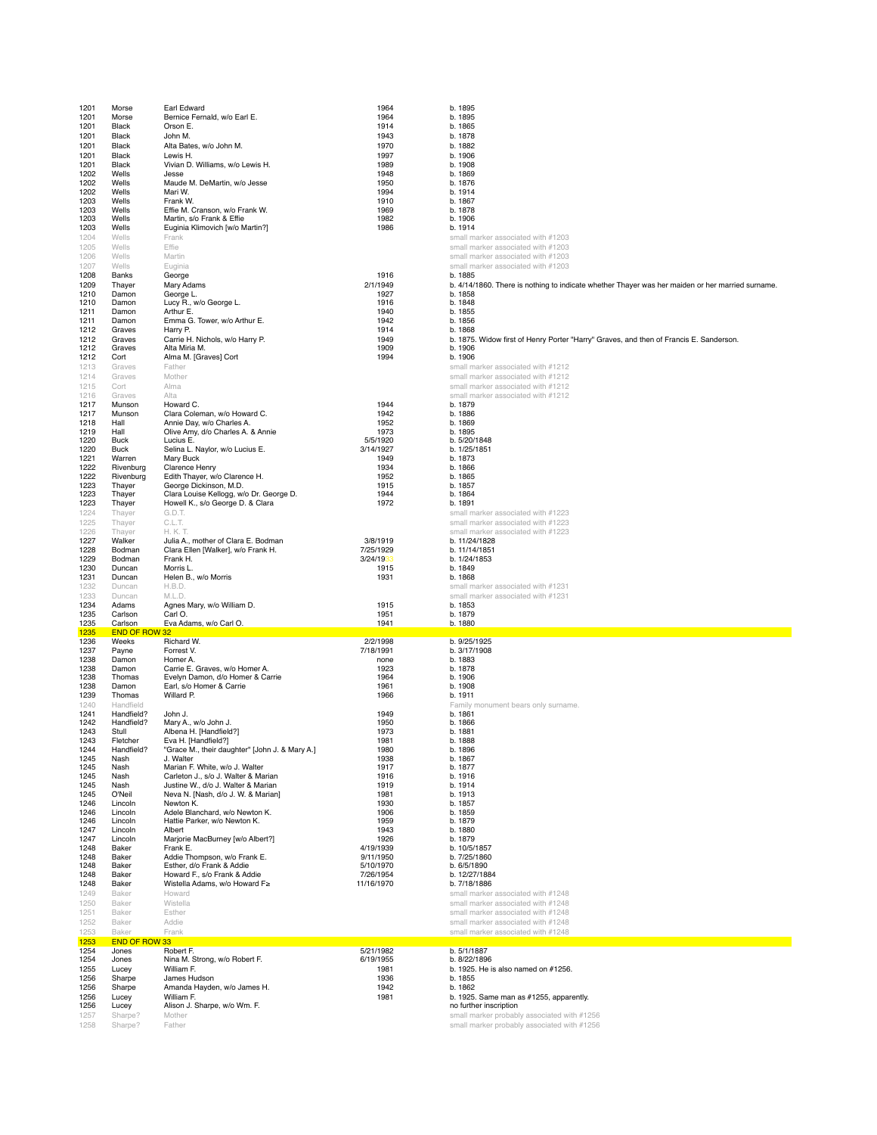| 1201         | Morse                | Earl Edward                                                              | 1964                   | b. 1895                                                                                          |
|--------------|----------------------|--------------------------------------------------------------------------|------------------------|--------------------------------------------------------------------------------------------------|
| 1201         | Morse                | Bernice Fernald, w/o Earl E.                                             | 1964                   | b. 1895                                                                                          |
| 1201         | Black                | Orson E.                                                                 | 1914                   | b. 1865                                                                                          |
| 1201         | Black                | John M.                                                                  | 1943                   | b. 1878                                                                                          |
| 1201         | Black                | Alta Bates, w/o John M.                                                  | 1970                   | b. 1882                                                                                          |
| 1201<br>1201 | Black<br>Black       | Lewis H.                                                                 | 1997<br>1989           | b. 1906<br>b. 1908                                                                               |
| 1202         | Wells                | Vivian D. Williams, w/o Lewis H.<br>Jesse                                | 1948                   | b. 1869                                                                                          |
| 1202         | Wells                | Maude M. DeMartin, w/o Jesse                                             | 1950                   | b. 1876                                                                                          |
| 1202         | Wells                | Mari W.                                                                  | 1994                   | b. 1914                                                                                          |
| 1203         | Wells                | Frank W.                                                                 | 1910                   | b. 1867                                                                                          |
| 1203         | Wells                | Effie M. Cranson, w/o Frank W.                                           | 1969                   | b. 1878                                                                                          |
| 1203         | Wells                | Martin, s/o Frank & Effie                                                | 1982                   | b. 1906                                                                                          |
| 1203         | Wells                | Euginia Klimovich [w/o Martin?]                                          | 1986                   | b. 1914                                                                                          |
| 1204         | Wells                | Frank                                                                    |                        | small marker associated with #1203                                                               |
| 1205         | Wells                | Effie                                                                    |                        | small marker associated with #1203                                                               |
| 1206<br>1207 | Wells<br>Wells       | Martin<br>Euginia                                                        |                        | small marker associated with #1203<br>small marker associated with #1203                         |
| 1208         | Banks                | George                                                                   | 1916                   | b. 1885                                                                                          |
| 1209         | Thayer               | Mary Adams                                                               | 2/1/1949               | b. 4/14/1860. There is nothing to indicate whether Thayer was her maiden or her married surname. |
| 1210         | Damon                | George L                                                                 | 1927                   | b. 1858                                                                                          |
| 1210         | Damon                | Lucy R., w/o George L.                                                   | 1916                   | b. 1848                                                                                          |
| 1211         | Damon                | Arthur E.                                                                | 1940                   | b. 1855                                                                                          |
| 1211         | Damon                | Emma G. Tower, w/o Arthur E.                                             | 1942                   | b. 1856                                                                                          |
| 1212         | Graves               | Harry P.                                                                 | 1914                   | b. 1868                                                                                          |
| 1212         | Graves               | Carrie H. Nichols, w/o Harry P.                                          | 1949                   | b. 1875. Widow first of Henry Porter "Harry" Graves, and then of Francis E. Sanderson.           |
| 1212         | Graves               | Alta Miria M.                                                            | 1909                   | b. 1906                                                                                          |
| 1212         | Cort                 | Alma M. [Graves] Cort                                                    | 1994                   | b. 1906                                                                                          |
| 1213<br>1214 | Graves<br>Graves     | Father<br>Mother                                                         |                        | small marker associated with #1212                                                               |
|              | Cort                 | Alma                                                                     |                        | small marker associated with #1212<br>small marker associated with #1212                         |
| 1215<br>1216 | Graves               | Alta                                                                     |                        | small marker associated with #1212                                                               |
| 1217         | Munson               | Howard C.                                                                | 1944                   | b. 1879                                                                                          |
| 1217         | Munson               | Clara Coleman, w/o Howard C.                                             | 1942                   | b. 1886                                                                                          |
| 1218         | Hall                 | Annie Day, w/o Charles A.                                                | 1952                   | b. 1869                                                                                          |
| 1219         | Hall                 | Olive Amy, d/o Charles A. & Annie                                        | 1973                   | b. 1895                                                                                          |
| 1220         | Buck                 | Lucius E.                                                                | 5/5/1920               | b. 5/20/1848                                                                                     |
| 1220         | <b>Buck</b>          | Selina L. Naylor, w/o Lucius E.                                          | 3/14/1927              | b. 1/25/1851                                                                                     |
| 1221         | Warren               | Mary Buck                                                                | 1949                   | b. 1873                                                                                          |
| 1222         | Rivenburg            | <b>Clarence Henry</b>                                                    | 1934                   | b. 1866<br>b. 1865                                                                               |
| 1222<br>1223 | Rivenburg<br>Thayer  | Edith Thayer, w/o Clarence H.<br>George Dickinson, M.D.                  | 1952<br>1915           | b. 1857                                                                                          |
| 1223         | Thayer               | Clara Louise Kellogg, w/o Dr. George D.                                  | 1944                   | b. 1864                                                                                          |
| 1223         | Thayer               | Howell K., s/o George D. & Clara                                         | 1972                   | b. 1891                                                                                          |
| 1224         | Thayer               | G.D.T.                                                                   |                        | small marker associated with #1223                                                               |
| 1225         | Thayer               | C.L.T.                                                                   |                        | small marker associated with #1223                                                               |
| 1226         | Thayer               | H. K. T.                                                                 |                        | small marker associated with #1223                                                               |
| 1227         | Walker               | Julia A., mother of Clara E. Bodman                                      | 3/8/1919               | b. 11/24/1828                                                                                    |
| 1228         | Bodman               | Clara Ellen [Walker], w/o Frank H.                                       | 7/25/1929              | b. 11/14/1851                                                                                    |
|              | Bodman               | Frank H.                                                                 | 3/24/1933              | b. 1/24/1853                                                                                     |
| 1229         |                      |                                                                          |                        |                                                                                                  |
| 1230         | Duncan               | Morris L.                                                                | 1915                   | b. 1849                                                                                          |
| 1231         | Duncan               | Helen B., w/o Morris                                                     | 1931                   | b. 1868                                                                                          |
| 1232         | Duncan               | H.B.D.                                                                   |                        | small marker associated with #1231                                                               |
| 1233         | Duncan               | M.L.D.                                                                   |                        | small marker associated with #1231                                                               |
| 1234         | Adams                | Agnes Mary, w/o William D.                                               | 1915                   | b. 1853                                                                                          |
| 1235<br>1235 | Carlson<br>Carlson   | Carl O.<br>Eva Adams, w/o Carl O.                                        | 1951<br>1941           | b. 1879<br>b. 1880                                                                               |
| 1235         | <b>END OF ROW 32</b> |                                                                          |                        |                                                                                                  |
| 1236         | Weeks                | Richard W.                                                               | 2/2/1998               | b. 9/25/1925                                                                                     |
| 1237         | Payne                | Forrest V.                                                               | 7/18/1991              | b. 3/17/1908                                                                                     |
| 1238         | Damon                | Homer A.                                                                 | none                   | b. 1883                                                                                          |
| 1238         | Damon                | Carrie E. Graves, w/o Homer A.                                           | 1923                   | b. 1878                                                                                          |
| 1238         | Thomas               | Evelyn Damon, d/o Homer & Carrie                                         | 1964                   | b. 1906                                                                                          |
| 1238         | Damon                | Earl, s/o Homer & Carrie                                                 | 1961                   | b. 1908                                                                                          |
| 1239<br>1240 | Thomas<br>Handfield  | Willard P.                                                               | 1966                   | b. 1911                                                                                          |
| 1241         | Handfield?           | John J.                                                                  | 1949                   | Family monument bears only surname.<br>b. 1861                                                   |
| 1242         | Handfield?           | Mary A., w/o John J.                                                     | 1950                   | b. 1866                                                                                          |
| 1243         | Stull                | Albena H. [Handfield?]                                                   | 1973                   | b. 1881                                                                                          |
| 1243         | Fletcher             | Eva H. [Handfield?]                                                      | 1981                   | b. 1888                                                                                          |
| 1244         | Handfield?           | "Grace M., their daughter" [John J. & Mary A.]                           | 1980                   | b. 1896                                                                                          |
| 1245         | Nash                 | J. Walter                                                                | 1938                   | b. 1867                                                                                          |
| 1245         | Nash                 | Marian F. White, w/o J. Walter                                           | 1917                   | b. 1877                                                                                          |
| 1245         | Nash                 | Carleton J., s/o J. Walter & Marian                                      | 1916                   | b. 1916                                                                                          |
| 1245<br>1245 | Nash<br>O'Neil       | Justine W., d/o J. Walter & Marian<br>Neva N. [Nash, d/o J. W. & Marian] | 1919<br>1981           | b. 1914<br>b. 1913                                                                               |
| 1246         | Lincoln              | Newton K.                                                                | 1930                   | b. 1857                                                                                          |
| 1246         | Lincoln              | Adele Blanchard, w/o Newton K.                                           | 1906                   | b. 1859                                                                                          |
| 1246         | Lincoln              | Hattie Parker, w/o Newton K.                                             | 1959                   | b. 1879                                                                                          |
| 1247         | Lincoln              | Albert                                                                   | 1943                   | b. 1880                                                                                          |
| 1247         | Lincoln              | Marjorie MacBurney [w/o Albert?]                                         | 1926                   | b. 1879                                                                                          |
| 1248         | Baker<br>Baker       | Frank E.                                                                 | 4/19/1939<br>9/11/1950 | b. 10/5/1857                                                                                     |
| 1248<br>1248 | Baker                | Addie Thompson, w/o Frank E.<br>Esther, d/o Frank & Addie                | 5/10/1970              | b. 7/25/1860<br>b. 6/5/1890                                                                      |
| 1248         | Baker                | Howard F., s/o Frank & Addie                                             | 7/26/1954              | b. 12/27/1884                                                                                    |
| 1248         | Baker                | Wistella Adams, w/o Howard F≥                                            | 11/16/1970             | b. 7/18/1886                                                                                     |
| 1249         | Baker                | Howard                                                                   |                        | small marker associated with #1248                                                               |
| 1250         | Baker                | Wistella                                                                 |                        | small marker associated with #1248                                                               |
| 1251         | Baker                | Esther                                                                   |                        | small marker associated with #1248                                                               |
| 1252         | Baker                | Addie                                                                    |                        | small marker associated with #1248                                                               |
| 1253         | Baker                | Frank                                                                    |                        | small marker associated with #1248                                                               |
| 1253         | <b>END OF ROW 33</b> |                                                                          |                        |                                                                                                  |
| 1254         | Jones                | Robert F.                                                                | 5/21/1982              | b. 5/1/1887                                                                                      |
| 1254         | Jones                | Nina M. Strong, w/o Robert F.                                            | 6/19/1955              | b. 8/22/1896                                                                                     |
| 1255         | Lucey                | William F.                                                               | 1981                   | b. 1925. He is also named on #1256.                                                              |
| 1256<br>1256 | Sharpe<br>Sharpe     | James Hudson<br>Amanda Hayden, w/o James H.                              | 1936<br>1942           | b. 1855<br>b. 1862                                                                               |
| 1256         | Lucey                | William F.                                                               | 1981                   | b. 1925. Same man as #1255, apparently.                                                          |
| 1256         | Lucey                | Alison J. Sharpe, w/o Wm. F.                                             |                        | no further inscription                                                                           |
| 1257         | Sharpe?              | Mother                                                                   |                        | small marker probably associated with #1256                                                      |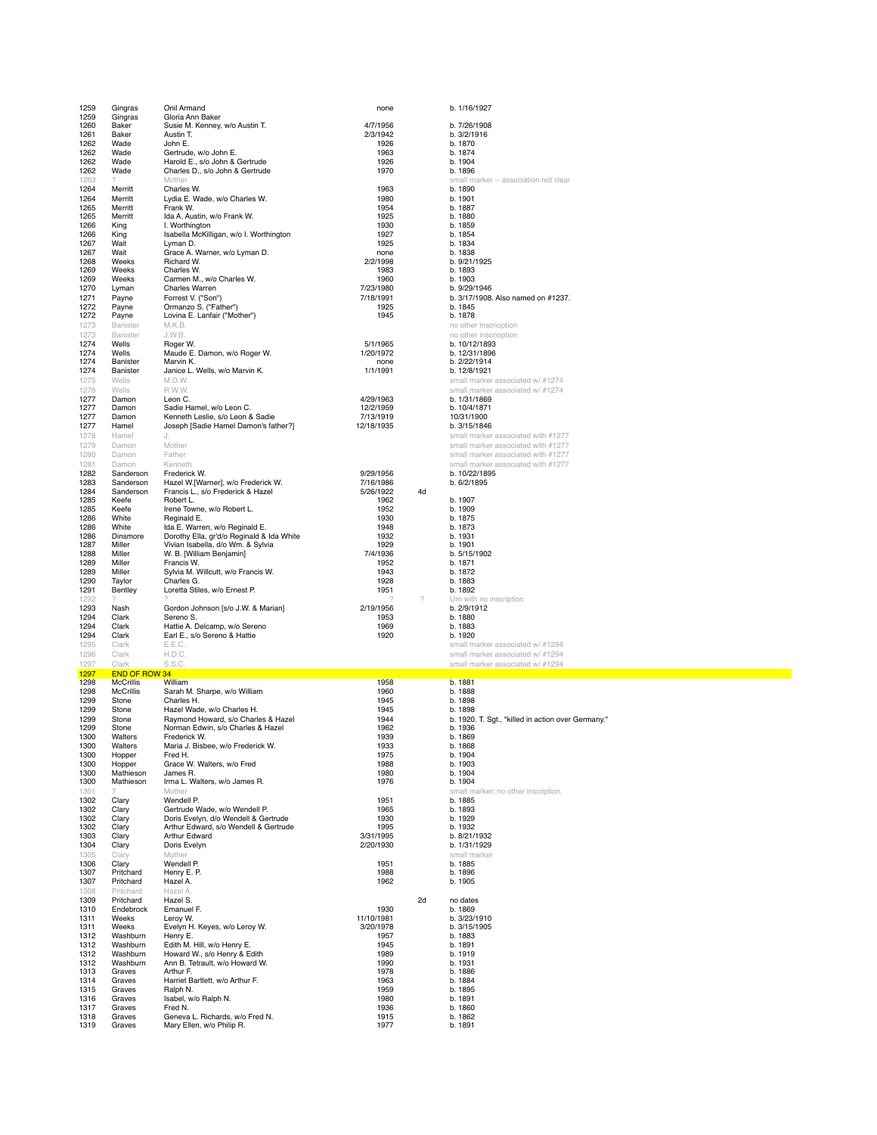| 1259<br>1259 | Gingras                              | Onil Armand                                                                   | none                  |    | b. 1/16/1927                                                             |
|--------------|--------------------------------------|-------------------------------------------------------------------------------|-----------------------|----|--------------------------------------------------------------------------|
|              | Gingras                              | Gloria Ann Baker                                                              |                       |    |                                                                          |
| 1260         | Baker                                | Susie M. Kenney, w/o Austin T.                                                | 4/7/1956              |    | b. 7/26/1908                                                             |
| 1261<br>1262 | Baker<br>Wade                        | Austin T.<br>John E.                                                          | 2/3/1942              |    | b. 3/2/1916<br>b. 1870                                                   |
| 1262         | Wade                                 | Gertrude, w/o John E.                                                         | 1926<br>1963          |    | b. 1874                                                                  |
| 1262         | Wade                                 | Harold E., s/o John & Gertrude                                                | 1926                  |    | b. 1904                                                                  |
| 1262         | Wade                                 | Charles D., s/o John & Gertrude                                               | 1970                  |    | b. 1896                                                                  |
| 1263         | 2                                    | Mother                                                                        |                       |    | small marker -- association not clear                                    |
| 1264         | Merritt                              | Charles W.                                                                    | 1963                  |    | b. 1890                                                                  |
| 1264         | Merritt                              | Lydia E. Wade, w/o Charles W.                                                 | 1980                  |    | b. 1901                                                                  |
| 1265<br>1265 | Merritt<br>Merritt                   | Frank W.<br>Ida A. Austin, w/o Frank W.                                       | 1954<br>1925          |    | b. 1887<br>b. 1880                                                       |
| 1266         | King                                 | I. Worthington                                                                | 1930                  |    | b. 1859                                                                  |
| 1266         | King                                 | Isabella McKilligan, w/o I. Worthington                                       | 1927                  |    | b. 1854                                                                  |
| 1267         | Wait                                 | Lyman D.                                                                      | 1925                  |    | b. 1834                                                                  |
| 1267         | Wait                                 | Grace A. Warner, w/o Lyman D.                                                 | none                  |    | b. 1838                                                                  |
| 1268         | Weeks                                | Richard W.                                                                    | 2/2/1998              |    | b. 9/21/1925<br>b. 1893                                                  |
| 1269<br>1269 | Weeks<br>Weeks                       | Charles W.<br>Carmen M., w/o Charles W.                                       | 1983<br>1960          |    | b. 1903                                                                  |
| 1270         | Lyman                                | Charles Warren                                                                | 7/23/1980             |    | b. 9/29/1946                                                             |
| 1271         | Payne                                | Forrest V. ("Son")                                                            | 7/18/1991             |    | b. 3/17/1908. Also named on #1237.                                       |
| 1272         | Payne                                | Ormanzo S. ("Father")                                                         | 1925                  |    | b. 1845                                                                  |
| 1272         | Payne                                | Lovina E. Lanfair ("Mother")                                                  | 1945                  |    | b. 1878                                                                  |
| 1273         | Banister                             | M.K.B.                                                                        |                       |    | no other inscrioption                                                    |
| 1273         | Banister                             | J.W.B.                                                                        |                       |    | no other inscrioption                                                    |
| 1274<br>1274 | Wells<br>Wells                       | Roger W.<br>Maude E. Damon, w/o Roger W.                                      | 5/1/1965<br>1/20/1972 |    | b. 10/12/1893<br>b. 12/31/1896                                           |
| 1274         | Banister                             | Marvin K.                                                                     | none                  |    | b. 2/22/1914                                                             |
| 1274         | Banister                             | Janice L. Wells, w/o Marvin K.                                                | 1/1/1991              |    | b. 12/8/1921                                                             |
| 1275         | Wells                                | M.D.W.                                                                        |                       |    | small marker associated w/ #1274                                         |
| 1276         | Wells                                | R.W.W.                                                                        |                       |    | small marker associated w/ #1274                                         |
| 1277         | Damon                                | Leon C.                                                                       | 4/29/1963             |    | b. 1/31/1869                                                             |
| 1277         | Damon                                | Sadie Hamel, w/o Leon C.                                                      | 12/2/1959             |    | b. 10/4/1871                                                             |
| 1277         | Damon                                | Kenneth Leslie, s/o Leon & Sadie                                              | 7/13/1919             |    | 10/31/1900                                                               |
| 1277         | Hamel<br>Hamel                       | Joseph [Sadie Hamel Damon's father?]                                          | 12/18/1935            |    | b. 3/15/1846                                                             |
| 1278<br>1279 | Damon                                | J.<br>Mother                                                                  |                       |    | small marker associated with #1277<br>small marker associated with #1277 |
| 1280         | Damon                                | Father                                                                        |                       |    | small marker associated with #1277                                       |
| 1281         | Damon                                | Kenneth                                                                       |                       |    | small marker associated with #1277                                       |
| 1282         | Sanderson                            | Frederick W.                                                                  | 9/29/1956             |    | b. 10/22/1895                                                            |
| 1283         | Sanderson                            | Hazel W.[Warner], w/o Frederick W.                                            | 7/16/1986             |    | b. 6/2/1895                                                              |
| 1284         | Sanderson                            | Francis L., s/o Frederick & Hazel                                             | 5/26/1922             | 4d |                                                                          |
| 1285         | Keefe                                | Robert L.                                                                     | 1962                  |    | b. 1907                                                                  |
| 1285<br>1286 | Keefe<br>White                       | Irene Towne, w/o Robert L.                                                    | 1952<br>1930          |    | b. 1909<br>b. 1875                                                       |
| 1286         | White                                | Reginald E.<br>Ida E. Warren, w/o Reginald E.                                 | 1948                  |    | b. 1873                                                                  |
| 1286         | Dinsmore                             | Dorothy Ella, gr'd/o Reginald & Ida White                                     | 1932                  |    | b. 1931                                                                  |
| 1287         | Miller                               | Vivian Isabella, d/o Wm. & Sylvia                                             | 1929                  |    | b. 1901                                                                  |
| 1288         | Miller                               | W. B. [William Benjamin]                                                      | 7/4/1936              |    | b. 5/15/1902                                                             |
| 1289         | Miller                               | Francis W.                                                                    | 1952                  |    | b. 1871                                                                  |
| 1289         | Miller                               | Sylvia M. Willcutt, w/o Francis W.                                            | 1943                  |    | b. 1872                                                                  |
| 1290<br>1291 | Taylor<br>Bentley                    | Charles G.<br>Loretta Stiles, w/o Ernest P.                                   | 1928<br>1951          |    | b. 1883<br>b. 1892                                                       |
|              |                                      |                                                                               |                       |    |                                                                          |
|              |                                      |                                                                               |                       |    |                                                                          |
| 1292         | 2                                    |                                                                               | 2                     | ?  | Urn with no inscription                                                  |
| 1293<br>1294 | Nash<br>Clark                        | Gordon Johnson [s/o J.W. & Marian]<br>Sereno S.                               | 2/19/1956<br>1953     |    | b. 2/9/1912<br>b. 1880                                                   |
| 1294         | Clark                                | Hattie A. Delcamp, w/o Sereno                                                 | 1969                  |    | b. 1883                                                                  |
| 1294         | Clark                                | Earl E., s/o Sereno & Hattie                                                  | 1920                  |    | b. 1920                                                                  |
| 1295         | Clark                                | E.E.C.                                                                        |                       |    | small marker associated w/ #1294                                         |
| 1296         | Clark                                | H.D.C.                                                                        |                       |    | small marker associated w/ #1294                                         |
| 1297         | Clark                                | S.S.C.                                                                        |                       |    | small marker associated w/ #1294                                         |
| 1297         | <b>END OF ROW 34</b>                 |                                                                               |                       |    |                                                                          |
| 1298<br>1298 | <b>McCrillis</b><br><b>McCrillis</b> | William<br>Sarah M. Sharpe, w/o William                                       | 1958<br>1960          |    | b. 1881<br>b. 1888                                                       |
| 1299         | Stone                                | Charles H.                                                                    | 1945                  |    | b. 1898                                                                  |
| 1299         | Stone                                | Hazel Wade, w/o Charles H.                                                    | 1945                  |    | b. 1898                                                                  |
| 1299         | Stone                                | Raymond Howard, s/o Charles & Hazel                                           | 1944                  |    | b. 1920. T. Sgt., "killed in action over Germany."                       |
| 1299         | Stone                                | Norman Edwin, s/o Charles & Hazel                                             | 1962                  |    | b. 1936                                                                  |
| 1300         | Walters                              | Frederick W.                                                                  | 1939                  |    | b. 1869                                                                  |
| 1300         | Walters<br>Hopper                    | Maria J. Bisbee, w/o Frederick W.                                             | 1933                  |    | b. 1868                                                                  |
| 1300<br>1300 | Hopper                               | Fred H.<br>Grace W. Walters, w/o Fred                                         | 1975<br>1988          |    | b. 1904<br>b. 1903                                                       |
| 1300         | Mathieson                            | James R.                                                                      | 1980                  |    | b. 1904                                                                  |
| 1300         | Mathieson                            | Irma L. Walters, w/o James R.                                                 | 1976                  |    | b. 1904                                                                  |
| 1301         | 2                                    | Mother                                                                        |                       |    | small marker; no other inscription.                                      |
| 1302         | Clary                                | Wendell P.                                                                    | 1951                  |    | b. 1885                                                                  |
| 1302         | Clary                                | Gertrude Wade, w/o Wendell P.                                                 | 1965                  |    | b. 1893                                                                  |
| 1302<br>1302 | Clary<br>Clary                       | Doris Evelyn, d/o Wendell & Gertrude<br>Arthur Edward, s/o Wendell & Gertrude | 1930<br>1995          |    | b. 1929<br>b. 1932                                                       |
| 1303         | Clary                                | Arthur Edward                                                                 | 3/31/1995             |    | b. 8/21/1932                                                             |
| 1304         | Clary                                | Doris Evelyn                                                                  | 2/20/1930             |    | b. 1/31/1929                                                             |
| 1305         | Clary                                | Mother                                                                        |                       |    | small marker                                                             |
| 1306         | Clary                                | Wendell P.                                                                    | 1951                  |    | b. 1885                                                                  |
| 1307         | Pritchard                            | Henry E. P.                                                                   | 1988                  |    | b. 1896                                                                  |
| 1307<br>1308 | Pritchard<br>Pritchard               | Hazel A.<br>Hazel A.                                                          | 1962                  |    | b. 1905                                                                  |
| 1309         | Pritchard                            | Hazel S.                                                                      |                       | 2d | no dates                                                                 |
| 1310         | Endebrock                            | Emanuel F.                                                                    | 1930                  |    | b. 1869                                                                  |
| 1311         | Weeks                                | Leroy W.                                                                      | 11/10/1981            |    | b. 3/23/1910                                                             |
| 1311         | Weeks                                | Evelyn H. Keyes, w/o Leroy W.                                                 | 3/20/1978             |    | b. 3/15/1905                                                             |
| 1312         | Washburn                             | Henry E.                                                                      | 1957                  |    | b. 1883                                                                  |
| 1312         | Washburn                             | Edith M. Hill, w/o Henry E.                                                   | 1945                  |    | b. 1891                                                                  |
| 1312<br>1312 | Washburn<br>Washburn                 | Howard W., s/o Henry & Edith<br>Ann B. Tetrault, w/o Howard W.                | 1989<br>1990          |    | b. 1919<br>b. 1931                                                       |
| 1313         | Graves                               | Arthur F.                                                                     | 1978                  |    | b. 1886                                                                  |
| 1314         | Graves                               | Harriet Bartlett, w/o Arthur F.                                               | 1963                  |    | b. 1884                                                                  |
| 1315         | Graves                               | Ralph N.                                                                      | 1959                  |    | b. 1895                                                                  |
| 1316         | Graves                               | Isabel, w/o Ralph N.                                                          | 1980                  |    | b. 1891                                                                  |
| 1317         | Graves                               | Fred N.                                                                       | 1936                  |    | b. 1860                                                                  |
| 1318<br>1319 | Graves<br>Graves                     | Geneva L. Richards, w/o Fred N.<br>Mary Ellen, w/o Philip R.                  | 1915<br>1977          |    | b. 1862<br>b. 1891                                                       |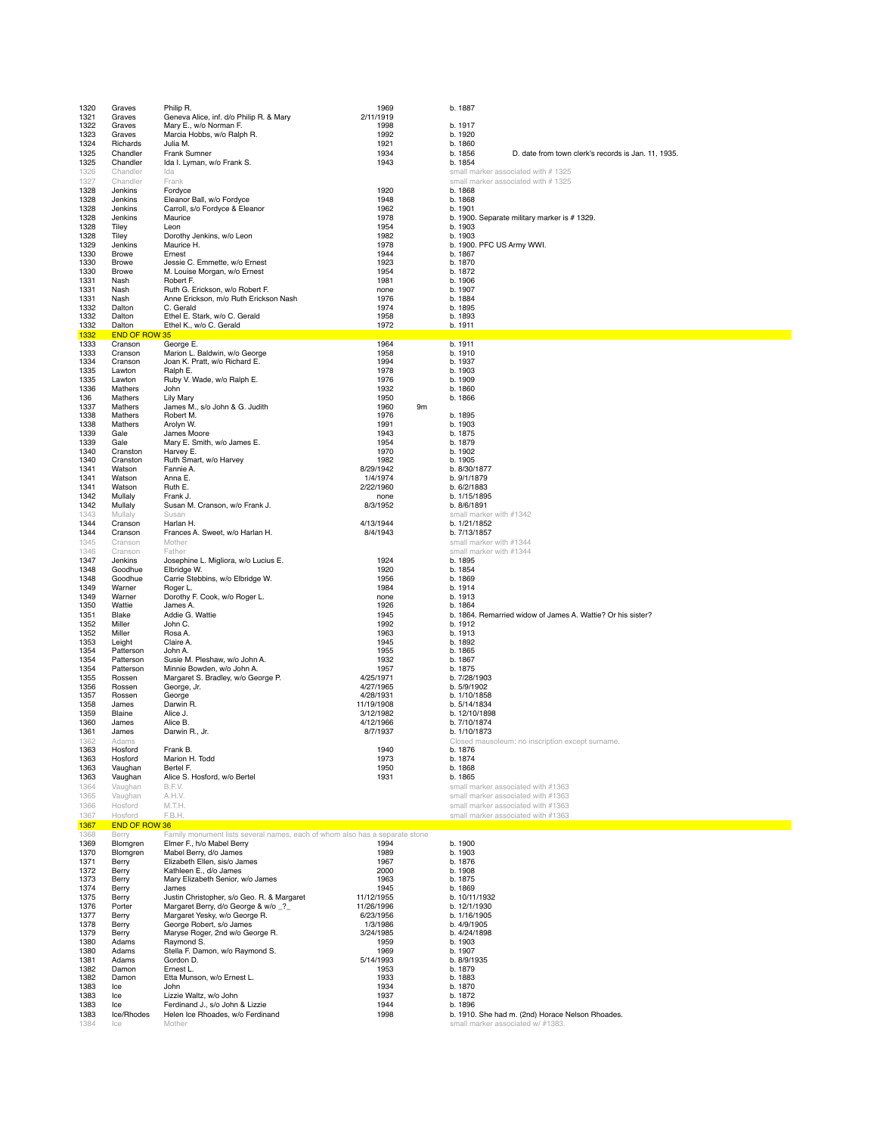| 1320         | Graves               | Philip R.                                                                   | 1969                  |    | b. 1887                                                        |
|--------------|----------------------|-----------------------------------------------------------------------------|-----------------------|----|----------------------------------------------------------------|
| 1321         | Graves               | Geneva Alice, inf. d/o Philip R. & Mary                                     | 2/11/1919             |    |                                                                |
| 1322         | Graves               | Mary E., w/o Norman F.                                                      | 1998                  |    | b. 1917                                                        |
| 1323         | Graves               | Marcia Hobbs, w/o Ralph R.                                                  | 1992                  |    | b. 1920                                                        |
| 1324         | Richards             | Julia M.                                                                    | 1921                  |    | b. 1860                                                        |
| 1325         | Chandler             | Frank Sumner                                                                | 1934                  |    | b. 1856<br>D. date from town clerk's records is Jan. 11, 1935. |
|              |                      |                                                                             |                       |    |                                                                |
| 1325         | Chandler             | Ida I. Lyman, w/o Frank S.                                                  | 1943                  |    | b. 1854                                                        |
| 1326         | Chandler             | Ida                                                                         |                       |    | small marker associated with #1325                             |
| 1327         | Chandler             | Frank                                                                       |                       |    | small marker associated with #1325                             |
| 1328         | Jenkins              | Fordyce                                                                     | 1920                  |    | b. 1868                                                        |
| 1328         | Jenkins              | Eleanor Ball, w/o Fordyce                                                   | 1948                  |    | b. 1868                                                        |
| 1328         | Jenkins              | Carroll, s/o Fordyce & Eleanor                                              | 1962                  |    | b. 1901                                                        |
| 1328         | Jenkins              | Maurice                                                                     | 1978                  |    | b. 1900. Separate military marker is #1329.                    |
| 1328         | Tiley                | Leon                                                                        | 1954                  |    | b. 1903                                                        |
| 1328         | Tiley                | Dorothy Jenkins, w/o Leon                                                   | 1982                  |    | b. 1903                                                        |
| 1329         | Jenkins              | Maurice H.                                                                  | 1978                  |    | b. 1900. PFC US Army WWI.                                      |
| 1330         | Browe                | Ernest                                                                      | 1944                  |    | b. 1867                                                        |
| 1330         | Browe                | Jessie C. Emmette, w/o Ernest                                               | 1923                  |    | b. 1870                                                        |
| 1330         | Browe                | M. Louise Morgan, w/o Ernest                                                | 1954                  |    | b. 1872                                                        |
| 1331         | Nash                 | Robert F.                                                                   | 1981                  |    | b. 1906                                                        |
| 1331         | Nash                 | Ruth G. Erickson, w/o Robert F.                                             | none                  |    | b. 1907                                                        |
| 1331         | Nash                 | Anne Erickson, m/o Ruth Erickson Nash                                       | 1976                  |    | b. 1884                                                        |
| 1332         | Dalton               | C. Gerald                                                                   | 1974                  |    | b. 1895                                                        |
| 1332         | Dalton               | Ethel E. Stark, w/o C. Gerald                                               | 1958                  |    | b. 1893                                                        |
| 1332         | Dalton               | Ethel K., w/o C. Gerald                                                     | 1972                  |    | b. 1911                                                        |
| 1332         | <b>END OF ROW 35</b> |                                                                             |                       |    |                                                                |
| 1333         | Cranson              | George E.                                                                   | 1964                  |    | b. 1911                                                        |
| 1333         | Cranson              | Marion L. Baldwin, w/o George                                               | 1958                  |    | b. 1910                                                        |
| 1334         | Cranson              | Joan K. Pratt, w/o Richard E.                                               | 1994                  |    | b. 1937                                                        |
| 1335         | Lawton               | Ralph E.                                                                    | 1978                  |    | b. 1903                                                        |
| 1335         | Lawton               | Ruby V. Wade, w/o Ralph E.                                                  | 1976                  |    | b. 1909                                                        |
| 1336         | Mathers              | John                                                                        | 1932                  |    | b. 1860                                                        |
| 136          | Mathers              | <b>Lily Mary</b>                                                            | 1950                  |    | b. 1866                                                        |
| 1337         | Mathers              | James M., s/o John & G. Judith                                              | 1960                  | 9m |                                                                |
| 1338         | Mathers              | Robert M.                                                                   | 1976                  |    | b. 1895                                                        |
| 1338         | Mathers              | Arolyn W.                                                                   | 1991                  |    | b. 1903                                                        |
| 1339         | Gale                 | James Moore                                                                 | 1943                  |    | b. 1875                                                        |
| 1339         | Gale                 | Mary E. Smith, w/o James E.                                                 | 1954                  |    | b. 1879                                                        |
| 1340         | Cranston             | Harvey E.                                                                   | 1970                  |    | b. 1902                                                        |
| 1340         | Cranston             | Ruth Smart, w/o Harvey                                                      | 1982                  |    | b. 1905                                                        |
| 1341         | Watson               | Fannie A.                                                                   | 8/29/1942             |    | b. 8/30/1877                                                   |
| 1341         | Watson               | Anna E.                                                                     | 1/4/1974              |    | b. 9/1/1879                                                    |
| 1341         | Watson               | Ruth E.                                                                     | 2/22/1960             |    | b. 6/2/1883                                                    |
| 1342         | Mullaly              | Frank J.                                                                    | none                  |    | b. 1/15/1895                                                   |
| 1342         | Mullaly              | Susan M. Cranson, w/o Frank J.                                              | 8/3/1952              |    | b. 8/6/1891                                                    |
| 1343         | Mullaly              | Susan                                                                       |                       |    | small marker with #1342                                        |
| 1344         | Cranson              | Harlan H.                                                                   | 4/13/1944             |    | b. 1/21/1852                                                   |
| 1344         | Cranson              | Frances A. Sweet, w/o Harlan H.                                             | 8/4/1943              |    | b. 7/13/1857                                                   |
| 1345         | Cranson              | Mother                                                                      |                       |    | small marker with #1344                                        |
| 1346         | Cranson              | Father                                                                      |                       |    | small marker with #1344                                        |
| 1347         | Jenkins              | Josephine L. Migliora, w/o Lucius E.                                        | 1924                  |    | b. 1895                                                        |
| 1348         | Goodhue              | Elbridge W.                                                                 | 1920                  |    | b. 1854                                                        |
| 1348         | Goodhue              | Carrie Stebbins, w/o Elbridge W.                                            | 1956                  |    | b. 1869                                                        |
| 1349         | Warner               | Roger L.                                                                    | 1984                  |    | b. 1914                                                        |
| 1349         | Warner               | Dorothy F. Cook, w/o Roger L.                                               | none                  |    | b. 1913                                                        |
| 1350         | Wattie               | James A.                                                                    | 1926                  |    | b. 1864                                                        |
| 1351         | Blake                | Addie G. Wattie                                                             | 1945                  |    | b. 1864. Remarried widow of James A. Wattie? Or his sister?    |
| 1352         | Miller               | John C.                                                                     | 1992                  |    | b. 1912                                                        |
| 1352         | Miller               | Rosa A.                                                                     | 1963                  |    | b. 1913                                                        |
| 1353         | Leight               | Claire A.                                                                   | 1945                  |    | b. 1892                                                        |
| 1354         |                      |                                                                             |                       |    |                                                                |
|              |                      |                                                                             |                       |    |                                                                |
|              | Patterson            | John A.                                                                     | 1955                  |    | b. 1865                                                        |
| 1354         | Patterson            | Susie M. Pleshaw, w/o John A.                                               | 1932                  |    | b. 1867                                                        |
| 1354         | Patterson            | Minnie Bowden, w/o John A.                                                  | 1957                  |    | b. 1875                                                        |
| 1355         | Rossen               | Margaret S. Bradley, w/o George P.                                          | 4/25/1971             |    | b. 7/28/1903                                                   |
| 1356         | Rossen               | George, Jr.                                                                 | 4/27/1965             |    | b. 5/9/1902                                                    |
| 1357         | Rossen<br>James      | George                                                                      | 4/28/1931             |    | b. 1/10/1858                                                   |
| 1358         |                      | Darwin R.                                                                   | 11/19/1908            |    | b. 5/14/1834<br>b. 12/10/1898                                  |
| 1359         | Blaine<br>James      | Alice J.<br>Alice B.                                                        | 3/12/1982             |    |                                                                |
| 1360<br>1361 | James                | Darwin R., Jr.                                                              | 4/12/1966<br>8/7/1937 |    | b. 7/10/1874<br>b. 1/10/1873                                   |
| 1362         | Adams                |                                                                             |                       |    |                                                                |
| 1363         | Hosford              | Frank B.                                                                    | 1940                  |    | Closed mausoleum: no inscription except surname<br>b. 1876     |
| 1363         | Hosford              | Marion H. Todd                                                              | 1973                  |    | b. 1874                                                        |
| 1363         | Vaughan              | Bertel F.                                                                   | 1950                  |    | b. 1868                                                        |
| 1363         | Vaughan              | Alice S. Hosford, w/o Bertel                                                | 1931                  |    | b. 1865                                                        |
| 1364         | Vaughan              | B.F.V.                                                                      |                       |    | small marker associated with #1363                             |
| 1365         | Vaughan              | A.H.V.                                                                      |                       |    | small marker associated with #1363                             |
| 1366         | Hosford              | M.T.H.                                                                      |                       |    | small marker associated with #1363                             |
|              | Hosford              | F.B.H.                                                                      |                       |    |                                                                |
| 1367<br>1367 | <b>END OF ROW 36</b> |                                                                             |                       |    | small marker associated with #1363                             |
|              |                      |                                                                             |                       |    |                                                                |
| 1368         | Berry                | Family monument lists several names, each of whom also has a separate stone |                       |    |                                                                |
| 1369<br>1370 | Blomgren<br>Blomgren | Elmer F., h/o Mabel Berry<br>Mabel Berry, d/o James                         | 1994<br>1989          |    | b. 1900<br>b. 1903                                             |
| 1371         | Berry                | Elizabeth Ellen, sis/o James                                                | 1967                  |    | b. 1876                                                        |
| 1372         | Berry                | Kathleen E., d/o James                                                      | 2000                  |    | b. 1908                                                        |
| 1373         | Berry                | Mary Elizabeth Senior, w/o James                                            | 1963                  |    | b. 1875                                                        |
| 1374         | Berry                | James                                                                       | 1945                  |    | b. 1869                                                        |
| 1375         | Berry                | Justin Christopher, s/o Geo. R. & Margaret                                  | 11/12/1955            |    | b. 10/11/1932                                                  |
| 1376         | Porter               | Margaret Berry, d/o George & w/o _?_                                        | 11/26/1996            |    | b. 12/1/1930                                                   |
| 1377         | Berry                | Margaret Yesky, w/o George R.                                               | 6/23/1956             |    | b. 1/16/1905                                                   |
|              |                      |                                                                             | 1/3/1986              |    | b. 4/9/1905                                                    |
| 1378<br>1379 | Berry<br>Berry       | George Robert, s/o James                                                    | 3/24/1985             |    | b. 4/24/1898                                                   |
| 1380         | Adams                | Maryse Roger, 2nd w/o George R.<br>Raymond S.                               | 1959                  |    | b. 1903                                                        |
| 1380         | Adams                | Stella F. Damon, w/o Raymond S.                                             | 1969                  |    | b. 1907                                                        |
| 1381         | Adams                | Gordon D.                                                                   | 5/14/1993             |    | b. 8/9/1935                                                    |
| 1382         | Damon                | Ernest L.                                                                   | 1953                  |    | b. 1879                                                        |
| 1382         | Damon                | Etta Munson, w/o Ernest L.                                                  | 1933                  |    | b. 1883                                                        |
| 1383         | Ice                  | John                                                                        | 1934                  |    | b. 1870                                                        |
| 1383         | Ice                  | Lizzie Waltz, w/o John                                                      | 1937                  |    | b. 1872                                                        |
| 1383         | Ice                  | Ferdinand J., s/o John & Lizzie                                             | 1944                  |    | b. 1896                                                        |
| 1383         | Ice/Rhodes           | Helen Ice Rhoades, w/o Ferdinand                                            | 1998                  |    | b. 1910. She had m. (2nd) Horace Nelson Rhoades.               |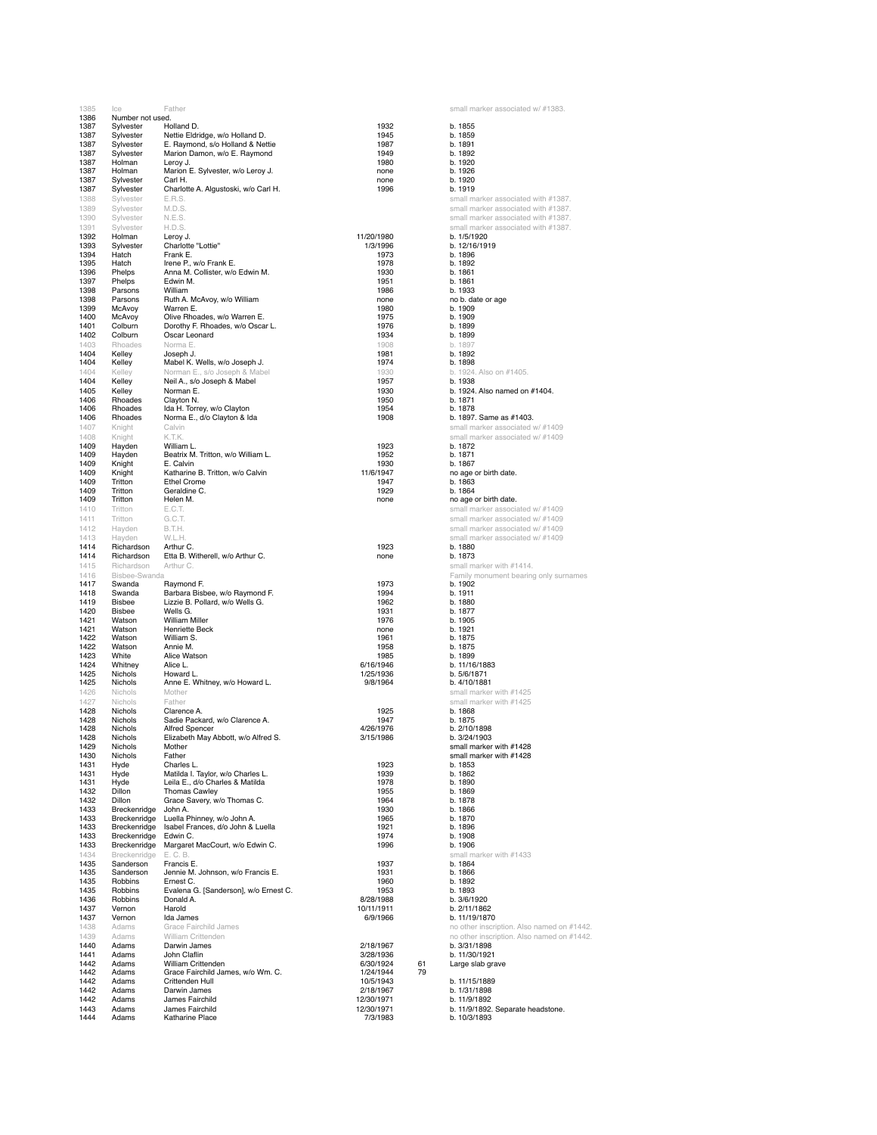| 1385                         | Ice                    | <b>Hather</b>                                                       |                 | small marker associated w/ #1383                          |
|------------------------------|------------------------|---------------------------------------------------------------------|-----------------|-----------------------------------------------------------|
| 1386                         | Number not used.       |                                                                     |                 |                                                           |
| 1387                         | Sylvester<br>Sylvester | Holland D.                                                          | 1932            | b. 1855<br>b. 1859                                        |
| 1387<br>1387                 | Sylvester              | Nettie Eldridge, w/o Holland D.<br>E. Raymond, s/o Holland & Nettie | 1945<br>1987    | b. 1891                                                   |
| 1387                         | Sylvester              | Marion Damon, w/o E. Raymond                                        | 1949            | b. 1892                                                   |
| 1387                         | Holman                 | Leroy J.                                                            | 1980            | b. 1920                                                   |
| 1387                         | Holman                 | Marion E. Sylvester, w/o Leroy J.                                   | none            | b. 1926                                                   |
| 1387                         | Sylvester              | Carl H.                                                             | none            | h.1920                                                    |
| 1387                         | Sylvester              | Charlotte A. Algustoski, w/o Carl H.                                | 1996            | b. 1919                                                   |
| 1388                         | Sylvester              | E.R.S.                                                              |                 | small marker associated with #1387.                       |
|                              |                        |                                                                     |                 |                                                           |
| 1389                         | Sylvester              | M.D.S.                                                              |                 | small marker associated with #1387.                       |
| 1390                         | Sylvester              | N.E.S.                                                              |                 | small marker associated with #1387.                       |
| 1391                         | Sylvester              | H.D.S.                                                              |                 | small marker associated with #1387.                       |
| 1392                         | Holman                 | Leroy J.                                                            | 11/20/1980      | b. 1/5/1920                                               |
| 1393                         | Sylvester              | Charlotte "Lottie"                                                  | 1/3/1996        | b. 12/16/1919                                             |
| 1394                         | Hatch                  | Frank E.                                                            | 1973            | b. 1896                                                   |
| 1395                         | Hatch                  | Irene P., w/o Frank E.                                              | 1978            | b. 1892                                                   |
| 1396                         | Phelps                 | Anna M. Collister, w/o Edwin M.                                     | 1930            | b. 1861                                                   |
| 1397                         | Phelps                 | Edwin M.                                                            | 1951            | b. 1861                                                   |
| 1398                         | Parsons                | William                                                             | 1986            | b. 1933                                                   |
| 1398                         | Parsons                | Ruth A. McAvoy, w/o William                                         | none            | no b. date or age                                         |
| 1399                         | McAvoy                 | Warren E.                                                           | 1980            | b. 1909                                                   |
| 1400                         | McAvoy                 | Olive Rhoades, w/o Warren E.                                        | 1975            | b. 1909                                                   |
| 1401                         | Colburn                | Dorothy F. Rhoades, w/o Oscar L.                                    | 1976            | b. 1899                                                   |
| 1402                         | Colburn                | Oscar Leonard                                                       | 1934            | b. 1899                                                   |
| 1403                         | Rhoades                | Norma E                                                             | 1908            | b. 1897                                                   |
| 1404                         | Kelley                 | Joseph J.                                                           | 1981            | b. 1892                                                   |
|                              |                        |                                                                     |                 |                                                           |
| 1404                         | Kelley                 | Mabel K. Wells, w/o Joseph J.                                       | 1974            | b. 1898                                                   |
| 1404                         | Kelley                 | Norman E., s/o Joseph & Mabel                                       | 1930            | b. 1924. Also on #1405.                                   |
| 1404                         | Kelley                 | Neil A., s/o Joseph & Mabel                                         | 1957            | b. 1938                                                   |
| 1405                         | Kelley                 | Norman E.                                                           | 1930            | b. 1924. Also named on #1404.                             |
| 1406                         | Rhoades                | Clayton N.                                                          | 1950            | b. 1871                                                   |
| 1406                         | Rhoades                | Ida H. Torrey, w/o Clayton                                          | 1954            | b. 1878                                                   |
| 1406                         | Rhoades                | Norma E., d/o Clayton & Ida                                         | 1908            | b. 1897. Same as #1403.                                   |
| 1407                         | Knight                 | Calvin                                                              |                 | small marker associated w/ #1409                          |
| 1408                         | Knight                 | K.T.K.                                                              |                 | small marker associated w/ #1409                          |
| 1409                         | Hayden                 | William L.                                                          | 1923            | b. 1872                                                   |
| 1409                         | Hayden                 | Beatrix M. Tritton, w/o William L.                                  | 1952            | b. 1871                                                   |
| 1409                         |                        |                                                                     | 1930            | b. 1867                                                   |
|                              | Knight                 | E. Calvin<br>Katharine B. Tritton, w/o Calvin                       | 11/6/1947       | no age or birth date.                                     |
| 1409                         | Knight                 |                                                                     |                 |                                                           |
| 1409                         | Tritton<br>Tritton     | <b>Ethel Crome</b>                                                  | 1947            | b. 1863                                                   |
| 1409                         |                        | Geraldine C.                                                        | 1929            | b. 1864                                                   |
| 1409                         | Tritton                | Helen M.                                                            | none            | no age or birth date.                                     |
| 1410                         | Tritton                | E.C.T.                                                              |                 | small marker associated w/ #1409                          |
| 1411                         | Tritton                | G.C.T.                                                              |                 | small marker associated w/ #1409                          |
| 1412                         | Hayden                 | B.T.H.                                                              |                 | small marker associated w/ #1409                          |
| 1413                         | Hayden                 | W.L.H.                                                              |                 | small marker associated w/ #1409                          |
| 1414                         | Richardson             | Arthur C.                                                           | 1923            | b. 1880                                                   |
| 1414                         | Richardson             | Etta B. Witherell, w/o Arthur C.                                    | none            | b. 1873                                                   |
| 1415                         | Richardson             | Arthur C.                                                           |                 | small marker with #1414.                                  |
| 1416                         | Bisbee-Swanda          |                                                                     |                 | Family monument bearing only surnames                     |
| 1417                         | Swanda                 |                                                                     | 1973            | b. 1902                                                   |
|                              |                        | Raymond F.                                                          |                 | b. 1911                                                   |
| 1418                         | Swanda                 | Barbara Bisbee, w/o Raymond F.                                      | 1994            |                                                           |
| 1419                         | Bisbee                 | Lizzie B. Pollard, w/o Wells G.                                     | 1962            | b. 1880                                                   |
| 1420                         | <b>Bisbee</b>          | Wells G.                                                            | 1931            | b. 1877                                                   |
| 1421                         | Watson                 | William Miller                                                      | 1976            | b. 1905                                                   |
| 1421                         | Watson                 | <b>Henriette Beck</b>                                               | none            | b. 1921                                                   |
| 1422                         | Watson                 | William S.                                                          | 1961            | b. 1875                                                   |
| 1422                         | Watson                 | Annie M.                                                            | 1958            | b. 1875                                                   |
| 1423                         | White                  | Alice Watson                                                        | 1985            | b. 1899                                                   |
| 1424                         | Whitney                | Alice L.                                                            | 6/16/1946       | b. 11/16/1883                                             |
| 1425                         | <b>Nichols</b>         | Howard L.                                                           | 1/25/1936       | b. 5/6/1871                                               |
| 1425                         | Nichols                | Anne E. Whitney, w/o Howard L.                                      | 9/8/1964        | b. 4/10/1881                                              |
| 1426                         | Nichols                | Mother                                                              |                 | small marker with #1425                                   |
| 1427                         | Nichols                | Father                                                              |                 | small marker with #1425                                   |
| 1428                         | Nichols                | Clarence A.                                                         | 1925            | b. 1868                                                   |
| 1428                         | Nichols                | Sadie Packard, w/o Clarence A.                                      | 1947            | b. 1875                                                   |
| 1428                         | Nichols                | <b>Alfred Spencer</b>                                               | 4/26/1976       | b. 2/10/1898                                              |
| 1428                         | Nichols                | Elizabeth May Abbott, w/o Alfred S.                                 | 3/15/1986       | b. 3/24/1903                                              |
| 1429                         | Nichols                | Mother                                                              |                 | small marker with #1428                                   |
| 1430                         | Nichols                | Father                                                              |                 | small marker with #1428                                   |
| 1431                         | Hyde                   | Charles L.                                                          | 1923            | b. 1853                                                   |
| 1431                         | Hyde                   | Matilda I. Taylor, w/o Charles L.                                   | 1939            | b. 1862                                                   |
| 1431                         | Hyde                   | Leila E., d/o Charles & Matilda                                     | 1978            | b. 1890                                                   |
| 1432                         | Dillon                 | <b>Thomas Cawley</b>                                                | 1955            | b. 1869                                                   |
| 1432                         | Dillon                 | Grace Savery, w/o Thomas C.                                         | 1964            | b. 1878                                                   |
| 1433                         | Breckenridge           | John A.                                                             | 1930            | b. 1866                                                   |
| 1433                         | Breckenridge           | Luella Phinney, w/o John A.                                         | 1965            | b. 1870                                                   |
| 1433                         | Breckenridge           | Isabel Frances, d/o John & Luella                                   | 1921            | b. 1896                                                   |
| 1433                         | Breckenridge           | Edwin C.                                                            | 1974            | b. 1908                                                   |
| 1433                         |                        | Margaret MacCourt, w/o Edwin C.                                     | 1996            | b. 1906                                                   |
|                              |                        |                                                                     |                 |                                                           |
|                              | Breckenridge           |                                                                     |                 | small marker with #1433                                   |
| 1434                         | Breckenridge           | E. C. B.                                                            |                 |                                                           |
| 1435                         | Sanderson              | Francis E.                                                          | 1937            | b. 1864                                                   |
| 1435                         | Sanderson              | Jennie M. Johnson, w/o Francis E.                                   | 1931            | b. 1866                                                   |
| 1435                         | Robbins                | Ernest C.                                                           | 1960            | b. 1892                                                   |
| 1435                         | Robbins                | Evalena G. [Sanderson], w/o Ernest C.                               | 1953            | b. 1893                                                   |
| 1436                         | Robbins                | Donald A.                                                           | 8/28/1988       | b. 3/6/1920                                               |
| 1437                         | Vernon                 | Harold                                                              | 10/11/1911      | b. 2/11/1862                                              |
| 1437                         | Vernon                 | Ida James                                                           | 6/9/1966        | b. 11/19/1870                                             |
| 1438                         | Adams                  | Grace Fairchild James                                               |                 | no other inscription. Also named on #144:                 |
| 1439                         | Adams                  | William Crittenden                                                  |                 |                                                           |
|                              |                        |                                                                     |                 |                                                           |
| 1440                         | Adams                  | Darwin James                                                        | 2/18/1967       | no other inscription. Also named on #144;<br>b. 3/31/1898 |
|                              | Adams                  | John Claflin                                                        | 3/28/1936       | b. 11/30/1921                                             |
|                              | Adams                  | William Crittenden                                                  | 6/30/1924<br>61 | Large slab grave                                          |
|                              | Adams                  | Grace Fairchild James, w/o Wm. C.                                   | 1/24/1944<br>79 |                                                           |
| 1442                         | Adams                  | Crittenden Hull                                                     | 10/5/1943       | b. 11/15/1889                                             |
| 1441<br>1442<br>1442<br>1442 | Adams                  | Darwin James                                                        | 2/18/1967       | b. 1/31/1898                                              |
| 1442                         | Adams                  | James Fairchild                                                     | 12/30/1971      | b. 11/9/1892                                              |
| 1443                         | Adams                  | James Fairchild                                                     | 12/30/1971      | b. 11/9/1892. Separate headstone.                         |
| 1444                         | Adams                  | Katharine Place                                                     | 7/3/1983        | b. 10/3/1893                                              |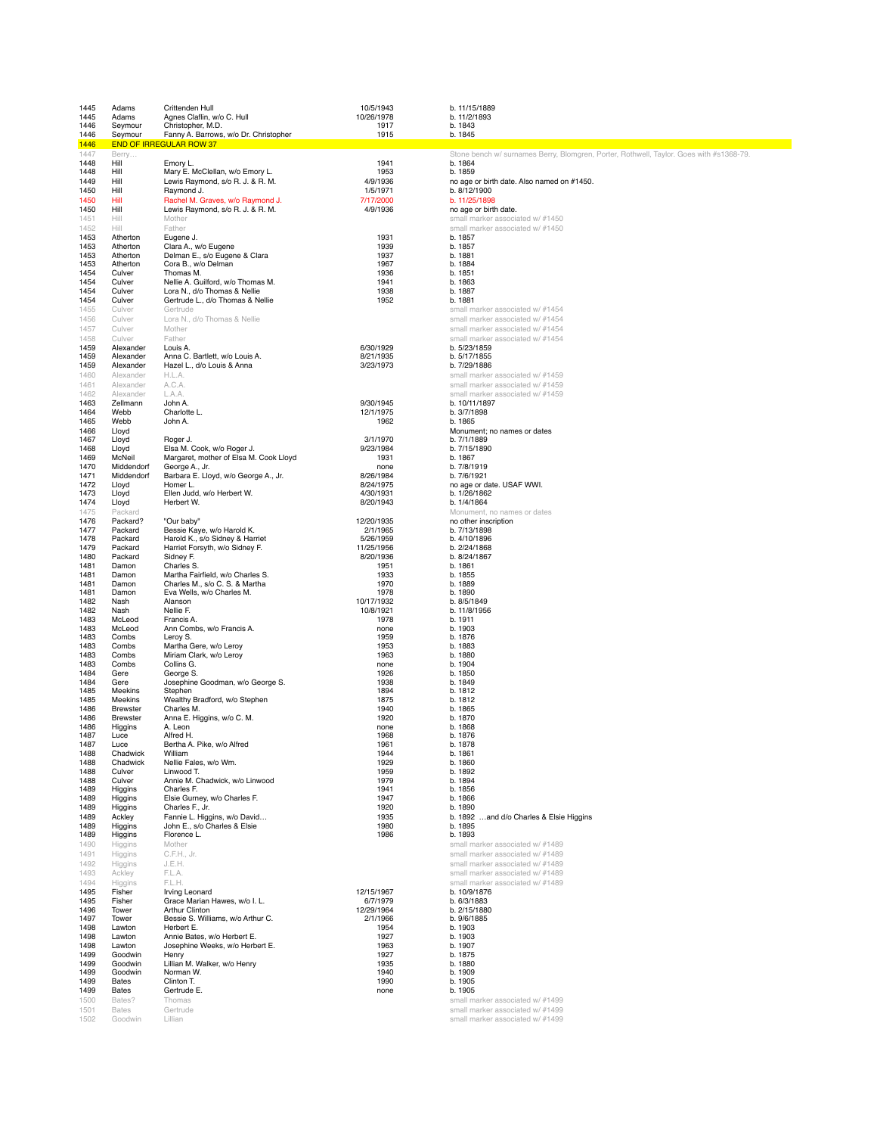| 1445         | Adams                    | Crittenden Hull                                                      | 10/5/1943               | b. 11/15/1889                                                                           |
|--------------|--------------------------|----------------------------------------------------------------------|-------------------------|-----------------------------------------------------------------------------------------|
| 1445         | Adams<br>Seymour         | Agnes Claflin, w/o C. Hull<br>Christopher, M.D.                      | 10/26/1978              | b. 11/2/1893                                                                            |
| 1446<br>1446 | Seymour                  | Fanny A. Barrows, w/o Dr. Christopher                                | 1917<br>1915            | b. 1843<br>b. 1845                                                                      |
| 1446         |                          | <b>END OF IRREGULAR ROW 37</b>                                       |                         |                                                                                         |
| 1447         | Berry                    |                                                                      |                         | Stone bench w/ surnames Berry, Blomgren, Porter, Rothwell, Taylor. Goes with #s1368-79. |
| 1448<br>1448 | Hill<br>Hill             | Emory L.<br>Mary E. McClellan, w/o Emory L.                          | 1941<br>1953            | b. 1864<br>b. 1859                                                                      |
| 1449         | Hill                     | Lewis Raymond, s/o R. J. & R. M.                                     | 4/9/1936                | no age or birth date. Also named on #1450.                                              |
| 1450         | Hill                     | Raymond J.                                                           | 1/5/1971                | b. 8/12/1900                                                                            |
| 1450<br>1450 | Hill<br>Hill             | Rachel M. Graves, w/o Raymond J.<br>Lewis Raymond, s/o R. J. & R. M. | 7/17/2000<br>4/9/1936   | b. 11/25/1898<br>no age or birth date.                                                  |
| 1451         | Hill                     | Mother                                                               |                         | small marker associated w/ #1450                                                        |
| 1452         | Hill                     | Father                                                               |                         | small marker associated w/ #1450                                                        |
| 1453         | Atherton                 | Eugene J.                                                            | 1931                    | b. 1857                                                                                 |
| 1453<br>1453 | Atherton<br>Atherton     | Clara A., w/o Eugene<br>Delman E., s/o Eugene & Clara                | 1939<br>1937            | b. 1857<br>b. 1881                                                                      |
| 1453         | Atherton                 | Cora B., w/o Delman                                                  | 1967                    | b. 1884                                                                                 |
| 1454         | Culver                   | Thomas M.                                                            | 1936                    | b. 1851                                                                                 |
| 1454<br>1454 | Culver<br>Culver         | Nellie A. Guilford, w/o Thomas M.<br>Lora N., d/o Thomas & Nellie    | 1941<br>1938            | b. 1863<br>b. 1887                                                                      |
| 1454         | Culver                   | Gertrude L., d/o Thomas & Nellie                                     | 1952                    | b. 1881                                                                                 |
| 1455         | Culver                   | Gertrude                                                             |                         | small marker associated w/ #1454                                                        |
| 1456         | Culver                   | Lora N., d/o Thomas & Nellie                                         |                         | small marker associated w/ #1454                                                        |
| 1457<br>1458 | Culver<br>Culver         | Mother<br>Father                                                     |                         | small marker associated w/ #1454<br>small marker associated w/ #1454                    |
| 1459         | Alexander                | Louis A.                                                             | 6/30/1929               | b. 5/23/1859                                                                            |
| 1459         | Alexander                | Anna C. Bartlett, w/o Louis A.                                       | 8/21/1935               | b. 5/17/1855                                                                            |
| 1459         | Alexander                | Hazel L., d/o Louis & Anna                                           | 3/23/1973               | b. 7/29/1886                                                                            |
| 1460<br>1461 | Alexander<br>Alexander   | H.L.A.<br>A.C.A.                                                     |                         | small marker associated w/ #1459<br>small marker associated w/ #1459                    |
| 1462         | Alexander                | L.A.A.                                                               |                         | small marker associated w/ #1459                                                        |
| 1463         | Zellmann                 | John A.                                                              | 9/30/1945               | b. 10/11/1897                                                                           |
| 1464         | Webb                     | Charlotte L.                                                         | 12/1/1975               | b. 3/7/1898                                                                             |
| 1465         | Webb                     | John A.                                                              | 1962                    | b. 1865                                                                                 |
| 1466<br>1467 | Lloyd<br>Lloyd           | Roger J.                                                             | 3/1/1970                | Monument; no names or dates<br>b. 7/1/1889                                              |
| 1468         | Lloyd                    | Elsa M. Cook, w/o Roger J.                                           | 9/23/1984               | b. 7/15/1890                                                                            |
| 1469         | McNeil                   | Margaret, mother of Elsa M. Cook Lloyd                               | 1931                    | b. 1867                                                                                 |
| 1470<br>1471 | Middendorf<br>Middendorf | George A., Jr.<br>Barbara E. Lloyd, w/o George A., Jr.               | none<br>8/26/1984       | b. 7/8/1919<br>b. 7/6/1921                                                              |
| 1472         | Lloyd                    | Homer L.                                                             | 8/24/1975               | no age or date. USAF WWI.                                                               |
| 1473         | Lloyd                    | Ellen Judd, w/o Herbert W.                                           | 4/30/1931               | b. 1/26/1862                                                                            |
| 1474         | Lloyd                    | Herbert W.                                                           | 8/20/1943               | b. 1/4/1864                                                                             |
| 1475<br>1476 | Packard<br>Packard?      | "Our baby"                                                           | 12/20/1935              | Monument, no names or dates<br>no other inscription                                     |
| 1477         | Packard                  | Bessie Kaye, w/o Harold K.                                           | 2/1/1965                | b. 7/13/1898                                                                            |
| 1478         | Packard                  | Harold K., s/o Sidney & Harriet                                      | 5/26/1959               | b. 4/10/1896                                                                            |
| 1479         | Packard                  | Harriet Forsyth, w/o Sidney F.                                       | 11/25/1956              | b. 2/24/1868                                                                            |
| 1480<br>1481 | Packard<br>Damon         | Sidney F.<br>Charles S.                                              | 8/20/1936<br>1951       | b. 8/24/1867<br>b. 1861                                                                 |
| 1481         | Damon                    | Martha Fairfield, w/o Charles S.                                     | 1933                    | b. 1855                                                                                 |
| 1481         | Damon                    | Charles M., s/o C. S. & Martha                                       | 1970                    | b. 1889                                                                                 |
| 1481         | Damon                    | Eva Wells, w/o Charles M.                                            | 1978                    | b. 1890                                                                                 |
| 1482<br>1482 | Nash<br>Nash             | Alanson<br>Nellie F.                                                 | 10/17/1932<br>10/8/1921 | b. 8/5/1849<br>b. 11/8/1956                                                             |
| 1483         | McLeod                   | Francis A.                                                           | 1978                    | b. 1911                                                                                 |
| 1483         | McLeod                   | Ann Combs, w/o Francis A.                                            | none                    | b. 1903                                                                                 |
| 1483<br>1483 | Combs<br>Combs           | Leroy S.<br>Martha Gere, w/o Leroy                                   | 1959<br>1953            | b. 1876<br>b. 1883                                                                      |
| 1483         | Combs                    | Miriam Clark, w/o Leroy                                              | 1963                    | b. 1880                                                                                 |
| 1483         | Combs                    | Collins G.                                                           | none                    | b. 1904                                                                                 |
| 1484         | Gere                     | George S.                                                            | 1926                    | b. 1850                                                                                 |
| 1484<br>1485 | Gere<br><b>Meekins</b>   | Josephine Goodman, w/o George S.<br>Stephen                          | 1938<br>1894            | b. 1849<br>b. 1812                                                                      |
| 1485         | <b>Meekins</b>           | Wealthy Bradford, w/o Stephen                                        | 1875                    | b. 1812                                                                                 |
| 1486         | <b>Brewster</b>          | Charles M.                                                           | 1940                    | b. 1865                                                                                 |
| 1486<br>1486 | <b>Brewster</b>          | Anna E. Higgins, w/o C. M.<br>A. Leon                                | 1920<br>none            | b. 1870<br>b. 1868                                                                      |
| 1487         | Higgins<br>Luce          | Alfred H.                                                            | 1968                    | b. 1876                                                                                 |
| 1487         | Luce                     | Bertha A. Pike, w/o Alfred                                           | 1961                    | b. 1878                                                                                 |
| 1488         | Chadwick                 | William                                                              | 1944                    | b. 1861                                                                                 |
| 1488<br>1488 | Chadwick<br>Culver       | Nellie Fales, w/o Wm.<br>Linwood T.                                  | 1929<br>1959            | b. 1860<br>b. 1892                                                                      |
| 1488         | Culver                   | Annie M. Chadwick, w/o Linwood                                       | 1979                    | b. 1894                                                                                 |
| 1489         | Higgins                  | Charles F.                                                           | 1941                    | b. 1856                                                                                 |
| 1489         | Higgins                  | Elsie Gurney, w/o Charles F.                                         | 1947                    | b. 1866                                                                                 |
| 1489<br>1489 | Higgins<br>Ackley        | Charles F., Jr.<br>Fannie L. Higgins, w/o David                      | 1920<br>1935            | b. 1890<br>b. 1892 and d/o Charles & Elsie Higgins                                      |
| 1489         | Higgins                  | John E., s/o Charles & Elsie                                         | 1980                    | b. 1895                                                                                 |
| 1489         | Higgins                  | Florence L.                                                          | 1986                    | b. 1893                                                                                 |
| 1490         | Higgins                  | Mother                                                               |                         | small marker associated w/ #1489                                                        |
| 1491         | Higgins                  | C.F.H., Jr.                                                          |                         | small marker associated w/ #1489                                                        |
| 1492<br>1493 | Higgins<br>Ackley        | J.E.H.<br>F.L.A.                                                     |                         | small marker associated w/ #1489<br>small marker associated w/ #1489                    |
| 1494         | Higgins                  | F.L.H.                                                               |                         | small marker associated w/ #1489                                                        |
| 1495         | Fisher                   | Irving Leonard                                                       | 12/15/1967              | b. 10/9/1876                                                                            |
| 1495         | Fisher                   | Grace Marian Hawes, w/o I. L.                                        | 6/7/1979                | b. 6/3/1883                                                                             |
| 1496<br>1497 | Tower<br>Tower           | Arthur Clinton<br>Bessie S. Williams, w/o Arthur C.                  | 12/29/1964<br>2/1/1966  | b. 2/15/1880<br>b. 9/6/1885                                                             |
| 1498         | Lawton                   | Herbert E.                                                           | 1954                    | b. 1903                                                                                 |
| 1498         | Lawton                   | Annie Bates, w/o Herbert E.                                          | 1927                    | b. 1903                                                                                 |
| 1498         | Lawton                   | Josephine Weeks, w/o Herbert E.                                      | 1963                    | b. 1907                                                                                 |
| 1499<br>1499 | Goodwin<br>Goodwin       | Henry<br>Lillian M. Walker, w/o Henry                                | 1927<br>1935            | b. 1875<br>b. 1880                                                                      |
| 1499         | Goodwin                  | Norman W.                                                            | 1940                    | b. 1909                                                                                 |
| 1499         | Bates                    | Clinton T.                                                           | 1990                    | b. 1905                                                                                 |
| 1499         | Bates                    | Gertrude E.                                                          | none                    | b. 1905                                                                                 |
| 1500<br>1501 | Bates?<br><b>Bates</b>   | Thomas<br>Gertrude                                                   |                         | small marker associated w/ #1499<br>small marker associated w/ #1499                    |
| 1502         | Goodwin                  | Lillian                                                              |                         | small marker associated w/ #1499                                                        |

| b. 11/15/1889                                                                  |
|--------------------------------------------------------------------------------|
| b. 11/2/1893<br>b. 1843                                                        |
| b. 1845                                                                        |
| Stone bench w/ surnames Berry, Blomgren, Porter, Rothwell, Taylor. Goes with a |
| b. 1864                                                                        |
| b. 1859                                                                        |
| no age or birth date. Also named on #1450.<br>b. 8/12/1900                     |
| b. 11/25/1898                                                                  |
| no age or birth date.                                                          |
| small marker associated w/ #1450                                               |
| small marker associated w/ #1450<br>b. 1857                                    |
| b. 1857                                                                        |
| b. 1881<br>b. 1884                                                             |
| b. 1851                                                                        |
| b. 1863                                                                        |
| b. 1887                                                                        |
| b. 1881<br>small marker associated w/ #1454                                    |
| small marker associated w/ #1454                                               |
| small marker associated w/ #1454                                               |
| small marker associated w/ #1454                                               |
| b. 5/23/1859<br>b. 5/17/1855                                                   |
| b. 7/29/1886                                                                   |
| small marker associated w/ #1459                                               |
| small marker associated w/ #1459                                               |
| small marker associated w/ #1459<br>b. 10/11/1897                              |
| b. 3/7/1898                                                                    |
| b. 1865                                                                        |
| Monument; no names or dates<br>b. 7/1/1889                                     |
| b. 7/15/1890                                                                   |
| b. 1867                                                                        |
| b. 7/8/1919<br>b. 7/6/1921                                                     |
| no age or date. USAF WWI.                                                      |
| b. 1/26/1862                                                                   |
| b. 1/4/1864                                                                    |
| Monument, no names or dates<br>no other inscription                            |
| b. 7/13/1898                                                                   |
| b. 4/10/1896<br>b. 2/24/1868                                                   |
| b. 8/24/1867                                                                   |
| b. 1861                                                                        |
| b. 1855<br>b. 1889                                                             |
| b. 1890                                                                        |
| b. 8/5/1849                                                                    |
| b. 11/8/1956                                                                   |
| b. 1911<br>b. 1903                                                             |
| b. 1876                                                                        |
| b. 1883<br>b. 1880                                                             |
| b. 1904                                                                        |
| b. 1850                                                                        |
| b. 1849<br>b. 1812                                                             |
| b. 1812                                                                        |
| b. 1865                                                                        |
| b. 1870<br>b. 1868                                                             |
| b. 1876                                                                        |
| b. 1878                                                                        |
| b. 1861<br>b. 1860                                                             |
| b. 1892                                                                        |
| b. 1894                                                                        |
| b. 1856                                                                        |
| b. 1866<br>b. 1890                                                             |
| b. 1892 and d/o Charles & Elsie Higgins                                        |
| b. 1895                                                                        |
| b. 1893<br>small marker associated w/ #1489                                    |
| small marker associated w/ #1489                                               |
| small marker associated w/ #1489                                               |
| small marker associated w/ #1489                                               |
| small marker associated w/ #1489<br>b. 10/9/1876                               |
| b. 6/3/1883                                                                    |
| b. 2/15/1880                                                                   |
| b. 9/6/1885                                                                    |
| b. 1903<br>b. 1903                                                             |
| b. 1907                                                                        |
| b. 1875                                                                        |
| b. 1880<br>b. 1909                                                             |
| b. 1905                                                                        |
| b. 1905                                                                        |
| small marker associated w/ #1499                                               |
| small marker associated w/ #1499<br>small marker associated w/ #1499           |
|                                                                                |
|                                                                                |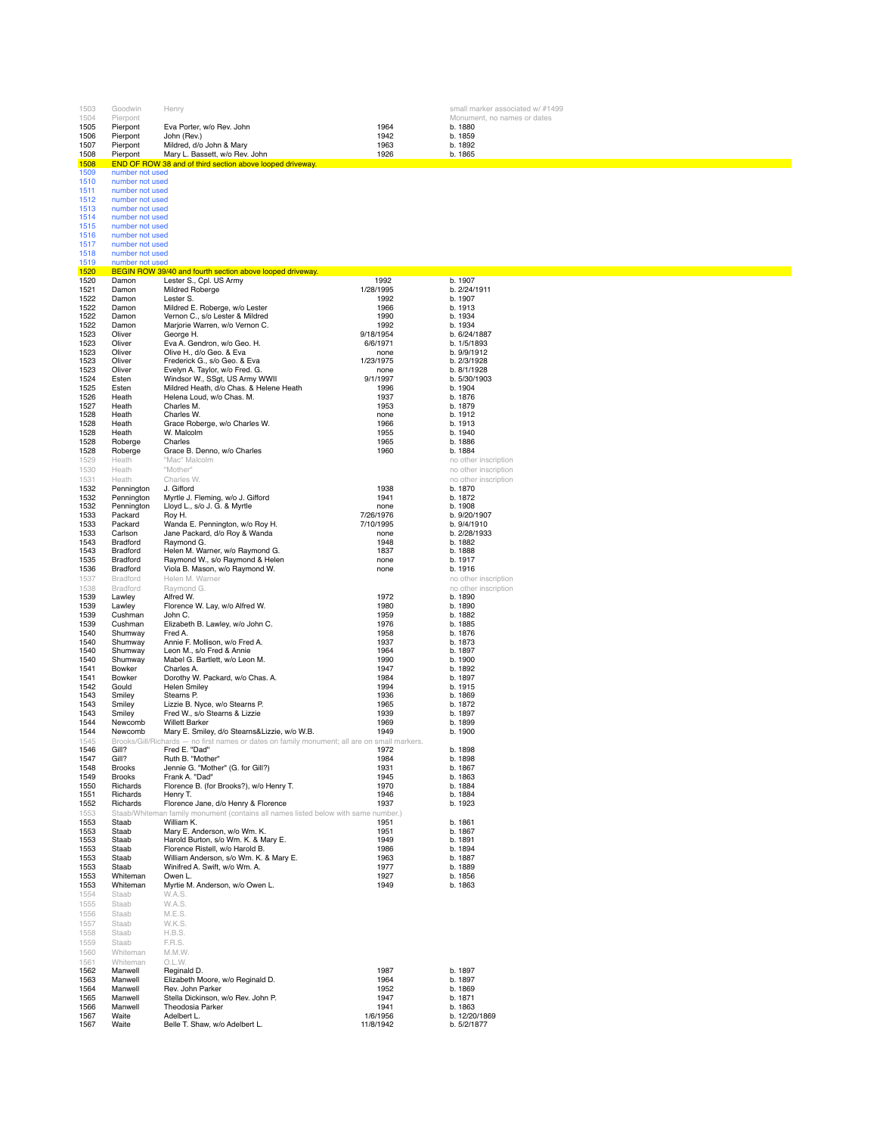| 1503         | Goodwin                            | Henry                                                                                                                     |                        | small marker associated w/ #1499 |
|--------------|------------------------------------|---------------------------------------------------------------------------------------------------------------------------|------------------------|----------------------------------|
| 1504         | Pierpont                           |                                                                                                                           |                        | Monument, no names or dates      |
| 1505         | Pierpont                           | Eva Porter, w/o Rev. John                                                                                                 | 1964                   | b. 1880                          |
| 1506         | Pierpont                           | John (Rev.)                                                                                                               | 1942                   | b. 1859                          |
| 1507         | Pierpont                           | Mildred, d/o John & Mary                                                                                                  | 1963                   | b. 1892                          |
| 1508<br>1508 | Pierpont                           | Mary L. Bassett, w/o Rev. John<br>END OF ROW 38 and of third section above looped driveway.                               | 1926                   | b. 1865                          |
| 1509         | number not used                    |                                                                                                                           |                        |                                  |
| 1510         | number not used                    |                                                                                                                           |                        |                                  |
| 1511         | number not used                    |                                                                                                                           |                        |                                  |
| 1512         | number not used                    |                                                                                                                           |                        |                                  |
| 1513         | number not used                    |                                                                                                                           |                        |                                  |
| 1514<br>1515 | number not used<br>number not used |                                                                                                                           |                        |                                  |
| 1516         | number not used                    |                                                                                                                           |                        |                                  |
| 1517         | number not used                    |                                                                                                                           |                        |                                  |
| 1518         | number not used                    |                                                                                                                           |                        |                                  |
| 1519         | number not used                    |                                                                                                                           |                        |                                  |
| 1520         |                                    | BEGIN ROW 39/40 and fourth section above looped driveway.                                                                 | 1992                   |                                  |
| 1520<br>1521 | Damon<br>Damon                     | Lester S., Cpl. US Army<br>Mildred Roberge                                                                                | 1/28/1995              | b. 1907<br>b. 2/24/1911          |
| 1522         | Damon                              | Lester S.                                                                                                                 | 1992                   | b. 1907                          |
| 1522         | Damon                              | Mildred E. Roberge, w/o Lester                                                                                            | 1966                   | b. 1913                          |
| 1522         | Damon                              | Vernon C., s/o Lester & Mildred                                                                                           | 1990                   | b. 1934                          |
| 1522         | Damon                              | Marjorie Warren, w/o Vernon C.                                                                                            | 1992                   | b. 1934                          |
| 1523<br>1523 | Oliver<br>Oliver                   | George H.<br>Eva A. Gendron, w/o Geo. H.                                                                                  | 9/18/1954<br>6/6/1971  | b. 6/24/1887<br>b. 1/5/1893      |
| 1523         | Oliver                             | Olive H., d/o Geo. & Eva                                                                                                  | none                   | b. 9/9/1912                      |
| 1523         | Oliver                             | Frederick G., s/o Geo. & Eva                                                                                              | 1/23/1975              | b. 2/3/1928                      |
| 1523         | Oliver                             | Evelyn A. Taylor, w/o Fred. G.                                                                                            | none                   | b. 8/1/1928                      |
| 1524         | Esten                              | Windsor W., SSgt, US Army WWII                                                                                            | 9/1/1997               | b. 5/30/1903                     |
| 1525<br>1526 | Esten<br>Heath                     | Mildred Heath, d/o Chas. & Helene Heath<br>Helena Loud, w/o Chas. M.                                                      | 1996<br>1937           | b. 1904<br>b. 1876               |
| 1527         | Heath                              | Charles M.                                                                                                                | 1953                   | b. 1879                          |
| 1528         | Heath                              | Charles W.                                                                                                                | none                   | b. 1912                          |
| 1528         | Heath                              | Grace Roberge, w/o Charles W.                                                                                             | 1966                   | b. 1913                          |
| 1528         | Heath                              | W. Malcolm                                                                                                                | 1955                   | b. 1940                          |
| 1528         | Roberge                            | Charles                                                                                                                   | 1965                   | b. 1886                          |
| 1528<br>1529 | Roberge<br>Heath                   | Grace B. Denno, w/o Charles<br>"Mac" Malcolm                                                                              | 1960                   | b. 1884<br>no other inscription  |
| 1530         | Heath                              | "Mother"                                                                                                                  |                        | no other inscription             |
| 1531         | Heath                              | Charles W.                                                                                                                |                        | no other inscription             |
| 1532         | Pennington                         | J. Gifford                                                                                                                | 1938                   | b. 1870                          |
| 1532         | Pennington                         | Myrtle J. Fleming, w/o J. Gifford                                                                                         | 1941                   | b. 1872                          |
| 1532         | Pennington                         | Lloyd L., s/o J. G. & Myrtle                                                                                              | none                   | b. 1908                          |
| 1533<br>1533 | Packard<br>Packard                 | Roy H.<br>Wanda E. Pennington, w/o Roy H.                                                                                 | 7/26/1976<br>7/10/1995 | b. 9/20/1907<br>b. 9/4/1910      |
| 1533         | Carlson                            | Jane Packard, d/o Roy & Wanda                                                                                             | none                   | b. 2/28/1933                     |
| 1543         | Bradford                           | Raymond G.                                                                                                                | 1948                   | b. 1882                          |
| 1543         | Bradford                           | Helen M. Warner, w/o Raymond G.                                                                                           | 1837                   | b. 1888                          |
| 1535         | Bradford                           | Raymond W., s/o Raymond & Helen                                                                                           | none                   | b. 1917                          |
| 1536         | Bradford                           | Viola B. Mason, w/o Raymond W.                                                                                            | none                   | b. 1916                          |
| 1537<br>1538 | Bradford<br>Bradford               | Helen M. Warner<br>Raymond G.                                                                                             |                        | no other inscription             |
| 1539         | Lawley                             | Alfred W.                                                                                                                 | 1972                   | no other inscription<br>b. 1890  |
| 1539         | Lawley                             | Florence W. Lay, w/o Alfred W.                                                                                            | 1980                   | b. 1890                          |
| 1539         | Cushman                            | John C.                                                                                                                   | 1959                   | b. 1882                          |
| 1539         | Cushman                            | Elizabeth B. Lawley, w/o John C.                                                                                          | 1976                   | b. 1885                          |
| 1540         | Shumway                            | Fred A.                                                                                                                   | 1958<br>1937           | b. 1876                          |
| 1540<br>1540 | Shumway<br>Shumway                 | Annie F. Mollison, w/o Fred A.<br>Leon M., s/o Fred & Annie                                                               | 1964                   | b. 1873<br>b. 1897               |
| 1540         | Shumway                            | Mabel G. Bartlett, w/o Leon M.                                                                                            | 1990                   | b. 1900                          |
| 1541         | Bowker                             | Charles A.                                                                                                                | 1947                   | b. 1892                          |
| 1541         | Bowker                             | Dorothy W. Packard, w/o Chas. A.                                                                                          | 1984                   | b. 1897                          |
| 1542         | Gould                              | <b>Helen Smiley</b>                                                                                                       | 1994                   | b. 1915                          |
| 1543<br>1543 | Smiley<br>Smiley                   | Stearns P.<br>Lizzie B. Nyce, w/o Stearns P.                                                                              | 1936<br>1965           | b. 1869<br>b. 1872               |
| 1543         | Smiley                             | Fred W., s/o Stearns & Lizzie                                                                                             | 1939                   | b. 1897                          |
| 1544         | Newcomb                            | <b>Willett Barker</b>                                                                                                     | 1969                   | b. 1899                          |
| 1544         | Newcomb                            | Mary E. Smiley, d/o Stearns&Lizzie, w/o W.B.                                                                              | 1949                   | b. 1900                          |
| 1545         |                                    | Brooks/Gill/Richards - no first names or dates on family monument; all are on small markers.                              |                        |                                  |
| 1546<br>1547 | Gill?<br>Gill?                     | Fred E. "Dad"<br>Ruth B. "Mother"                                                                                         | 1972<br>1984           | b. 1898<br>b. 1898               |
| 1548         | <b>Brooks</b>                      | Jennie G. "Mother" (G. for Gill?)                                                                                         | 1931                   | b. 1867                          |
| 1549         | <b>Brooks</b>                      | Frank A. "Dad"                                                                                                            | 1945                   | b. 1863                          |
| 1550         | Richards                           | Florence B. (for Brooks?), w/o Henry T.                                                                                   | 1970                   | b. 1884                          |
| 1551         | Richards                           | Henry T.                                                                                                                  | 1946<br>1937           | b. 1884<br>b. 1923               |
| 1552<br>1553 | Richards                           | Florence Jane, d/o Henry & Florence<br>Staab/Whiteman family monument (contains all names listed below with same number.) |                        |                                  |
| 1553         | Staab                              | William K.                                                                                                                | 1951                   | b. 1861                          |
| 1553         | Staab                              | Mary E. Anderson, w/o Wm. K.                                                                                              | 1951                   | b. 1867                          |
| 1553         | Staab                              | Harold Burton, s/o Wm. K. & Mary E.                                                                                       | 1949                   | b. 1891                          |
| 1553         | Staab                              | Florence Ristell, w/o Harold B.                                                                                           | 1986                   | b. 1894                          |
| 1553<br>1553 | Staab<br>Staab                     | William Anderson, s/o Wm. K. & Mary E.<br>Winifred A. Swift, w/o Wm. A.                                                   | 1963<br>1977           | b. 1887<br>b. 1889               |
| 1553         | Whiteman                           | Owen L.                                                                                                                   | 1927                   | b. 1856                          |
| 1553         | Whiteman                           | Myrtie M. Anderson, w/o Owen L.                                                                                           | 1949                   | b. 1863                          |
| 1554         | Staab                              | W.A.S.                                                                                                                    |                        |                                  |
| 1555         | Staab                              | W.A.S.                                                                                                                    |                        |                                  |
| 1556         | Staab                              | M.E.S.                                                                                                                    |                        |                                  |
| 1557         | Staab                              | W.K.S.                                                                                                                    |                        |                                  |
| 1558<br>1559 | Staab<br>Staab                     | H.B.S.<br>F.R.S.                                                                                                          |                        |                                  |
| 1560         | Whiteman                           | M.M.W                                                                                                                     |                        |                                  |
| 1561         | Whiteman                           | O.L.W.                                                                                                                    |                        |                                  |
| 1562         | Manwell                            | Reginald D.                                                                                                               | 1987                   | b. 1897                          |
| 1563         | Manwell                            | Elizabeth Moore, w/o Reginald D.                                                                                          | 1964                   | b. 1897                          |
| 1564         | Manwell                            | Rev. John Parker                                                                                                          | 1952                   | b. 1869                          |
| 1565<br>1566 | Manwell<br>Manwell                 | Stella Dickinson, w/o Rev. John P.<br>Theodosia Parker                                                                    | 1947<br>1941           | b. 1871<br>b. 1863               |
| 1567         | Waite                              | Adelbert L.                                                                                                               | 1/6/1956               | b. 12/20/1869                    |
| 1567         | Waite                              | Belle T. Shaw, w/o Adelbert L.                                                                                            | 11/8/1942              | b. 5/2/1877                      |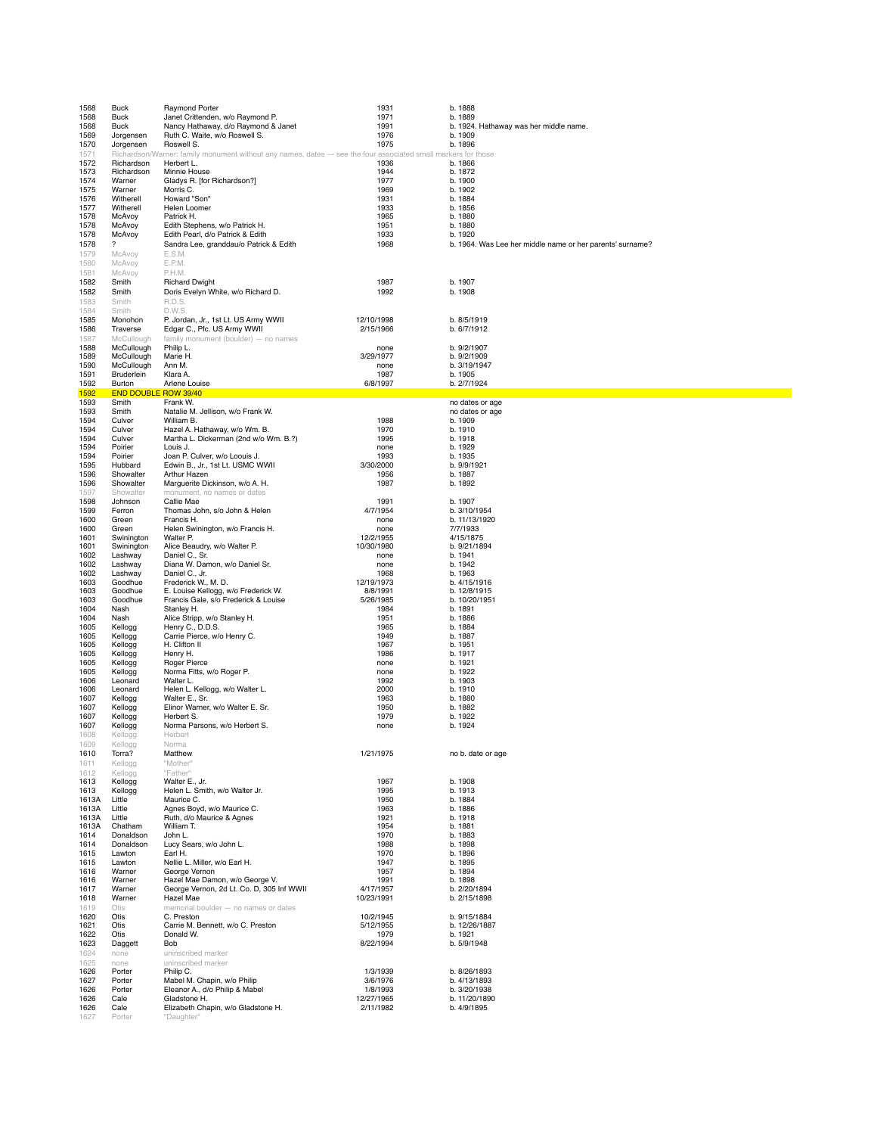| 1568           | <b>Buck</b>                 | Raymond Porter                                                                                    | 1931                    | b. 1888                                                   |
|----------------|-----------------------------|---------------------------------------------------------------------------------------------------|-------------------------|-----------------------------------------------------------|
| 1568           | <b>Buck</b>                 | Janet Crittenden, w/o Raymond P.                                                                  | 1971                    | b. 1889                                                   |
| 1568           | Buck                        | Nancy Hathaway, d/o Raymond & Janet                                                               | 1991                    | b. 1924. Hathaway was her middle name.                    |
| 1569<br>1570   | Jorgensen<br>Jorgensen      | Ruth C. Waite, w/o Roswell S.<br>Roswell S.                                                       | 1976<br>1975            | b. 1909<br>b. 1896                                        |
| 1571           | Richardson/W                | arner: family monument without any names, dates - see the four associated small markers for those |                         |                                                           |
| 1572           | Richardson                  | Herbert L.                                                                                        | 1936                    | b. 1866                                                   |
| 1573<br>1574   | Richardson<br>Warner        | Minnie House<br>Gladys R. [for Richardson?]                                                       | 1944<br>1977            | b. 1872<br>b. 1900                                        |
| 1575           | Warner                      | Morris C.                                                                                         | 1969                    | b. 1902                                                   |
| 1576           | Witherell                   | Howard "Son"                                                                                      | 1931                    | b. 1884                                                   |
| 1577           | Witherell                   | Helen Loomer                                                                                      | 1933                    | b. 1856                                                   |
| 1578<br>1578   | McAvoy<br>McAvoy            | Patrick H.<br>Edith Stephens, w/o Patrick H.                                                      | 1965<br>1951            | b. 1880<br>b. 1880                                        |
| 1578           | McAvoy                      | Edith Pearl, d/o Patrick & Edith                                                                  | 1933                    | b. 1920                                                   |
| 1578           | ?                           | Sandra Lee, granddau/o Patrick & Edith                                                            | 1968                    | b. 1964. Was Lee her middle name or her parents' surname? |
| 1579           | McAvoy                      | E.S.M.                                                                                            |                         |                                                           |
| 1580<br>1581   | McAvoy<br>McAvoy            | E.P.M.<br>P.H.M.                                                                                  |                         |                                                           |
| 1582           | Smith                       | <b>Richard Dwight</b>                                                                             | 1987                    | b. 1907                                                   |
| 1582           | Smith                       | Doris Evelyn White, w/o Richard D.                                                                | 1992                    | b. 1908                                                   |
| 1583           | Smith                       | R.D.S.                                                                                            |                         |                                                           |
| 1584<br>1585   | Smith<br>Monohon            | D.W.S.<br>P. Jordan, Jr., 1st Lt. US Army WWII                                                    | 12/10/1998              | b. 8/5/1919                                               |
| 1586           | Traverse                    | Edgar C., Pfc. US Army WWII                                                                       | 2/15/1966               | b. 6/7/1912                                               |
| 1587           | McCullough                  | family monument (boulder) - no names                                                              |                         |                                                           |
| 1588           | McCullough                  | Philip L.                                                                                         | none                    | b. 9/2/1907                                               |
| 1589<br>1590   | McCullough<br>McCullough    | Marie H.<br>Ann M.                                                                                | 3/29/1977<br>none       | b. 9/2/1909<br>b. 3/19/1947                               |
| 1591           | Bruderlein                  | Klara A.                                                                                          | 1987                    | b. 1905                                                   |
| 1592           | Burton                      | Arlene Louise                                                                                     | 6/8/1997                | b. 2/7/1924                                               |
| 1592<br>1593   | <b>END DOUBLE ROW 39/40</b> | Frank W.                                                                                          |                         | no dates or age                                           |
| 1593           | Smith<br>Smith              | Natalie M. Jellison, w/o Frank W.                                                                 |                         | no dates or age                                           |
| 1594           | Culver                      | William B.                                                                                        | 1988                    | b. 1909                                                   |
| 1594           | Culver                      | Hazel A. Hathaway, w/o Wm. B.                                                                     | 1970                    | b. 1910                                                   |
| 1594<br>1594   | Culver<br>Poirier           | Martha L. Dickerman (2nd w/o Wm. B.?)<br>Louis J.                                                 | 1995<br>none            | b. 1918<br>b. 1929                                        |
| 1594           | Poirier                     | Joan P. Culver, w/o Loouis J.                                                                     | 1993                    | b. 1935                                                   |
| 1595           | Hubbard                     | Edwin B., Jr., 1st Lt. USMC WWII                                                                  | 3/30/2000               | b. 9/9/1921                                               |
| 1596<br>1596   | Showalter<br>Showalter      | Arthur Hazen<br>Marguerite Dickinson, w/o A. H.                                                   | 1956<br>1987            | b. 1887<br>b. 1892                                        |
| 1597           | Showalter                   | monument, no names or dates                                                                       |                         |                                                           |
| 1598           | Johnson                     | Callie Mae                                                                                        | 1991                    | b. 1907                                                   |
| 1599           | Ferron                      | Thomas John, s/o John & Helen                                                                     | 4/7/1954                | b. 3/10/1954                                              |
| 1600<br>1600   | Green<br>Green              | Francis H.<br>Helen Swinington, w/o Francis H.                                                    | none<br>none            | b. 11/13/1920<br>7/7/1933                                 |
| 1601           | Swinington                  | Walter P.                                                                                         | 12/2/1955               | 4/15/1875                                                 |
| 1601           | Swinington                  | Alice Beaudry, w/o Walter P.                                                                      | 10/30/1980              | b. 9/21/1894                                              |
| 1602<br>1602   | Lashway                     | Daniel C., Sr.<br>Diana W. Damon, w/o Daniel Sr.                                                  | none<br>none            | b. 1941<br>b. 1942                                        |
| 1602           | Lashway<br>Lashway          | Daniel C., Jr.                                                                                    | 1968                    | b. 1963                                                   |
| 1603           | Goodhue                     | Frederick W., M. D.                                                                               | 12/19/1973              | b. 4/15/1916                                              |
| 1603           | Goodhue                     | E. Louise Kellogg, w/o Frederick W.                                                               | 8/8/1991                | b. 12/8/1915                                              |
| 1603<br>1604   | Goodhue<br>Nash             | Francis Gale, s/o Frederick & Louise<br>Stanley H.                                                | 5/26/1985<br>1984       | b. 10/20/1951<br>b. 1891                                  |
| 1604           | Nash                        | Alice Stripp, w/o Stanley H.                                                                      | 1951                    | b. 1886                                                   |
| 1605           | Kellogg                     | Henry C., D.D.S.                                                                                  | 1965                    | b. 1884                                                   |
| 1605<br>1605   | Kellogg<br>Kellogg          | Carrie Pierce, w/o Henry C.<br>H. Clifton II                                                      | 1949<br>1967            | b. 1887<br>b. 1951                                        |
| 1605           | Kellogg                     | Henry H.                                                                                          | 1986                    | b. 1917                                                   |
| 1605           | Kellogg                     | Roger Pierce                                                                                      | none                    | b. 1921                                                   |
| 1605<br>1606   | Kellogg<br>Leonard          | Norma Fitts, w/o Roger P.<br>Walter L.                                                            | none<br>1992            | b. 1922<br>b. 1903                                        |
| 1606           | Leonard                     | Helen L. Kellogg, w/o Walter L.                                                                   | 2000                    | b. 1910                                                   |
| 1607           | Kellogg                     | Walter E., Sr.                                                                                    | 1963                    | b. 1880                                                   |
| 1607           | Kellogg                     | Elinor Warner, w/o Walter E. Sr.<br>Herbert S.                                                    | 1950                    | b. 1882                                                   |
| 1607<br>1607   | Kellogg<br>Kellogg          | Norma Parsons, w/o Herbert S.                                                                     | 1979<br>none            | b. 1922<br>b. 1924                                        |
| 1608           | Kellogg                     | Herbert                                                                                           |                         |                                                           |
| 1609           | Kellogg                     | Norma                                                                                             |                         |                                                           |
| 1610           | Torra?                      | Matthew                                                                                           | 1/21/1975               | no b. date or age                                         |
| 1611<br>1612   | Kellogg<br>Kellogg          | "Mother"<br>"Father"                                                                              |                         |                                                           |
| 1613           | Kellogg                     | Walter E., Jr.                                                                                    | 1967                    | b. 1908                                                   |
| 1613           | Kellogg                     | Helen L. Smith, w/o Walter Jr.                                                                    | 1995                    | b. 1913                                                   |
| 1613A<br>1613A | Little<br>Little            | Maurice C.<br>Agnes Boyd, w/o Maurice C.                                                          | 1950<br>1963            | b. 1884<br>b. 1886                                        |
| 1613A          | Little                      | Ruth, d/o Maurice & Agnes                                                                         | 1921                    | b. 1918                                                   |
| 1613A          | Chatham                     | William T.                                                                                        | 1954                    | b. 1881                                                   |
| 1614           | Donaldson                   | John L.                                                                                           | 1970                    | b. 1883                                                   |
| 1614<br>1615   | Donaldson<br>Lawton         | Lucy Sears, w/o John L.<br>Earl H.                                                                | 1988<br>1970            | b. 1898<br>b. 1896                                        |
| 1615           | Lawton                      | Nellie L. Miller, w/o Earl H.                                                                     | 1947                    | b. 1895                                                   |
| 1616           | Warner                      | George Vernon                                                                                     | 1957                    | b. 1894                                                   |
| 1616<br>1617   | Warner<br>Warner            | Hazel Mae Damon, w/o George V.<br>George Vernon, 2d Lt. Co. D, 305 Inf WWII                       | 1991<br>4/17/1957       | b. 1898<br>b. 2/20/1894                                   |
| 1618           | Warner                      | Hazel Mae                                                                                         | 10/23/1991              | b. 2/15/1898                                              |
| 1619           | Otis                        | memorial boulder - no names or dates                                                              |                         |                                                           |
| 1620<br>1621   | Otis<br>Otis                | C. Preston<br>Carrie M. Bennett, w/o C. Preston                                                   | 10/2/1945<br>5/12/1955  | b. 9/15/1884<br>b. 12/26/1887                             |
| 1622           | Otis                        | Donald W.                                                                                         | 1979                    | b. 1921                                                   |
| 1623           | Daggett                     | Bob                                                                                               | 8/22/1994               | b. 5/9/1948                                               |
| 1624           | none                        | uninscribed marker                                                                                |                         |                                                           |
| 1625<br>1626   | none<br>Porter              | uninscribed marker<br>Philip C.                                                                   | 1/3/1939                | b. 8/26/1893                                              |
| 1627           | Porter                      | Mabel M. Chapin, w/o Philip                                                                       | 3/6/1976                | b. 4/13/1893                                              |
| 1626           | Porter                      | Eleanor A., d/o Philip & Mabel                                                                    | 1/8/1993                | b. 3/20/1938                                              |
| 1626<br>1626   | Cale<br>Cale                | Gladstone H.<br>Elizabeth Chapin, w/o Gladstone H.                                                | 12/27/1965<br>2/11/1982 | b. 11/20/1890<br>b. 4/9/1895                              |
| 1627           | Porter                      | "Daughter"                                                                                        |                         |                                                           |
|                |                             |                                                                                                   |                         |                                                           |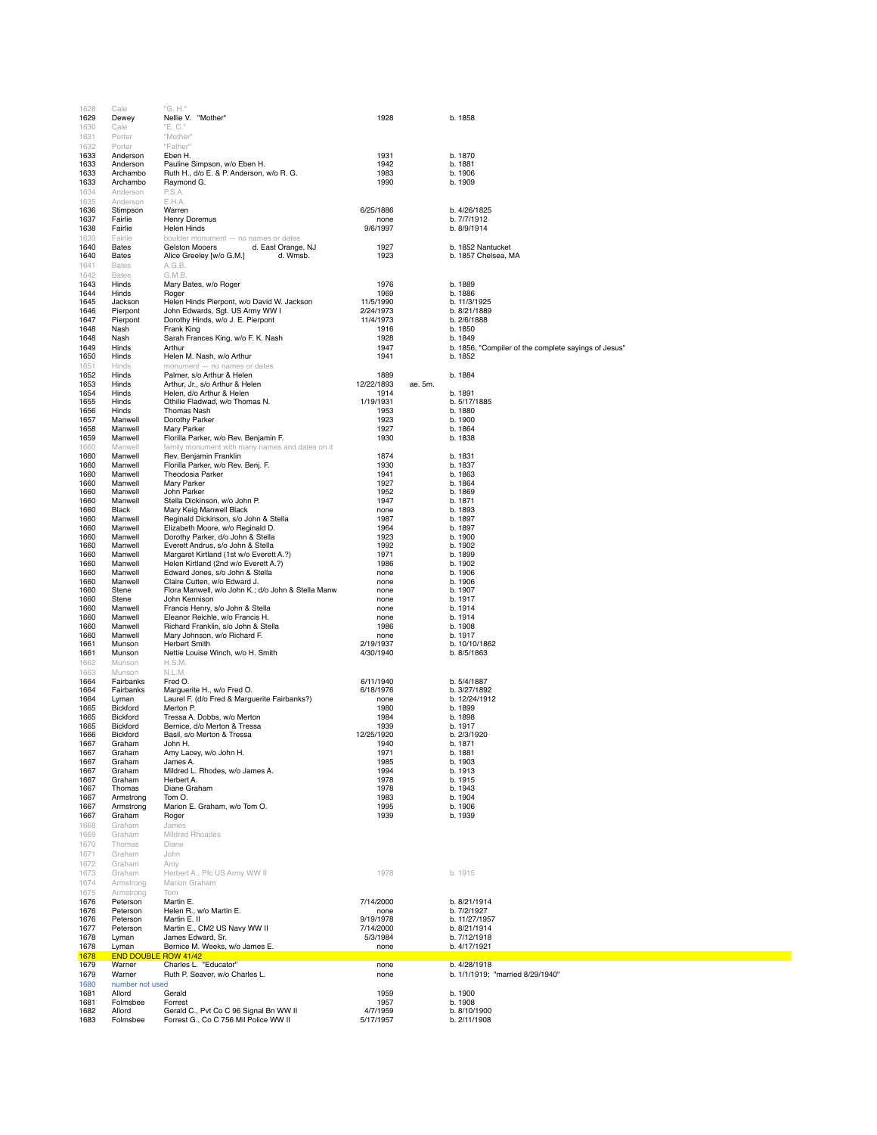| 1628         | Cale               | "G. H."                                                                         |                       |         |                                                      |
|--------------|--------------------|---------------------------------------------------------------------------------|-----------------------|---------|------------------------------------------------------|
| 1629         | Dewey              | Nellie V. "Mother"                                                              | 1928                  |         | b. 1858                                              |
| 1630         | Cale               | "E. C."                                                                         |                       |         |                                                      |
| 1631         | Porter             | "Mother"                                                                        |                       |         |                                                      |
| 1632         | Porter             | "Father"                                                                        |                       |         |                                                      |
| 1633         | Anderson           | Eben H.                                                                         | 1931                  |         | b. 1870                                              |
| 1633         | Anderson           | Pauline Simpson, w/o Eben H.                                                    | 1942                  |         | b. 1881                                              |
| 1633         | Archambo           | Ruth H., d/o E. & P. Anderson, w/o R. G.                                        | 1983                  |         | b. 1906                                              |
| 1633         | Archambo           | Raymond G.                                                                      | 1990                  |         | b. 1909                                              |
| 1634         | Anderson           | P.S.A.                                                                          |                       |         |                                                      |
| 1635         | Anderson           | E.H.A.                                                                          |                       |         |                                                      |
| 1636         | Stimpson           | Warren                                                                          | 6/25/1886             |         | b. 4/26/1825                                         |
| 1637         | Fairlie            | <b>Henry Doremus</b>                                                            | none                  |         | b. 7/7/1912                                          |
| 1638         | Fairlie            | Helen Hinds                                                                     | 9/6/1997              |         | b. 8/9/1914                                          |
| 1639         | Fairlie            | boulder monument - no names or dates                                            |                       |         |                                                      |
| 1640         | <b>Bates</b>       | d. East Orange, NJ<br>Gelston Mooers                                            | 1927                  |         | b. 1852 Nantucket                                    |
| 1640         | Bates              | Alice Greeley [w/o G.M.]<br>d. Wmsb.                                            | 1923                  |         | b. 1857 Chelsea, MA                                  |
| 1641         | <b>Bates</b>       | A.G.B.                                                                          |                       |         |                                                      |
| 1642         | Bates              | G.M.B.                                                                          |                       |         |                                                      |
| 1643         | Hinds              | Mary Bates, w/o Roger                                                           | 1976                  |         | b. 1889                                              |
| 1644         | Hinds              | Roger                                                                           | 1969                  |         | b. 1886                                              |
| 1645         | Jackson            | Helen Hinds Pierpont, w/o David W. Jackson                                      | 11/5/1990             |         | b. 11/3/1925                                         |
| 1646         | Pierpont           | John Edwards, Sqt. US Army WW I                                                 | 2/24/1973             |         | b. 8/21/1889                                         |
| 1647         | Pierpont           | Dorothy Hinds, w/o J. E. Pierpont                                               | 11/4/1973             |         | b. 2/6/1888                                          |
| 1648         | Nash               | Frank King                                                                      | 1916                  |         | b. 1850                                              |
| 1648         | Nash               | Sarah Frances King, w/o F. K. Nash                                              | 1928                  |         | b. 1849                                              |
| 1649         | Hinds              | Arthur                                                                          | 1947                  |         | b. 1856, "Compiler of the complete sayings of Jesus" |
| 1650         | Hinds              | Helen M. Nash, w/o Arthur                                                       | 1941                  |         | b. 1852                                              |
| 1651<br>1652 | Hinds<br>Hinds     | monument - no names or dates<br>Palmer, s/o Arthur & Helen                      | 1889                  |         | b. 1884                                              |
| 1653         | Hinds              | Arthur, Jr., s/o Arthur & Helen                                                 | 12/22/1893            | ae. 5m. |                                                      |
| 1654         | Hinds              | Helen, d/o Arthur & Helen                                                       | 1914                  |         | b. 1891                                              |
| 1655         | Hinds              | Othilie Fladwad, w/o Thomas N.                                                  | 1/19/1931             |         | b. 5/17/1885                                         |
| 1656         | Hinds              | Thomas Nash                                                                     | 1953                  |         | b. 1880                                              |
| 1657         | Manwell            | Dorothy Parker                                                                  | 1923                  |         | b. 1900                                              |
| 1658         | Manwell            | Mary Parker                                                                     | 1927                  |         | b. 1864                                              |
| 1659         | Manwell            | Florilla Parker, w/o Rev. Benjamin F.                                           | 1930                  |         | b. 1838                                              |
| 1660         | Manwell            | family monument with many names and dates on it                                 |                       |         |                                                      |
| 1660         | Manwell            | Rev. Benjamin Franklin                                                          | 1874                  |         | b. 1831                                              |
| 1660         | Manwell            | Florilla Parker, w/o Rev. Benj. F.                                              | 1930                  |         | b. 1837                                              |
| 1660         | Manwell            | Theodosia Parker                                                                | 1941                  |         | b. 1863                                              |
| 1660         | Manwell            | Mary Parker                                                                     | 1927                  |         | b. 1864                                              |
| 1660         | Manwell            | John Parker                                                                     | 1952                  |         | b. 1869                                              |
| 1660         | Manwell            | Stella Dickinson, w/o John P.                                                   | 1947                  |         | b. 1871                                              |
| 1660         | Black              | Mary Keig Manwell Black                                                         | none                  |         | b. 1893                                              |
| 1660         | Manwell            | Reginald Dickinson, s/o John & Stella                                           | 1987                  |         | b. 1897                                              |
| 1660         | Manwell            | Elizabeth Moore, w/o Reginald D.                                                | 1964                  |         | b. 1897                                              |
| 1660<br>1660 | Manwell<br>Manwell | Dorothy Parker, d/o John & Stella                                               | 1923<br>1992          |         | b. 1900<br>b. 1902                                   |
| 1660         | Manwell            | Everett Andrus, s/o John & Stella<br>Margaret Kirtland (1st w/o Everett A.?)    | 1971                  |         | b. 1899                                              |
| 1660         | Manwell            | Helen Kirtland (2nd w/o Everett A.?)                                            | 1986                  |         | b. 1902                                              |
| 1660         | Manwell            | Edward Jones, s/o John & Stella                                                 | none                  |         | b. 1906                                              |
| 1660         | Manwell            | Claire Cutten, w/o Edward J.                                                    | none                  |         | b. 1906                                              |
| 1660         | Stene              | Flora Manwell, w/o John K.; d/o John & Stella Manw                              | none                  |         | b. 1907                                              |
| 1660         | Stene              | John Kennison                                                                   | none                  |         | b. 1917                                              |
| 1660         | Manwell            | Francis Henry, s/o John & Stella                                                | none                  |         | b. 1914                                              |
| 1660         | Manwell            | Eleanor Reichle, w/o Francis H.                                                 | none                  |         | b. 1914                                              |
| 1660         | Manwell            | Richard Franklin, s/o John & Stella                                             | 1986                  |         | b. 1908                                              |
| 1660         | Manwell            | Mary Johnson, w/o Richard F.                                                    | none                  |         | b. 1917                                              |
| 1661         | Munson             | <b>Herbert Smith</b>                                                            | 2/19/1937             |         | b. 10/10/1862                                        |
| 1661         | Munson             | Nettie Louise Winch, w/o H. Smith                                               | 4/30/1940             |         | b. 8/5/1863                                          |
| 1662         | Munson             | H.S.M.                                                                          |                       |         |                                                      |
| 1663         | Munson             | N.L.M.                                                                          |                       |         |                                                      |
| 1664         | Fairbanks          | Fred O.                                                                         | 6/11/1940             |         | b. 5/4/1887                                          |
| 1664         | Fairbanks          | Marguerite H., w/o Fred O.                                                      | 6/18/1976             |         | b. 3/27/1892                                         |
| 1664<br>1665 | Lyman<br>Bickford  | Laurel F. (d/o Fred & Marguerite Fairbanks?)<br>Merton P.                       | none<br>1980          |         | b. 12/24/1912<br>b. 1899                             |
| 1665         | Bickford           | Tressa A. Dobbs, w/o Merton                                                     | 1984                  |         | b. 1898                                              |
| 1665         | Bickford           | Bernice, d/o Merton & Tressa                                                    | 1939                  |         | b. 1917                                              |
| 1666         | Bickford           | Basil, s/o Merton & Tressa                                                      | 12/25/1920            |         | b. 2/3/1920                                          |
| 1667         | Graham             | John H.                                                                         | 1940                  |         | b. 1871                                              |
| 1667         | Graham             | Amy Lacey, w/o John H.                                                          | 1971                  |         | b. 1881                                              |
| 1667         | Graham             | James A.                                                                        | 1985                  |         | b. 1903                                              |
| 1667         | Graham             | Mildred L. Rhodes, w/o James A.                                                 | 1994                  |         | b. 1913                                              |
| 1667         | Graham             | Herbert A.                                                                      | 1978                  |         | b. 1915                                              |
| 1667         | Thomas             | Diane Graham                                                                    | 1978                  |         | b. 1943                                              |
| 1667         | Armstrong          | Tom O.                                                                          | 1983                  |         | b. 1904                                              |
| 1667         | Armstrong          | Marion E. Graham, w/o Tom O.                                                    | 1995                  |         | b. 1906                                              |
| 1667<br>1668 | Graham<br>Graham   | Roger<br>James                                                                  | 1939                  |         | b. 1939                                              |
| 1669         |                    | Mildred Rhoades                                                                 |                       |         |                                                      |
| 1670         | Graham<br>Thomas   | Diane                                                                           |                       |         |                                                      |
| 1671         | Graham             | John                                                                            |                       |         |                                                      |
| 1672         | Graham             | Amy                                                                             |                       |         |                                                      |
| 1673         | Graham             | Herbert A., Pfc US Army WW II                                                   | 1978                  |         | b. 1915                                              |
| 1674         | Armstrong          | Marion Graham                                                                   |                       |         |                                                      |
| 1675         | Armstrong          | Tom                                                                             |                       |         |                                                      |
| 1676         | Peterson           | Martin E.                                                                       | 7/14/2000             |         | b. 8/21/1914                                         |
| 1676         | Peterson           | Helen R., w/o Martin E.                                                         | none                  |         | b. 7/2/1927                                          |
| 1676         | Peterson           | Martin E. II                                                                    | 9/19/1978             |         | b. 11/27/1957                                        |
| 1677         |                    | Martin E., CM2 US Navy WW II                                                    | 7/14/2000             |         | b. 8/21/1914                                         |
|              | Peterson           |                                                                                 | 5/3/1984              |         | b. 7/12/1918                                         |
| 1678         | Lyman              | James Edward, Sr.                                                               |                       |         | b. 4/17/1921                                         |
| 1678         | Lyman              | Bernice M. Weeks, w/o James E.                                                  | none                  |         |                                                      |
| 1678         |                    | END DOUBLE ROW 41/42                                                            |                       |         |                                                      |
| 1679         | Warner             | Charles L. "Educator"                                                           | none                  |         | b. 4/28/1918                                         |
| 1679         | Warner             | Ruth P. Seaver, w/o Charles L.                                                  | none                  |         | b. 1/1/1919; "married 8/29/1940"                     |
| 1680         | number not used    |                                                                                 |                       |         |                                                      |
| 1681         | Allord             | Gerald                                                                          | 1959                  |         | b. 1900                                              |
| 1681         | Folmsbee           | Forrest                                                                         | 1957                  |         | b. 1908                                              |
| 1682<br>1683 | Allord<br>Folmsbee | Gerald C., Pvt Co C 96 Signal Bn WW II<br>Forrest G., Co C 756 Mil Police WW II | 4/7/1959<br>5/17/1957 |         | b. 8/10/1900<br>b. 2/11/1908                         |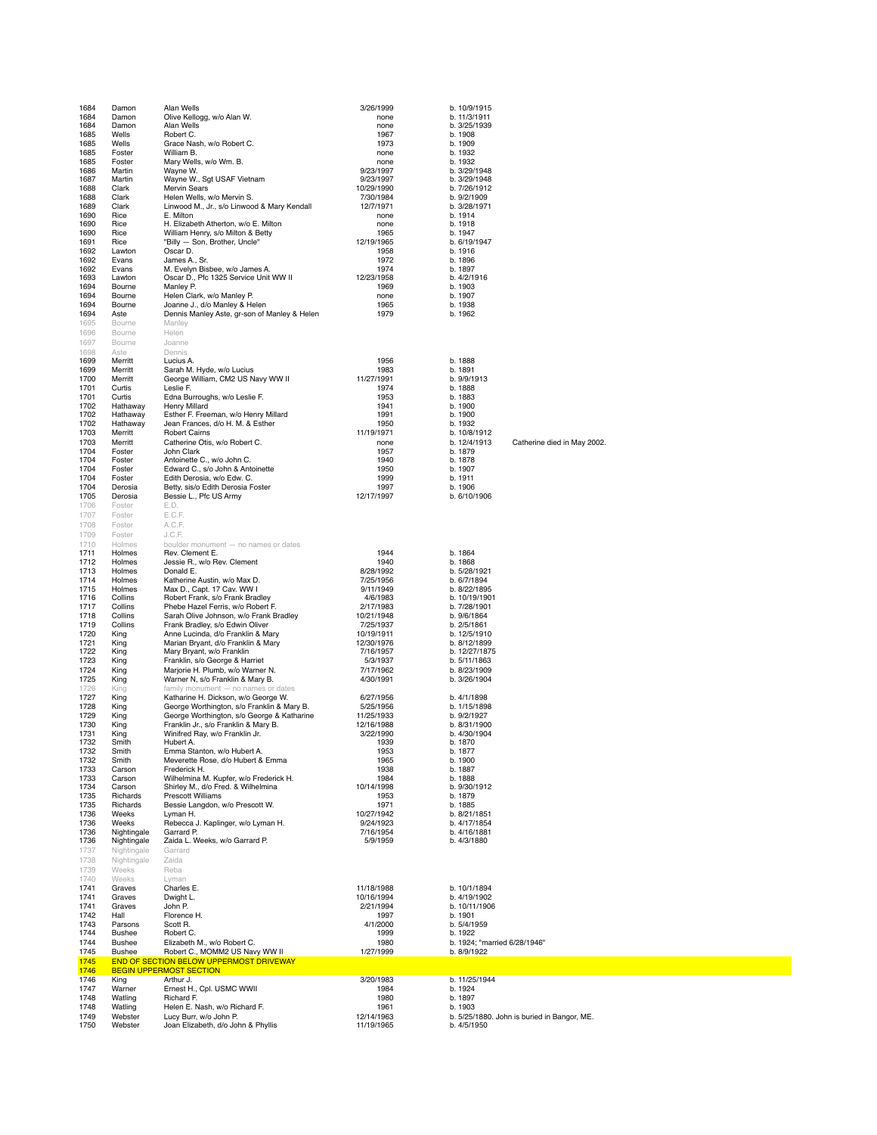| 1684                 | Damon                         | Alan Wells                                                                                    | 3/26/1999                        | b. 10/9/1915                                           |
|----------------------|-------------------------------|-----------------------------------------------------------------------------------------------|----------------------------------|--------------------------------------------------------|
| 1684                 | Damon                         | Olive Kellogg, w/o Alan W.                                                                    | none                             | b. 11/3/1911                                           |
| 1684                 | Damon                         | Alan Wells                                                                                    | none                             | b. 3/25/1939                                           |
| 1685                 | Wells                         | Robert C.                                                                                     | 1967                             | b. 1908                                                |
| 1685<br>1685         | Wells<br>Foster               | Grace Nash, w/o Robert C.<br>William B.                                                       | 1973<br>none                     | b. 1909<br>b. 1932                                     |
| 1685                 | Foster                        | Mary Wells, w/o Wm. B.                                                                        | none                             | b. 1932                                                |
| 1686                 | Martin                        | Wayne W.                                                                                      | 9/23/1997                        | b. 3/29/1948                                           |
| 1687                 | Martin                        | Wayne W., Sgt USAF Vietnam                                                                    | 9/23/1997                        | b. 3/29/1948                                           |
| 1688                 | Clark                         | <b>Mervin Sears</b>                                                                           | 10/29/1990                       | b. 7/26/1912                                           |
| 1688<br>1689         | Clark<br>Clark                | Helen Wells, w/o Mervin S.<br>Linwood M., Jr., s/o Linwood & Mary Kendall                     | 7/30/1984<br>12/7/1971           | b. 9/2/1909<br>b. 3/28/1971                            |
| 1690                 | Rice                          | E. Milton                                                                                     | none                             | b. 1914                                                |
| 1690                 | Rice                          | H. Elizabeth Atherton, w/o E. Milton                                                          | none                             | b. 1918                                                |
| 1690                 | Rice                          | William Henry, s/o Milton & Betty                                                             | 1965                             | b. 1947                                                |
| 1691                 | Rice                          | "Billy - Son, Brother, Uncle"                                                                 | 12/19/1965                       | b. 6/19/1947                                           |
| 1692<br>1692         | Lawton<br>Evans               | Oscar D.<br>James A., Sr.                                                                     | 1958<br>1972                     | b. 1916<br>b. 1896                                     |
| 1692                 | Evans                         | M. Evelyn Bisbee, w/o James A.                                                                | 1974                             | b. 1897                                                |
| 1693                 | Lawton                        | Oscar D., Pfc 1325 Service Unit WW II                                                         | 12/23/1958                       | b. 4/2/1916                                            |
| 1694                 | Bourne                        | Manley P.                                                                                     | 1969                             | b. 1903                                                |
| 1694<br>1694         | Bourne<br>Bourne              | Helen Clark, w/o Manley P.<br>Joanne J., d/o Manley & Helen                                   | none<br>1965                     | b. 1907<br>b. 1938                                     |
| 1694                 | Aste                          | Dennis Manley Aste, gr-son of Manley & Helen                                                  | 1979                             | b. 1962                                                |
| 1695                 | Bourne                        | Manley                                                                                        |                                  |                                                        |
| 1696                 | Bourne                        | Helen                                                                                         |                                  |                                                        |
| 1697                 | Bourne                        | Joanne                                                                                        |                                  |                                                        |
| 1698                 | Aste                          | Dennis                                                                                        |                                  |                                                        |
| 1699<br>1699         | Merritt<br>Merritt            | Lucius A.<br>Sarah M. Hyde, w/o Lucius                                                        | 1956<br>1983                     | b. 1888<br>b. 1891                                     |
| 1700                 | Merritt                       | George William, CM2 US Navy WW II                                                             | 11/27/1991                       | b. 9/9/1913                                            |
| 1701                 | Curtis                        | Leslie F.                                                                                     | 1974                             | b. 1888                                                |
| 1701                 | Curtis                        | Edna Burroughs, w/o Leslie F.                                                                 | 1953                             | b. 1883                                                |
| 1702                 | Hathaway<br>Hathaway          | Henry Millard                                                                                 | 1941                             | b. 1900                                                |
| 1702<br>1702         | Hathaway                      | Esther F. Freeman, w/o Henry Millard<br>Jean Frances, d/o H. M. & Esther                      | 1991<br>1950                     | b. 1900<br>b. 1932                                     |
| 1703                 | Merritt                       | <b>Robert Cairns</b>                                                                          | 11/19/1971                       | b. 10/8/1912                                           |
| 1703                 | Merritt                       | Catherine Otis, w/o Robert C.                                                                 | none                             | b. 12/4/1913<br>Catherine died in May 2002.            |
| 1704                 | Foster                        | John Clark                                                                                    | 1957                             | b. 1879                                                |
| 1704<br>1704         | Foster<br>Foster              | Antoinette C., w/o John C.<br>Edward C., s/o John & Antoinette                                | 1940<br>1950                     | b. 1878<br>b. 1907                                     |
| 1704                 | Foster                        | Edith Derosia, w/o Edw. C.                                                                    | 1999                             | b. 1911                                                |
| 1704                 | Derosia                       | Betty, sis/o Edith Derosia Foster                                                             | 1997                             | b. 1906                                                |
| 1705                 | Derosia                       | Bessie L., Pfc US Army                                                                        | 12/17/1997                       | b. 6/10/1906                                           |
| 1706                 | Foster                        | E.D.                                                                                          |                                  |                                                        |
| 1707                 | Foster                        | E.C.F.                                                                                        |                                  |                                                        |
| 1708<br>1709         | Foster<br>Foster              | A.C.F.<br>J.C.F.                                                                              |                                  |                                                        |
| 1710                 | Holmes                        | boulder monument - no names or dates                                                          |                                  |                                                        |
| 1711                 | Holmes                        | Rev. Clement E.                                                                               | 1944                             | b. 1864                                                |
| 1712                 | Holmes                        | Jessie R., w/o Rev. Clement                                                                   | 1940                             | b. 1868                                                |
| 1713                 | Holmes                        | Donald E.                                                                                     | 8/28/1992                        | b. 5/28/1921                                           |
| 1714<br>1715         | Holmes<br>Holmes              | Katherine Austin, w/o Max D.<br>Max D., Capt. 17 Cav. WW I                                    | 7/25/1956<br>9/11/1949           | b. 6/7/1894<br>b. 8/22/1895                            |
| 1716                 | Collins                       | Robert Frank, s/o Frank Bradley                                                               | 4/6/1983                         | b. 10/19/1901                                          |
| 1717                 | Collins                       | Phebe Hazel Ferris, w/o Robert F.                                                             | 2/17/1983                        | b. 7/28/1901                                           |
| 1718                 | Collins                       | Sarah Olive Johnson, w/o Frank Bradley                                                        | 10/21/1948                       | b. 9/6/1864                                            |
| 1719<br>1720         | Collins                       | Frank Bradley, s/o Edwin Oliver                                                               | 7/25/1937                        | b. 2/5/1861                                            |
| 1721                 | King<br>King                  | Anne Lucinda, d/o Franklin & Mary<br>Marian Bryant, d/o Franklin & Mary                       | 10/19/1911<br>12/30/1976         | b. 12/5/1910<br>b. 8/12/1899                           |
| 1722                 | King                          | Mary Bryant, w/o Franklin                                                                     | 7/16/1957                        | b. 12/27/1875                                          |
| 1723                 | King                          | Franklin, s/o George & Harriet                                                                | 5/3/1937                         | b. 5/11/1863                                           |
| 1724                 | King                          | Marjorie H. Plumb, w/o Warner N.                                                              | 7/17/1962                        | b. 8/23/1909                                           |
| 1725                 | King                          | Warner N, s/o Franklin & Mary B.                                                              | 4/30/1991                        | b. 3/26/1904                                           |
| 1726<br>1727         | King<br>King                  | family monument - no names or dates<br>Katharine H. Dickson, w/o George W.                    | 6/27/1956                        | b. 4/1/1898                                            |
| 1728                 | King                          | George Worthington, s/o Franklin & Mary B.                                                    | 5/25/1956                        | b. 1/15/1898                                           |
| 1729                 | King                          | George Worthington, s/o George & Katharine                                                    | 11/25/1933                       | b. 9/2/1927                                            |
| 1730                 | King                          | Franklin Jr., s/o Franklin & Mary B.                                                          | 12/16/1988                       | b. 8/31/1900                                           |
| 1731<br>1732         | King<br>Smith                 | Winifred Ray, w/o Franklin Jr.<br>Hubert A.                                                   | 3/22/1990<br>1939                | b. 4/30/1904<br>b. 1870                                |
| 1732                 | Smith                         | Emma Stanton, w/o Hubert A.                                                                   | 1953                             | b. 1877                                                |
| 1732                 | Smith                         | Meverette Rose, d/o Hubert & Emma                                                             | 1965                             | b. 1900                                                |
| 1733                 | Carson                        | Frederick H.                                                                                  | 1938                             | b. 1887                                                |
| 1733<br>1734         | Carson<br>Carson              | Wilhelmina M. Kupfer, w/o Frederick H.<br>Shirley M., d/o Fred. & Wilhelmina                  | 1984<br>10/14/1998               | b. 1888<br>b. 9/30/1912                                |
| 1735                 | Richards                      | <b>Prescott Williams</b>                                                                      | 1953                             | b. 1879                                                |
| 1735                 | Richards                      | Bessie Langdon, w/o Prescott W.                                                               | 1971                             | b. 1885                                                |
| 1736                 | Weeks                         | Lyman H.                                                                                      | 10/27/1942                       | b. 8/21/1851                                           |
| 1736                 | Weeks<br>Nightingale          | Rebecca J. Kaplinger, w/o Lyman H.<br>Garrard P.                                              | 9/24/1923                        | b. 4/17/1854                                           |
| 1736<br>1736         | Nightingale                   | Zaida L. Weeks, w/o Garrard P.                                                                | 7/16/1954<br>5/9/1959            | b. 4/16/1881<br>b. 4/3/1880                            |
| 1737                 |                               |                                                                                               |                                  |                                                        |
| 1738                 |                               | Garrard                                                                                       |                                  |                                                        |
|                      | Nightingale<br>Nightingale    | Zaida                                                                                         |                                  |                                                        |
| 1739                 | Weeks                         | Reba                                                                                          |                                  |                                                        |
| 1740                 | Weeks                         | Lyman                                                                                         |                                  |                                                        |
| 1741                 | Graves                        | Charles E.                                                                                    | 11/18/1988                       | b. 10/1/1894                                           |
| 1741<br>1741         | Graves<br>Graves              | Dwight L.<br>John P.                                                                          | 10/16/1994<br>2/21/1994          | b. 4/19/1902<br>b. 10/11/1906                          |
| 1742                 | Hall                          | Florence H.                                                                                   | 1997                             | b. 1901                                                |
| 1743                 | Parsons                       | Scott R.                                                                                      | 4/1/2000                         | b. 5/4/1959                                            |
| 1744                 | Bushee                        | Robert C.                                                                                     | 1999                             | b. 1922                                                |
| 1744                 | <b>Bushee</b>                 | Elizabeth M., w/o Robert C.                                                                   | 1980                             | b. 1924; "married 6/28/1946"                           |
| 1745<br>1745         | Bushee                        | Robert C., MOMM2 US Navy WW II<br>END OF SECTION BELOW UPPERMOST DRIVEWAY                     | 1/27/1999                        | b. 8/9/1922                                            |
| 1746                 |                               | <b>BEGIN UPPERMOST SECTION</b>                                                                |                                  |                                                        |
| 1746                 | King                          | Arthur J.                                                                                     | 3/20/1983                        | b. 11/25/1944                                          |
| 1747                 | Warner                        | Ernest H., Cpl. USMC WWII                                                                     | 1984                             | b. 1924                                                |
| 1748                 | Watling                       | Richard F.                                                                                    | 1980                             | b. 1897                                                |
| 1748<br>1749<br>1750 | Watling<br>Webster<br>Webster | Helen E. Nash, w/o Richard F.<br>Lucy Burr, w/o John P.<br>Joan Elizabeth, d/o John & Phyllis | 1961<br>12/14/1963<br>11/19/1965 | b. 1903<br>b. 5/25/1880. John is buried in Bangor, ME. |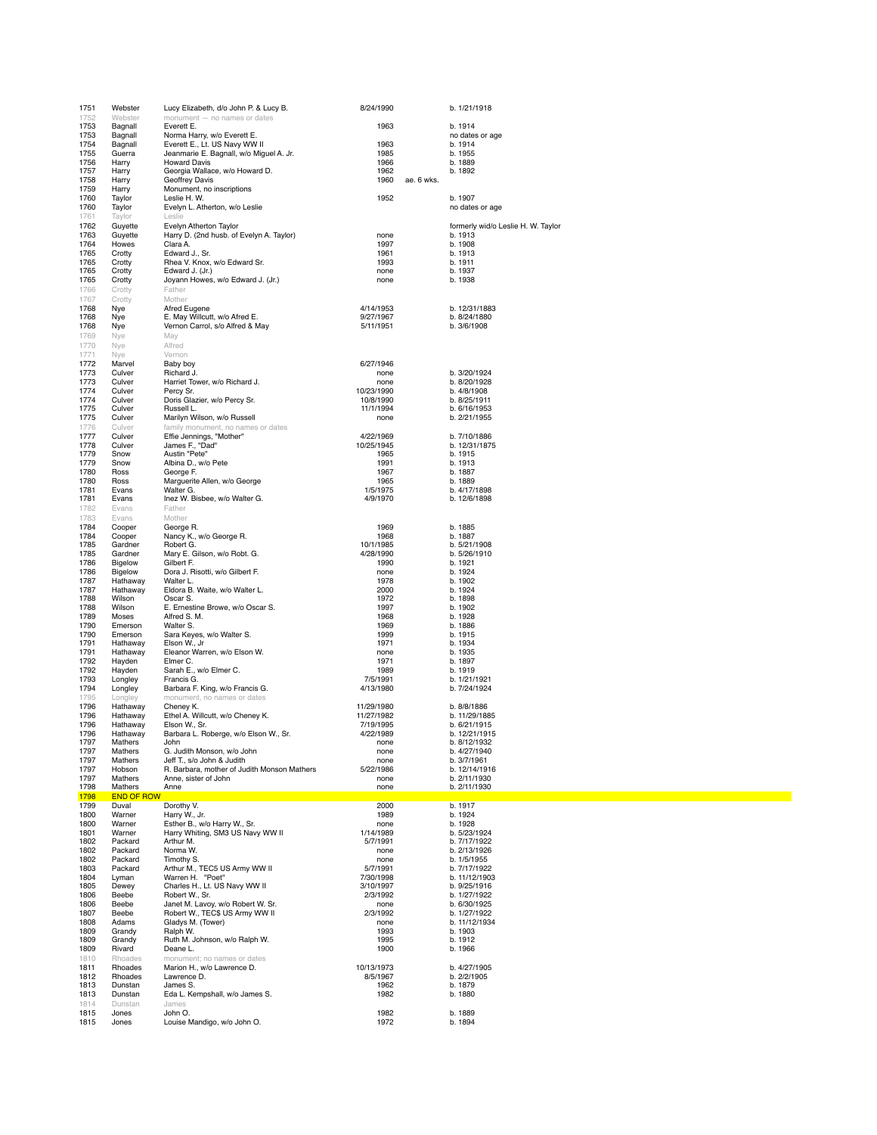| 1751         | Webster                    | Lucy Elizabeth, d/o John P. & Lucy B.                                    | 8/24/1990                |            | b. 1/21/1918                       |
|--------------|----------------------------|--------------------------------------------------------------------------|--------------------------|------------|------------------------------------|
| 1752<br>1753 | Webster<br>Bagnall         | monument - no names or dates<br>Everett E.                               | 1963                     |            | b. 1914                            |
| 1753         | Bagnall                    | Norma Harry, w/o Everett E.                                              |                          |            | no dates or age                    |
| 1754<br>1755 | Bagnall<br>Guerra          | Everett E., Lt. US Navy WW II<br>Jeanmarie E. Bagnall, w/o Miguel A. Jr. | 1963<br>1985             |            | b. 1914<br>b. 1955                 |
| 1756         | Harry                      | <b>Howard Davis</b>                                                      | 1966                     |            | b. 1889                            |
| 1757         | Harry                      | Georgia Wallace, w/o Howard D.                                           | 1962                     |            | b. 1892                            |
| 1758<br>1759 | Harry<br>Harry             | Geoffrey Davis<br>Monument, no inscriptions                              | 1960                     | ae. 6 wks. |                                    |
| 1760         | Taylor                     | Leslie H. W.                                                             | 1952                     |            | b. 1907                            |
| 1760         | Taylor                     | Evelyn L. Atherton, w/o Leslie                                           |                          |            | no dates or age                    |
| 1761<br>1762 | Taylor<br>Guyette          | Leslie<br>Evelyn Atherton Taylor                                         |                          |            | formerly wid/o Leslie H. W. Taylor |
| 1763         | Guyette                    | Harry D. (2nd husb. of Evelyn A. Taylor)                                 | none                     |            | b. 1913                            |
| 1764         | Howes                      | Clara A.                                                                 | 1997                     |            | b. 1908                            |
| 1765<br>1765 | Crotty<br>Crotty           | Edward J., Sr.<br>Rhea V. Knox, w/o Edward Sr.                           | 1961<br>1993             |            | b. 1913<br>b. 1911                 |
| 1765         | Crotty                     | Edward J. (Jr.)                                                          | none                     |            | b. 1937                            |
| 1765         | Crotty                     | Joyann Howes, w/o Edward J. (Jr.)                                        | none                     |            | b. 1938                            |
| 1766<br>1767 | Crotty<br>Crotty           | Father<br>Mother                                                         |                          |            |                                    |
| 1768         | Nye                        | Afred Eugene                                                             | 4/14/1953                |            | b. 12/31/1883                      |
| 1768         | Nye                        | E. May Willcutt, w/o Afred E.                                            | 9/27/1967                |            | b. 8/24/1880                       |
| 1768<br>1769 | Nye<br>Nye                 | Vernon Carrol, s/o Alfred & May<br>May                                   | 5/11/1951                |            | b. 3/6/1908                        |
| 1770         | Nye                        | Alfred                                                                   |                          |            |                                    |
| 1771         | Nye                        | Vernon                                                                   |                          |            |                                    |
| 1772<br>1773 | Marvel<br>Culver           | Baby boy<br>Richard J.                                                   | 6/27/1946<br>none        |            | b. 3/20/1924                       |
| 1773         | Culver                     | Harriet Tower, w/o Richard J.                                            | none                     |            | b. 8/20/1928                       |
| 1774         | Culver                     | Percy Sr.                                                                | 10/23/1990<br>10/8/1990  |            | b. 4/8/1908                        |
| 1774<br>1775 | Culver<br>Culver           | Doris Glazier, w/o Percy Sr.<br>Russell L.                               | 11/1/1994                |            | b. 8/25/1911<br>b. 6/16/1953       |
| 1775         | Culver                     | Marilyn Wilson, w/o Russell                                              | none                     |            | b. 2/21/1955                       |
| 1776         | Culver                     | family monument, no names or dates                                       |                          |            |                                    |
| 1777<br>1778 | Culver<br>Culver           | Effie Jennings, "Mother"<br>James F., "Dad"                              | 4/22/1969<br>10/25/1945  |            | b. 7/10/1886<br>b. 12/31/1875      |
| 1779         | Snow                       | Austin "Pete"                                                            | 1965                     |            | b. 1915                            |
| 1779<br>1780 | Snow                       | Albina D., w/o Pete<br>George F.                                         | 1991                     |            | b. 1913<br>b. 1887                 |
| 1780         | Ross<br>Ross               | Marguerite Allen, w/o George                                             | 1967<br>1965             |            | b. 1889                            |
| 1781         | Evans                      | Walter G.                                                                | 1/5/1975                 |            | b. 4/17/1898                       |
| 1781<br>1782 | Evans<br>Evans             | Inez W. Bisbee, w/o Walter G.<br>Father                                  | 4/9/1970                 |            | b. 12/6/1898                       |
| 1783         | Evans                      | Mother                                                                   |                          |            |                                    |
| 1784         | Cooper                     | George R.                                                                | 1969                     |            | b. 1885                            |
| 1784<br>1785 | Cooper<br>Gardner          | Nancy K., w/o George R.<br>Robert G.                                     | 1968<br>10/1/1985        |            | b. 1887<br>b. 5/21/1908            |
| 1785         | Gardner                    | Mary E. Gilson, w/o Robt. G.                                             | 4/28/1990                |            | b. 5/26/1910                       |
| 1786         | Bigelow                    | Gilbert F.                                                               | 1990                     |            | b. 1921                            |
| 1786<br>1787 | Bigelow<br>Hathaway        | Dora J. Risotti, w/o Gilbert F.<br>Walter L.                             | none<br>1978             |            | b. 1924<br>b. 1902                 |
| 1787         | Hathaway                   | Eldora B. Waite, w/o Walter L.                                           | 2000                     |            | b. 1924                            |
| 1788         | Wilson                     | Oscar S.                                                                 | 1972                     |            | b. 1898                            |
| 1788<br>1789 | Wilson<br>Moses            | E. Ernestine Browe, w/o Oscar S.<br>Alfred S. M.                         | 1997<br>1968             |            | b. 1902<br>b. 1928                 |
| 1790         | Emerson                    | Walter S.                                                                | 1969                     |            | b. 1886                            |
| 1790<br>1791 | Emerson<br>Hathaway        | Sara Keyes, w/o Walter S.<br>Elson W., Jr                                | 1999<br>1971             |            | b. 1915<br>b. 1934                 |
| 1791         | Hathaway                   | Eleanor Warren, w/o Elson W.                                             | none                     |            | b. 1935                            |
| 1792         | Hayden                     | Elmer C.                                                                 | 1971                     |            | b. 1897                            |
| 1792<br>1793 | Hayden<br>Longley          | Sarah E., w/o Elmer C.<br>Francis G.                                     | 1989<br>7/5/1991         |            | b. 1919<br>b. 1/21/1921            |
| 1794         | Longley                    | Barbara F. King, w/o Francis G.                                          | 4/13/1980                |            | b. 7/24/1924                       |
| 1795         | Longley                    | monument, no names or dates                                              |                          |            |                                    |
| 1796<br>1796 | Hathaway<br>Hathaway       | Cheney K.<br>Ethel A. Willcutt, w/o Cheney K.                            | 11/29/1980<br>11/27/1982 |            | b. 8/8/1886<br>b. 11/29/1885       |
| 1796         | Hathaway                   | Elson W., Sr.                                                            | 7/19/1995                |            | b. 6/21/1915                       |
| 1796         | Hathaway<br><b>Mathers</b> | Barbara L. Roberge, w/o Elson W., Sr.                                    | 4/22/1989                |            | b. 12/21/1915<br>h 8/12/1932       |
| 1797<br>1797 | Mathers                    | lohn.<br>G. Judith Monson, w/o John                                      | none<br>none             |            | b. 4/27/1940                       |
| 1797         | Mathers                    | Jeff T., s/o John & Judith                                               | none                     |            | b. 3/7/1961                        |
| 1797<br>1797 | Hobson<br>Mathers          | R. Barbara, mother of Judith Monson Mathers<br>Anne, sister of John      | 5/22/1986<br>none        |            | b. 12/14/1916<br>b. 2/11/1930      |
| 1798         | Mathers                    | Anne                                                                     | none                     |            | b. 2/11/1930                       |
| 1798         | <b>END OF ROW</b>          |                                                                          |                          |            |                                    |
| 1799<br>1800 | Duval<br>Warner            | Dorothy V.<br>Harry W., Jr.                                              | 2000<br>1989             |            | b. 1917<br>b. 1924                 |
| 1800         | Warner                     | Esther B., w/o Harry W., Sr.                                             | none                     |            | b. 1928                            |
| 1801         | Warner                     | Harry Whiting, SM3 US Navy WW II                                         | 1/14/1989                |            | b. 5/23/1924                       |
| 1802<br>1802 | Packard<br>Packard         | Arthur M.<br>Norma W.                                                    | 5/7/1991<br>none         |            | b. 7/17/1922<br>b. 2/13/1926       |
| 1802         | Packard                    | Timothy S.                                                               | none                     |            | b. 1/5/1955                        |
| 1803<br>1804 | Packard<br>Lyman           | Arthur M., TEC5 US Army WW II<br>Warren H. "Poet"                        | 5/7/1991<br>7/30/1998    |            | b. 7/17/1922<br>b. 11/12/1903      |
| 1805         | Dewey                      | Charles H., Lt. US Navy WW II                                            | 3/10/1997                |            | b. 9/25/1916                       |
| 1806         | Beebe                      | Robert W., Sr.                                                           | 2/3/1992                 |            | b. 1/27/1922                       |
| 1806<br>1807 | Beebe<br>Beebe             | Janet M. Lavoy, w/o Robert W. Sr.<br>Robert W., TEC\$ US Army WW II      | none<br>2/3/1992         |            | b. 6/30/1925<br>b. 1/27/1922       |
| 1808         | Adams                      | Gladys M. (Tower)                                                        | none                     |            | b. 11/12/1934                      |
| 1809         | Grandy                     | Ralph W.                                                                 | 1993                     |            | b. 1903                            |
| 1809<br>1809 | Grandy<br>Rivard           | Ruth M. Johnson, w/o Ralph W.<br>Deane L.                                | 1995<br>1900             |            | b. 1912<br>b. 1966                 |
| 1810         | Rhoades                    | monument; no names or dates                                              |                          |            |                                    |
| 1811         | Rhoades                    | Marion H., w/o Lawrence D.                                               | 10/13/1973               |            | b. 4/27/1905                       |
| 1812<br>1813 | Rhoades<br>Dunstan         | Lawrence D.<br>James S.                                                  | 8/5/1967<br>1962         |            | b. 2/2/1905<br>b. 1879             |
| 1813         | Dunstan                    | Eda L. Kempshall, w/o James S.                                           | 1982                     |            | b. 1880                            |
| 1814<br>1815 | Dunstan<br>Jones           | James<br>John O.                                                         | 1982                     |            | b. 1889                            |
| 1815         | Jones                      | Louise Mandigo, w/o John O.                                              | 1972                     |            | b. 1894                            |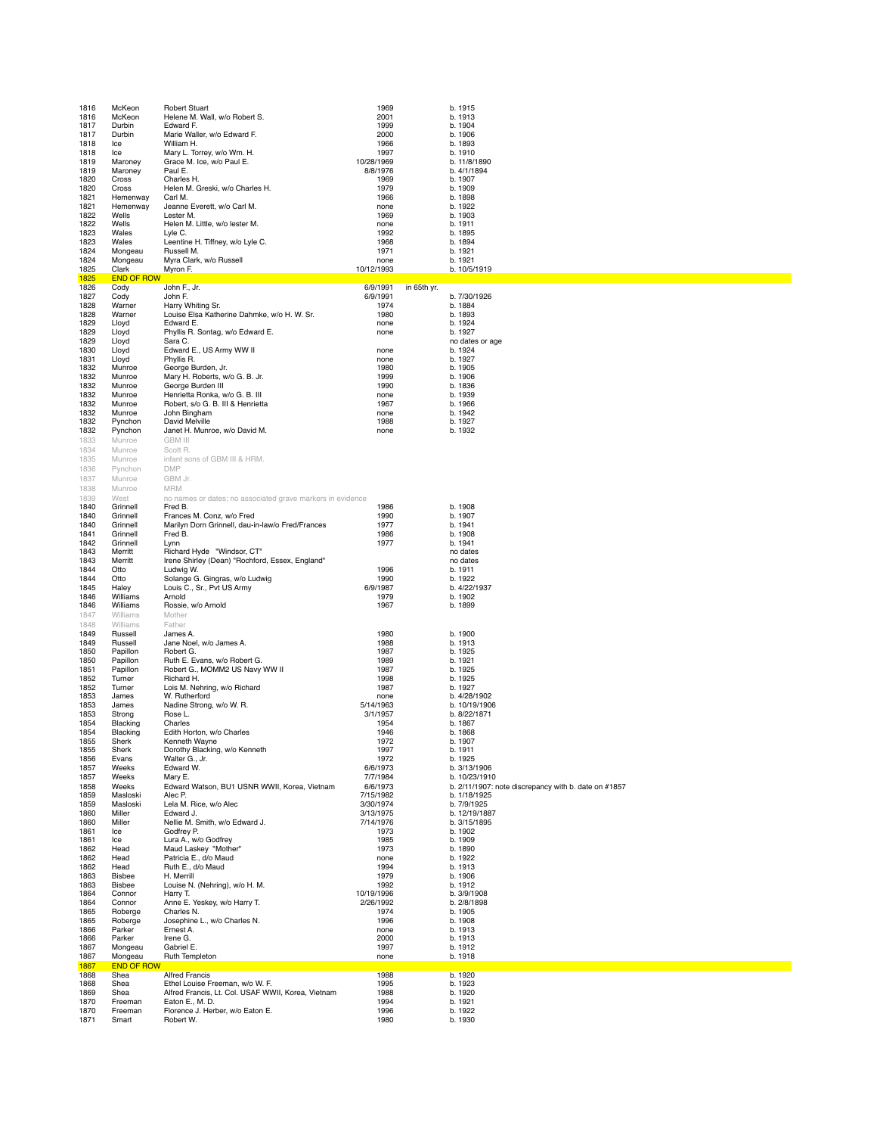| 1816         | McKeon                    | <b>Robert Stuart</b>                                                          | 1969                   |             | b. 1915                                              |
|--------------|---------------------------|-------------------------------------------------------------------------------|------------------------|-------------|------------------------------------------------------|
| 1816<br>1817 | McKeon<br>Durbin          | Helene M. Wall, w/o Robert S.<br>Edward F.                                    | 2001<br>1999           |             | b. 1913<br>b. 1904                                   |
| 1817         | Durbin                    | Marie Waller, w/o Edward F.                                                   | 2000                   |             | b. 1906                                              |
| 1818<br>1818 | Ice<br>Ice                | William H.<br>Mary L. Torrey, w/o Wm. H.                                      | 1966<br>1997           |             | b. 1893<br>b. 1910                                   |
| 1819         | Maroney                   | Grace M. Ice, w/o Paul E.                                                     | 10/28/1969             |             | b. 11/8/1890                                         |
| 1819<br>1820 | Maroney<br>Cross          | Paul E.<br>Charles H.                                                         | 8/8/1976<br>1969       |             | b. 4/1/1894<br>b. 1907                               |
| 1820         | Cross                     | Helen M. Greski, w/o Charles H.                                               | 1979                   |             | b. 1909                                              |
| 1821         | Hemenway                  | Carl M.                                                                       | 1966                   |             | b. 1898                                              |
| 1821<br>1822 | Hemenway<br>Wells         | Jeanne Everett, w/o Carl M.<br>Lester M.                                      | none<br>1969           |             | b. 1922<br>b. 1903                                   |
| 1822         | Wells                     | Helen M. Little, w/o lester M.                                                | none                   |             | b. 1911                                              |
| 1823<br>1823 | Wales<br>Wales            | Lyle C.<br>Leentine H. Tiffney, w/o Lyle C.                                   | 1992<br>1968           |             | b. 1895<br>b. 1894                                   |
| 1824         | Mongeau                   | Russell M.                                                                    | 1971                   |             | b. 1921                                              |
| 1824<br>1825 | Mongeau<br>Clark          | Myra Clark, w/o Russell<br>Myron F.                                           | none<br>10/12/1993     |             | b. 1921<br>b. 10/5/1919                              |
| 1825         | <b>END OF ROW</b>         |                                                                               |                        |             |                                                      |
| 1826         | Cody                      | John F., Jr.                                                                  | 6/9/1991               | in 65th yr. |                                                      |
| 1827<br>1828 | Cody<br>Warner            | John F.<br>Harry Whiting Sr.                                                  | 6/9/1991<br>1974       |             | b. 7/30/1926<br>b. 1884                              |
| 1828         | Warner                    | Louise Elsa Katherine Dahmke, w/o H. W. Sr.                                   | 1980                   |             | b. 1893                                              |
| 1829<br>1829 | Lloyd<br>Lloyd            | Edward E.<br>Phyllis R. Sontag, w/o Edward E.                                 | none<br>none           |             | b. 1924<br>b. 1927                                   |
| 1829         | Lloyd                     | Sara C.                                                                       |                        |             | no dates or age                                      |
| 1830<br>1831 | Lloyd<br>Lloyd            | Edward E., US Army WW II<br>Phyllis R.                                        | none<br>none           |             | b. 1924<br>b. 1927                                   |
| 1832         | Munroe                    | George Burden, Jr.                                                            | 1980                   |             | b. 1905                                              |
| 1832         | Munroe                    | Mary H. Roberts, w/o G. B. Jr.                                                | 1999                   |             | b. 1906                                              |
| 1832<br>1832 | Munroe<br>Munroe          | George Burden III<br>Henrietta Ronka, w/o G. B. III                           | 1990<br>none           |             | b. 1836<br>b. 1939                                   |
| 1832         | Munroe                    | Robert, s/o G. B. III & Henrietta                                             | 1967                   |             | b. 1966                                              |
| 1832<br>1832 | Munroe<br>Pynchon         | John Bingham<br>David Melville                                                | none<br>1988           |             | b. 1942<br>b. 1927                                   |
| 1832         | Pynchon                   | Janet H. Munroe, w/o David M.                                                 | none                   |             | b. 1932                                              |
| 1833         | Munroe                    | <b>GBM III</b>                                                                |                        |             |                                                      |
| 1834<br>1835 | Munroe<br>Munroe          | Scott R.<br>infant sons of GBM III & HRM.                                     |                        |             |                                                      |
| 1836         | Pynchon                   | <b>DMP</b>                                                                    |                        |             |                                                      |
| 1837         | Munroe                    | GBM Jr.                                                                       |                        |             |                                                      |
| 1838<br>1839 | Munroe<br>West            | <b>MRM</b><br>no names or dates; no associated grave markers in evidence      |                        |             |                                                      |
| 1840         | Grinnell                  | Fred B.                                                                       | 1986                   |             | b. 1908                                              |
| 1840<br>1840 | Grinnell<br>Grinnell      | Frances M. Conz, w/o Fred<br>Marilyn Dorn Grinnell, dau-in-law/o Fred/Frances | 1990<br>1977           |             | b. 1907<br>b. 1941                                   |
| 1841         | Grinnell                  | Fred B.                                                                       | 1986                   |             | b. 1908                                              |
| 1842         | Grinnell                  | Lynn                                                                          | 1977                   |             | b. 1941                                              |
| 1843<br>1843 | Merritt<br>Merritt        | Richard Hyde "Windsor, CT"<br>Irene Shirley (Dean) "Rochford, Essex, England" |                        |             | no dates<br>no dates                                 |
| 1844         | Otto                      | Ludwig W.                                                                     | 1996                   |             | b. 1911                                              |
| 1844<br>1845 | Otto<br>Haley             | Solange G. Gingras, w/o Ludwig<br>Louis C., Sr., Pvt US Army                  | 1990<br>6/9/1987       |             | b. 1922<br>b. 4/22/1937                              |
| 1846         | Williams                  | Arnold                                                                        | 1979                   |             | b. 1902                                              |
| 1846<br>1847 | Williams<br>Williams      | Rossie, w/o Arnold<br>Mother                                                  | 1967                   |             | b. 1899                                              |
| 1848         | Williams                  | Father                                                                        |                        |             |                                                      |
| 1849         | Russell                   | James A.                                                                      | 1980                   |             | b. 1900                                              |
| 1849<br>1850 | Russell<br>Papillon       | Jane Noel, w/o James A.<br>Robert G.                                          | 1988<br>1987           |             | b. 1913<br>b. 1925                                   |
| 1850         | Papillon                  | Ruth E. Evans, w/o Robert G.                                                  | 1989                   |             | b. 1921                                              |
| 1851<br>1852 | Papillon<br>Turner        | Robert G., MOMM2 US Navy WW II<br>Richard H.                                  | 1987<br>1998           |             | b. 1925<br>b. 1925                                   |
| 1852         | Turner                    | Lois M. Nehring, w/o Richard                                                  | 1987                   |             | b. 1927                                              |
| 1853         | James                     | W. Rutherford                                                                 | none                   |             | b. 4/28/1902                                         |
| 1853<br>1853 | James<br>Strong           | Nadine Strong, w/o W. R.<br>Rose L.                                           | 5/14/1963<br>3/1/1957  |             | b. 10/19/1906<br>b. 8/22/1871                        |
| 1854         | Blacking                  | Charles                                                                       | 1954                   |             | b. 1867                                              |
| 1854<br>1855 | Blacking<br>Sherk         | Edith Horton, w/o Charles<br>Kenneth Wayne                                    | 1946<br>1972           |             | b. 1868<br>b. 1907                                   |
| 1855         | Sherk                     | Dorothy Blacking, w/o Kenneth                                                 | 1997                   |             | b. 1911                                              |
| 1856<br>1857 | Evans<br>Weeks            | Walter G., Jr.<br>Edward W.                                                   | 1972<br>6/6/1973       |             | b. 1925<br>b. 3/13/1906                              |
| 1857         | Weeks                     | Mary E.                                                                       | 7/7/1984               |             | b. 10/23/1910                                        |
| 1858         | Weeks                     | Edward Watson, BU1 USNR WWII, Korea, Vietnam                                  | 6/6/1973               |             | b. 2/11/1907: note discrepancy with b. date on #1857 |
| 1859<br>1859 | Masloski<br>Masloski      | Alec P.<br>Lela M. Rice, w/o Alec                                             | 7/15/1982<br>3/30/1974 |             | b. 1/18/1925<br>b. 7/9/1925                          |
| 1860         | Miller                    | Edward J.                                                                     | 3/13/1975              |             | b. 12/19/1887                                        |
| 1860<br>1861 | Miller<br>Ice             | Nellie M. Smith, w/o Edward J.<br>Godfrey P.                                  | 7/14/1976<br>1973      |             | b. 3/15/1895<br>b. 1902                              |
| 1861         | Ice                       | Lura A., w/o Godfrey                                                          | 1985                   |             | b. 1909                                              |
| 1862<br>1862 | Head<br>Head              | Maud Laskey "Mother"<br>Patricia E., d/o Maud                                 | 1973<br>none           |             | b. 1890<br>b. 1922                                   |
| 1862         | Head                      | Ruth E., d/o Maud                                                             | 1994                   |             | b. 1913                                              |
| 1863         | Bisbee                    | H. Merrill                                                                    | 1979                   |             | b. 1906                                              |
| 1863<br>1864 | Bisbee<br>Connor          | Louise N. (Nehring), w/o H. M.<br>Harry T.                                    | 1992<br>10/19/1996     |             | b. 1912<br>b. 3/9/1908                               |
| 1864         | Connor                    | Anne E. Yeskey, w/o Harry T.                                                  | 2/26/1992              |             | b. 2/8/1898                                          |
| 1865<br>1865 | Roberge<br>Roberge        | Charles N.<br>Josephine L., w/o Charles N.                                    | 1974<br>1996           |             | b. 1905<br>b. 1908                                   |
| 1866         | Parker                    | Ernest A.                                                                     | none                   |             | b. 1913                                              |
| 1866<br>1867 | Parker<br>Mongeau         | Irene G.<br>Gabriel E.                                                        | 2000<br>1997           |             | b. 1913<br>b. 1912                                   |
| 1867         | Mongeau                   | Ruth Templeton                                                                | none                   |             | b. 1918                                              |
| 1867<br>1868 | <b>END OF ROW</b><br>Shea | <b>Alfred Francis</b>                                                         | 1988                   |             |                                                      |
| 1868         | Shea                      | Ethel Louise Freeman, w/o W. F.                                               | 1995                   |             | b. 1920<br>b. 1923                                   |
| 1869         | Shea                      | Alfred Francis, Lt. Col. USAF WWII, Korea, Vietnam                            | 1988                   |             | b. 1920                                              |
| 1870<br>1870 | Freeman<br>Freeman        | Eaton E., M. D.<br>Florence J. Herber, w/o Eaton E.                           | 1994<br>1996           |             | b. 1921<br>b. 1922                                   |
| 1871         | Smart                     | Robert W.                                                                     | 1980                   |             | b. 1930                                              |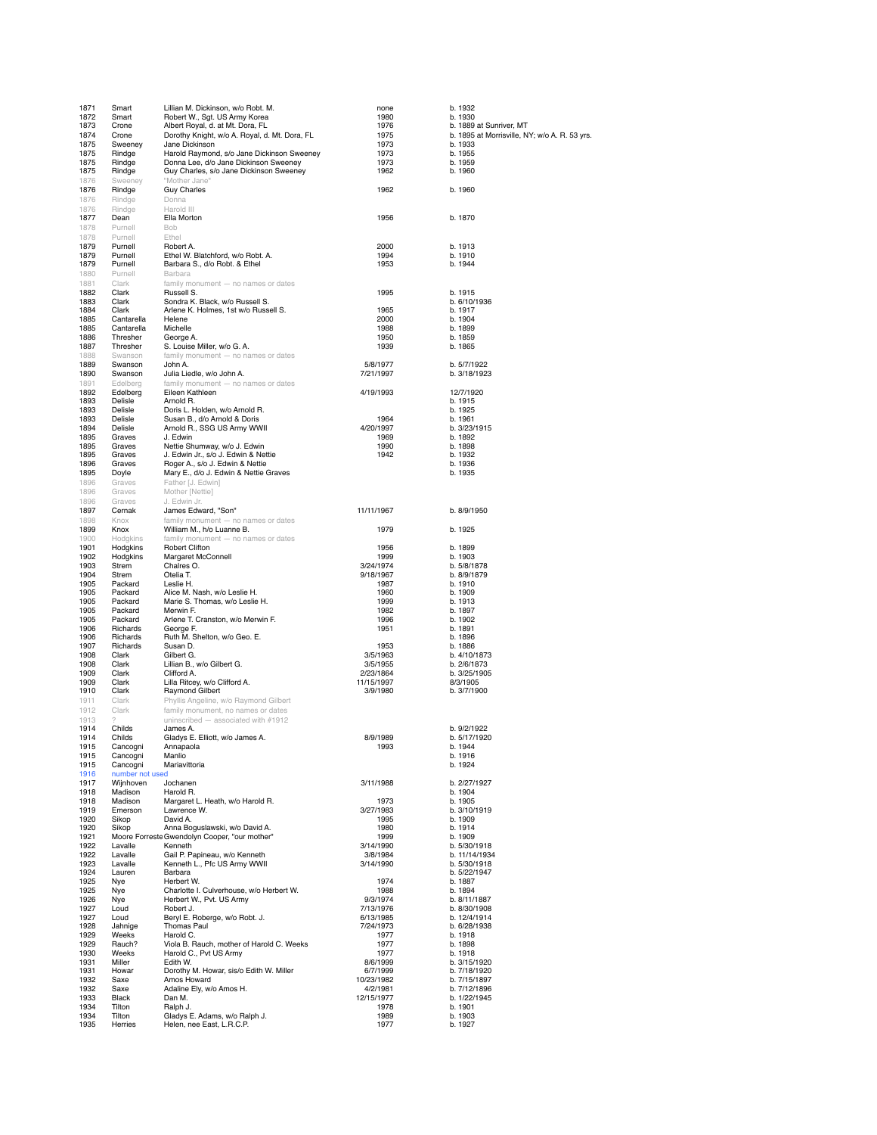| 1871 | Smart           | Lillian M. Dickinson, w/o Robt. M.            | none       | b. 1932                                       |
|------|-----------------|-----------------------------------------------|------------|-----------------------------------------------|
| 1872 | Smart           | Robert W., Sgt. US Army Korea                 | 1980       | b. 1930                                       |
| 1873 | Crone           | Albert Royal, d. at Mt. Dora, FL              | 1976       | b. 1889 at Sunriver, MT                       |
|      |                 |                                               |            |                                               |
| 1874 | Crone           | Dorothy Knight, w/o A. Royal, d. Mt. Dora, FL | 1975       | b. 1895 at Morrisville, NY; w/o A. R. 53 yrs. |
| 1875 | Sweeney         | Jane Dickinson                                | 1973       | b. 1933                                       |
| 1875 | Rindge          | Harold Raymond, s/o Jane Dickinson Sweeney    | 1973       | b. 1955                                       |
| 1875 | Rindge          | Donna Lee, d/o Jane Dickinson Sweeney         | 1973       | b. 1959                                       |
| 1875 | Rindge          | Guy Charles, s/o Jane Dickinson Sweeney       | 1962       | b. 1960                                       |
| 1876 | Sweeney         | "Mother Jane"                                 |            |                                               |
| 1876 | Rindge          | <b>Guy Charles</b>                            | 1962       | b. 1960                                       |
| 1876 | Rindge          | Donna                                         |            |                                               |
| 1876 | Rindge          | Harold III                                    |            |                                               |
|      |                 |                                               | 1956       |                                               |
| 1877 | Dean            | Ella Morton                                   |            | b. 1870                                       |
| 1878 | Purnell         | Bob                                           |            |                                               |
| 1878 | Purnell         | Ethel                                         |            |                                               |
| 1879 | Purnell         | Robert A.                                     | 2000       | b. 1913                                       |
| 1879 | Purnell         | Ethel W. Blatchford, w/o Robt. A.             | 1994       | b. 1910                                       |
| 1879 | Purnell         | Barbara S., d/o Robt. & Ethel                 | 1953       | b. 1944                                       |
| 1880 | Purnell         | Barbara                                       |            |                                               |
| 1881 | Clark           | family monument - no names or dates           |            |                                               |
| 1882 | Clark           | Russell S.                                    | 1995       | b. 1915                                       |
|      |                 |                                               |            |                                               |
| 1883 | Clark           | Sondra K. Black, w/o Russell S.               |            | b. 6/10/1936                                  |
| 1884 | Clark           | Arlene K. Holmes, 1st w/o Russell S.          | 1965       | b. 1917                                       |
| 1885 | Cantarella      | Helene                                        | 2000       | b. 1904                                       |
| 1885 | Cantarella      | Michelle                                      | 1988       | b. 1899                                       |
| 1886 | Thresher        | George A.                                     | 1950       | b. 1859                                       |
| 1887 | Thresher        | S. Louise Miller, w/o G. A.                   | 1939       | b. 1865                                       |
| 1888 | Swanson         | family monument - no names or dates           |            |                                               |
| 1889 | Swanson         | John A.                                       | 5/8/1977   | b. 5/7/1922                                   |
| 1890 | Swanson         | Julia Liedle, w/o John A.                     | 7/21/1997  | b. 3/18/1923                                  |
| 1891 | Edelberg        | family monument - no names or dates           |            |                                               |
|      |                 | Eileen Kathleen                               |            |                                               |
| 1892 | Edelberg        |                                               | 4/19/1993  | 12/7/1920                                     |
| 1893 | Delisle         | Arnold R.                                     |            | b. 1915                                       |
| 1893 | Delisle         | Doris L. Holden, w/o Arnold R.                |            | b. 1925                                       |
| 1893 | Delisle         | Susan B., d/o Arnold & Doris                  | 1964       | b. 1961                                       |
| 1894 | Delisle         | Arnold R., SSG US Army WWII                   | 4/20/1997  | b. 3/23/1915                                  |
| 1895 | Graves          | J. Edwin                                      | 1969       | b. 1892                                       |
| 1895 | Graves          | Nettie Shumway, w/o J. Edwin                  | 1990       | b. 1898                                       |
| 1895 | Graves          | J. Edwin Jr., s/o J. Edwin & Nettie           | 1942       | b. 1932                                       |
| 1896 | Graves          | Roger A., s/o J. Edwin & Nettie               |            | b. 1936                                       |
|      |                 |                                               |            | b. 1935                                       |
| 1895 | Doyle           | Mary E., d/o J. Edwin & Nettie Graves         |            |                                               |
| 1896 | Graves          | Father [J. Edwin]                             |            |                                               |
| 1896 | Graves          | Mother [Nettie]                               |            |                                               |
| 1896 | Graves          | J. Edwin Jr.                                  |            |                                               |
| 1897 | Cernak          | James Edward, "Son"                           | 11/11/1967 | b. 8/9/1950                                   |
| 1898 | Knox            | family monument - no names or dates           |            |                                               |
|      |                 |                                               |            |                                               |
| 1899 | Knox            | William M., h/o Luanne B.                     | 1979       | b. 1925                                       |
| 1900 | Hodgkins        | family monument - no names or dates           |            |                                               |
| 1901 | Hodgkins        | Robert Clifton                                | 1956       | b. 1899                                       |
| 1902 | Hodgkins        | Margaret McConnell                            | 1999       | b. 1903                                       |
| 1903 | Strem           | Chalres O.                                    | 3/24/1974  | b. 5/8/1878                                   |
| 1904 | Strem           | Otelia T.                                     | 9/18/1967  | b. 8/9/1879                                   |
| 1905 | Packard         | Leslie H.                                     | 1987       | b. 1910                                       |
| 1905 | Packard         | Alice M. Nash, w/o Leslie H.                  | 1960       | b. 1909                                       |
| 1905 | Packard         | Marie S. Thomas, w/o Leslie H.                | 1999       | b. 1913                                       |
|      |                 |                                               |            |                                               |
| 1905 | Packard         | Merwin F.                                     | 1982       | b. 1897                                       |
| 1905 | Packard         | Arlene T. Cranston, w/o Merwin F.             | 1996       | b. 1902                                       |
| 1906 | Richards        | George F.                                     | 1951       | b. 1891                                       |
| 1906 | Richards        | Ruth M. Shelton, w/o Geo. E.                  |            | b. 1896                                       |
| 1907 | Richards        | Susan D.                                      | 1953       | b. 1886                                       |
| 1908 | Clark           | Gilbert G.                                    | 3/5/1963   | b. 4/10/1873                                  |
| 1908 | Clark           | Lillian B., w/o Gilbert G.                    | 3/5/1955   | b. 2/6/1873                                   |
| 1909 | Clark           | Clifford A.                                   | 2/23/1864  | b. 3/25/1905                                  |
|      |                 |                                               |            |                                               |
| 1909 | Clark           | Lilla Ritcey, w/o Clifford A.                 | 11/15/1997 | 8/3/1905                                      |
| 1910 | Clark           | Raymond Gilbert                               | 3/9/1980   | b. 3/7/1900                                   |
| 1911 | Clark           | Phyllis Angeline, w/o Raymond Gilbert         |            |                                               |
| 1912 | Clark           | family monument, no names or dates            |            |                                               |
| 1913 |                 | uninscribed - associated with #1912           |            |                                               |
| 1914 | Childs          | James A.                                      |            | b. 9/2/1922                                   |
| 1914 | Childs          | Gladys E. Elliott, w/o James A.               | 8/9/1989   | b. 5/17/1920                                  |
| 1915 | Cancogni        | Annapaola                                     | 1993       | b. 1944                                       |
| 1915 | Cancogni        | Manlio                                        |            | b. 1916                                       |
|      | Cancogni        |                                               |            |                                               |
| 1915 |                 | Mariavittoria                                 |            | b. 1924                                       |
| 1916 | number not used |                                               |            |                                               |
| 1917 | Wijnhoven       | Jochanen                                      | 3/11/1988  | b. 2/27/1927                                  |
| 1918 | Madison         | Harold R.                                     |            | b. 1904                                       |
| 1918 | Madison         | Margaret L. Heath, w/o Harold R.              | 1973       | b. 1905                                       |
| 1919 | Emerson         | Lawrence W.                                   | 3/27/1983  | b. 3/10/1919                                  |
| 1920 | Sikop           | David A.                                      | 1995       | b. 1909                                       |
| 1920 | Sikop           |                                               | 1980       | b. 1914                                       |
|      |                 | Anna Boguslawski, w/o David A.                |            |                                               |
| 1921 |                 | Moore Forreste Gwendolyn Cooper, "our mother" | 1999       | b. 1909                                       |
| 1922 | Lavalle         | Kenneth                                       | 3/14/1990  | b. 5/30/1918                                  |
| 1922 | Lavalle         | Gail P. Papineau, w/o Kenneth                 | 3/8/1984   | b. 11/14/1934                                 |
| 1923 | Lavalle         | Kenneth L., Pfc US Army WWII                  | 3/14/1990  | b. 5/30/1918                                  |
| 1924 | Lauren          | Barbara                                       |            | b. 5/22/1947                                  |
| 1925 | Nye             | Herbert W.                                    | 1974       | b. 1887                                       |
| 1925 | Nye             | Charlotte I. Culverhouse, w/o Herbert W.      | 1988       | b. 1894                                       |
| 1926 | Nye             | Herbert W., Pvt. US Army                      | 9/3/1974   | b. 8/11/1887                                  |
|      |                 |                                               |            |                                               |
| 1927 | Loud            | Robert J.                                     | 7/13/1976  | b. 8/30/1908                                  |
| 1927 | Loud            | Beryl E. Roberge, w/o Robt. J.                | 6/13/1985  | b. 12/4/1914                                  |
| 1928 | Jahnige         | <b>Thomas Paul</b>                            | 7/24/1973  | b. 6/28/1938                                  |
| 1929 | Weeks           | Harold C.                                     | 1977       | b. 1918                                       |
| 1929 | Rauch?          | Viola B. Rauch, mother of Harold C. Weeks     | 1977       | b. 1898                                       |
| 1930 | Weeks           | Harold C., Pvt US Army                        | 1977       | b. 1918                                       |
| 1931 | Miller          | Edith W.                                      | 8/6/1999   | b. 3/15/1920                                  |
|      |                 |                                               |            |                                               |
| 1931 | Howar           | Dorothy M. Howar, sis/o Edith W. Miller       | 6/7/1999   | b. 7/18/1920                                  |
| 1932 | Saxe            | Amos Howard                                   | 10/23/1982 | b. 7/15/1897                                  |
| 1932 | Saxe            | Adaline Ely, w/o Amos H.                      | 4/2/1981   | b. 7/12/1896                                  |
| 1933 | Black           | Dan M.                                        | 12/15/1977 | b. 1/22/1945                                  |
| 1934 | Tilton          | Ralph J.                                      | 1978       | b. 1901                                       |
| 1934 | Tilton          | Gladys E. Adams, w/o Ralph J.                 | 1989       | b. 1903                                       |
| 1935 | Herries         | Helen, nee East, L.R.C.P.                     | 1977       | b. 1927                                       |
|      |                 |                                               |            |                                               |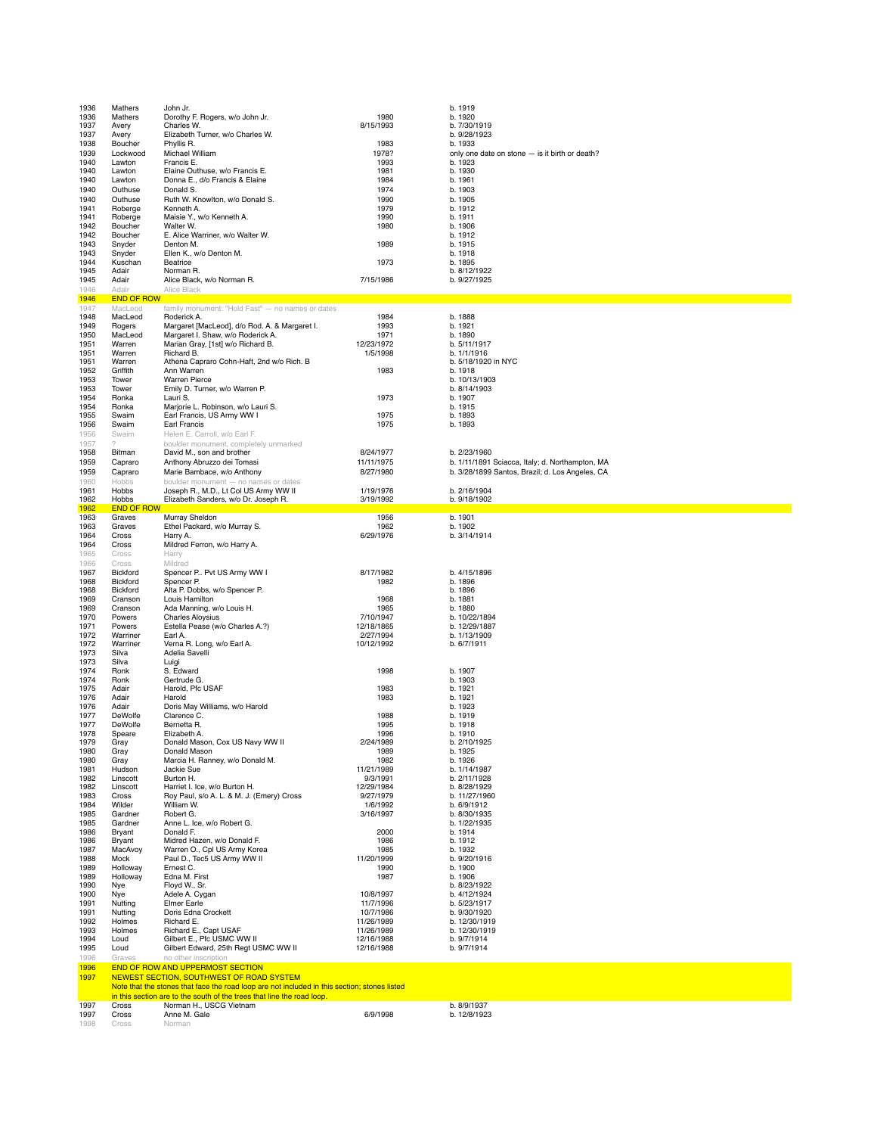| 1936         | Mathers                      | John Jr.                                                                                          |                          | b. 1919                                         |
|--------------|------------------------------|---------------------------------------------------------------------------------------------------|--------------------------|-------------------------------------------------|
| 1936         | Mathers                      | Dorothy F. Rogers, w/o John Jr.                                                                   | 1980                     | b. 1920                                         |
| 1937         | Avery                        | Charles W.                                                                                        | 8/15/1993                | b. 7/30/1919                                    |
| 1937         | Avery                        | Elizabeth Turner, w/o Charles W.                                                                  |                          | b. 9/28/1923                                    |
| 1938         | Boucher                      | Phyllis R.                                                                                        | 1983                     | b. 1933                                         |
| 1939         | Lockwood                     | Michael William                                                                                   | 1978?                    | only one date on stone - is it birth or death?  |
| 1940         | Lawton                       | Francis E.                                                                                        | 1993                     | b. 1923                                         |
| 1940         | Lawton                       | Elaine Outhuse, w/o Francis E.                                                                    | 1981                     | b. 1930                                         |
| 1940         | Lawton                       | Donna E., d/o Francis & Elaine                                                                    | 1984                     | b. 1961                                         |
| 1940<br>1940 | Outhuse<br>Outhuse           | Donald S.<br>Ruth W. Knowlton, w/o Donald S.                                                      | 1974<br>1990             | b. 1903<br>b. 1905                              |
| 1941         | Roberge                      | Kenneth A.                                                                                        | 1979                     | b. 1912                                         |
| 1941         | Roberge                      | Maisie Y., w/o Kenneth A.                                                                         | 1990                     | b. 1911                                         |
| 1942         | Boucher                      | Walter W.                                                                                         | 1980                     | b. 1906                                         |
| 1942         | Boucher                      | E. Alice Warriner, w/o Walter W.                                                                  |                          | b. 1912                                         |
| 1943         | Snyder                       | Denton M.                                                                                         | 1989                     | b. 1915                                         |
| 1943         | Snyder                       | Ellen K., w/o Denton M.                                                                           |                          | b. 1918                                         |
| 1944         | Kuschan                      | Beatrice                                                                                          | 1973                     | b. 1895                                         |
| 1945         | Adair                        | Norman R.                                                                                         |                          | b. 8/12/1922                                    |
| 1945         | Adair                        | Alice Black, w/o Norman R.                                                                        | 7/15/1986                | b. 9/27/1925                                    |
| 1946         | Adair                        | Alice Black                                                                                       |                          |                                                 |
| 1946<br>1947 | <b>END OF ROW</b><br>MacLeod | family monument: "Hold Fast" - no names or dates                                                  |                          |                                                 |
| 1948         | MacLeod                      | Roderick A.                                                                                       | 1984                     | b. 1888                                         |
| 1949         | Rogers                       | Margaret [MacLeod], d/o Rod. A. & Margaret I.                                                     | 1993                     | b. 1921                                         |
| 1950         | MacLeod                      | Margaret I. Shaw, w/o Roderick A.                                                                 | 1971                     | b. 1890                                         |
| 1951         | Warren                       | Marian Gray, [1st] w/o Richard B.                                                                 | 12/23/1972               | b. 5/11/1917                                    |
| 1951         | Warren                       | Richard B.                                                                                        | 1/5/1998                 | b. 1/1/1916                                     |
| 1951         | Warren                       | Athena Capraro Cohn-Haft, 2nd w/o Rich. B                                                         |                          | b. 5/18/1920 in NYC                             |
| 1952         | Griffith                     | Ann Warren                                                                                        | 1983                     | b. 1918                                         |
| 1953<br>1953 | Tower                        | <b>Warren Pierce</b><br>Emily D. Turner, w/o Warren P.                                            |                          | b. 10/13/1903<br>b. 8/14/1903                   |
| 1954         | Tower<br>Ronka               | Lauri S.                                                                                          | 1973                     | b. 1907                                         |
| 1954         | Ronka                        | Marjorie L. Robinson, w/o Lauri S.                                                                |                          | b. 1915                                         |
| 1955         | Swaim                        | Earl Francis, US Army WW I                                                                        | 1975                     | b. 1893                                         |
| 1956         | Swaim                        | Earl Francis                                                                                      | 1975                     | b. 1893                                         |
| 1956         | Swaim                        | Helen E. Carroll, w/o Earl F.                                                                     |                          |                                                 |
| 1957         | 2                            | boulder monument, completely unmarked                                                             |                          |                                                 |
| 1958         | Bitman                       | David M., son and brother                                                                         | 8/24/1977                | b. 2/23/1960                                    |
| 1959         | Capraro                      | Anthony Abruzzo dei Tomasi                                                                        | 11/11/1975               | b. 1/11/1891 Sciacca, Italy; d. Northampton, MA |
| 1959         | Capraro                      | Marie Bambace, w/o Anthony                                                                        | 8/27/1980                | b. 3/28/1899 Santos, Brazil; d. Los Angeles, CA |
| 1960         | Hobbs                        | boulder monument - no names or dates                                                              |                          |                                                 |
| 1961         | Hobbs                        | Joseph R., M.D., Lt Col US Army WW II                                                             | 1/19/1976                | b. 2/16/1904                                    |
| 1962<br>1962 | Hobbs<br><b>END OF ROW</b>   | Elizabeth Sanders, w/o Dr. Joseph R.                                                              | 3/19/1992                | b. 9/18/1902                                    |
| 1963         | Graves                       | Murray Sheldon                                                                                    | 1956                     | b. 1901                                         |
| 1963         | Graves                       | Ethel Packard, w/o Murray S.                                                                      | 1962                     | b. 1902                                         |
| 1964         | Cross                        | Harry A.                                                                                          | 6/29/1976                | b. 3/14/1914                                    |
| 1964         | Cross                        | Mildred Ferron, w/o Harry A.                                                                      |                          |                                                 |
| 1965         | Cross                        | Harry                                                                                             |                          |                                                 |
| 1966         | Cross                        | Mildred                                                                                           |                          |                                                 |
|              |                              |                                                                                                   |                          |                                                 |
| 1967         | Bickford                     | Spencer P Pvt US Army WW I                                                                        | 8/17/1982                | b. 4/15/1896                                    |
| 1968         | Bickford                     | Spencer P.                                                                                        | 1982                     | b. 1896                                         |
| 1968         | Bickford                     | Alta P. Dobbs, w/o Spencer P.                                                                     |                          | b. 1896                                         |
| 1969         | Cranson                      | Louis Hamilton                                                                                    | 1968                     | b. 1881                                         |
| 1969         | Cranson                      | Ada Manning, w/o Louis H.                                                                         | 1965                     | b. 1880                                         |
| 1970         | Powers                       | <b>Charles Aloysius</b>                                                                           | 7/10/1947                | b. 10/22/1894                                   |
| 1971<br>1972 | Powers<br>Warriner           | Estella Pease (w/o Charles A.?)<br>Earl A.                                                        | 12/18/1865<br>2/27/1994  | b. 12/29/1887<br>b. 1/13/1909                   |
| 1972         | Warriner                     | Verna R. Long, w/o Earl A.                                                                        | 10/12/1992               | b. 6/7/1911                                     |
| 1973         | Silva                        | Adelia Savelli                                                                                    |                          |                                                 |
| 1973         | Silva                        | Luigi                                                                                             |                          |                                                 |
| 1974         | Ronk                         | S. Edward                                                                                         | 1998                     | b. 1907                                         |
| 1974         | Ronk                         | Gertrude G.                                                                                       |                          | b. 1903                                         |
| 1975         | Adair                        | Harold, Pfc USAF                                                                                  | 1983                     | b. 1921                                         |
| 1976         | Adair                        | Harold                                                                                            | 1983                     | b. 1921                                         |
| 1976         | Adair                        | Doris May Williams, w/o Harold<br>Clarence C.                                                     |                          | b. 1923                                         |
| 1977<br>1977 | DeWolfe<br>DeWolfe           | Bernetta R.                                                                                       | 1988<br>1995             | b. 1919<br>b. 1918                              |
| 1978         | Speare                       | Elizabeth A.                                                                                      | 1996                     | b. 1910                                         |
| 1979         | Gray                         | Donald Mason, Cox US Navy WW II                                                                   | 2/24/1989                | b. 2/10/1925                                    |
| 1980         | Gray                         | Donald Mason                                                                                      | 1989                     | b. 1925                                         |
| 1980         | Gray                         | Marcia H. Ranney, w/o Donald M.                                                                   | 1982                     | b. 1926                                         |
| 1981         | Hudson                       | Jackie Sue                                                                                        | 11/21/1989               | b. 1/14/1987                                    |
| 1982         | Linscott                     | Burton H.                                                                                         | 9/3/1991                 | b. 2/11/1928                                    |
| 1982         | Linscott                     | Harriet I. Ice, w/o Burton H.                                                                     | 12/29/1984               | b. 8/28/1929                                    |
| 1983<br>1984 | Cross<br>Wilder              | Roy Paul, s/o A. L. & M. J. (Emery) Cross<br>William W.                                           | 9/27/1979<br>1/6/1992    | b. 11/27/1960<br>b. 6/9/1912                    |
| 1985         | Gardner                      | Robert G.                                                                                         | 3/16/1997                | b. 8/30/1935                                    |
| 1985         | Gardner                      | Anne L. Ice, w/o Robert G.                                                                        |                          | b. 1/22/1935                                    |
| 1986         | Bryant                       | Donald F.                                                                                         | 2000                     | b. 1914                                         |
| 1986         | Bryant                       | Midred Hazen, w/o Donald F.                                                                       | 1986                     | b. 1912                                         |
| 1987         | MacAvoy                      | Warren O., Cpl US Army Korea                                                                      | 1985                     | b. 1932                                         |
| 1988<br>1989 | Mock<br>Holloway             | Paul D., Tec5 US Army WW II<br>Ernest C.                                                          | 11/20/1999<br>1990       | b. 9/20/1916<br>b. 1900                         |
| 1989         | Holloway                     | Edna M. First                                                                                     | 1987                     | b. 1906                                         |
| 1990         | Nye                          | Floyd W., Sr.                                                                                     |                          | b. 8/23/1922                                    |
| 1900         | Nye                          | Adele A. Cygan                                                                                    | 10/8/1997                | b. 4/12/1924                                    |
| 1991         | Nutting                      | Elmer Earle                                                                                       | 11/7/1996                | b. 5/23/1917                                    |
| 1991         | Nutting                      | Doris Edna Crockett                                                                               | 10/7/1986                | b. 9/30/1920                                    |
| 1992         | Holmes                       | Richard E.                                                                                        | 11/26/1989               | b. 12/30/1919                                   |
| 1993         | Holmes                       | Richard E., Capt USAF                                                                             | 11/26/1989               | b. 12/30/1919                                   |
| 1994<br>1995 | Loud<br>Loud                 | Gilbert E., Pfc USMC WW II<br>Gilbert Edward, 25th Regt USMC WW II                                | 12/16/1988<br>12/16/1988 | b. 9/7/1914<br>b. 9/7/1914                      |
| 1996         | Graves                       | no other inscription                                                                              |                          |                                                 |
| 1996         |                              | <b>END OF ROW AND UPPERMOST SECTION</b>                                                           |                          |                                                 |
| 1997         |                              | NEWEST SECTION, SOUTHWEST OF ROAD SYSTEM                                                          |                          |                                                 |
|              |                              | Note that the stones that face the road loop are not included in this section; stones listed      |                          |                                                 |
| 1997         | Cross                        | in this section are to the south of the trees that line the road loop.<br>Norman H., USCG Vietnam |                          | b. 8/9/1937                                     |
| 1997         | Cross                        | Anne M. Gale                                                                                      | 6/9/1998                 | b. 12/8/1923                                    |
| 1998         | Cross                        | Norman                                                                                            |                          |                                                 |